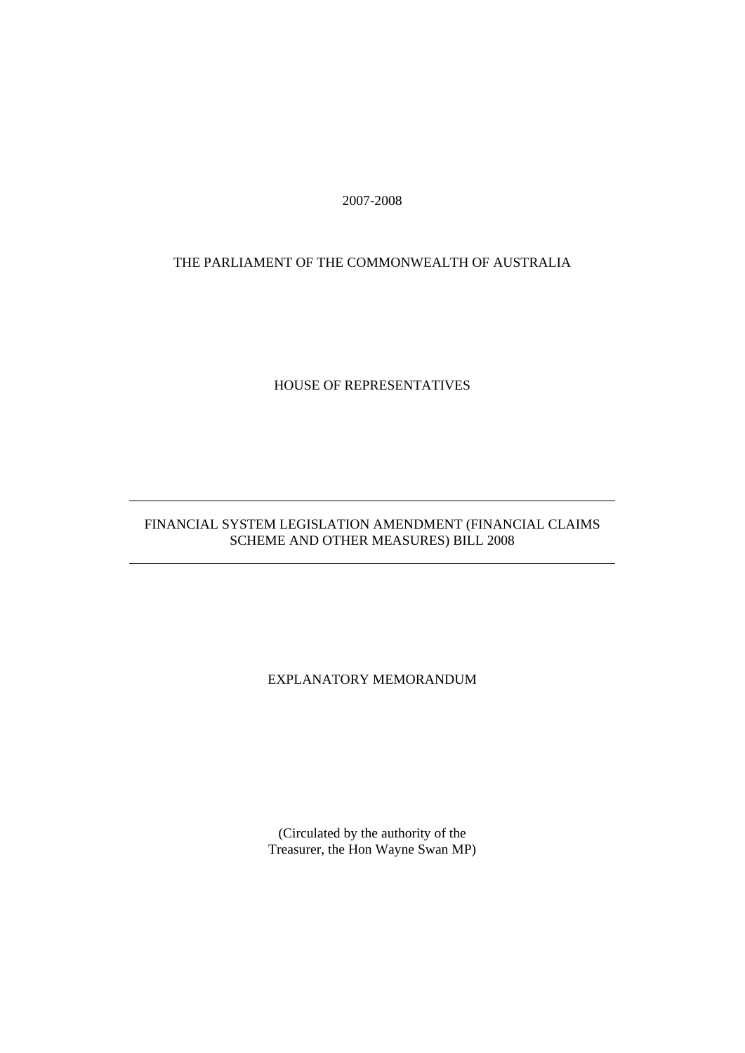2007-2008

#### THE PARLIAMENT OF THE COMMONWEALTH OF AUSTRALIA

#### HOUSE OF REPRESENTATIVES

#### FINANCIAL SYSTEM LEGISLATION AMENDMENT (FINANCIAL CLAIMS SCHEME AND OTHER MEASURES) BILL 2008

#### EXPLANATORY MEMORANDUM

(Circulated by the authority of the Treasurer, the Hon Wayne Swan MP)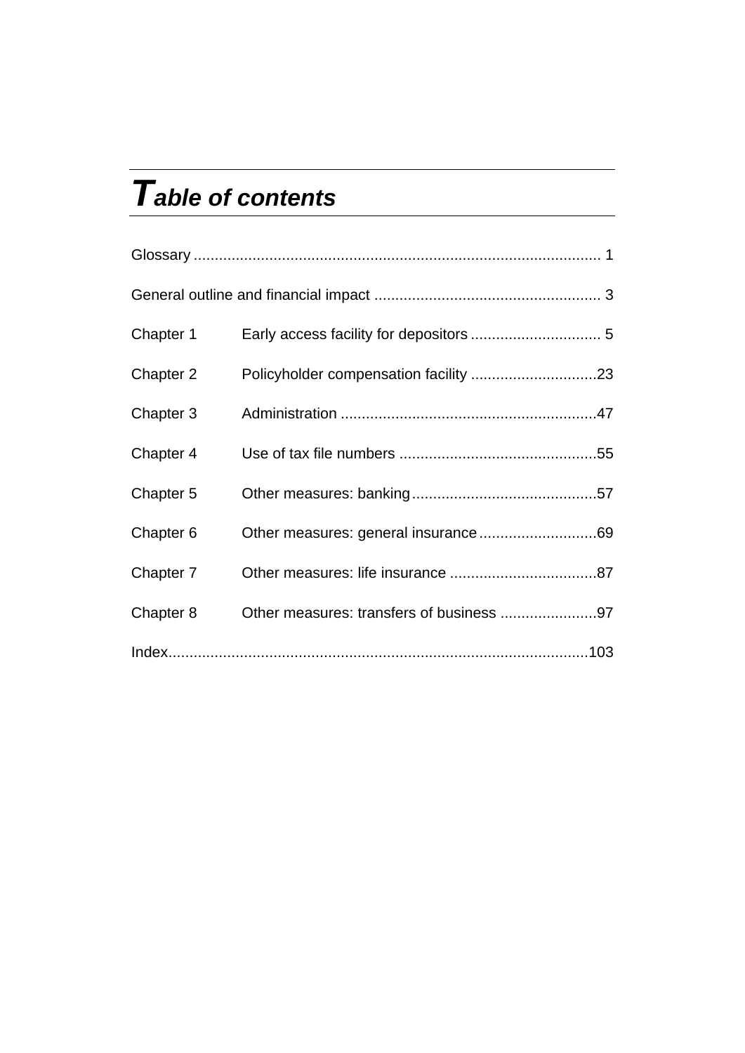# *Table of contents*

| Chapter 1 |                                          |  |
|-----------|------------------------------------------|--|
| Chapter 2 |                                          |  |
| Chapter 3 |                                          |  |
| Chapter 4 |                                          |  |
| Chapter 5 |                                          |  |
| Chapter 6 |                                          |  |
| Chapter 7 |                                          |  |
| Chapter 8 | Other measures: transfers of business 97 |  |
|           |                                          |  |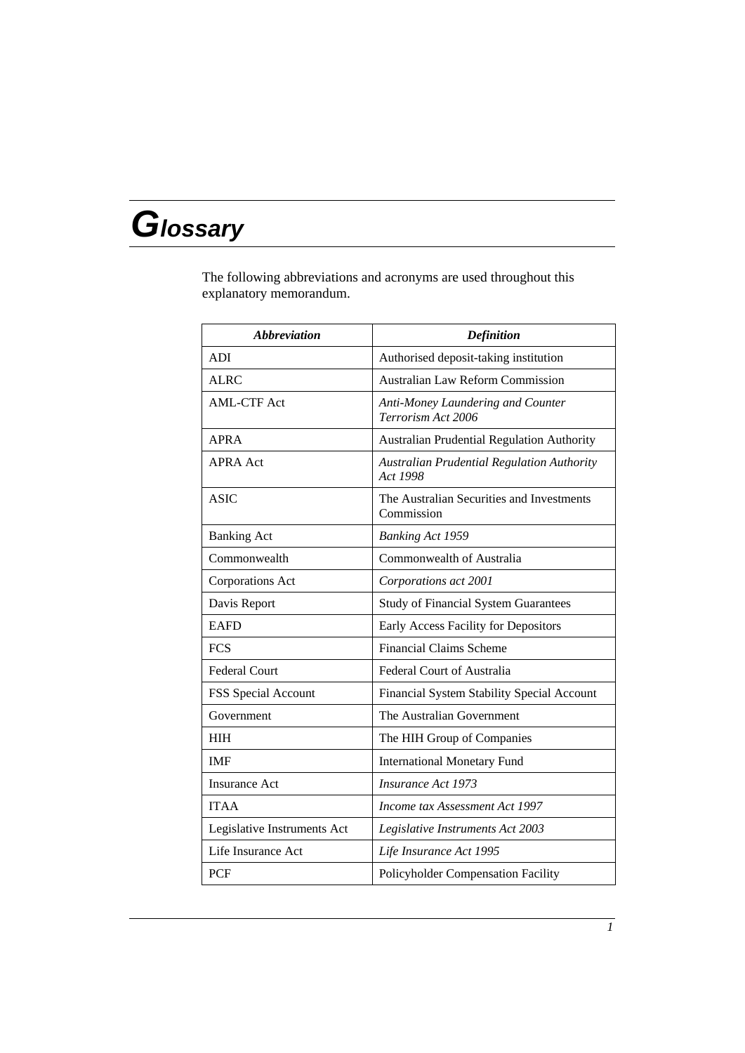# *Glossary*

The following abbreviations and acronyms are used throughout this explanatory memorandum.

| <b>Abbreviation</b>         | <b>Definition</b>                                             |
|-----------------------------|---------------------------------------------------------------|
| <b>ADI</b>                  | Authorised deposit-taking institution                         |
| <b>ALRC</b>                 | <b>Australian Law Reform Commission</b>                       |
| <b>AML-CTF Act</b>          | Anti-Money Laundering and Counter<br>Terrorism Act 2006       |
| <b>APRA</b>                 | Australian Prudential Regulation Authority                    |
| <b>APRA Act</b>             | <b>Australian Prudential Regulation Authority</b><br>Act 1998 |
| ASIC                        | The Australian Securities and Investments<br>Commission       |
| <b>Banking Act</b>          | <b>Banking Act 1959</b>                                       |
| Commonwealth                | Commonwealth of Australia                                     |
| Corporations Act            | Corporations act 2001                                         |
| Davis Report                | <b>Study of Financial System Guarantees</b>                   |
| <b>EAFD</b>                 | Early Access Facility for Depositors                          |
| <b>FCS</b>                  | <b>Financial Claims Scheme</b>                                |
| <b>Federal Court</b>        | Federal Court of Australia                                    |
| FSS Special Account         | Financial System Stability Special Account                    |
| Government                  | The Australian Government                                     |
| <b>HIH</b>                  | The HIH Group of Companies                                    |
| <b>IMF</b>                  | <b>International Monetary Fund</b>                            |
| <b>Insurance Act</b>        | <b>Insurance Act 1973</b>                                     |
| <b>ITAA</b>                 | Income tax Assessment Act 1997                                |
| Legislative Instruments Act | Legislative Instruments Act 2003                              |
| Life Insurance Act          | Life Insurance Act 1995                                       |
| <b>PCF</b>                  | Policyholder Compensation Facility                            |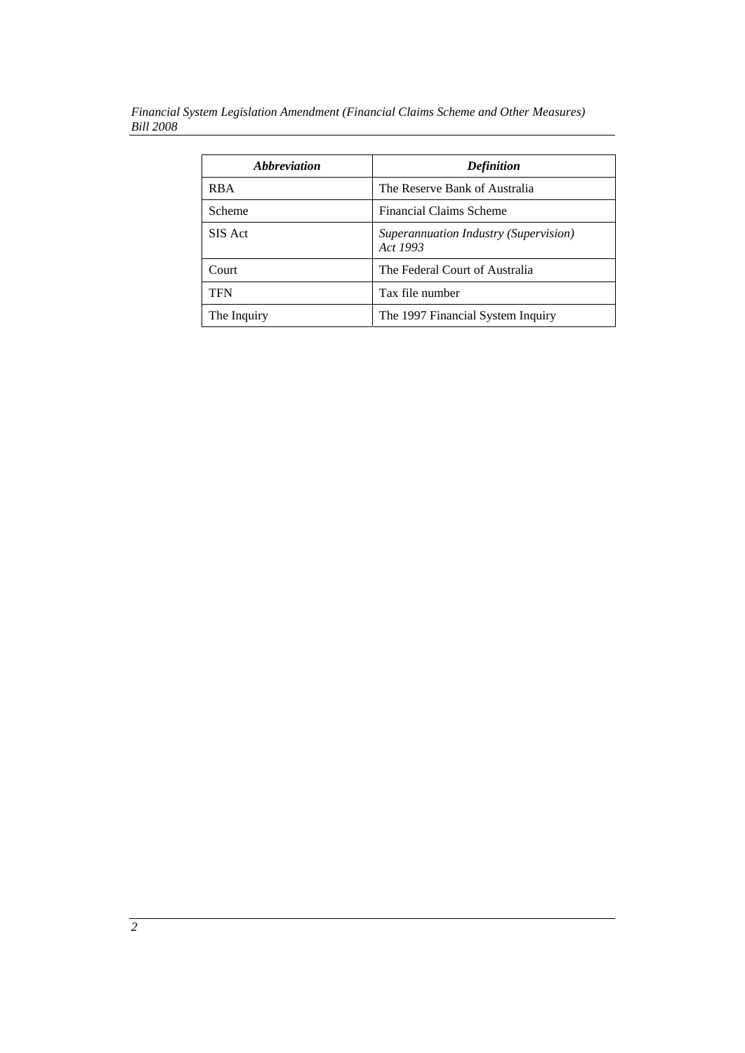*Financial System Legislation Amendment (Financial Claims Scheme and Other Measures) Bill 2008* 

| <i><b>Abbreviation</b></i> | <b>Definition</b>                                 |
|----------------------------|---------------------------------------------------|
| <b>RBA</b>                 | The Reserve Bank of Australia                     |
| Scheme                     | <b>Financial Claims Scheme</b>                    |
| SIS Act                    | Superannuation Industry (Supervision)<br>Act 1993 |
| Court                      | The Federal Court of Australia                    |
| <b>TFN</b>                 | Tax file number                                   |
| The Inquiry                | The 1997 Financial System Inquiry                 |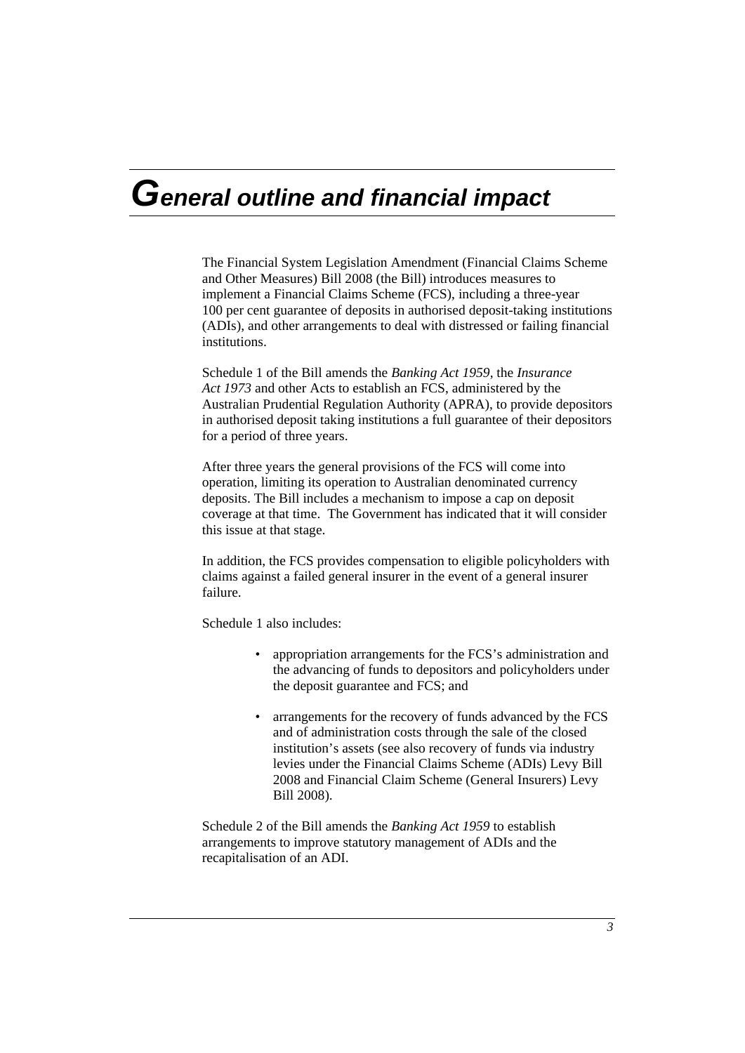# *General outline and financial impact*

The Financial System Legislation Amendment (Financial Claims Scheme and Other Measures) Bill 2008 (the Bill) introduces measures to implement a Financial Claims Scheme (FCS), including a three-year 100 per cent guarantee of deposits in authorised deposit-taking institutions (ADIs), and other arrangements to deal with distressed or failing financial institutions.

Schedule 1 of the Bill amends the *Banking Act 1959*, the *Insurance Act 1973* and other Acts to establish an FCS, administered by the Australian Prudential Regulation Authority (APRA), to provide depositors in authorised deposit taking institutions a full guarantee of their depositors for a period of three years.

After three years the general provisions of the FCS will come into operation, limiting its operation to Australian denominated currency deposits. The Bill includes a mechanism to impose a cap on deposit coverage at that time. The Government has indicated that it will consider this issue at that stage.

In addition, the FCS provides compensation to eligible policyholders with claims against a failed general insurer in the event of a general insurer failure.

Schedule 1 also includes:

- appropriation arrangements for the FCS's administration and the advancing of funds to depositors and policyholders under the deposit guarantee and FCS; and
- arrangements for the recovery of funds advanced by the FCS and of administration costs through the sale of the closed institution's assets (see also recovery of funds via industry levies under the Financial Claims Scheme (ADIs) Levy Bill 2008 and Financial Claim Scheme (General Insurers) Levy Bill 2008).

Schedule 2 of the Bill amends the *Banking Act 1959* to establish arrangements to improve statutory management of ADIs and the recapitalisation of an ADI.

*3*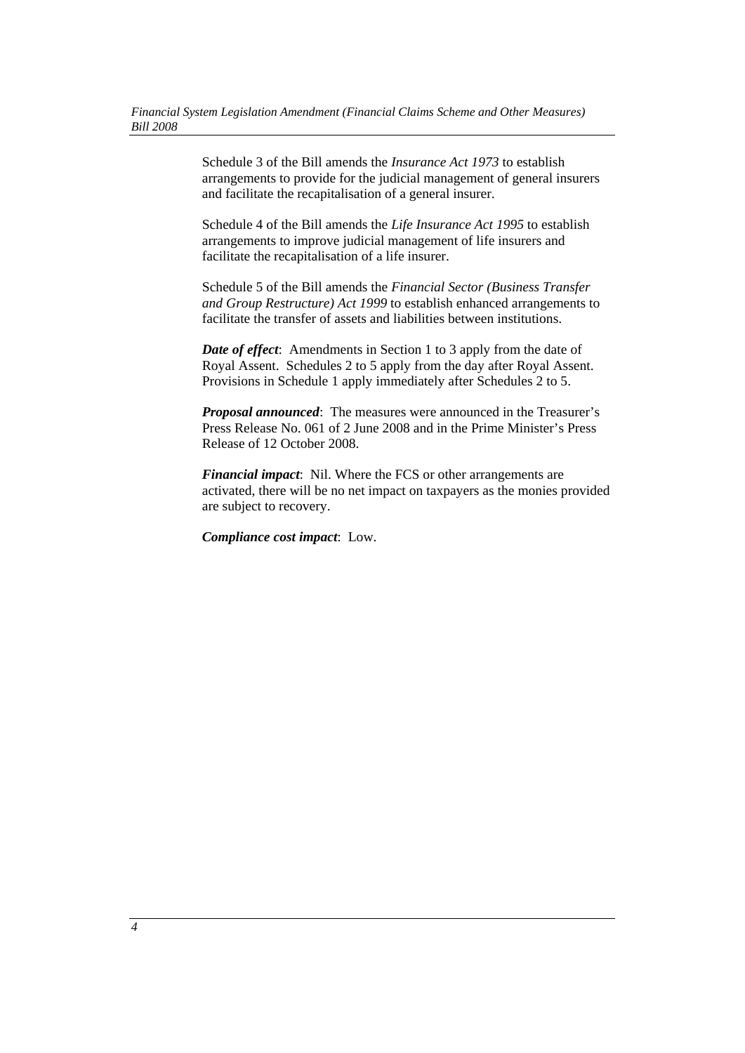Schedule 3 of the Bill amends the *Insurance Act 1973* to establish arrangements to provide for the judicial management of general insurers and facilitate the recapitalisation of a general insurer.

Schedule 4 of the Bill amends the *Life Insurance Act 1995* to establish arrangements to improve judicial management of life insurers and facilitate the recapitalisation of a life insurer.

Schedule 5 of the Bill amends the *Financial Sector (Business Transfer and Group Restructure) Act 1999* to establish enhanced arrangements to facilitate the transfer of assets and liabilities between institutions.

*Date of effect*: Amendments in Section 1 to 3 apply from the date of Royal Assent. Schedules 2 to 5 apply from the day after Royal Assent. Provisions in Schedule 1 apply immediately after Schedules 2 to 5.

*Proposal announced*: The measures were announced in the Treasurer's Press Release No. 061 of 2 June 2008 and in the Prime Minister's Press Release of 12 October 2008.

*Financial impact*: Nil. Where the FCS or other arrangements are activated, there will be no net impact on taxpayers as the monies provided are subject to recovery.

*Compliance cost impact*: Low.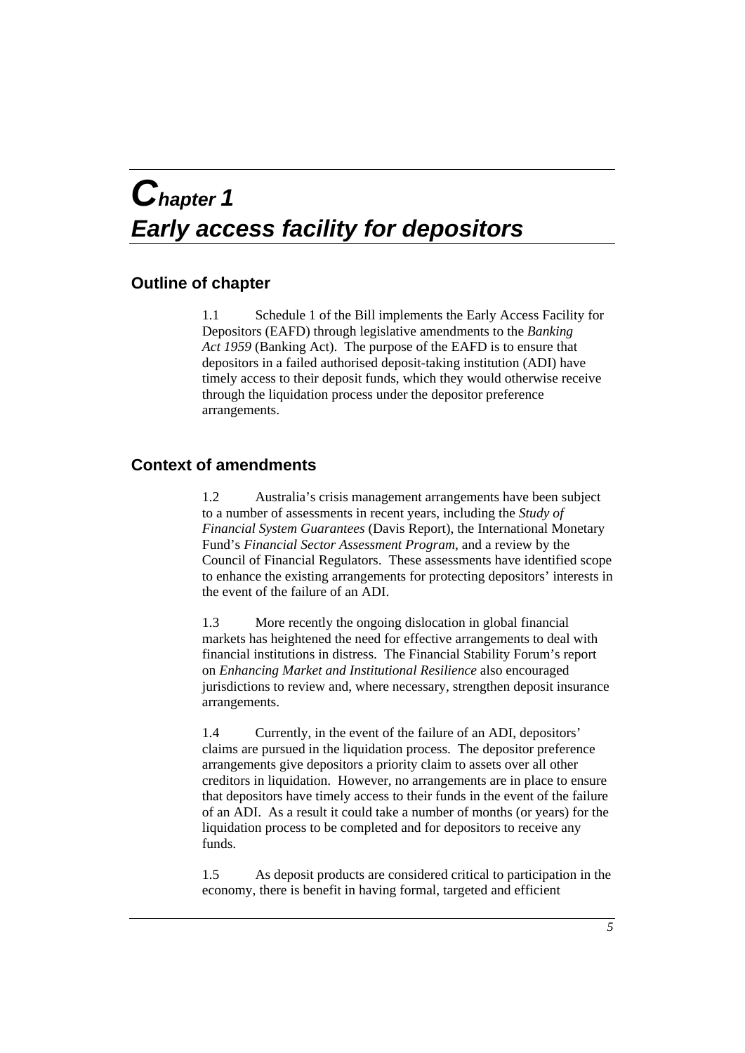# *Chapter 1 Early access facility for depositors*

# **Outline of chapter**

1.1 Schedule 1 of the Bill implements the Early Access Facility for Depositors (EAFD) through legislative amendments to the *Banking Act 1959* (Banking Act). The purpose of the EAFD is to ensure that depositors in a failed authorised deposit-taking institution (ADI) have timely access to their deposit funds, which they would otherwise receive through the liquidation process under the depositor preference arrangements.

# **Context of amendments**

1.2 Australia's crisis management arrangements have been subject to a number of assessments in recent years, including the *Study of Financial System Guarantees* (Davis Report), the International Monetary Fund's *Financial Sector Assessment Program*, and a review by the Council of Financial Regulators. These assessments have identified scope to enhance the existing arrangements for protecting depositors' interests in the event of the failure of an ADI.

1.3 More recently the ongoing dislocation in global financial markets has heightened the need for effective arrangements to deal with financial institutions in distress. The Financial Stability Forum's report on *Enhancing Market and Institutional Resilience* also encouraged jurisdictions to review and, where necessary, strengthen deposit insurance arrangements.

1.4 Currently, in the event of the failure of an ADI, depositors' claims are pursued in the liquidation process. The depositor preference arrangements give depositors a priority claim to assets over all other creditors in liquidation. However, no arrangements are in place to ensure that depositors have timely access to their funds in the event of the failure of an ADI. As a result it could take a number of months (or years) for the liquidation process to be completed and for depositors to receive any funds.

1.5 As deposit products are considered critical to participation in the economy, there is benefit in having formal, targeted and efficient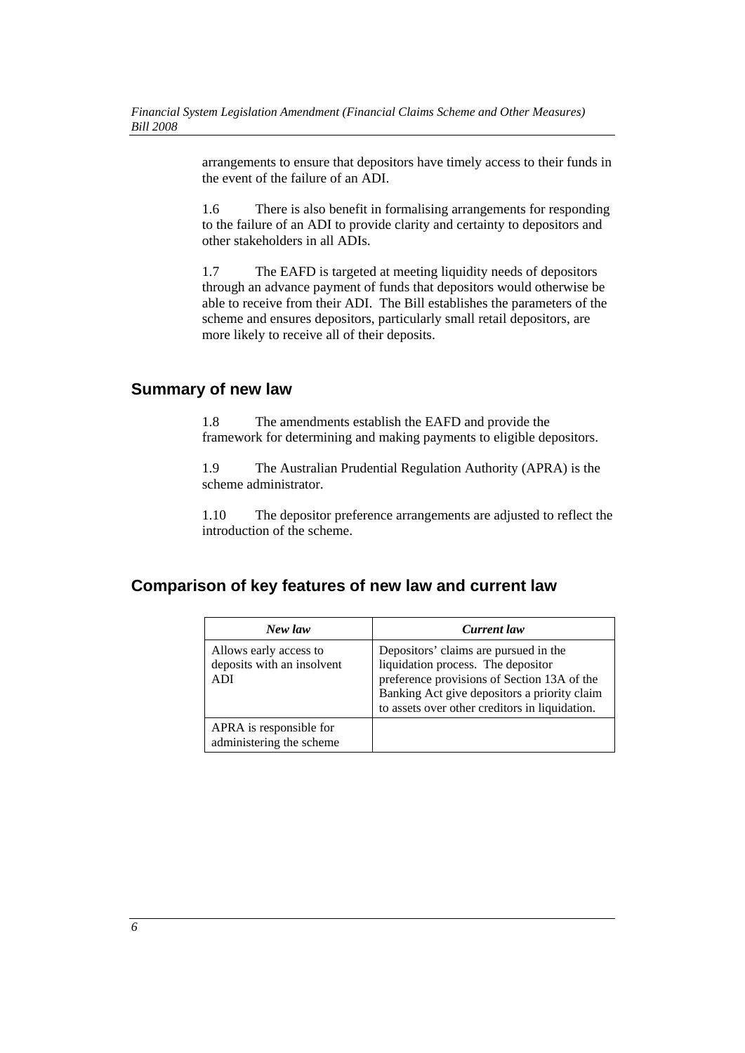arrangements to ensure that depositors have timely access to their funds in the event of the failure of an ADI.

1.6 There is also benefit in formalising arrangements for responding to the failure of an ADI to provide clarity and certainty to depositors and other stakeholders in all ADIs.

1.7 The EAFD is targeted at meeting liquidity needs of depositors through an advance payment of funds that depositors would otherwise be able to receive from their ADI. The Bill establishes the parameters of the scheme and ensures depositors, particularly small retail depositors, are more likely to receive all of their deposits.

# **Summary of new law**

1.8 The amendments establish the EAFD and provide the framework for determining and making payments to eligible depositors.

1.9 The Australian Prudential Regulation Authority (APRA) is the scheme administrator.

1.10 The depositor preference arrangements are adjusted to reflect the introduction of the scheme.

# **Comparison of key features of new law and current law**

| New law                                                            | <b>Current</b> law                                                                                                                                                                                                           |
|--------------------------------------------------------------------|------------------------------------------------------------------------------------------------------------------------------------------------------------------------------------------------------------------------------|
| Allows early access to<br>deposits with an insolvent<br><b>ADI</b> | Depositors' claims are pursued in the<br>liquidation process. The depositor<br>preference provisions of Section 13A of the<br>Banking Act give depositors a priority claim<br>to assets over other creditors in liquidation. |
| APRA is responsible for<br>administering the scheme                |                                                                                                                                                                                                                              |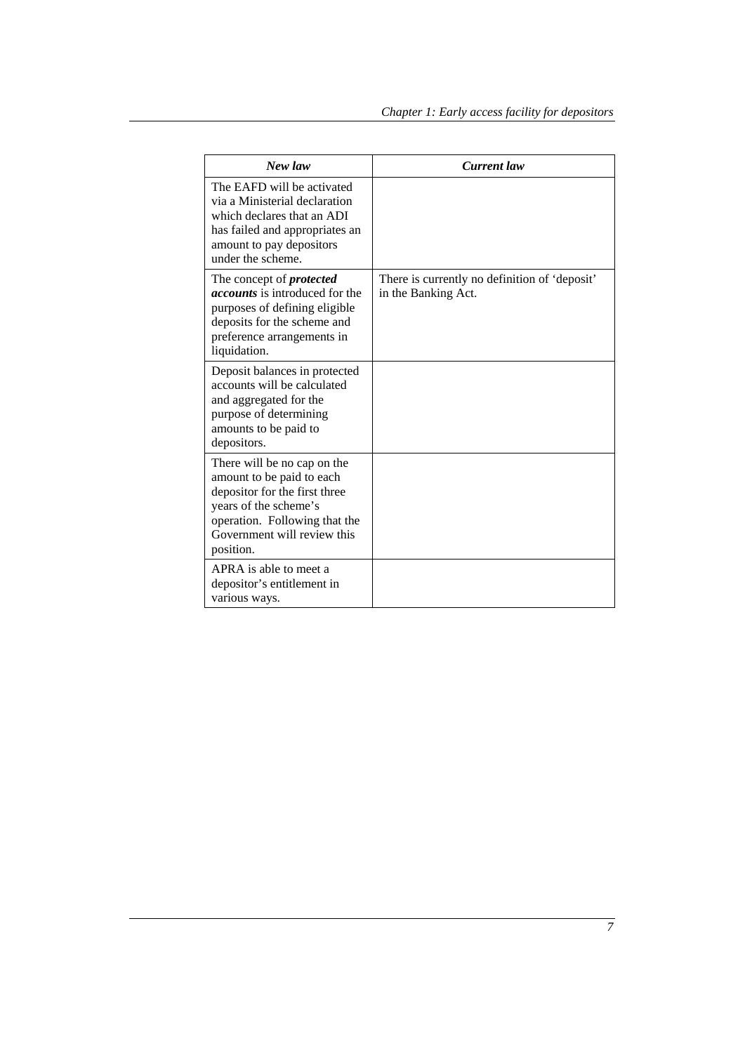| New law                                                                                                                                                                                         | <b>Current</b> law                                                   |
|-------------------------------------------------------------------------------------------------------------------------------------------------------------------------------------------------|----------------------------------------------------------------------|
| The EAFD will be activated<br>via a Ministerial declaration<br>which declares that an ADI<br>has failed and appropriates an<br>amount to pay depositors<br>under the scheme.                    |                                                                      |
| The concept of <i>protected</i><br><i>accounts</i> is introduced for the<br>purposes of defining eligible<br>deposits for the scheme and<br>preference arrangements in<br>liquidation.          | There is currently no definition of 'deposit'<br>in the Banking Act. |
| Deposit balances in protected<br>accounts will be calculated<br>and aggregated for the<br>purpose of determining<br>amounts to be paid to<br>depositors.                                        |                                                                      |
| There will be no cap on the<br>amount to be paid to each<br>depositor for the first three<br>years of the scheme's<br>operation. Following that the<br>Government will review this<br>position. |                                                                      |
| APRA is able to meet a<br>depositor's entitlement in<br>various ways.                                                                                                                           |                                                                      |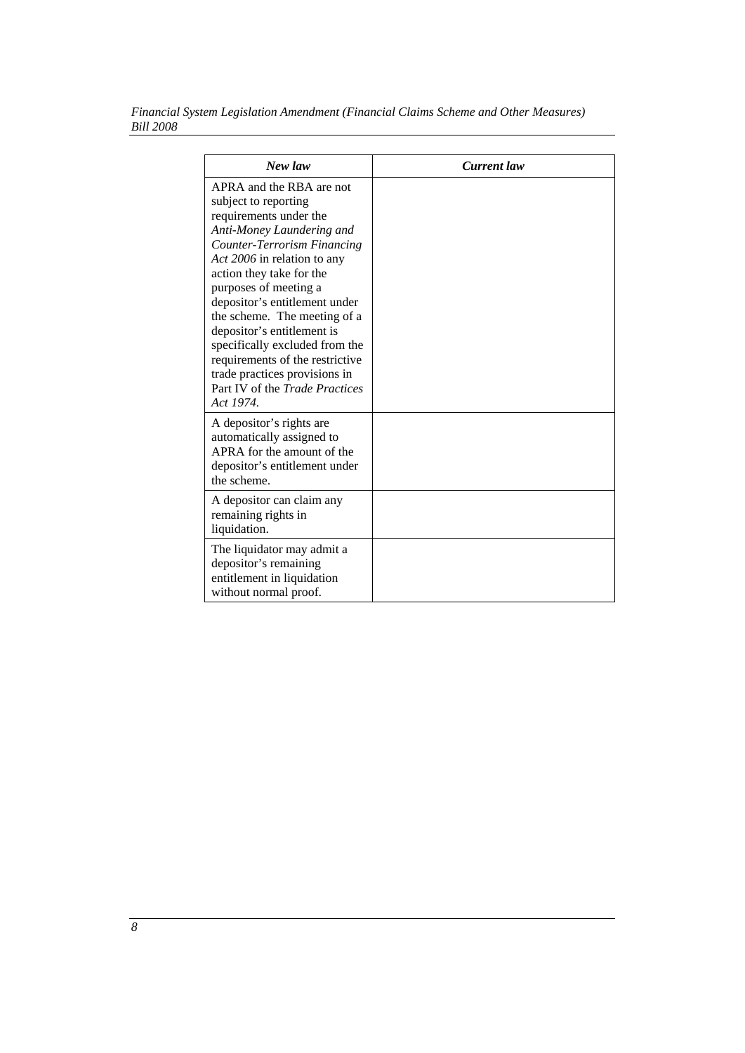| Financial System Legislation Amendment (Financial Claims Scheme and Other Measures) |  |
|-------------------------------------------------------------------------------------|--|
| <i>Bill 2008</i>                                                                    |  |

| New law                                                                                                                                                                                                                                                                                                                                                                                                                                                                                      | <b>Current</b> law |
|----------------------------------------------------------------------------------------------------------------------------------------------------------------------------------------------------------------------------------------------------------------------------------------------------------------------------------------------------------------------------------------------------------------------------------------------------------------------------------------------|--------------------|
| APRA and the RBA are not<br>subject to reporting<br>requirements under the<br>Anti-Money Laundering and<br><b>Counter-Terrorism Financing</b><br>Act 2006 in relation to any<br>action they take for the<br>purposes of meeting a<br>depositor's entitlement under<br>the scheme. The meeting of a<br>depositor's entitlement is<br>specifically excluded from the<br>requirements of the restrictive<br>trade practices provisions in<br>Part IV of the <i>Trade Practices</i><br>Act 1974. |                    |
| A depositor's rights are<br>automatically assigned to<br>APRA for the amount of the<br>depositor's entitlement under<br>the scheme.                                                                                                                                                                                                                                                                                                                                                          |                    |
| A depositor can claim any<br>remaining rights in<br>liquidation.                                                                                                                                                                                                                                                                                                                                                                                                                             |                    |
| The liquidator may admit a<br>depositor's remaining<br>entitlement in liquidation<br>without normal proof.                                                                                                                                                                                                                                                                                                                                                                                   |                    |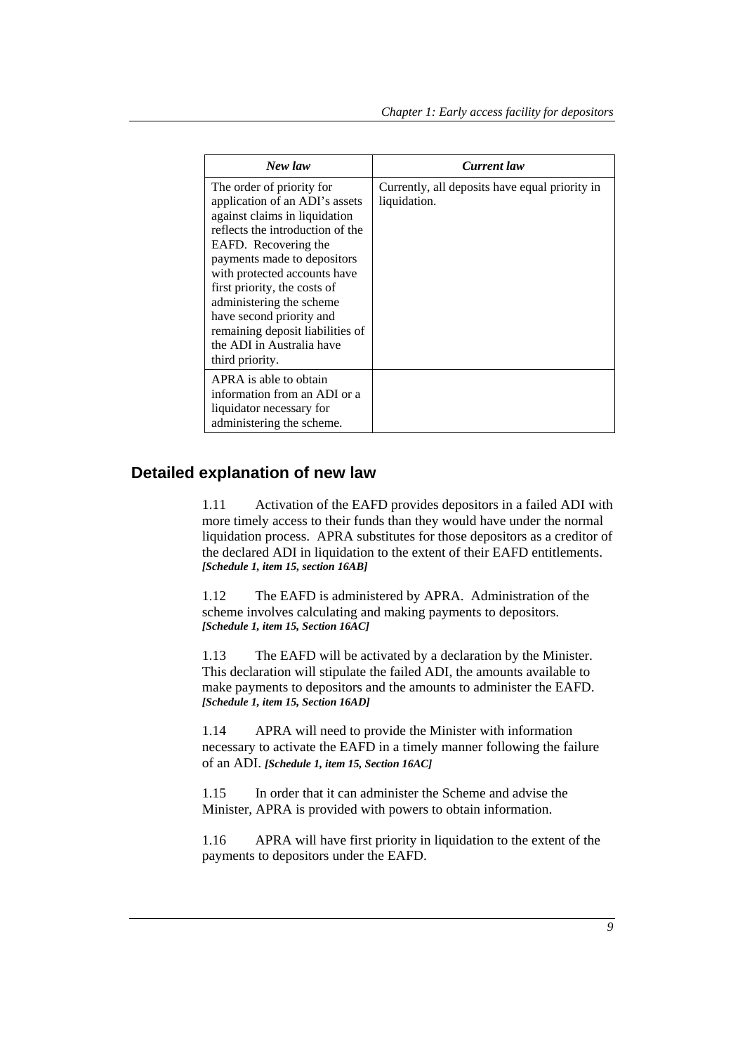| New law                                                                                                                                                                                                                                                                                                                                                                                             | Current law                                                    |
|-----------------------------------------------------------------------------------------------------------------------------------------------------------------------------------------------------------------------------------------------------------------------------------------------------------------------------------------------------------------------------------------------------|----------------------------------------------------------------|
| The order of priority for<br>application of an ADI's assets<br>against claims in liquidation<br>reflects the introduction of the<br>EAFD. Recovering the<br>payments made to depositors<br>with protected accounts have<br>first priority, the costs of<br>administering the scheme<br>have second priority and<br>remaining deposit liabilities of<br>the ADI in Australia have<br>third priority. | Currently, all deposits have equal priority in<br>liquidation. |
| APRA is able to obtain<br>information from an ADI or a<br>liquidator necessary for<br>administering the scheme.                                                                                                                                                                                                                                                                                     |                                                                |

# **Detailed explanation of new law**

1.11 Activation of the EAFD provides depositors in a failed ADI with more timely access to their funds than they would have under the normal liquidation process. APRA substitutes for those depositors as a creditor of the declared ADI in liquidation to the extent of their EAFD entitlements. *[Schedule 1, item 15, section 16AB]*

1.12 The EAFD is administered by APRA. Administration of the scheme involves calculating and making payments to depositors. *[Schedule 1, item 15, Section 16AC]*

1.13 The EAFD will be activated by a declaration by the Minister. This declaration will stipulate the failed ADI, the amounts available to make payments to depositors and the amounts to administer the EAFD. *[Schedule 1, item 15, Section 16AD]*

1.14 APRA will need to provide the Minister with information necessary to activate the EAFD in a timely manner following the failure of an ADI. *[Schedule 1, item 15, Section 16AC]*

1.15 In order that it can administer the Scheme and advise the Minister, APRA is provided with powers to obtain information.

1.16 APRA will have first priority in liquidation to the extent of the payments to depositors under the EAFD.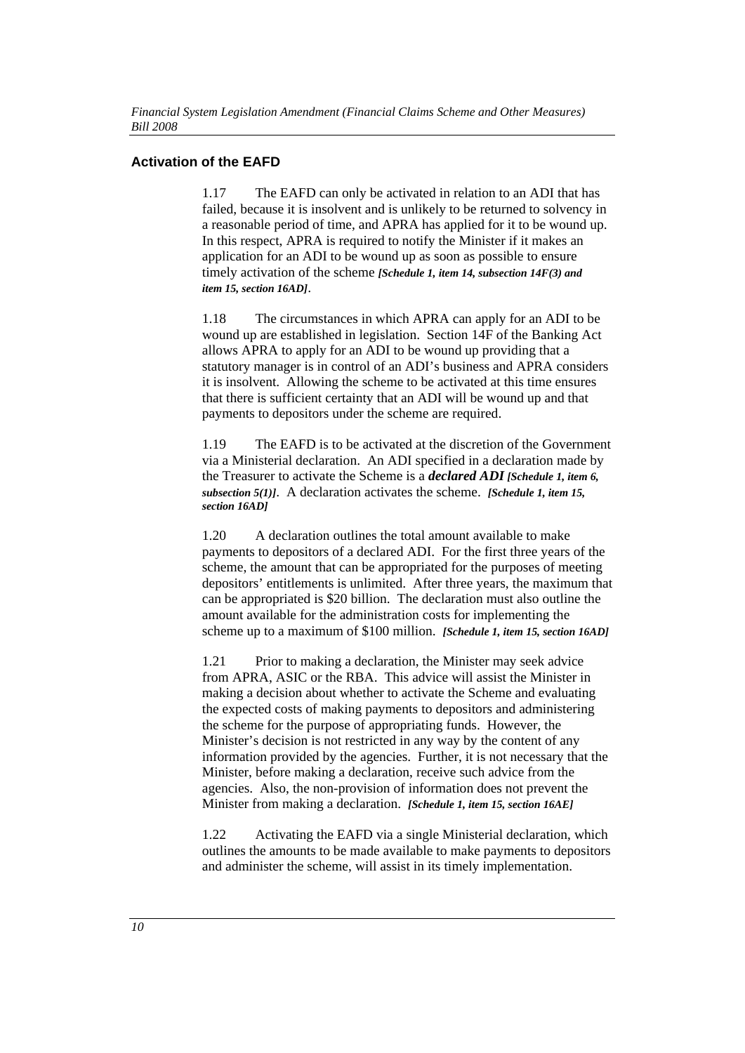### **Activation of the EAFD**

1.17 The EAFD can only be activated in relation to an ADI that has failed, because it is insolvent and is unlikely to be returned to solvency in a reasonable period of time, and APRA has applied for it to be wound up. In this respect, APRA is required to notify the Minister if it makes an application for an ADI to be wound up as soon as possible to ensure timely activation of the scheme *[Schedule 1, item 14, subsection 14F(3) and item 15, section 16AD]*.

1.18 The circumstances in which APRA can apply for an ADI to be wound up are established in legislation. Section 14F of the Banking Act allows APRA to apply for an ADI to be wound up providing that a statutory manager is in control of an ADI's business and APRA considers it is insolvent. Allowing the scheme to be activated at this time ensures that there is sufficient certainty that an ADI will be wound up and that payments to depositors under the scheme are required.

1.19 The EAFD is to be activated at the discretion of the Government via a Ministerial declaration. An ADI specified in a declaration made by the Treasurer to activate the Scheme is a *declared ADI [Schedule 1, item 6, subsection 5(1)]*. A declaration activates the scheme. *[Schedule 1, item 15, section 16AD]*

1.20 A declaration outlines the total amount available to make payments to depositors of a declared ADI. For the first three years of the scheme, the amount that can be appropriated for the purposes of meeting depositors' entitlements is unlimited. After three years, the maximum that can be appropriated is \$20 billion. The declaration must also outline the amount available for the administration costs for implementing the scheme up to a maximum of \$100 million. *[Schedule 1, item 15, section 16AD]*

1.21 Prior to making a declaration, the Minister may seek advice from APRA, ASIC or the RBA. This advice will assist the Minister in making a decision about whether to activate the Scheme and evaluating the expected costs of making payments to depositors and administering the scheme for the purpose of appropriating funds. However, the Minister's decision is not restricted in any way by the content of any information provided by the agencies. Further, it is not necessary that the Minister, before making a declaration, receive such advice from the agencies. Also, the non-provision of information does not prevent the Minister from making a declaration. *[Schedule 1, item 15, section 16AE]*

1.22 Activating the EAFD via a single Ministerial declaration, which outlines the amounts to be made available to make payments to depositors and administer the scheme, will assist in its timely implementation.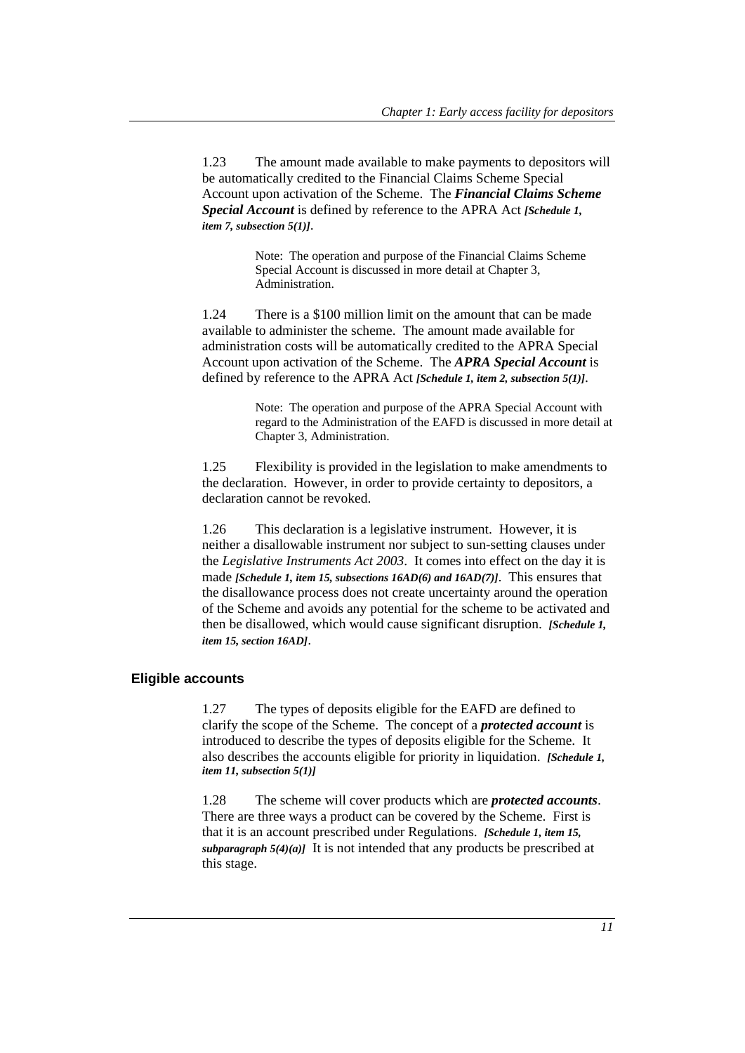1.23 The amount made available to make payments to depositors will be automatically credited to the Financial Claims Scheme Special Account upon activation of the Scheme. The *Financial Claims Scheme Special Account* is defined by reference to the APRA Act *[Schedule 1, item 7, subsection 5(1)]*.

> Note: The operation and purpose of the Financial Claims Scheme Special Account is discussed in more detail at Chapter 3, Administration.

1.24 There is a \$100 million limit on the amount that can be made available to administer the scheme. The amount made available for administration costs will be automatically credited to the APRA Special Account upon activation of the Scheme. The *APRA Special Account* is defined by reference to the APRA Act *[Schedule 1, item 2, subsection 5(1)]*.

> Note: The operation and purpose of the APRA Special Account with regard to the Administration of the EAFD is discussed in more detail at Chapter 3, Administration.

1.25 Flexibility is provided in the legislation to make amendments to the declaration. However, in order to provide certainty to depositors, a declaration cannot be revoked.

1.26 This declaration is a legislative instrument. However, it is neither a disallowable instrument nor subject to sun-setting clauses under the *Legislative Instruments Act 2003*. It comes into effect on the day it is made *[Schedule 1, item 15, subsections 16AD(6) and 16AD(7)]*. This ensures that the disallowance process does not create uncertainty around the operation of the Scheme and avoids any potential for the scheme to be activated and then be disallowed, which would cause significant disruption. *[Schedule 1, item 15, section 16AD]*.

#### **Eligible accounts**

1.27 The types of deposits eligible for the EAFD are defined to clarify the scope of the Scheme. The concept of a *protected account* is introduced to describe the types of deposits eligible for the Scheme. It also describes the accounts eligible for priority in liquidation. *[Schedule 1, item 11, subsection 5(1)]*

1.28 The scheme will cover products which are *protected accounts*. There are three ways a product can be covered by the Scheme. First is that it is an account prescribed under Regulations. *[Schedule 1, item 15, subparagraph*  $5(4)(a)$  It is not intended that any products be prescribed at this stage.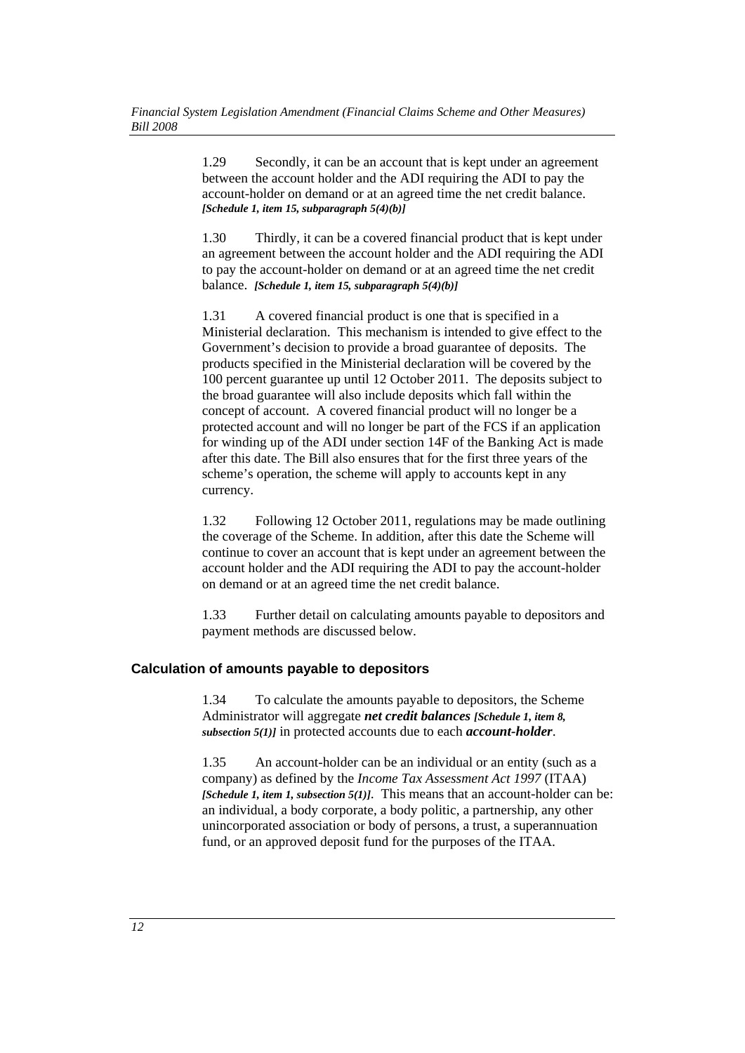1.29 Secondly, it can be an account that is kept under an agreement between the account holder and the ADI requiring the ADI to pay the account-holder on demand or at an agreed time the net credit balance. *[Schedule 1, item 15, subparagraph 5(4)(b)]*

1.30 Thirdly, it can be a covered financial product that is kept under an agreement between the account holder and the ADI requiring the ADI to pay the account-holder on demand or at an agreed time the net credit balance. *[Schedule 1, item 15, subparagraph 5(4)(b)]*

1.31 A covered financial product is one that is specified in a Ministerial declaration. This mechanism is intended to give effect to the Government's decision to provide a broad guarantee of deposits. The products specified in the Ministerial declaration will be covered by the 100 percent guarantee up until 12 October 2011. The deposits subject to the broad guarantee will also include deposits which fall within the concept of account. A covered financial product will no longer be a protected account and will no longer be part of the FCS if an application for winding up of the ADI under section 14F of the Banking Act is made after this date. The Bill also ensures that for the first three years of the scheme's operation, the scheme will apply to accounts kept in any currency.

1.32 Following 12 October 2011, regulations may be made outlining the coverage of the Scheme. In addition, after this date the Scheme will continue to cover an account that is kept under an agreement between the account holder and the ADI requiring the ADI to pay the account-holder on demand or at an agreed time the net credit balance.

1.33 Further detail on calculating amounts payable to depositors and payment methods are discussed below.

#### **Calculation of amounts payable to depositors**

1.34 To calculate the amounts payable to depositors, the Scheme Administrator will aggregate *net credit balances [Schedule 1, item 8, subsection 5(1)]* in protected accounts due to each *account-holder*.

1.35 An account-holder can be an individual or an entity (such as a company) as defined by the *Income Tax Assessment Act 1997* (ITAA) *[Schedule 1, item 1, subsection 5(1)]*. This means that an account-holder can be: an individual, a body corporate, a body politic, a partnership, any other unincorporated association or body of persons, a trust, a superannuation fund, or an approved deposit fund for the purposes of the ITAA.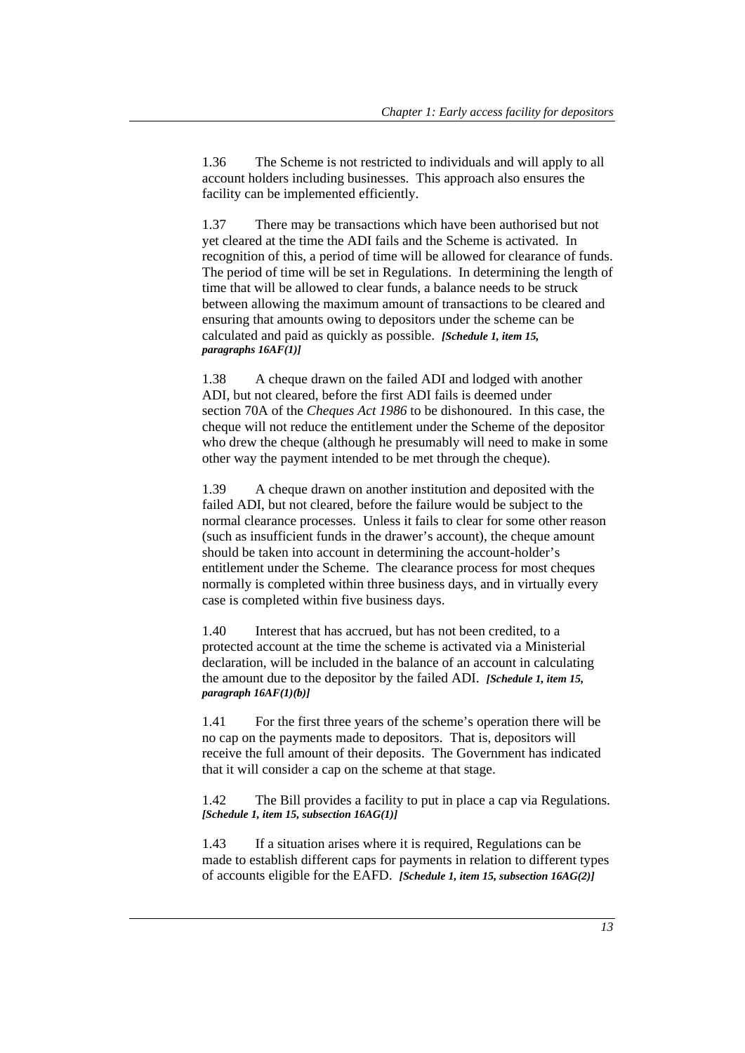1.36 The Scheme is not restricted to individuals and will apply to all account holders including businesses. This approach also ensures the facility can be implemented efficiently.

1.37 There may be transactions which have been authorised but not yet cleared at the time the ADI fails and the Scheme is activated. In recognition of this, a period of time will be allowed for clearance of funds. The period of time will be set in Regulations. In determining the length of time that will be allowed to clear funds, a balance needs to be struck between allowing the maximum amount of transactions to be cleared and ensuring that amounts owing to depositors under the scheme can be calculated and paid as quickly as possible. *[Schedule 1, item 15, paragraphs 16AF(1)]*

1.38 A cheque drawn on the failed ADI and lodged with another ADI, but not cleared, before the first ADI fails is deemed under section 70A of the *Cheques Act 1986* to be dishonoured. In this case, the cheque will not reduce the entitlement under the Scheme of the depositor who drew the cheque (although he presumably will need to make in some other way the payment intended to be met through the cheque).

1.39 A cheque drawn on another institution and deposited with the failed ADI, but not cleared, before the failure would be subject to the normal clearance processes. Unless it fails to clear for some other reason (such as insufficient funds in the drawer's account), the cheque amount should be taken into account in determining the account-holder's entitlement under the Scheme. The clearance process for most cheques normally is completed within three business days, and in virtually every case is completed within five business days.

1.40 Interest that has accrued, but has not been credited, to a protected account at the time the scheme is activated via a Ministerial declaration, will be included in the balance of an account in calculating the amount due to the depositor by the failed ADI. *[Schedule 1, item 15, paragraph 16AF(1)(b)]*

1.41 For the first three years of the scheme's operation there will be no cap on the payments made to depositors. That is, depositors will receive the full amount of their deposits. The Government has indicated that it will consider a cap on the scheme at that stage.

1.42 The Bill provides a facility to put in place a cap via Regulations. *[Schedule 1, item 15, subsection 16AG(1)]*

1.43 If a situation arises where it is required, Regulations can be made to establish different caps for payments in relation to different types of accounts eligible for the EAFD. *[Schedule 1, item 15, subsection 16AG(2)]*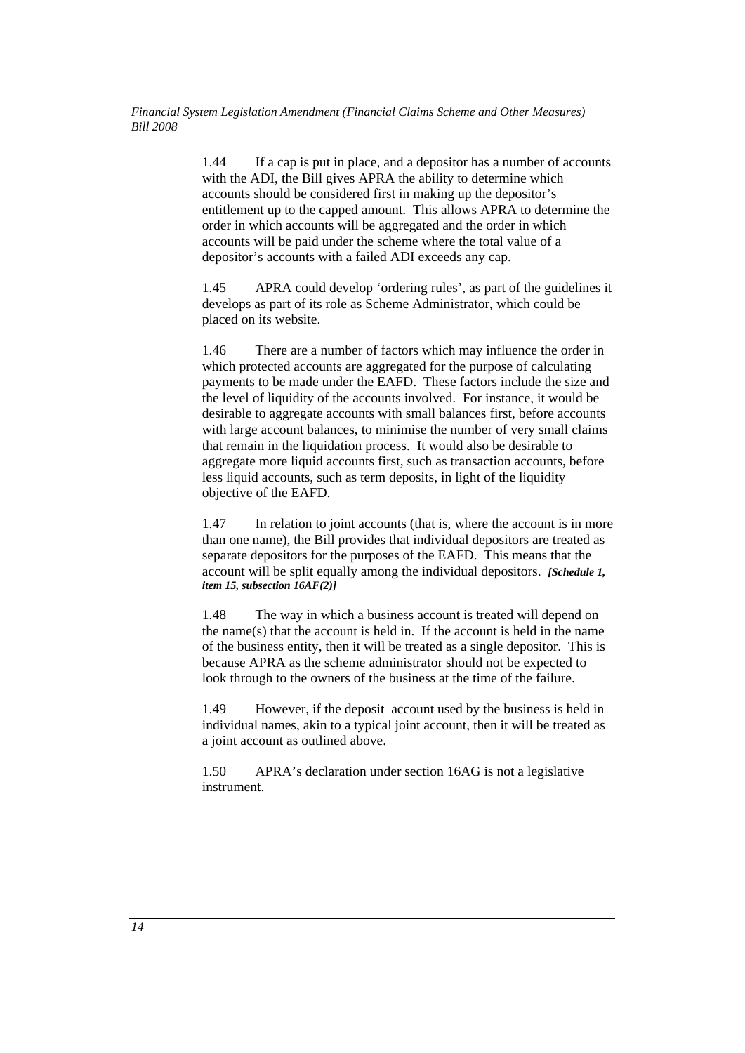1.44 If a cap is put in place, and a depositor has a number of accounts with the ADI, the Bill gives APRA the ability to determine which accounts should be considered first in making up the depositor's entitlement up to the capped amount. This allows APRA to determine the order in which accounts will be aggregated and the order in which accounts will be paid under the scheme where the total value of a depositor's accounts with a failed ADI exceeds any cap.

1.45 APRA could develop 'ordering rules', as part of the guidelines it develops as part of its role as Scheme Administrator, which could be placed on its website.

1.46 There are a number of factors which may influence the order in which protected accounts are aggregated for the purpose of calculating payments to be made under the EAFD. These factors include the size and the level of liquidity of the accounts involved. For instance, it would be desirable to aggregate accounts with small balances first, before accounts with large account balances, to minimise the number of very small claims that remain in the liquidation process. It would also be desirable to aggregate more liquid accounts first, such as transaction accounts, before less liquid accounts, such as term deposits, in light of the liquidity objective of the EAFD.

1.47 In relation to joint accounts (that is, where the account is in more than one name), the Bill provides that individual depositors are treated as separate depositors for the purposes of the EAFD. This means that the account will be split equally among the individual depositors. *[Schedule 1, item 15, subsection 16AF(2)]*

1.48 The way in which a business account is treated will depend on the name(s) that the account is held in. If the account is held in the name of the business entity, then it will be treated as a single depositor. This is because APRA as the scheme administrator should not be expected to look through to the owners of the business at the time of the failure.

1.49 However, if the deposit account used by the business is held in individual names, akin to a typical joint account, then it will be treated as a joint account as outlined above.

1.50 APRA's declaration under section 16AG is not a legislative instrument.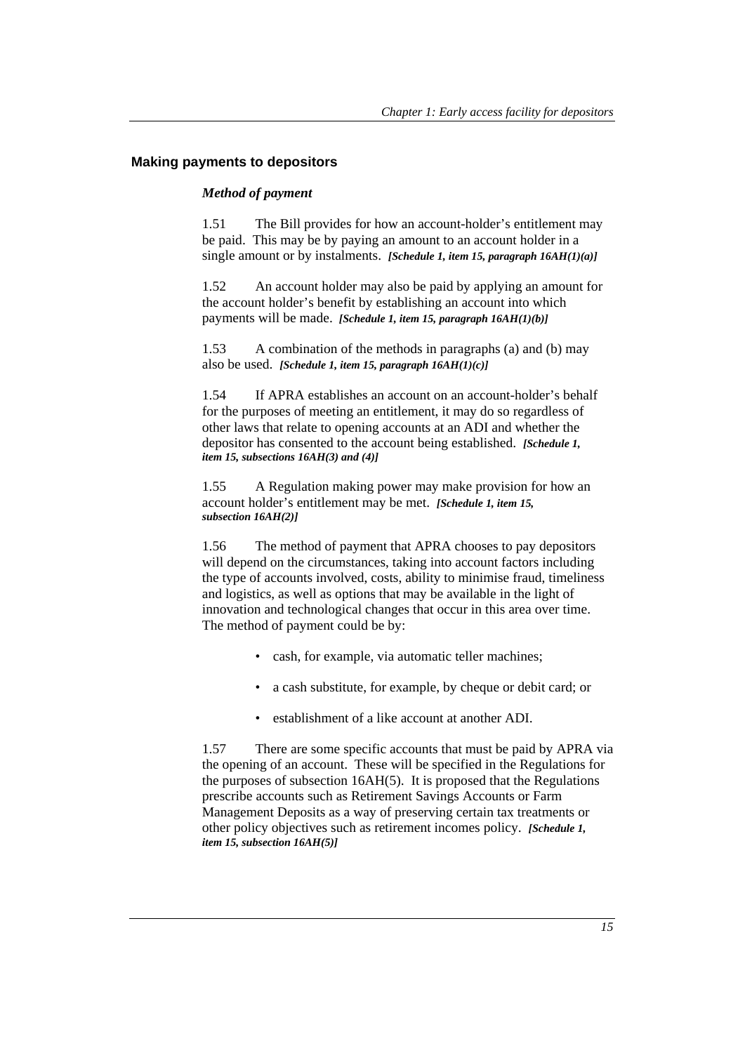#### **Making payments to depositors**

#### *Method of payment*

1.51 The Bill provides for how an account-holder's entitlement may be paid. This may be by paying an amount to an account holder in a single amount or by instalments. *[Schedule 1, item 15, paragraph 16AH(1)(a)]* 

1.52 An account holder may also be paid by applying an amount for the account holder's benefit by establishing an account into which payments will be made. *[Schedule 1, item 15, paragraph 16AH(1)(b)]* 

1.53 A combination of the methods in paragraphs (a) and (b) may also be used. *[Schedule 1, item 15, paragraph 16AH(1)(c)]* 

1.54 If APRA establishes an account on an account-holder's behalf for the purposes of meeting an entitlement, it may do so regardless of other laws that relate to opening accounts at an ADI and whether the depositor has consented to the account being established. *[Schedule 1, item 15, subsections 16AH(3) and (4)]*

1.55 A Regulation making power may make provision for how an account holder's entitlement may be met. *[Schedule 1, item 15, subsection 16AH(2)]* 

1.56 The method of payment that APRA chooses to pay depositors will depend on the circumstances, taking into account factors including the type of accounts involved, costs, ability to minimise fraud, timeliness and logistics, as well as options that may be available in the light of innovation and technological changes that occur in this area over time. The method of payment could be by:

- cash, for example, via automatic teller machines;
- a cash substitute, for example, by cheque or debit card; or
- establishment of a like account at another ADI.

1.57 There are some specific accounts that must be paid by APRA via the opening of an account. These will be specified in the Regulations for the purposes of subsection 16AH(5). It is proposed that the Regulations prescribe accounts such as Retirement Savings Accounts or Farm Management Deposits as a way of preserving certain tax treatments or other policy objectives such as retirement incomes policy. *[Schedule 1, item 15, subsection 16AH(5)]*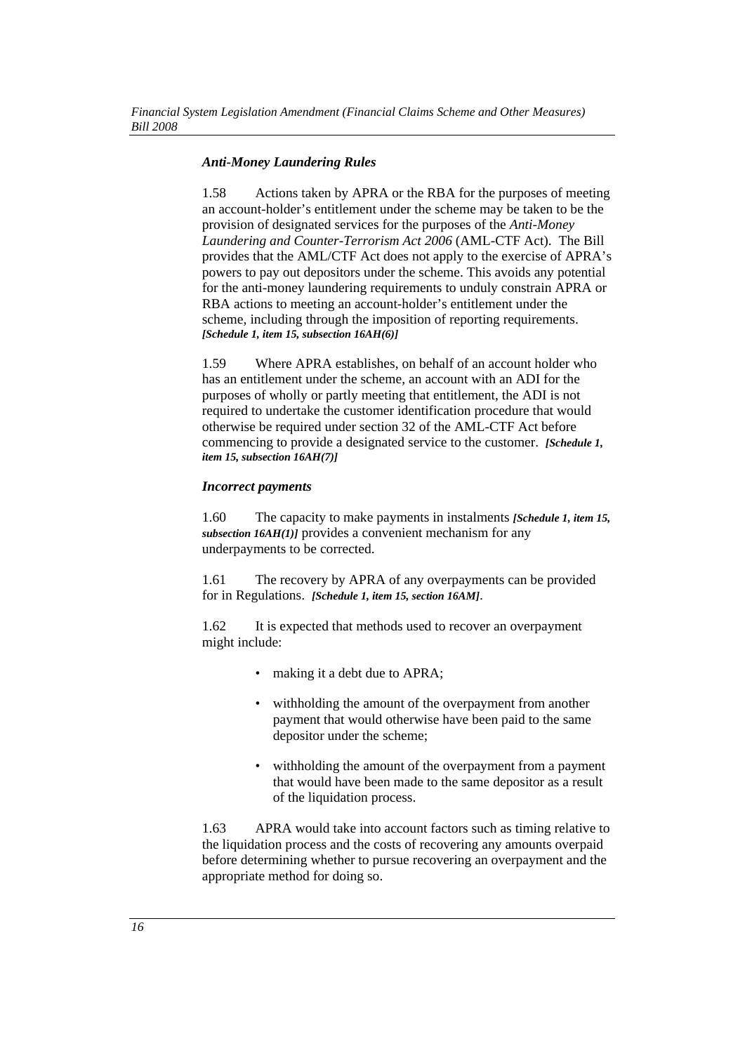#### *Anti-Money Laundering Rules*

1.58 Actions taken by APRA or the RBA for the purposes of meeting an account-holder's entitlement under the scheme may be taken to be the provision of designated services for the purposes of the *Anti-Money Laundering and Counter-Terrorism Act 2006* (AML-CTF Act). The Bill provides that the AML/CTF Act does not apply to the exercise of APRA's powers to pay out depositors under the scheme. This avoids any potential for the anti-money laundering requirements to unduly constrain APRA or RBA actions to meeting an account-holder's entitlement under the scheme, including through the imposition of reporting requirements. *[Schedule 1, item 15, subsection 16AH(6)]*

1.59 Where APRA establishes, on behalf of an account holder who has an entitlement under the scheme, an account with an ADI for the purposes of wholly or partly meeting that entitlement, the ADI is not required to undertake the customer identification procedure that would otherwise be required under section 32 of the AML-CTF Act before commencing to provide a designated service to the customer. *[Schedule 1, item 15, subsection 16AH(7)]*

#### *Incorrect payments*

1.60 The capacity to make payments in instalments *[Schedule 1, item 15, subsection 16AH(1)]* provides a convenient mechanism for any underpayments to be corrected.

1.61 The recovery by APRA of any overpayments can be provided for in Regulations. *[Schedule 1, item 15, section 16AM]*.

1.62 It is expected that methods used to recover an overpayment might include:

- making it a debt due to APRA;
- withholding the amount of the overpayment from another payment that would otherwise have been paid to the same depositor under the scheme;
- withholding the amount of the overpayment from a payment that would have been made to the same depositor as a result of the liquidation process.

1.63 APRA would take into account factors such as timing relative to the liquidation process and the costs of recovering any amounts overpaid before determining whether to pursue recovering an overpayment and the appropriate method for doing so.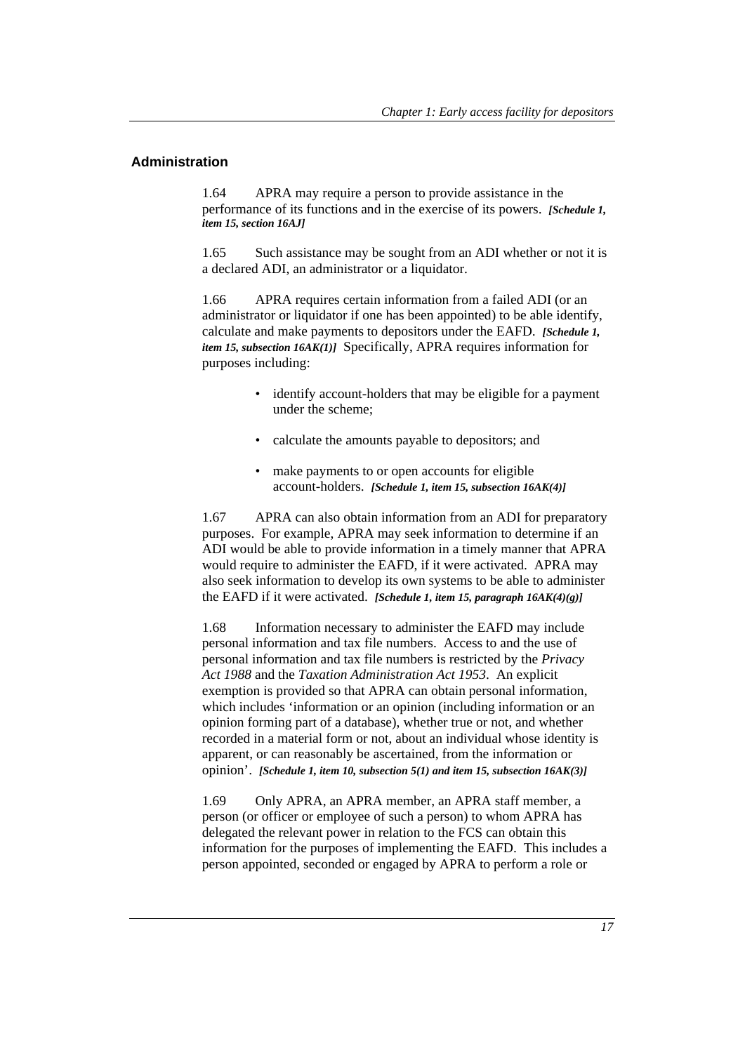### **Administration**

1.64 APRA may require a person to provide assistance in the performance of its functions and in the exercise of its powers. *[Schedule 1, item 15, section 16AJ]* 

1.65 Such assistance may be sought from an ADI whether or not it is a declared ADI, an administrator or a liquidator.

1.66 APRA requires certain information from a failed ADI (or an administrator or liquidator if one has been appointed) to be able identify, calculate and make payments to depositors under the EAFD. *[Schedule 1, item 15, subsection 16AK(1)]* Specifically, APRA requires information for purposes including:

- identify account-holders that may be eligible for a payment under the scheme;
- calculate the amounts payable to depositors; and
- make payments to or open accounts for eligible account-holders. *[Schedule 1, item 15, subsection 16AK(4)]*

1.67 APRA can also obtain information from an ADI for preparatory purposes. For example, APRA may seek information to determine if an ADI would be able to provide information in a timely manner that APRA would require to administer the EAFD, if it were activated. APRA may also seek information to develop its own systems to be able to administer the EAFD if it were activated. *[Schedule 1, item 15, paragraph 16AK(4)(g)]*

1.68 Information necessary to administer the EAFD may include personal information and tax file numbers. Access to and the use of personal information and tax file numbers is restricted by the *Privacy Act 1988* and the *Taxation Administration Act 1953*. An explicit exemption is provided so that APRA can obtain personal information, which includes 'information or an opinion (including information or an opinion forming part of a database), whether true or not, and whether recorded in a material form or not, about an individual whose identity is apparent, or can reasonably be ascertained, from the information or opinion'. *[Schedule 1, item 10, subsection 5(1) and item 15, subsection 16AK(3)]*

1.69 Only APRA, an APRA member, an APRA staff member, a person (or officer or employee of such a person) to whom APRA has delegated the relevant power in relation to the FCS can obtain this information for the purposes of implementing the EAFD. This includes a person appointed, seconded or engaged by APRA to perform a role or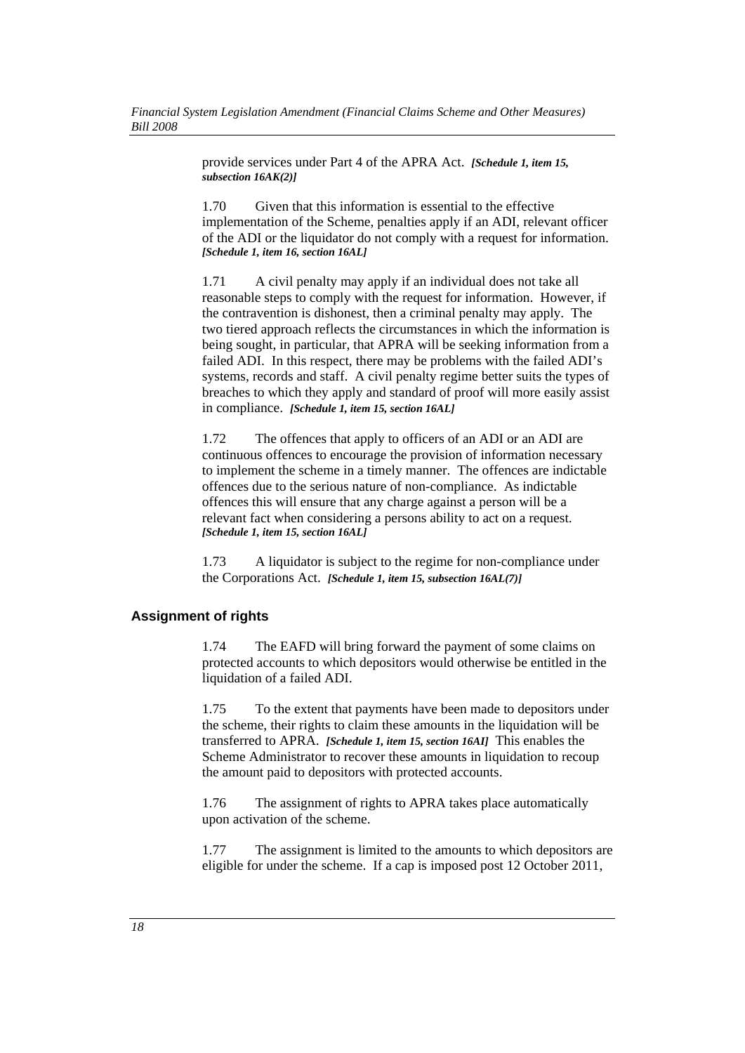provide services under Part 4 of the APRA Act. *[Schedule 1, item 15, subsection 16AK(2)]*

1.70 Given that this information is essential to the effective implementation of the Scheme, penalties apply if an ADI, relevant officer of the ADI or the liquidator do not comply with a request for information. *[Schedule 1, item 16, section 16AL]*

1.71 A civil penalty may apply if an individual does not take all reasonable steps to comply with the request for information. However, if the contravention is dishonest, then a criminal penalty may apply. The two tiered approach reflects the circumstances in which the information is being sought, in particular, that APRA will be seeking information from a failed ADI. In this respect, there may be problems with the failed ADI's systems, records and staff. A civil penalty regime better suits the types of breaches to which they apply and standard of proof will more easily assist in compliance. *[Schedule 1, item 15, section 16AL]*

1.72 The offences that apply to officers of an ADI or an ADI are continuous offences to encourage the provision of information necessary to implement the scheme in a timely manner. The offences are indictable offences due to the serious nature of non-compliance. As indictable offences this will ensure that any charge against a person will be a relevant fact when considering a persons ability to act on a request. *[Schedule 1, item 15, section 16AL]*

1.73 A liquidator is subject to the regime for non-compliance under the Corporations Act. *[Schedule 1, item 15, subsection 16AL(7)]*

#### **Assignment of rights**

1.74 The EAFD will bring forward the payment of some claims on protected accounts to which depositors would otherwise be entitled in the liquidation of a failed ADI.

1.75 To the extent that payments have been made to depositors under the scheme, their rights to claim these amounts in the liquidation will be transferred to APRA. *[Schedule 1, item 15, section 16AI]* This enables the Scheme Administrator to recover these amounts in liquidation to recoup the amount paid to depositors with protected accounts.

1.76 The assignment of rights to APRA takes place automatically upon activation of the scheme.

1.77 The assignment is limited to the amounts to which depositors are eligible for under the scheme. If a cap is imposed post 12 October 2011,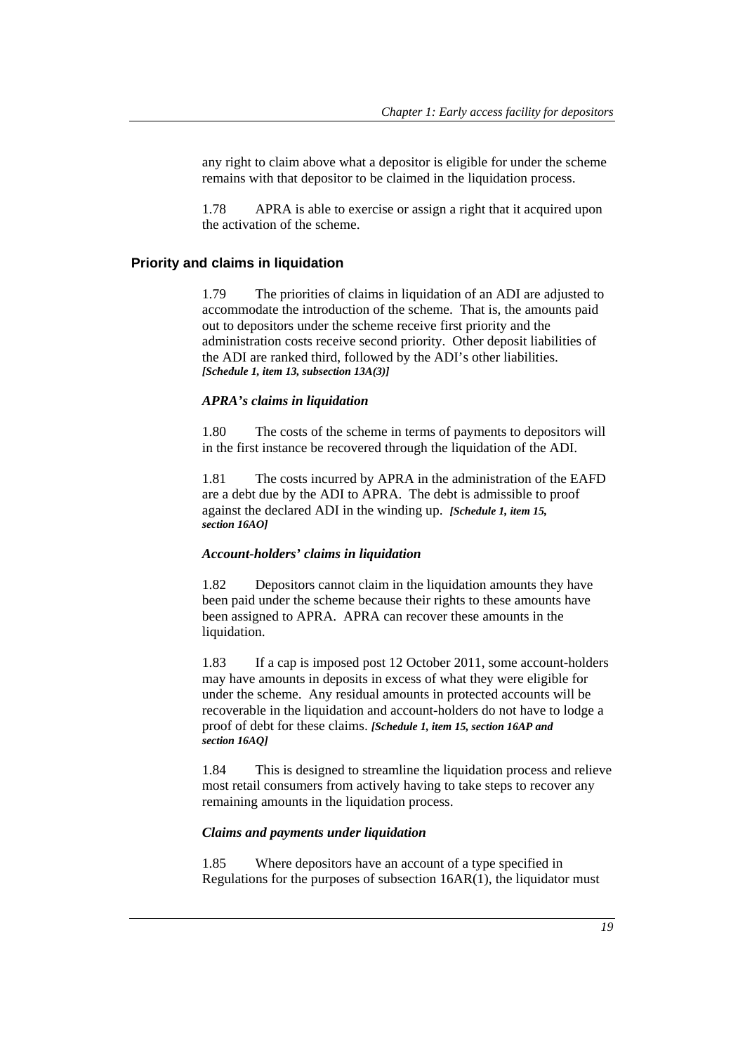any right to claim above what a depositor is eligible for under the scheme remains with that depositor to be claimed in the liquidation process.

1.78 APRA is able to exercise or assign a right that it acquired upon the activation of the scheme.

#### **Priority and claims in liquidation**

1.79 The priorities of claims in liquidation of an ADI are adjusted to accommodate the introduction of the scheme. That is, the amounts paid out to depositors under the scheme receive first priority and the administration costs receive second priority. Other deposit liabilities of the ADI are ranked third, followed by the ADI's other liabilities. *[Schedule 1, item 13, subsection 13A(3)]*

#### *APRA's claims in liquidation*

1.80 The costs of the scheme in terms of payments to depositors will in the first instance be recovered through the liquidation of the ADI.

1.81 The costs incurred by APRA in the administration of the EAFD are a debt due by the ADI to APRA. The debt is admissible to proof against the declared ADI in the winding up. *[Schedule 1, item 15, section 16AO]*

#### *Account-holders' claims in liquidation*

1.82 Depositors cannot claim in the liquidation amounts they have been paid under the scheme because their rights to these amounts have been assigned to APRA. APRA can recover these amounts in the liquidation.

1.83 If a cap is imposed post 12 October 2011, some account-holders may have amounts in deposits in excess of what they were eligible for under the scheme. Any residual amounts in protected accounts will be recoverable in the liquidation and account-holders do not have to lodge a proof of debt for these claims. *[Schedule 1, item 15, section 16AP and section 16AQ]*

1.84 This is designed to streamline the liquidation process and relieve most retail consumers from actively having to take steps to recover any remaining amounts in the liquidation process.

#### *Claims and payments under liquidation*

1.85 Where depositors have an account of a type specified in Regulations for the purposes of subsection 16AR(1), the liquidator must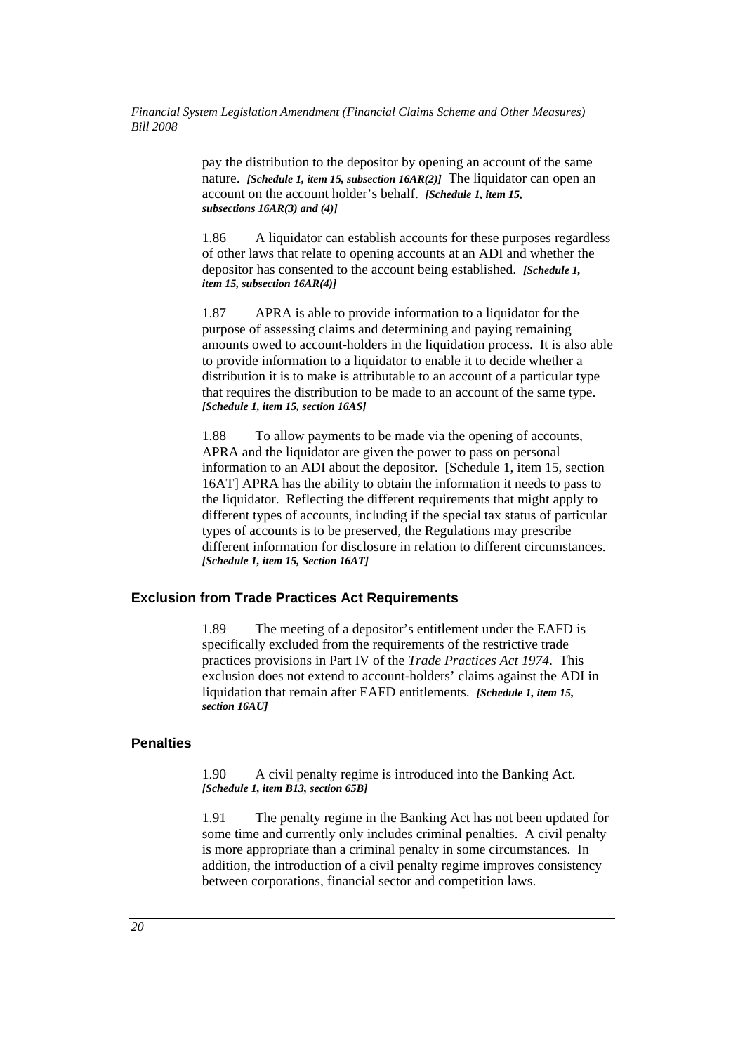pay the distribution to the depositor by opening an account of the same nature. *[Schedule 1, item 15, subsection 16AR(2)]* The liquidator can open an account on the account holder's behalf. *[Schedule 1, item 15, subsections 16AR(3) and (4)]* 

1.86 A liquidator can establish accounts for these purposes regardless of other laws that relate to opening accounts at an ADI and whether the depositor has consented to the account being established. *[Schedule 1, item 15, subsection 16AR(4)]*

1.87 APRA is able to provide information to a liquidator for the purpose of assessing claims and determining and paying remaining amounts owed to account-holders in the liquidation process. It is also able to provide information to a liquidator to enable it to decide whether a distribution it is to make is attributable to an account of a particular type that requires the distribution to be made to an account of the same type. *[Schedule 1, item 15, section 16AS]*

1.88 To allow payments to be made via the opening of accounts, APRA and the liquidator are given the power to pass on personal information to an ADI about the depositor. [Schedule 1, item 15, section 16AT] APRA has the ability to obtain the information it needs to pass to the liquidator. Reflecting the different requirements that might apply to different types of accounts, including if the special tax status of particular types of accounts is to be preserved, the Regulations may prescribe different information for disclosure in relation to different circumstances. *[Schedule 1, item 15, Section 16AT]*

#### **Exclusion from Trade Practices Act Requirements**

1.89 The meeting of a depositor's entitlement under the EAFD is specifically excluded from the requirements of the restrictive trade practices provisions in Part IV of the *Trade Practices Act 1974*. This exclusion does not extend to account-holders' claims against the ADI in liquidation that remain after EAFD entitlements. *[Schedule 1, item 15, 15] section 16AU]*

#### **Penalties**

1.90 A civil penalty regime is introduced into the Banking Act. *[Schedule 1, item B13, section 65B]*

1.91 The penalty regime in the Banking Act has not been updated for some time and currently only includes criminal penalties. A civil penalty is more appropriate than a criminal penalty in some circumstances. In addition, the introduction of a civil penalty regime improves consistency between corporations, financial sector and competition laws.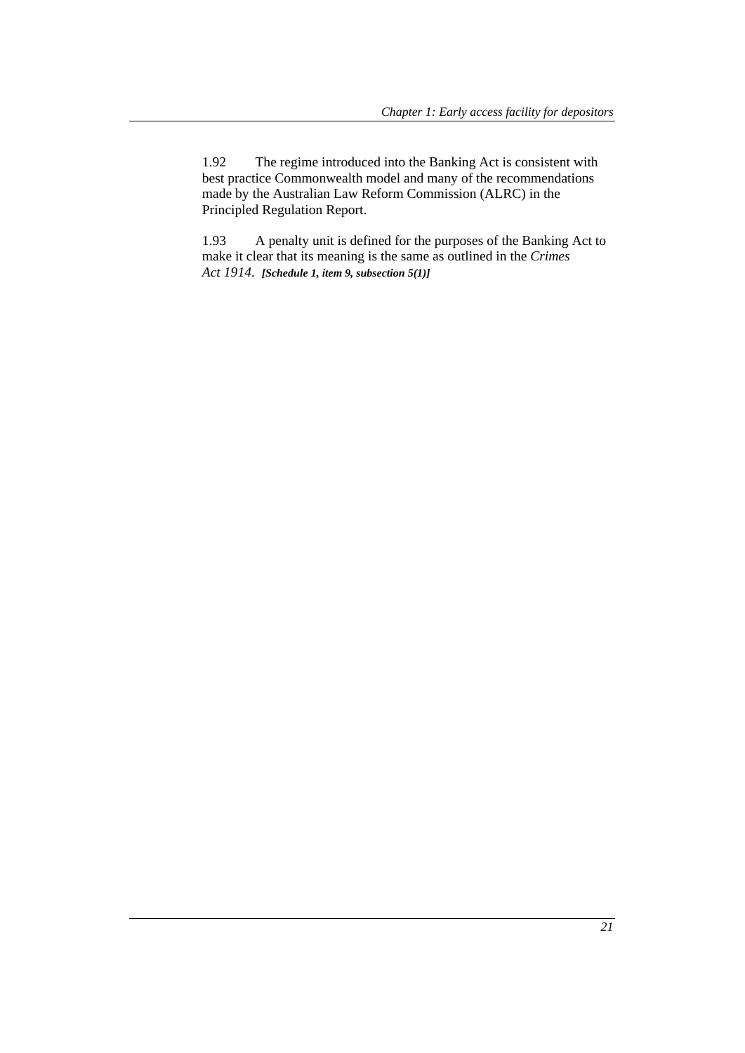1.92 The regime introduced into the Banking Act is consistent with best practice Commonwealth model and many of the recommendations made by the Australian Law Reform Commission (ALRC) in the Principled Regulation Report.

1.93 A penalty unit is defined for the purposes of the Banking Act to make it clear that its meaning is the same as outlined in the *Crimes Act 1914*. *[Schedule 1, item 9, subsection 5(1)]*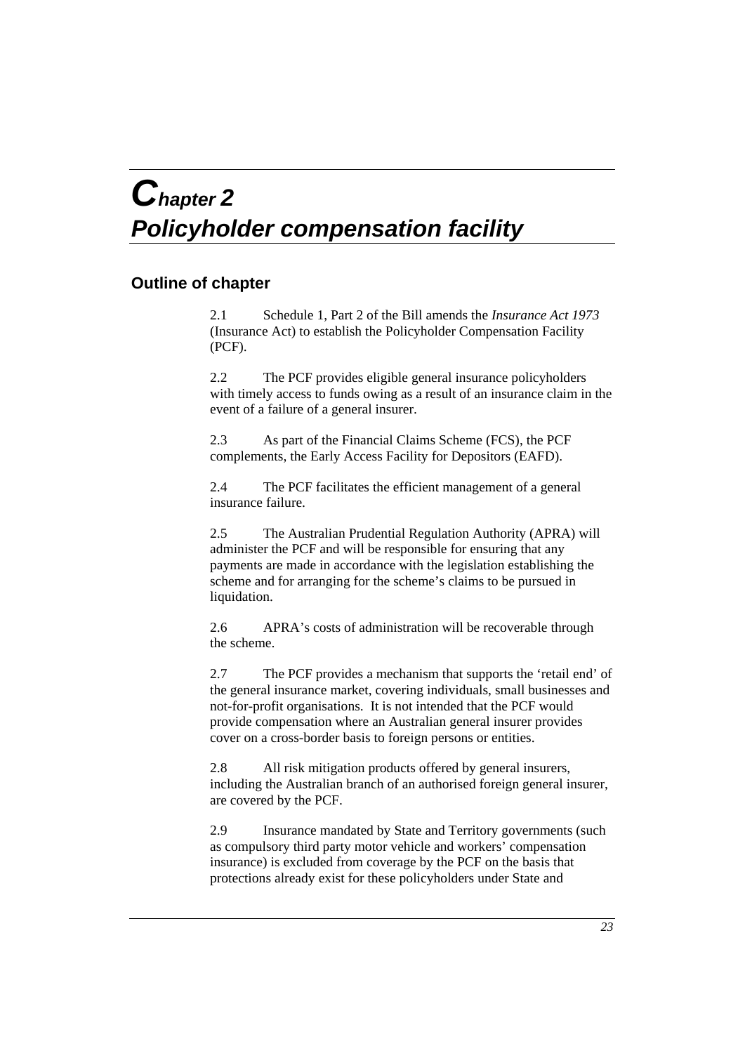# *Chapter 2 Policyholder compensation facility*

# **Outline of chapter**

2.1 Schedule 1, Part 2 of the Bill amends the *Insurance Act 1973* (Insurance Act) to establish the Policyholder Compensation Facility (PCF).

2.2 The PCF provides eligible general insurance policyholders with timely access to funds owing as a result of an insurance claim in the event of a failure of a general insurer.

2.3 As part of the Financial Claims Scheme (FCS), the PCF complements, the Early Access Facility for Depositors (EAFD).

2.4 The PCF facilitates the efficient management of a general insurance failure.

2.5 The Australian Prudential Regulation Authority (APRA) will administer the PCF and will be responsible for ensuring that any payments are made in accordance with the legislation establishing the scheme and for arranging for the scheme's claims to be pursued in liquidation.

2.6 APRA's costs of administration will be recoverable through the scheme.

2.7 The PCF provides a mechanism that supports the 'retail end' of the general insurance market, covering individuals, small businesses and not-for-profit organisations. It is not intended that the PCF would provide compensation where an Australian general insurer provides cover on a cross-border basis to foreign persons or entities.

2.8 All risk mitigation products offered by general insurers, including the Australian branch of an authorised foreign general insurer, are covered by the PCF.

2.9 Insurance mandated by State and Territory governments (such as compulsory third party motor vehicle and workers' compensation insurance) is excluded from coverage by the PCF on the basis that protections already exist for these policyholders under State and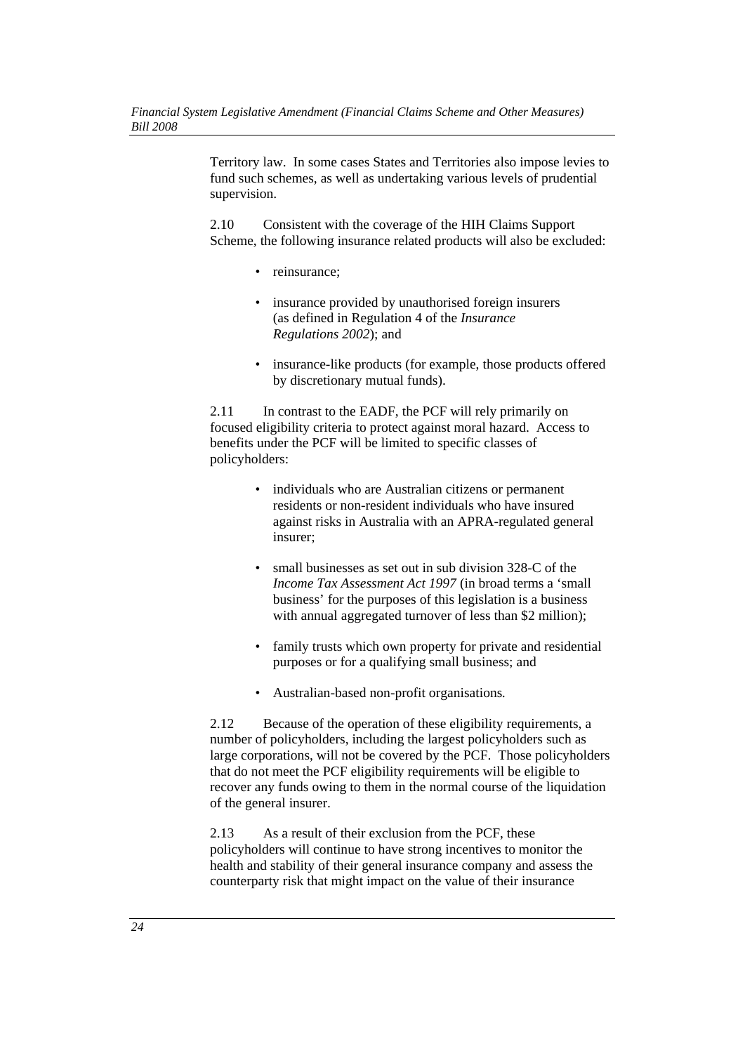Territory law. In some cases States and Territories also impose levies to fund such schemes, as well as undertaking various levels of prudential supervision.

2.10 Consistent with the coverage of the HIH Claims Support Scheme, the following insurance related products will also be excluded:

- reinsurance:
- insurance provided by unauthorised foreign insurers (as defined in Regulation 4 of the *Insurance Regulations 2002*); and
- insurance-like products (for example, those products offered by discretionary mutual funds).

2.11 In contrast to the EADF, the PCF will rely primarily on focused eligibility criteria to protect against moral hazard. Access to benefits under the PCF will be limited to specific classes of policyholders:

- individuals who are Australian citizens or permanent residents or non-resident individuals who have insured against risks in Australia with an APRA-regulated general insurer;
- small businesses as set out in sub division 328-C of the *Income Tax Assessment Act 1997* (in broad terms a 'small business' for the purposes of this legislation is a business with annual aggregated turnover of less than \$2 million);
- family trusts which own property for private and residential purposes or for a qualifying small business; and
- Australian-based non-profit organisations*.*

2.12 Because of the operation of these eligibility requirements, a number of policyholders, including the largest policyholders such as large corporations, will not be covered by the PCF. Those policyholders that do not meet the PCF eligibility requirements will be eligible to recover any funds owing to them in the normal course of the liquidation of the general insurer.

2.13 As a result of their exclusion from the PCF, these policyholders will continue to have strong incentives to monitor the health and stability of their general insurance company and assess the counterparty risk that might impact on the value of their insurance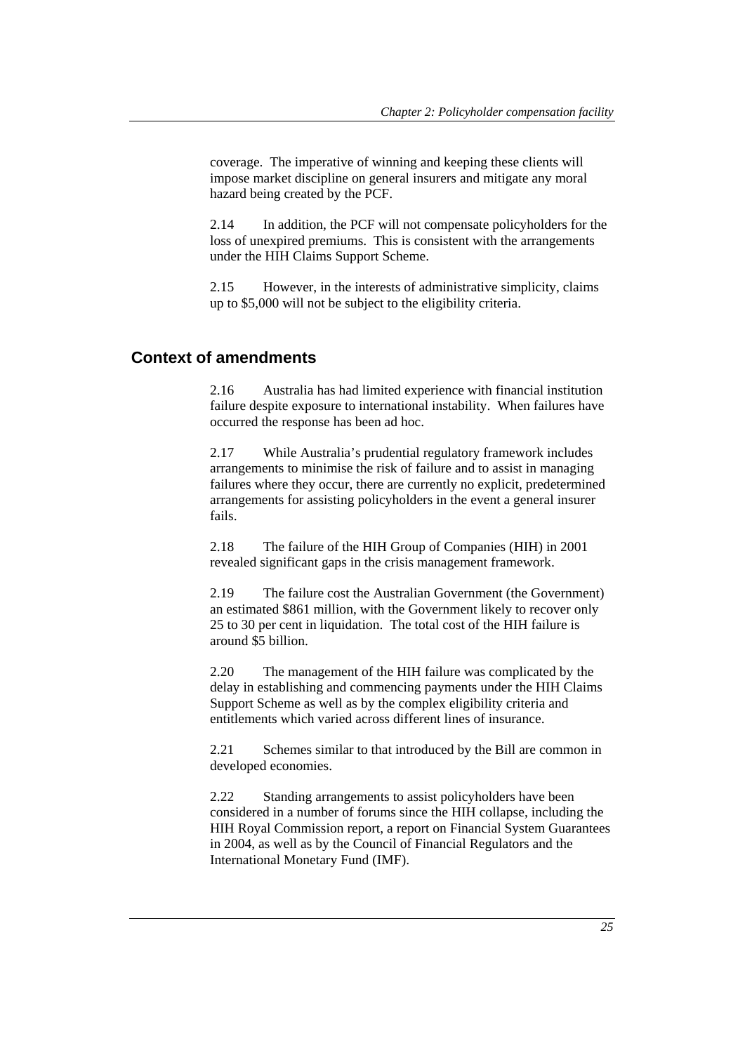coverage. The imperative of winning and keeping these clients will impose market discipline on general insurers and mitigate any moral hazard being created by the PCF.

2.14 In addition, the PCF will not compensate policyholders for the loss of unexpired premiums. This is consistent with the arrangements under the HIH Claims Support Scheme.

2.15 However, in the interests of administrative simplicity, claims up to \$5,000 will not be subject to the eligibility criteria.

### **Context of amendments**

2.16 Australia has had limited experience with financial institution failure despite exposure to international instability. When failures have occurred the response has been ad hoc.

2.17 While Australia's prudential regulatory framework includes arrangements to minimise the risk of failure and to assist in managing failures where they occur, there are currently no explicit, predetermined arrangements for assisting policyholders in the event a general insurer fails.

2.18 The failure of the HIH Group of Companies (HIH) in 2001 revealed significant gaps in the crisis management framework.

2.19 The failure cost the Australian Government (the Government) an estimated \$861 million, with the Government likely to recover only 25 to 30 per cent in liquidation. The total cost of the HIH failure is around \$5 billion.

2.20 The management of the HIH failure was complicated by the delay in establishing and commencing payments under the HIH Claims Support Scheme as well as by the complex eligibility criteria and entitlements which varied across different lines of insurance.

2.21 Schemes similar to that introduced by the Bill are common in developed economies.

2.22 Standing arrangements to assist policyholders have been considered in a number of forums since the HIH collapse, including the HIH Royal Commission report, a report on Financial System Guarantees in 2004, as well as by the Council of Financial Regulators and the International Monetary Fund (IMF).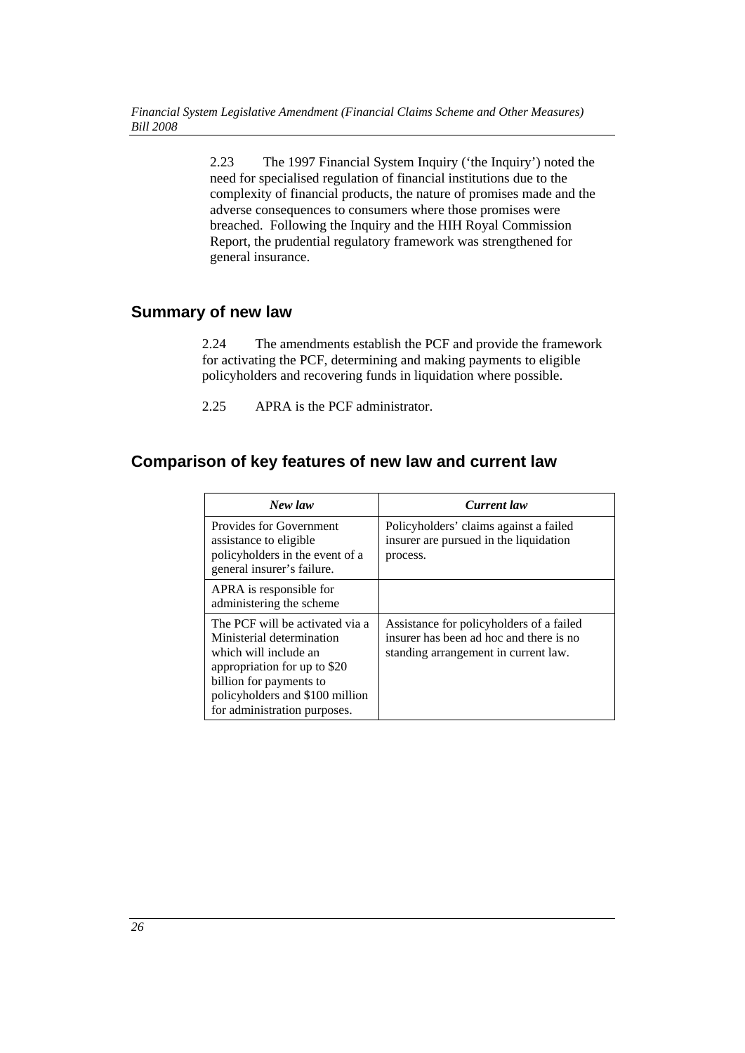2.23 The 1997 Financial System Inquiry ('the Inquiry') noted the need for specialised regulation of financial institutions due to the complexity of financial products, the nature of promises made and the adverse consequences to consumers where those promises were breached. Following the Inquiry and the HIH Royal Commission Report, the prudential regulatory framework was strengthened for general insurance.

# **Summary of new law**

2.24 The amendments establish the PCF and provide the framework for activating the PCF, determining and making payments to eligible policyholders and recovering funds in liquidation where possible.

2.25 APRA is the PCF administrator.

# **Comparison of key features of new law and current law**

| New law                                                                                                                                                                                                             | Current law                                                                                                                 |
|---------------------------------------------------------------------------------------------------------------------------------------------------------------------------------------------------------------------|-----------------------------------------------------------------------------------------------------------------------------|
| <b>Provides for Government</b><br>assistance to eligible<br>policyholders in the event of a<br>general insurer's failure.                                                                                           | Policyholders' claims against a failed<br>insurer are pursued in the liquidation<br>process.                                |
| APRA is responsible for<br>administering the scheme                                                                                                                                                                 |                                                                                                                             |
| The PCF will be activated via a<br>Ministerial determination<br>which will include an<br>appropriation for up to \$20<br>billion for payments to<br>policyholders and \$100 million<br>for administration purposes. | Assistance for policyholders of a failed<br>insurer has been ad hoc and there is no<br>standing arrangement in current law. |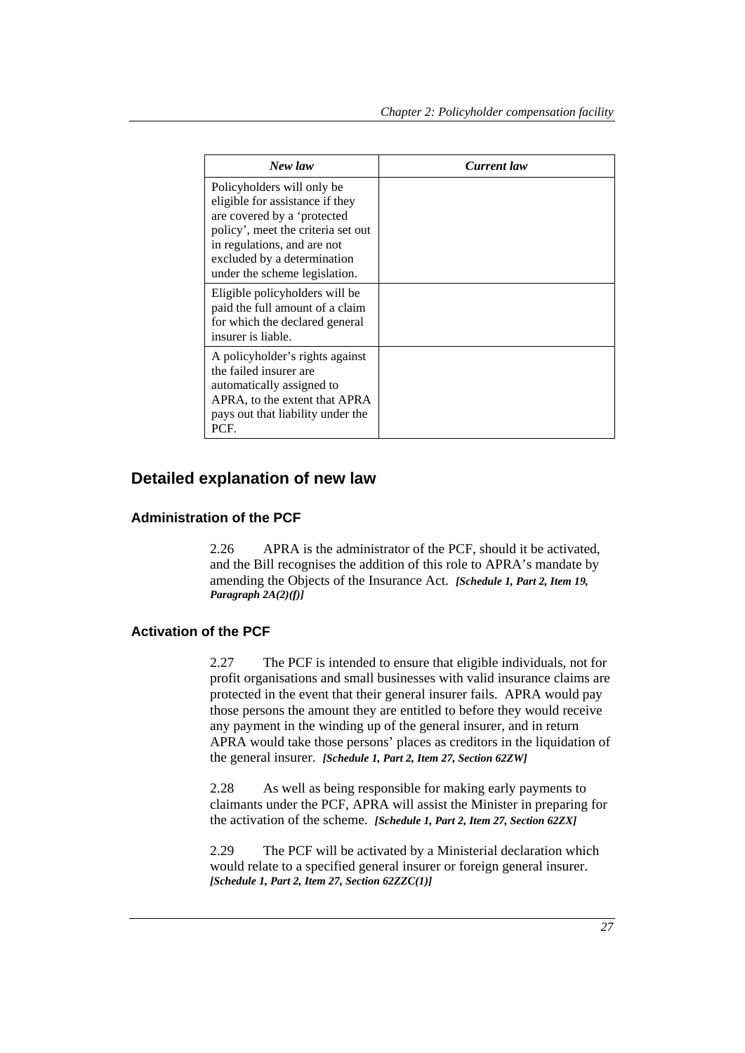| New law                                                                                                                                                                                                                           | Current law |
|-----------------------------------------------------------------------------------------------------------------------------------------------------------------------------------------------------------------------------------|-------------|
| Policyholders will only be<br>eligible for assistance if they<br>are covered by a 'protected<br>policy', meet the criteria set out<br>in regulations, and are not<br>excluded by a determination<br>under the scheme legislation. |             |
| Eligible policyholders will be<br>paid the full amount of a claim<br>for which the declared general<br>insurer is liable.                                                                                                         |             |
| A policyholder's rights against<br>the failed insurer are<br>automatically assigned to<br>APRA, to the extent that APRA<br>pays out that liability under the<br>PCF.                                                              |             |

# **Detailed explanation of new law**

#### **Administration of the PCF**

2.26 APRA is the administrator of the PCF, should it be activated, and the Bill recognises the addition of this role to APRA's mandate by amending the Objects of the Insurance Act. *[Schedule 1, Part 2, Item 19, Paragraph 2A(2)(f)]*

#### **Activation of the PCF**

2.27 The PCF is intended to ensure that eligible individuals, not for profit organisations and small businesses with valid insurance claims are protected in the event that their general insurer fails. APRA would pay those persons the amount they are entitled to before they would receive any payment in the winding up of the general insurer, and in return APRA would take those persons' places as creditors in the liquidation of the general insurer. *[Schedule 1, Part 2, Item 27, Section 62ZW]* 

2.28 As well as being responsible for making early payments to claimants under the PCF, APRA will assist the Minister in preparing for the activation of the scheme. *[Schedule 1, Part 2, Item 27, Section 62ZX]* 

2.29 The PCF will be activated by a Ministerial declaration which would relate to a specified general insurer or foreign general insurer. *[Schedule 1, Part 2, Item 27, Section 62ZZC(1)]*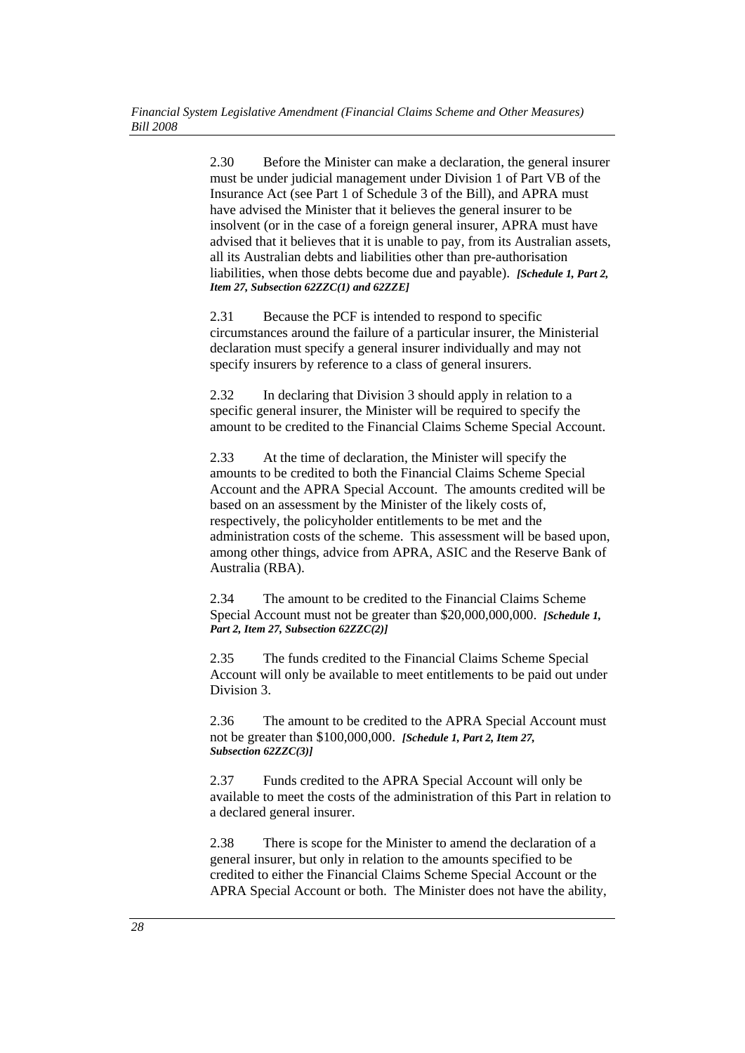2.30 Before the Minister can make a declaration, the general insurer must be under judicial management under Division 1 of Part VB of the Insurance Act (see Part 1 of Schedule 3 of the Bill), and APRA must have advised the Minister that it believes the general insurer to be insolvent (or in the case of a foreign general insurer, APRA must have advised that it believes that it is unable to pay, from its Australian assets, all its Australian debts and liabilities other than pre-authorisation liabilities, when those debts become due and payable). *[Schedule 1, Part 2, Item 27, Subsection 62ZZC(1) and 62ZZE]*

2.31 Because the PCF is intended to respond to specific circumstances around the failure of a particular insurer, the Ministerial declaration must specify a general insurer individually and may not specify insurers by reference to a class of general insurers.

2.32 In declaring that Division 3 should apply in relation to a specific general insurer, the Minister will be required to specify the amount to be credited to the Financial Claims Scheme Special Account.

2.33 At the time of declaration, the Minister will specify the amounts to be credited to both the Financial Claims Scheme Special Account and the APRA Special Account. The amounts credited will be based on an assessment by the Minister of the likely costs of, respectively, the policyholder entitlements to be met and the administration costs of the scheme. This assessment will be based upon, among other things, advice from APRA, ASIC and the Reserve Bank of Australia (RBA).

2.34 The amount to be credited to the Financial Claims Scheme Special Account must not be greater than \$20,000,000,000. *[Schedule 1, Part 2, Item 27, Subsection 62ZZC(2)]* 

2.35 The funds credited to the Financial Claims Scheme Special Account will only be available to meet entitlements to be paid out under Division 3.

2.36 The amount to be credited to the APRA Special Account must not be greater than \$100,000,000. *[Schedule 1, Part 2, Item 27, Subsection 62ZZC(3)]* 

2.37 Funds credited to the APRA Special Account will only be available to meet the costs of the administration of this Part in relation to a declared general insurer.

2.38 There is scope for the Minister to amend the declaration of a general insurer, but only in relation to the amounts specified to be credited to either the Financial Claims Scheme Special Account or the APRA Special Account or both. The Minister does not have the ability,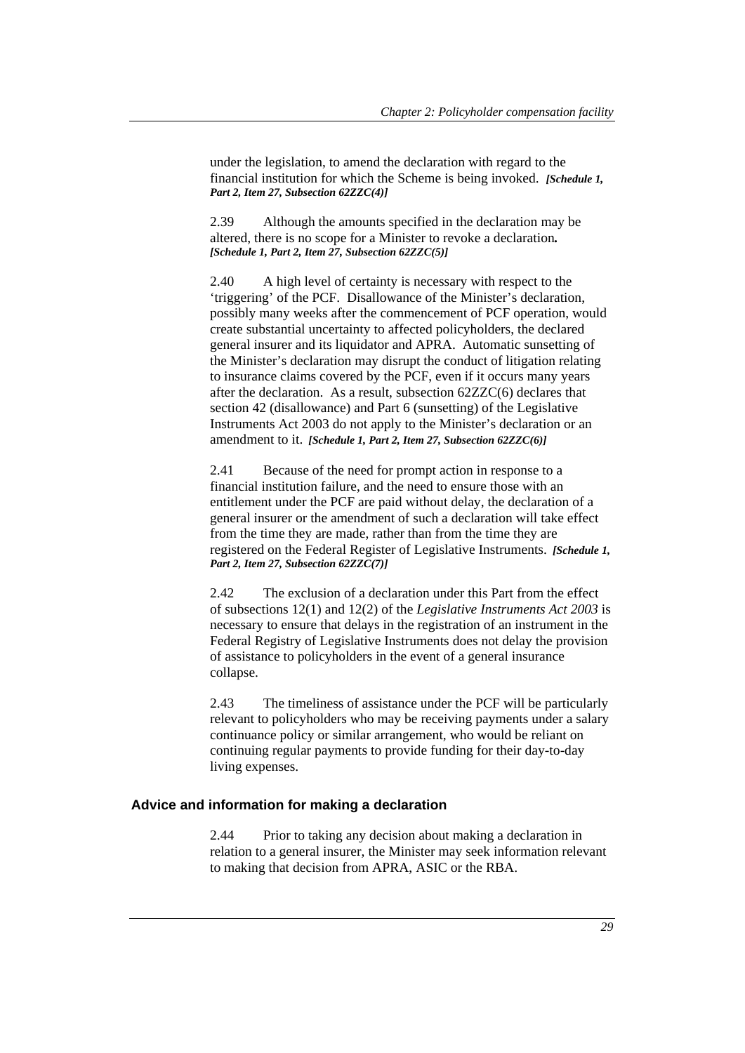under the legislation, to amend the declaration with regard to the financial institution for which the Scheme is being invoked. *[Schedule 1, Part 2, Item 27, Subsection 62ZZC(4)]* 

2.39 Although the amounts specified in the declaration may be altered, there is no scope for a Minister to revoke a declaration*. [Schedule 1, Part 2, Item 27, Subsection 62ZZC(5)]* 

2.40 A high level of certainty is necessary with respect to the 'triggering' of the PCF. Disallowance of the Minister's declaration, possibly many weeks after the commencement of PCF operation, would create substantial uncertainty to affected policyholders, the declared general insurer and its liquidator and APRA. Automatic sunsetting of the Minister's declaration may disrupt the conduct of litigation relating to insurance claims covered by the PCF, even if it occurs many years after the declaration. As a result, subsection 62ZZC(6) declares that section 42 (disallowance) and Part 6 (sunsetting) of the Legislative Instruments Act 2003 do not apply to the Minister's declaration or an amendment to it. *[Schedule 1, Part 2, Item 27, Subsection 62ZZC(6)]* 

2.41 Because of the need for prompt action in response to a financial institution failure, and the need to ensure those with an entitlement under the PCF are paid without delay, the declaration of a general insurer or the amendment of such a declaration will take effect from the time they are made, rather than from the time they are registered on the Federal Register of Legislative Instruments. *[Schedule 1, Part 2, Item 27, Subsection 62ZZC(7)]* 

2.42 The exclusion of a declaration under this Part from the effect of subsections 12(1) and 12(2) of the *Legislative Instruments Act 2003* is necessary to ensure that delays in the registration of an instrument in the Federal Registry of Legislative Instruments does not delay the provision of assistance to policyholders in the event of a general insurance collapse.

2.43 The timeliness of assistance under the PCF will be particularly relevant to policyholders who may be receiving payments under a salary continuance policy or similar arrangement, who would be reliant on continuing regular payments to provide funding for their day-to-day living expenses.

#### **Advice and information for making a declaration**

2.44 Prior to taking any decision about making a declaration in relation to a general insurer, the Minister may seek information relevant to making that decision from APRA, ASIC or the RBA.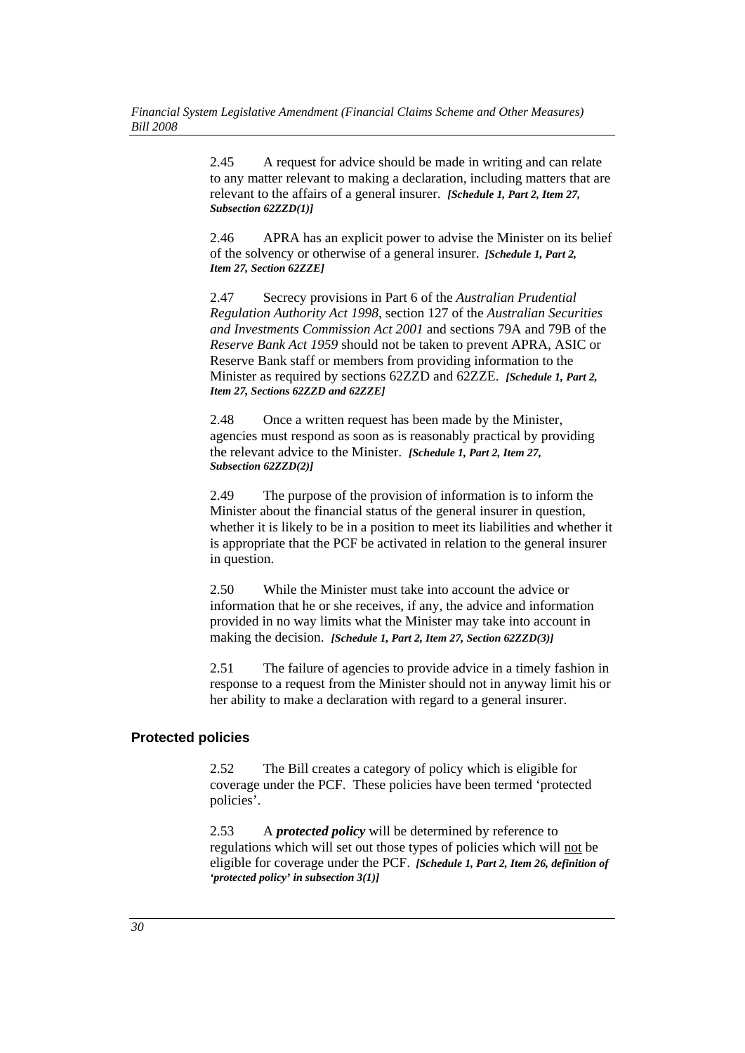2.45 A request for advice should be made in writing and can relate to any matter relevant to making a declaration, including matters that are relevant to the affairs of a general insurer. *[Schedule 1, Part 2, Item 27, Subsection 62ZZD(1)]*

2.46 APRA has an explicit power to advise the Minister on its belief of the solvency or otherwise of a general insurer. *[Schedule 1, Part 2, Item 27, Section 62ZZE]* 

2.47 Secrecy provisions in Part 6 of the *Australian Prudential Regulation Authority Act 1998*, section 127 of the *Australian Securities and Investments Commission Act 2001* and sections 79A and 79B of the *Reserve Bank Act 1959* should not be taken to prevent APRA, ASIC or Reserve Bank staff or members from providing information to the Minister as required by sections 62ZZD and 62ZZE. *[Schedule 1, Part 2, Item 27, Sections 62ZZD and 62ZZE]* 

2.48 Once a written request has been made by the Minister, agencies must respond as soon as is reasonably practical by providing the relevant advice to the Minister. *[Schedule 1, Part 2, Item 27, Subsection 62ZZD(2)]* 

2.49 The purpose of the provision of information is to inform the Minister about the financial status of the general insurer in question, whether it is likely to be in a position to meet its liabilities and whether it is appropriate that the PCF be activated in relation to the general insurer in question.

2.50 While the Minister must take into account the advice or information that he or she receives, if any, the advice and information provided in no way limits what the Minister may take into account in making the decision. *[Schedule 1, Part 2, Item 27, Section 62ZZD(3)]* 

2.51 The failure of agencies to provide advice in a timely fashion in response to a request from the Minister should not in anyway limit his or her ability to make a declaration with regard to a general insurer.

#### **Protected policies**

2.52 The Bill creates a category of policy which is eligible for coverage under the PCF. These policies have been termed 'protected policies'.

2.53 A *protected policy* will be determined by reference to regulations which will set out those types of policies which will not be eligible for coverage under the PCF. *[Schedule 1, Part 2, Item 26, definition of 'protected policy' in subsection 3(1)]*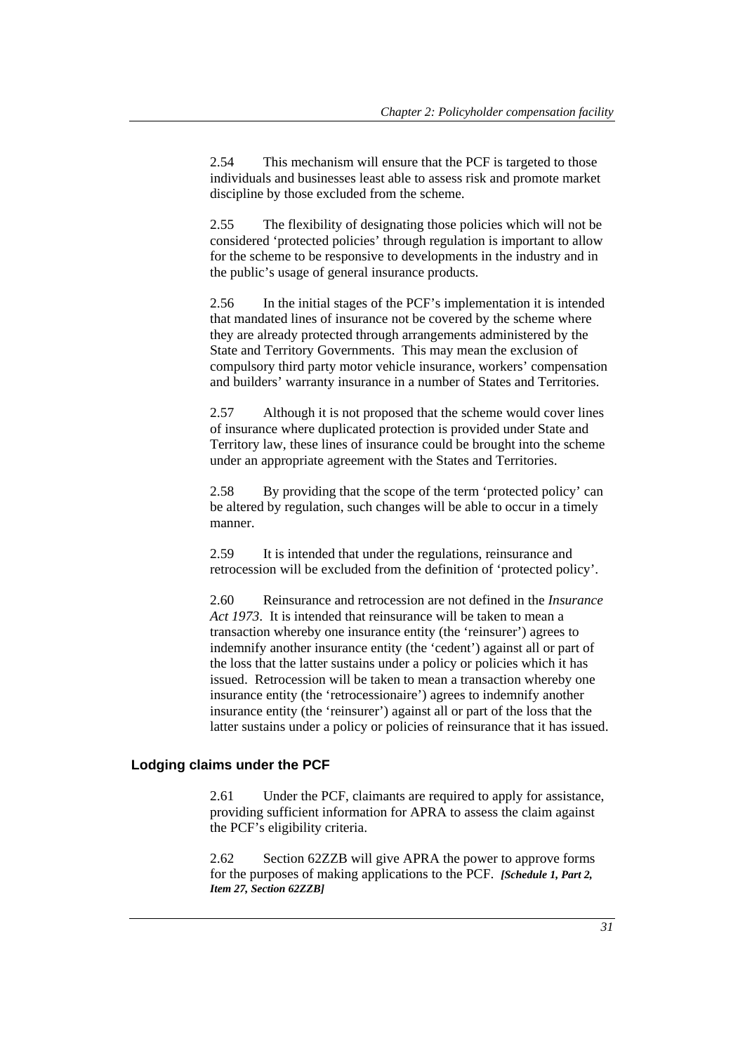2.54 This mechanism will ensure that the PCF is targeted to those individuals and businesses least able to assess risk and promote market discipline by those excluded from the scheme.

2.55 The flexibility of designating those policies which will not be considered 'protected policies' through regulation is important to allow for the scheme to be responsive to developments in the industry and in the public's usage of general insurance products.

2.56 In the initial stages of the PCF's implementation it is intended that mandated lines of insurance not be covered by the scheme where they are already protected through arrangements administered by the State and Territory Governments. This may mean the exclusion of compulsory third party motor vehicle insurance, workers' compensation and builders' warranty insurance in a number of States and Territories.

2.57 Although it is not proposed that the scheme would cover lines of insurance where duplicated protection is provided under State and Territory law, these lines of insurance could be brought into the scheme under an appropriate agreement with the States and Territories.

2.58 By providing that the scope of the term 'protected policy' can be altered by regulation, such changes will be able to occur in a timely manner.

2.59 It is intended that under the regulations, reinsurance and retrocession will be excluded from the definition of 'protected policy'.

2.60 Reinsurance and retrocession are not defined in the *Insurance Act 1973*. It is intended that reinsurance will be taken to mean a transaction whereby one insurance entity (the 'reinsurer') agrees to indemnify another insurance entity (the 'cedent') against all or part of the loss that the latter sustains under a policy or policies which it has issued. Retrocession will be taken to mean a transaction whereby one insurance entity (the 'retrocessionaire') agrees to indemnify another insurance entity (the 'reinsurer') against all or part of the loss that the latter sustains under a policy or policies of reinsurance that it has issued.

#### **Lodging claims under the PCF**

2.61 Under the PCF, claimants are required to apply for assistance, providing sufficient information for APRA to assess the claim against the PCF's eligibility criteria.

2.62 Section 62ZZB will give APRA the power to approve forms for the purposes of making applications to the PCF. *[Schedule 1, Part 2, Item 27, Section 62ZZB]*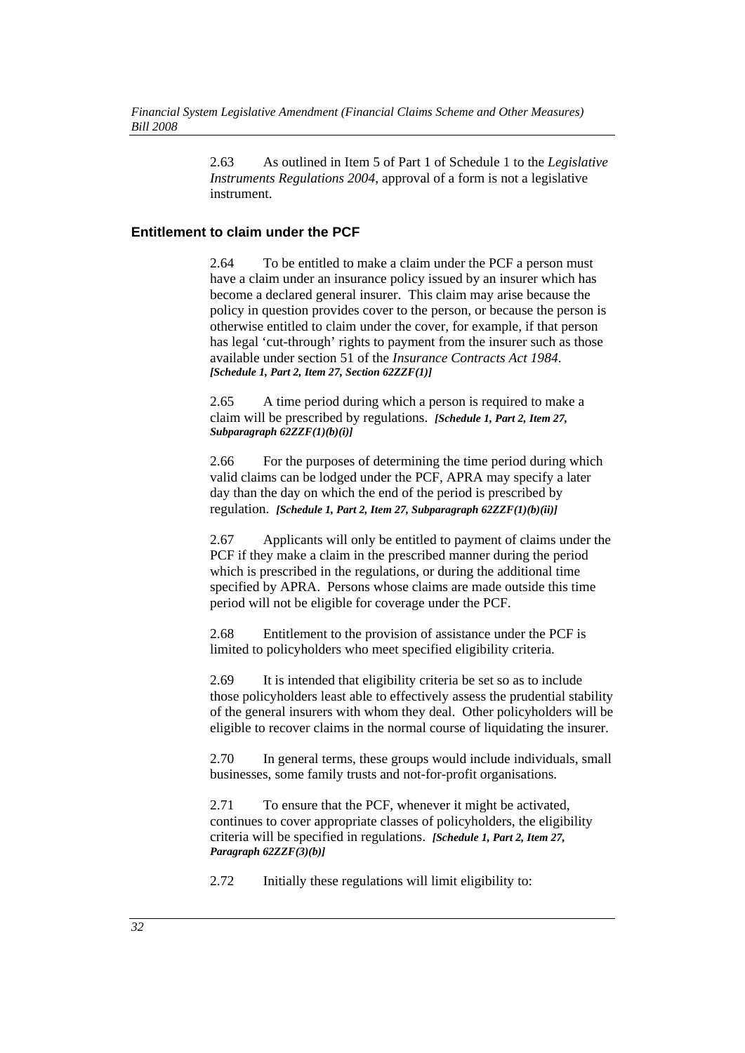2.63 As outlined in Item 5 of Part 1 of Schedule 1 to the *Legislative Instruments Regulations 2004*, approval of a form is not a legislative instrument.

#### **Entitlement to claim under the PCF**

2.64 To be entitled to make a claim under the PCF a person must have a claim under an insurance policy issued by an insurer which has become a declared general insurer. This claim may arise because the policy in question provides cover to the person, or because the person is otherwise entitled to claim under the cover, for example, if that person has legal 'cut-through' rights to payment from the insurer such as those available under section 51 of the *Insurance Contracts Act 1984*. *[Schedule 1, Part 2, Item 27, Section 62ZZF(1)]* 

2.65 A time period during which a person is required to make a claim will be prescribed by regulations. *[Schedule 1, Part 2, Item 27, Subparagraph 62ZZF(1)(b)(i)]* 

2.66 For the purposes of determining the time period during which valid claims can be lodged under the PCF, APRA may specify a later day than the day on which the end of the period is prescribed by regulation. *[Schedule 1, Part 2, Item 27, Subparagraph 62ZZF(1)(b)(ii)]* 

2.67 Applicants will only be entitled to payment of claims under the PCF if they make a claim in the prescribed manner during the period which is prescribed in the regulations, or during the additional time specified by APRA. Persons whose claims are made outside this time period will not be eligible for coverage under the PCF.

2.68 Entitlement to the provision of assistance under the PCF is limited to policyholders who meet specified eligibility criteria.

2.69 It is intended that eligibility criteria be set so as to include those policyholders least able to effectively assess the prudential stability of the general insurers with whom they deal. Other policyholders will be eligible to recover claims in the normal course of liquidating the insurer.

2.70 In general terms, these groups would include individuals, small businesses, some family trusts and not-for-profit organisations.

2.71 To ensure that the PCF, whenever it might be activated, continues to cover appropriate classes of policyholders, the eligibility criteria will be specified in regulations. *[Schedule 1, Part 2, Item 27, Paragraph 62ZZF(3)(b)]* 

2.72 Initially these regulations will limit eligibility to: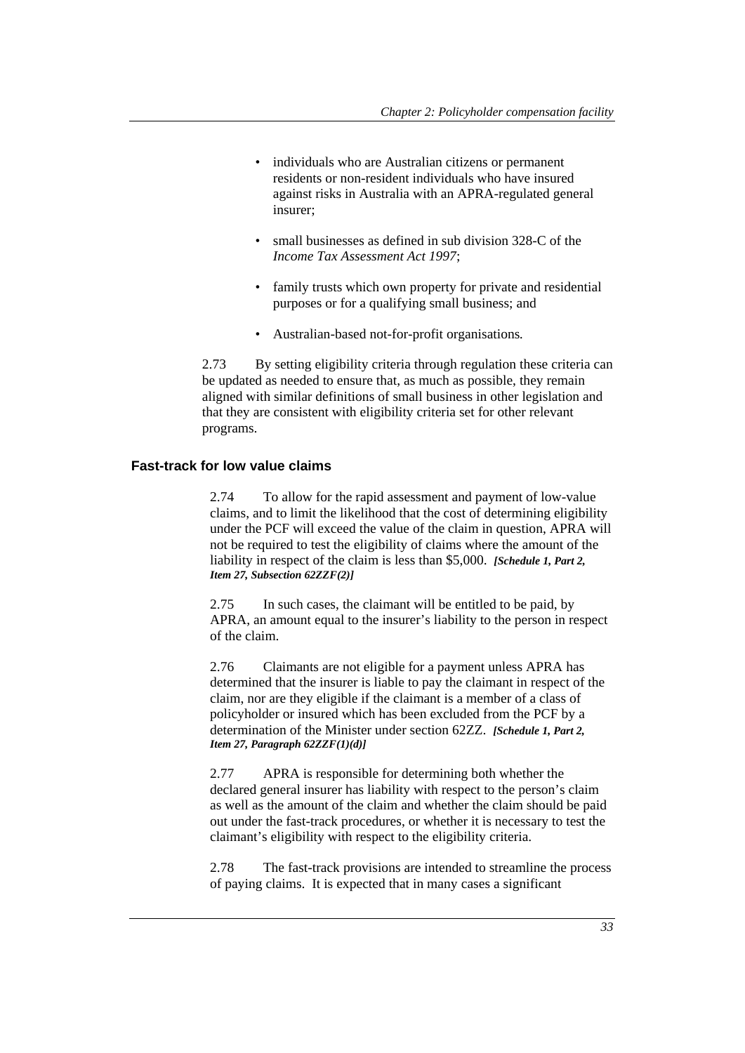- individuals who are Australian citizens or permanent residents or non-resident individuals who have insured against risks in Australia with an APRA-regulated general insurer;
- small businesses as defined in sub division 328-C of the *Income Tax Assessment Act 1997*;
- family trusts which own property for private and residential purposes or for a qualifying small business; and
- Australian-based not-for-profit organisations*.*

2.73 By setting eligibility criteria through regulation these criteria can be updated as needed to ensure that, as much as possible, they remain aligned with similar definitions of small business in other legislation and that they are consistent with eligibility criteria set for other relevant programs.

#### **Fast-track for low value claims**

2.74 To allow for the rapid assessment and payment of low-value claims, and to limit the likelihood that the cost of determining eligibility under the PCF will exceed the value of the claim in question, APRA will not be required to test the eligibility of claims where the amount of the liability in respect of the claim is less than \$5,000. *[Schedule 1, Part 2, Item 27, Subsection 62ZZF(2)]* 

2.75 In such cases, the claimant will be entitled to be paid, by APRA, an amount equal to the insurer's liability to the person in respect of the claim.

2.76 Claimants are not eligible for a payment unless APRA has determined that the insurer is liable to pay the claimant in respect of the claim, nor are they eligible if the claimant is a member of a class of policyholder or insured which has been excluded from the PCF by a determination of the Minister under section 62ZZ. *[Schedule 1, Part 2, Item 27, Paragraph 62ZZF(1)(d)]* 

2.77 APRA is responsible for determining both whether the declared general insurer has liability with respect to the person's claim as well as the amount of the claim and whether the claim should be paid out under the fast-track procedures, or whether it is necessary to test the claimant's eligibility with respect to the eligibility criteria.

2.78 The fast-track provisions are intended to streamline the process of paying claims. It is expected that in many cases a significant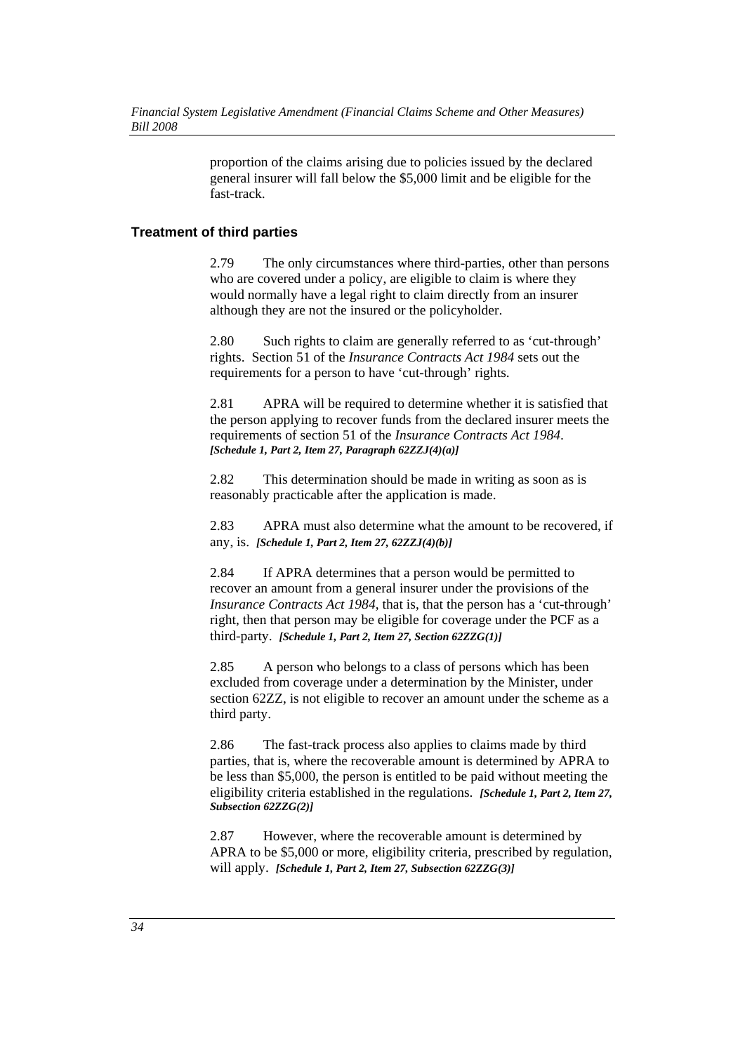proportion of the claims arising due to policies issued by the declared general insurer will fall below the \$5,000 limit and be eligible for the fast-track.

## **Treatment of third parties**

2.79 The only circumstances where third-parties, other than persons who are covered under a policy, are eligible to claim is where they would normally have a legal right to claim directly from an insurer although they are not the insured or the policyholder.

2.80 Such rights to claim are generally referred to as 'cut-through' rights. Section 51 of the *Insurance Contracts Act 1984* sets out the requirements for a person to have 'cut-through' rights.

2.81 APRA will be required to determine whether it is satisfied that the person applying to recover funds from the declared insurer meets the requirements of section 51 of the *Insurance Contracts Act 1984*. *[Schedule 1, Part 2, Item 27, Paragraph 62ZZJ(4)(a)]* 

2.82 This determination should be made in writing as soon as is reasonably practicable after the application is made.

2.83 APRA must also determine what the amount to be recovered, if any, is. *[Schedule 1, Part 2, Item 27, 62ZZJ(4)(b)]* 

2.84 If APRA determines that a person would be permitted to recover an amount from a general insurer under the provisions of the *Insurance Contracts Act 1984*, that is, that the person has a 'cut-through' right, then that person may be eligible for coverage under the PCF as a third-party. *[Schedule 1, Part 2, Item 27, Section 62ZZG(1)]* 

2.85 A person who belongs to a class of persons which has been excluded from coverage under a determination by the Minister, under section 62ZZ, is not eligible to recover an amount under the scheme as a third party.

2.86 The fast-track process also applies to claims made by third parties, that is, where the recoverable amount is determined by APRA to be less than \$5,000, the person is entitled to be paid without meeting the eligibility criteria established in the regulations. *[Schedule 1, Part 2, Item 27, Subsection 62ZZG(2)]* 

2.87 However, where the recoverable amount is determined by APRA to be \$5,000 or more, eligibility criteria, prescribed by regulation, will apply. *[Schedule 1, Part 2, Item 27, Subsection 62ZZG(3)]*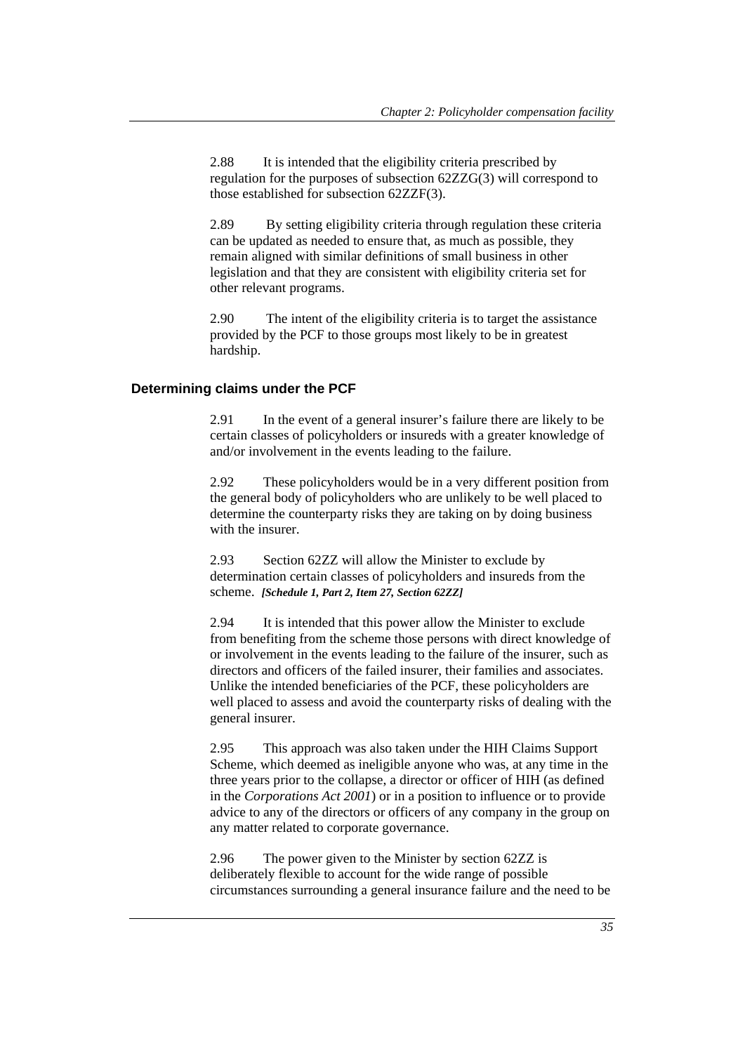2.88 It is intended that the eligibility criteria prescribed by regulation for the purposes of subsection 62ZZG(3) will correspond to those established for subsection 62ZZF(3).

2.89 By setting eligibility criteria through regulation these criteria can be updated as needed to ensure that, as much as possible, they remain aligned with similar definitions of small business in other legislation and that they are consistent with eligibility criteria set for other relevant programs.

2.90 The intent of the eligibility criteria is to target the assistance provided by the PCF to those groups most likely to be in greatest hardship.

## **Determining claims under the PCF**

2.91 In the event of a general insurer's failure there are likely to be certain classes of policyholders or insureds with a greater knowledge of and/or involvement in the events leading to the failure.

2.92 These policyholders would be in a very different position from the general body of policyholders who are unlikely to be well placed to determine the counterparty risks they are taking on by doing business with the insurer.

2.93 Section 62ZZ will allow the Minister to exclude by determination certain classes of policyholders and insureds from the scheme. *[Schedule 1, Part 2, Item 27, Section 62ZZ]* 

2.94 It is intended that this power allow the Minister to exclude from benefiting from the scheme those persons with direct knowledge of or involvement in the events leading to the failure of the insurer, such as directors and officers of the failed insurer, their families and associates. Unlike the intended beneficiaries of the PCF, these policyholders are well placed to assess and avoid the counterparty risks of dealing with the general insurer.

2.95 This approach was also taken under the HIH Claims Support Scheme, which deemed as ineligible anyone who was, at any time in the three years prior to the collapse, a director or officer of HIH (as defined in the *Corporations Act 2001*) or in a position to influence or to provide advice to any of the directors or officers of any company in the group on any matter related to corporate governance.

2.96 The power given to the Minister by section 62ZZ is deliberately flexible to account for the wide range of possible circumstances surrounding a general insurance failure and the need to be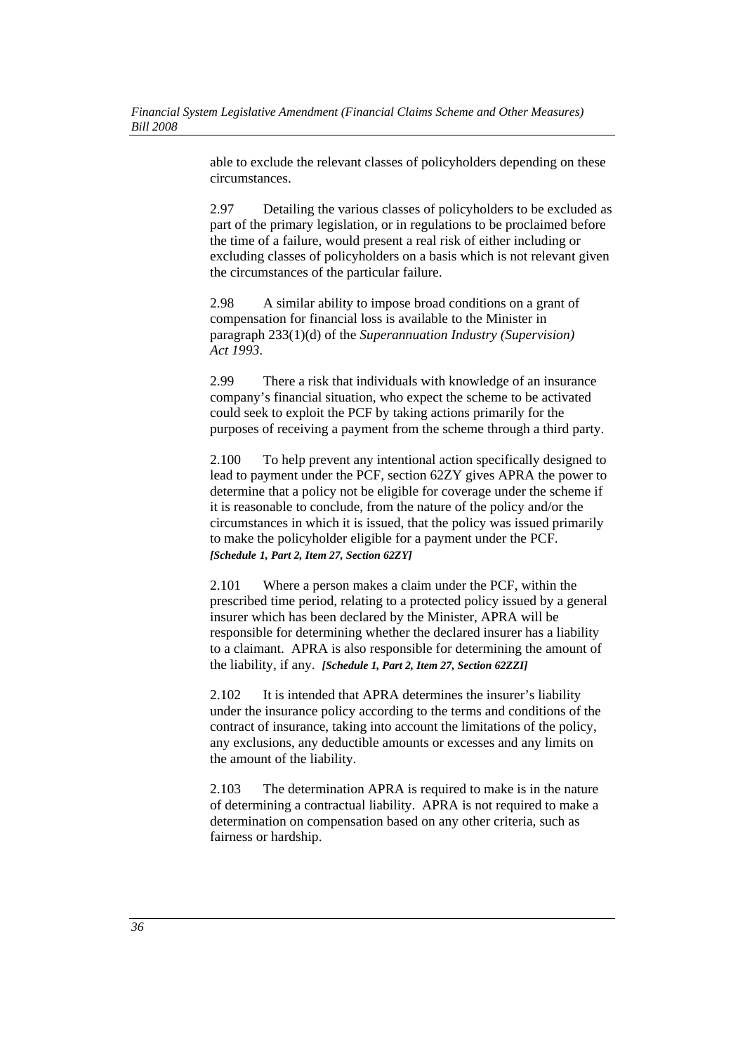able to exclude the relevant classes of policyholders depending on these circumstances.

2.97 Detailing the various classes of policyholders to be excluded as part of the primary legislation, or in regulations to be proclaimed before the time of a failure, would present a real risk of either including or excluding classes of policyholders on a basis which is not relevant given the circumstances of the particular failure.

2.98 A similar ability to impose broad conditions on a grant of compensation for financial loss is available to the Minister in paragraph 233(1)(d) of the *Superannuation Industry (Supervision) Act 1993*.

2.99 There a risk that individuals with knowledge of an insurance company's financial situation, who expect the scheme to be activated could seek to exploit the PCF by taking actions primarily for the purposes of receiving a payment from the scheme through a third party.

2.100 To help prevent any intentional action specifically designed to lead to payment under the PCF, section 62ZY gives APRA the power to determine that a policy not be eligible for coverage under the scheme if it is reasonable to conclude, from the nature of the policy and/or the circumstances in which it is issued, that the policy was issued primarily to make the policyholder eligible for a payment under the PCF. *[Schedule 1, Part 2, Item 27, Section 62ZY]*

2.101 Where a person makes a claim under the PCF, within the prescribed time period, relating to a protected policy issued by a general insurer which has been declared by the Minister, APRA will be responsible for determining whether the declared insurer has a liability to a claimant. APRA is also responsible for determining the amount of the liability, if any. *[Schedule 1, Part 2, Item 27, Section 62ZZI]* 

2.102 It is intended that APRA determines the insurer's liability under the insurance policy according to the terms and conditions of the contract of insurance, taking into account the limitations of the policy, any exclusions, any deductible amounts or excesses and any limits on the amount of the liability.

2.103 The determination APRA is required to make is in the nature of determining a contractual liability. APRA is not required to make a determination on compensation based on any other criteria, such as fairness or hardship.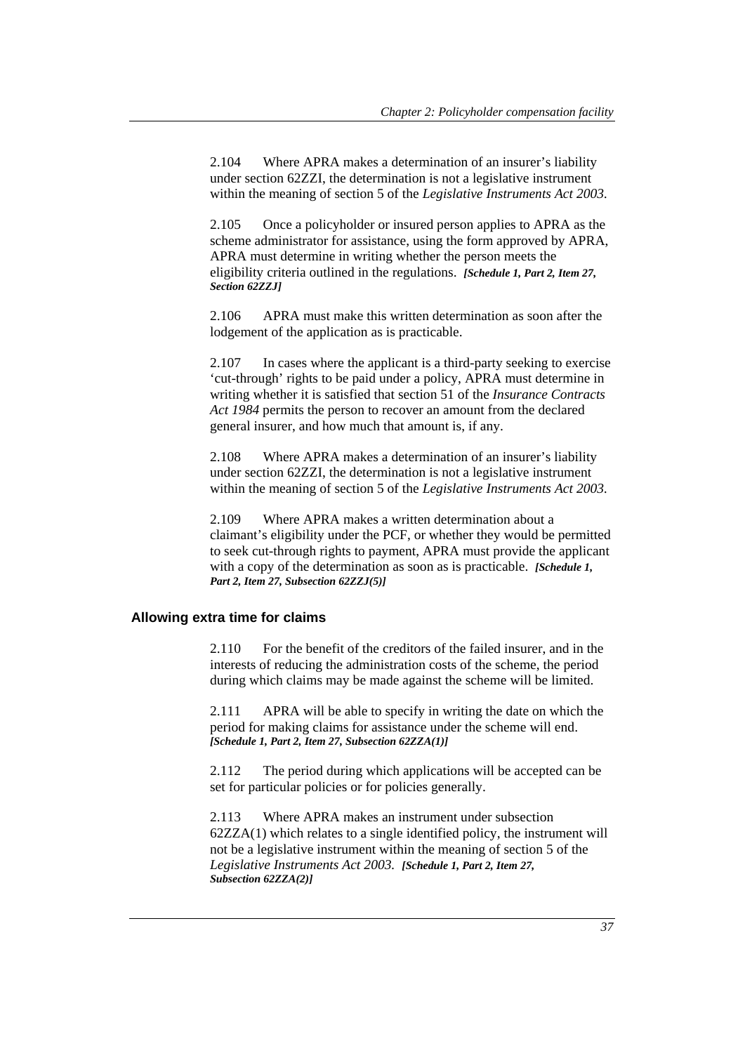2.104 Where APRA makes a determination of an insurer's liability under section 62ZZI, the determination is not a legislative instrument within the meaning of section 5 of the *Legislative Instruments Act 2003.*

2.105 Once a policyholder or insured person applies to APRA as the scheme administrator for assistance, using the form approved by APRA, APRA must determine in writing whether the person meets the eligibility criteria outlined in the regulations. *[Schedule 1, Part 2, Item 27, Section 62ZZJ]* 

2.106 APRA must make this written determination as soon after the lodgement of the application as is practicable.

2.107 In cases where the applicant is a third-party seeking to exercise 'cut-through' rights to be paid under a policy, APRA must determine in writing whether it is satisfied that section 51 of the *Insurance Contracts Act 1984* permits the person to recover an amount from the declared general insurer, and how much that amount is, if any.

2.108 Where APRA makes a determination of an insurer's liability under section 62ZZI, the determination is not a legislative instrument within the meaning of section 5 of the *Legislative Instruments Act 2003.*

2.109 Where APRA makes a written determination about a claimant's eligibility under the PCF, or whether they would be permitted to seek cut-through rights to payment, APRA must provide the applicant with a copy of the determination as soon as is practicable. *[Schedule 1, Part 2, Item 27, Subsection 62ZZJ(5)]* 

#### **Allowing extra time for claims**

2.110 For the benefit of the creditors of the failed insurer, and in the interests of reducing the administration costs of the scheme, the period during which claims may be made against the scheme will be limited.

2.111 APRA will be able to specify in writing the date on which the period for making claims for assistance under the scheme will end. *[Schedule 1, Part 2, Item 27, Subsection 62ZZA(1)]* 

2.112 The period during which applications will be accepted can be set for particular policies or for policies generally.

2.113 Where APRA makes an instrument under subsection 62ZZA(1) which relates to a single identified policy, the instrument will not be a legislative instrument within the meaning of section 5 of the *Legislative Instruments Act 2003. [Schedule 1, Part 2, Item 27, Subsection 62ZZA(2)]*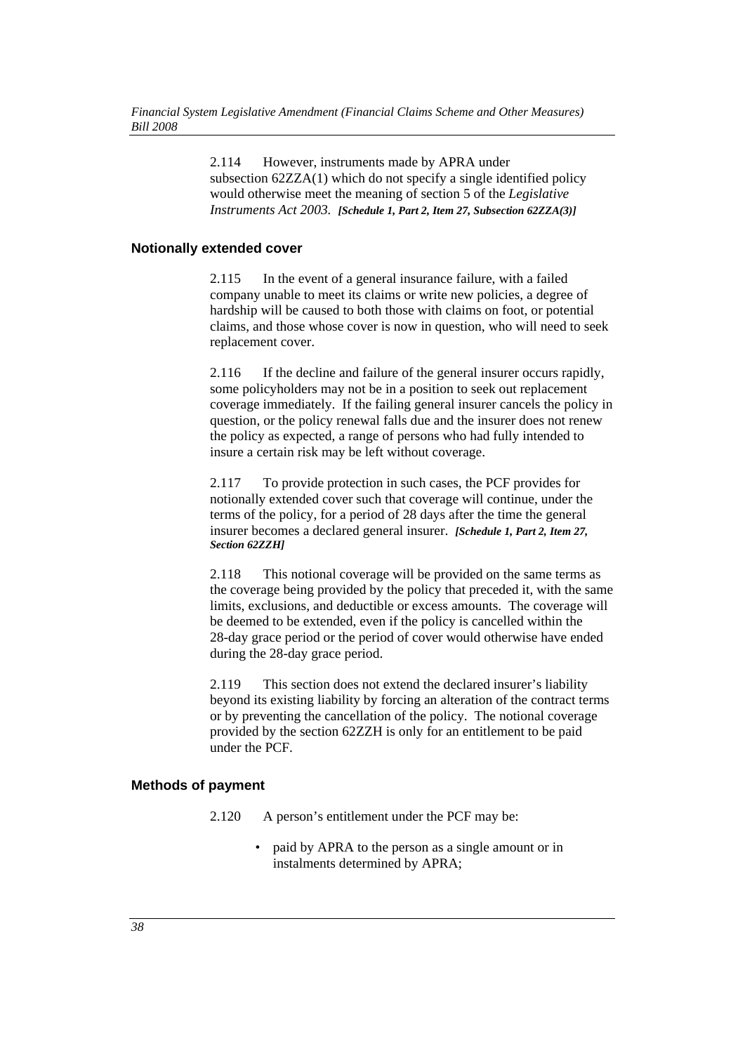2.114 However, instruments made by APRA under subsection 62ZZA(1) which do not specify a single identified policy would otherwise meet the meaning of section 5 of the *Legislative Instruments Act 2003. [Schedule 1, Part 2, Item 27, Subsection 62ZZA(3)]* 

## **Notionally extended cover**

2.115 In the event of a general insurance failure, with a failed company unable to meet its claims or write new policies, a degree of hardship will be caused to both those with claims on foot, or potential claims, and those whose cover is now in question, who will need to seek replacement cover.

2.116 If the decline and failure of the general insurer occurs rapidly, some policyholders may not be in a position to seek out replacement coverage immediately. If the failing general insurer cancels the policy in question, or the policy renewal falls due and the insurer does not renew the policy as expected, a range of persons who had fully intended to insure a certain risk may be left without coverage.

2.117 To provide protection in such cases, the PCF provides for notionally extended cover such that coverage will continue, under the terms of the policy, for a period of 28 days after the time the general insurer becomes a declared general insurer. *[Schedule 1, Part 2, Item 27, Section 62ZZH]* 

2.118 This notional coverage will be provided on the same terms as the coverage being provided by the policy that preceded it, with the same limits, exclusions, and deductible or excess amounts. The coverage will be deemed to be extended, even if the policy is cancelled within the 28-day grace period or the period of cover would otherwise have ended during the 28-day grace period.

2.119 This section does not extend the declared insurer's liability beyond its existing liability by forcing an alteration of the contract terms or by preventing the cancellation of the policy. The notional coverage provided by the section 62ZZH is only for an entitlement to be paid under the PCF.

## **Methods of payment**

- 2.120 A person's entitlement under the PCF may be:
	- paid by APRA to the person as a single amount or in instalments determined by APRA;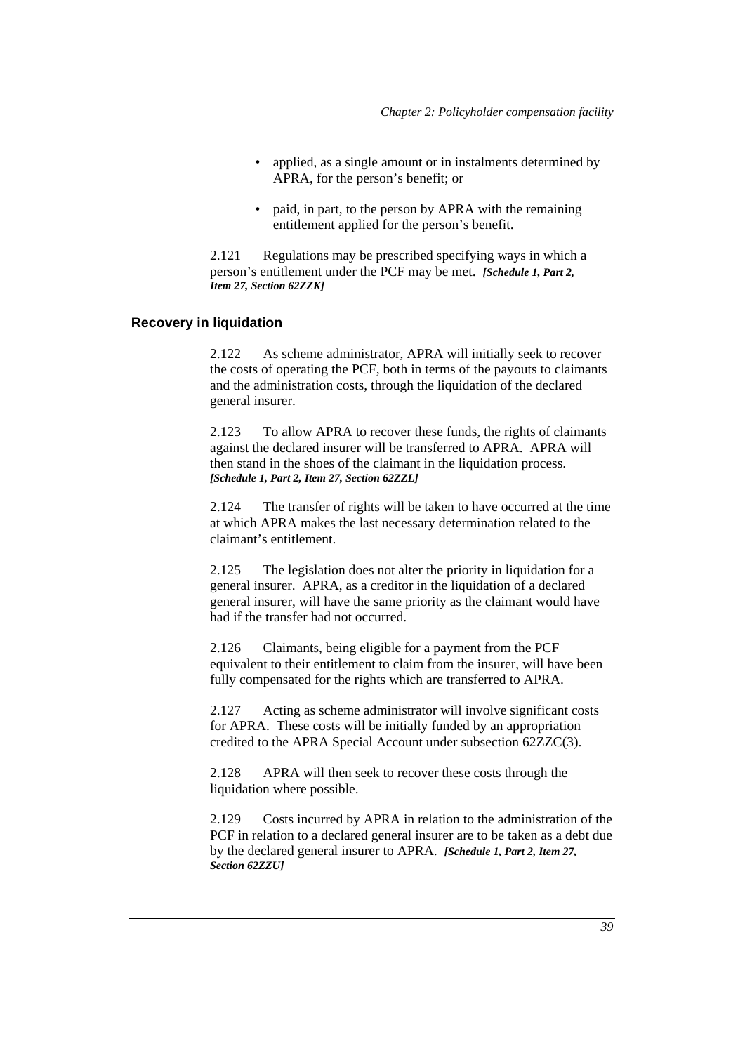- applied, as a single amount or in instalments determined by APRA, for the person's benefit; or
- paid, in part, to the person by APRA with the remaining entitlement applied for the person's benefit.

2.121 Regulations may be prescribed specifying ways in which a person's entitlement under the PCF may be met. *[Schedule 1, Part 2, Item 27, Section 62ZZK]* 

#### **Recovery in liquidation**

2.122 As scheme administrator, APRA will initially seek to recover the costs of operating the PCF, both in terms of the payouts to claimants and the administration costs, through the liquidation of the declared general insurer.

2.123 To allow APRA to recover these funds, the rights of claimants against the declared insurer will be transferred to APRA. APRA will then stand in the shoes of the claimant in the liquidation process. *[Schedule 1, Part 2, Item 27, Section 62ZZL]* 

2.124 The transfer of rights will be taken to have occurred at the time at which APRA makes the last necessary determination related to the claimant's entitlement.

2.125 The legislation does not alter the priority in liquidation for a general insurer. APRA, as a creditor in the liquidation of a declared general insurer, will have the same priority as the claimant would have had if the transfer had not occurred.

2.126 Claimants, being eligible for a payment from the PCF equivalent to their entitlement to claim from the insurer, will have been fully compensated for the rights which are transferred to APRA.

2.127 Acting as scheme administrator will involve significant costs for APRA. These costs will be initially funded by an appropriation credited to the APRA Special Account under subsection 62ZZC(3).

2.128 APRA will then seek to recover these costs through the liquidation where possible.

2.129 Costs incurred by APRA in relation to the administration of the PCF in relation to a declared general insurer are to be taken as a debt due by the declared general insurer to APRA. *[Schedule 1, Part 2, Item 27, Section 62ZZU]*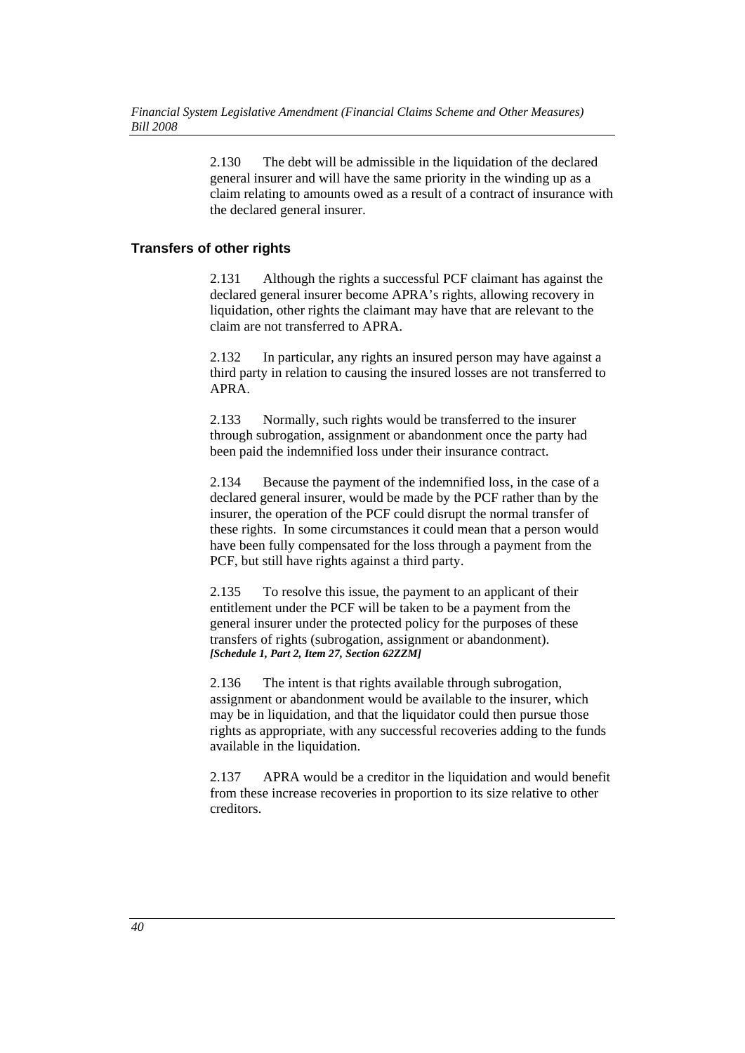2.130 The debt will be admissible in the liquidation of the declared general insurer and will have the same priority in the winding up as a claim relating to amounts owed as a result of a contract of insurance with the declared general insurer.

# **Transfers of other rights**

2.131 Although the rights a successful PCF claimant has against the declared general insurer become APRA's rights, allowing recovery in liquidation, other rights the claimant may have that are relevant to the claim are not transferred to APRA.

2.132 In particular, any rights an insured person may have against a third party in relation to causing the insured losses are not transferred to APRA.

2.133 Normally, such rights would be transferred to the insurer through subrogation, assignment or abandonment once the party had been paid the indemnified loss under their insurance contract.

2.134 Because the payment of the indemnified loss, in the case of a declared general insurer, would be made by the PCF rather than by the insurer, the operation of the PCF could disrupt the normal transfer of these rights. In some circumstances it could mean that a person would have been fully compensated for the loss through a payment from the PCF, but still have rights against a third party.

2.135 To resolve this issue, the payment to an applicant of their entitlement under the PCF will be taken to be a payment from the general insurer under the protected policy for the purposes of these transfers of rights (subrogation, assignment or abandonment). *[Schedule 1, Part 2, Item 27, Section 62ZZM]* 

2.136 The intent is that rights available through subrogation, assignment or abandonment would be available to the insurer, which may be in liquidation, and that the liquidator could then pursue those rights as appropriate, with any successful recoveries adding to the funds available in the liquidation.

2.137 APRA would be a creditor in the liquidation and would benefit from these increase recoveries in proportion to its size relative to other creditors.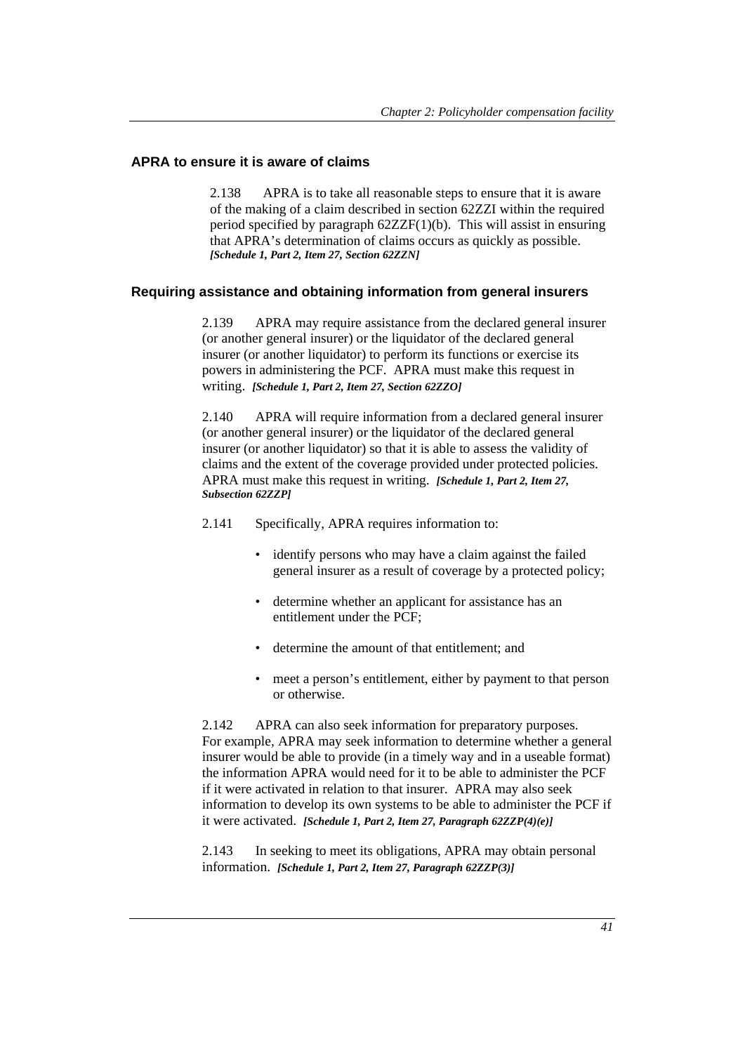## **APRA to ensure it is aware of claims**

2.138 APRA is to take all reasonable steps to ensure that it is aware of the making of a claim described in section 62ZZI within the required period specified by paragraph 62ZZF(1)(b). This will assist in ensuring that APRA's determination of claims occurs as quickly as possible. *[Schedule 1, Part 2, Item 27, Section 62ZZN]* 

## **Requiring assistance and obtaining information from general insurers**

2.139 APRA may require assistance from the declared general insurer (or another general insurer) or the liquidator of the declared general insurer (or another liquidator) to perform its functions or exercise its powers in administering the PCF. APRA must make this request in writing. *[Schedule 1, Part 2, Item 27, Section 62ZZO]* 

2.140 APRA will require information from a declared general insurer (or another general insurer) or the liquidator of the declared general insurer (or another liquidator) so that it is able to assess the validity of claims and the extent of the coverage provided under protected policies. APRA must make this request in writing. *[Schedule 1, Part 2, Item 27, Subsection 62ZZP]*

2.141 Specifically, APRA requires information to:

- identify persons who may have a claim against the failed general insurer as a result of coverage by a protected policy;
- determine whether an applicant for assistance has an entitlement under the PCF;
- determine the amount of that entitlement; and
- meet a person's entitlement, either by payment to that person or otherwise.

2.142 APRA can also seek information for preparatory purposes. For example, APRA may seek information to determine whether a general insurer would be able to provide (in a timely way and in a useable format) the information APRA would need for it to be able to administer the PCF if it were activated in relation to that insurer. APRA may also seek information to develop its own systems to be able to administer the PCF if it were activated. *[Schedule 1, Part 2, Item 27, Paragraph 62ZZP(4)(e)]* 

2.143 In seeking to meet its obligations, APRA may obtain personal information. *[Schedule 1, Part 2, Item 27, Paragraph 62ZZP(3)]*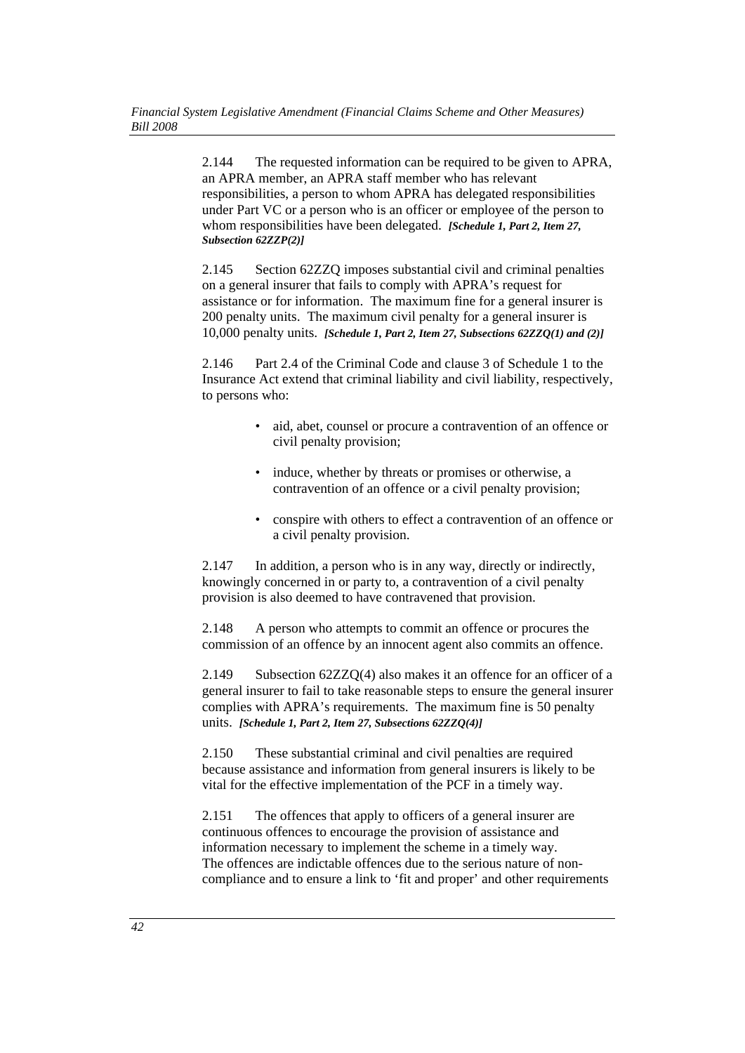2.144 The requested information can be required to be given to APRA, an APRA member, an APRA staff member who has relevant responsibilities, a person to whom APRA has delegated responsibilities under Part VC or a person who is an officer or employee of the person to whom responsibilities have been delegated. *[Schedule 1, Part 2, Item 27, Subsection 62ZZP(2)]* 

2.145 Section 62ZZQ imposes substantial civil and criminal penalties on a general insurer that fails to comply with APRA's request for assistance or for information. The maximum fine for a general insurer is 200 penalty units. The maximum civil penalty for a general insurer is 10,000 penalty units. *[Schedule 1, Part 2, Item 27, Subsections 62ZZQ(1) and (2)]*

2.146 Part 2.4 of the Criminal Code and clause 3 of Schedule 1 to the Insurance Act extend that criminal liability and civil liability, respectively, to persons who:

- aid, abet, counsel or procure a contravention of an offence or civil penalty provision;
- induce, whether by threats or promises or otherwise, a contravention of an offence or a civil penalty provision;
- conspire with others to effect a contravention of an offence or a civil penalty provision.

2.147 In addition, a person who is in any way, directly or indirectly, knowingly concerned in or party to, a contravention of a civil penalty provision is also deemed to have contravened that provision.

2.148 A person who attempts to commit an offence or procures the commission of an offence by an innocent agent also commits an offence.

2.149 Subsection 62ZZQ(4) also makes it an offence for an officer of a general insurer to fail to take reasonable steps to ensure the general insurer complies with APRA's requirements. The maximum fine is 50 penalty units. *[Schedule 1, Part 2, Item 27, Subsections 62ZZQ(4)]*

2.150 These substantial criminal and civil penalties are required because assistance and information from general insurers is likely to be vital for the effective implementation of the PCF in a timely way.

2.151 The offences that apply to officers of a general insurer are continuous offences to encourage the provision of assistance and information necessary to implement the scheme in a timely way. The offences are indictable offences due to the serious nature of noncompliance and to ensure a link to 'fit and proper' and other requirements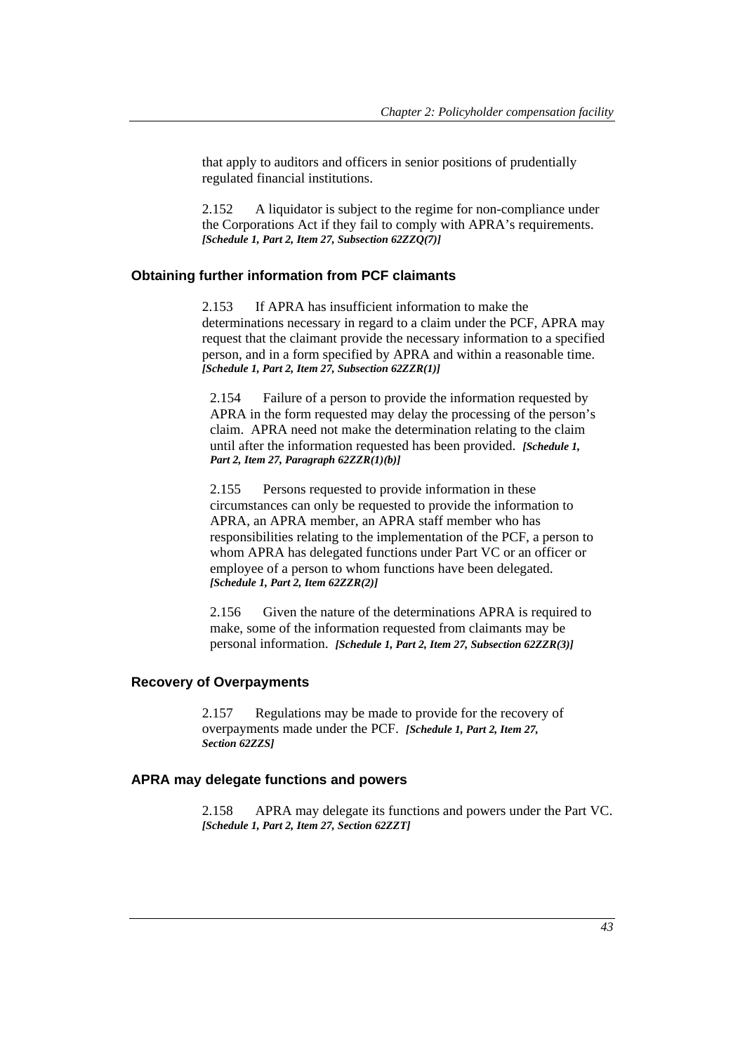that apply to auditors and officers in senior positions of prudentially regulated financial institutions.

2.152 A liquidator is subject to the regime for non-compliance under the Corporations Act if they fail to comply with APRA's requirements. *[Schedule 1, Part 2, Item 27, Subsection 62ZZQ(7)]*

#### **Obtaining further information from PCF claimants**

2.153 If APRA has insufficient information to make the determinations necessary in regard to a claim under the PCF, APRA may request that the claimant provide the necessary information to a specified person, and in a form specified by APRA and within a reasonable time. *[Schedule 1, Part 2, Item 27, Subsection 62ZZR(1)]*

2.154 Failure of a person to provide the information requested by APRA in the form requested may delay the processing of the person's claim. APRA need not make the determination relating to the claim until after the information requested has been provided. *[Schedule 1, Part 2, Item 27, Paragraph 62ZZR(1)(b)]*

2.155 Persons requested to provide information in these circumstances can only be requested to provide the information to APRA, an APRA member, an APRA staff member who has responsibilities relating to the implementation of the PCF, a person to whom APRA has delegated functions under Part VC or an officer or employee of a person to whom functions have been delegated. *[Schedule 1, Part 2, Item 62ZZR(2)]*

2.156 Given the nature of the determinations APRA is required to make, some of the information requested from claimants may be personal information. *[Schedule 1, Part 2, Item 27, Subsection 62ZZR(3)]*

# **Recovery of Overpayments**

2.157 Regulations may be made to provide for the recovery of overpayments made under the PCF. *[Schedule 1, Part 2, Item 27, Section 62ZZS]*

## **APRA may delegate functions and powers**

2.158 APRA may delegate its functions and powers under the Part VC. *[Schedule 1, Part 2, Item 27, Section 62ZZT]*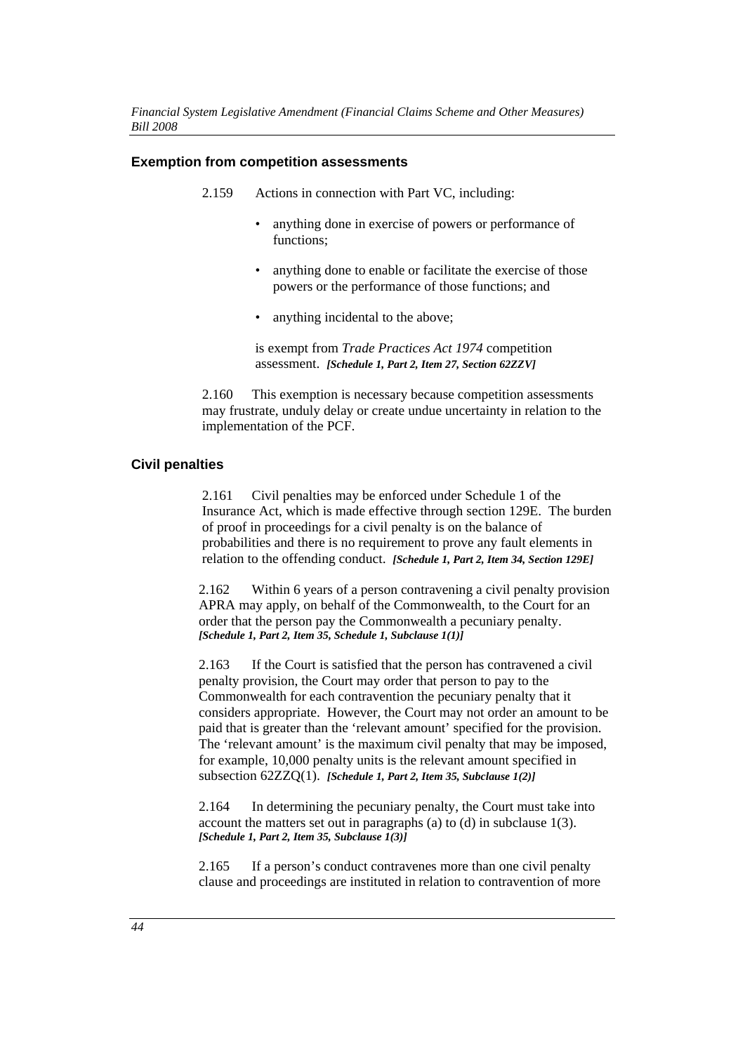#### **Exemption from competition assessments**

- 2.159 Actions in connection with Part VC, including:
	- anything done in exercise of powers or performance of functions;
	- anything done to enable or facilitate the exercise of those powers or the performance of those functions; and
	- anything incidental to the above;

is exempt from *Trade Practices Act 1974* competition assessment. *[Schedule 1, Part 2, Item 27, Section 62ZZV]*

2.160 This exemption is necessary because competition assessments may frustrate, unduly delay or create undue uncertainty in relation to the implementation of the PCF.

## **Civil penalties**

2.161 Civil penalties may be enforced under Schedule 1 of the Insurance Act, which is made effective through section 129E. The burden of proof in proceedings for a civil penalty is on the balance of probabilities and there is no requirement to prove any fault elements in relation to the offending conduct. *[Schedule 1, Part 2, Item 34, Section 129E]*

2.162 Within 6 years of a person contravening a civil penalty provision APRA may apply, on behalf of the Commonwealth, to the Court for an order that the person pay the Commonwealth a pecuniary penalty. *[Schedule 1, Part 2, Item 35, Schedule 1, Subclause 1(1)]*

2.163 If the Court is satisfied that the person has contravened a civil penalty provision, the Court may order that person to pay to the Commonwealth for each contravention the pecuniary penalty that it considers appropriate. However, the Court may not order an amount to be paid that is greater than the 'relevant amount' specified for the provision. The 'relevant amount' is the maximum civil penalty that may be imposed, for example, 10,000 penalty units is the relevant amount specified in subsection 62ZZQ(1). *[Schedule 1, Part 2, Item 35, Subclause 1(2)]*

2.164 In determining the pecuniary penalty, the Court must take into account the matters set out in paragraphs (a) to (d) in subclause 1(3). *[Schedule 1, Part 2, Item 35, Subclause 1(3)]*

2.165 If a person's conduct contravenes more than one civil penalty clause and proceedings are instituted in relation to contravention of more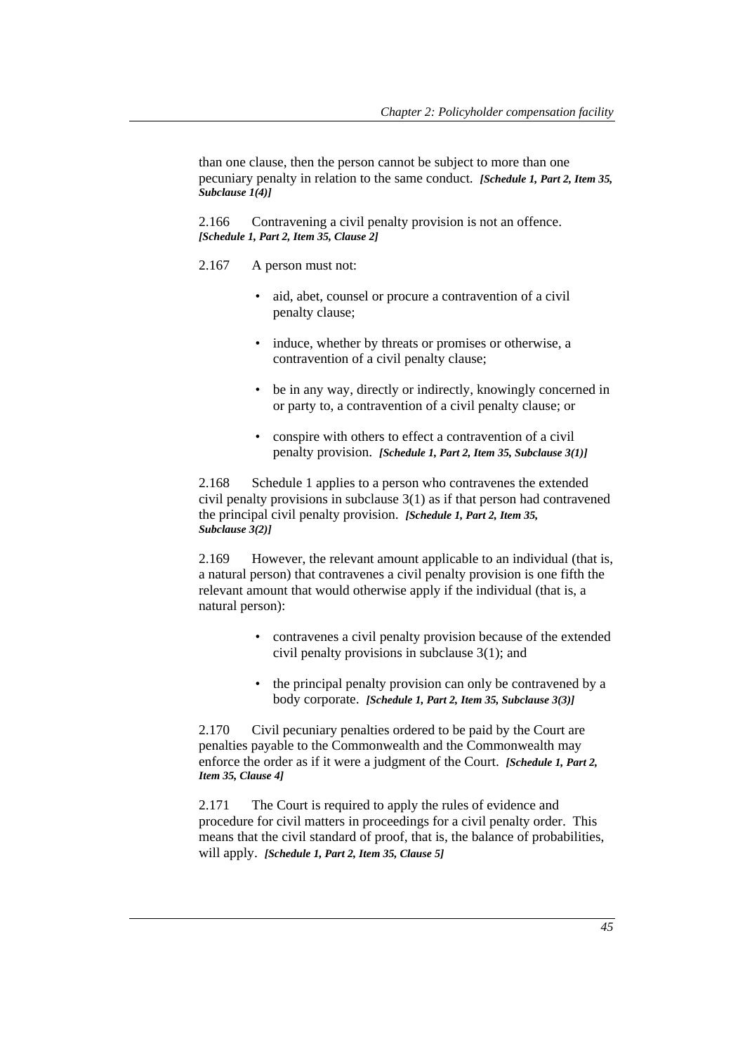than one clause, then the person cannot be subject to more than one pecuniary penalty in relation to the same conduct. *[Schedule 1, Part 2, Item 35, Subclause 1(4)]*

2.166 Contravening a civil penalty provision is not an offence. *[Schedule 1, Part 2, Item 35, Clause 2]*

- 2.167 A person must not:
	- aid, abet, counsel or procure a contravention of a civil penalty clause;
	- induce, whether by threats or promises or otherwise, a contravention of a civil penalty clause;
	- be in any way, directly or indirectly, knowingly concerned in or party to, a contravention of a civil penalty clause; or
	- conspire with others to effect a contravention of a civil penalty provision. *[Schedule 1, Part 2, Item 35, Subclause 3(1)]*

2.168 Schedule 1 applies to a person who contravenes the extended civil penalty provisions in subclause 3(1) as if that person had contravened the principal civil penalty provision. *[Schedule 1, Part 2, Item 35, Subclause 3(2)]*

2.169 However, the relevant amount applicable to an individual (that is, a natural person) that contravenes a civil penalty provision is one fifth the relevant amount that would otherwise apply if the individual (that is, a natural person):

- contravenes a civil penalty provision because of the extended civil penalty provisions in subclause 3(1); and
- the principal penalty provision can only be contravened by a body corporate. *[Schedule 1, Part 2, Item 35, Subclause 3(3)]*

2.170 Civil pecuniary penalties ordered to be paid by the Court are penalties payable to the Commonwealth and the Commonwealth may enforce the order as if it were a judgment of the Court. *[Schedule 1, Part 2, Item 35, Clause 4]*

2.171 The Court is required to apply the rules of evidence and procedure for civil matters in proceedings for a civil penalty order. This means that the civil standard of proof, that is, the balance of probabilities, will apply. *[Schedule 1, Part 2, Item 35, Clause 5]*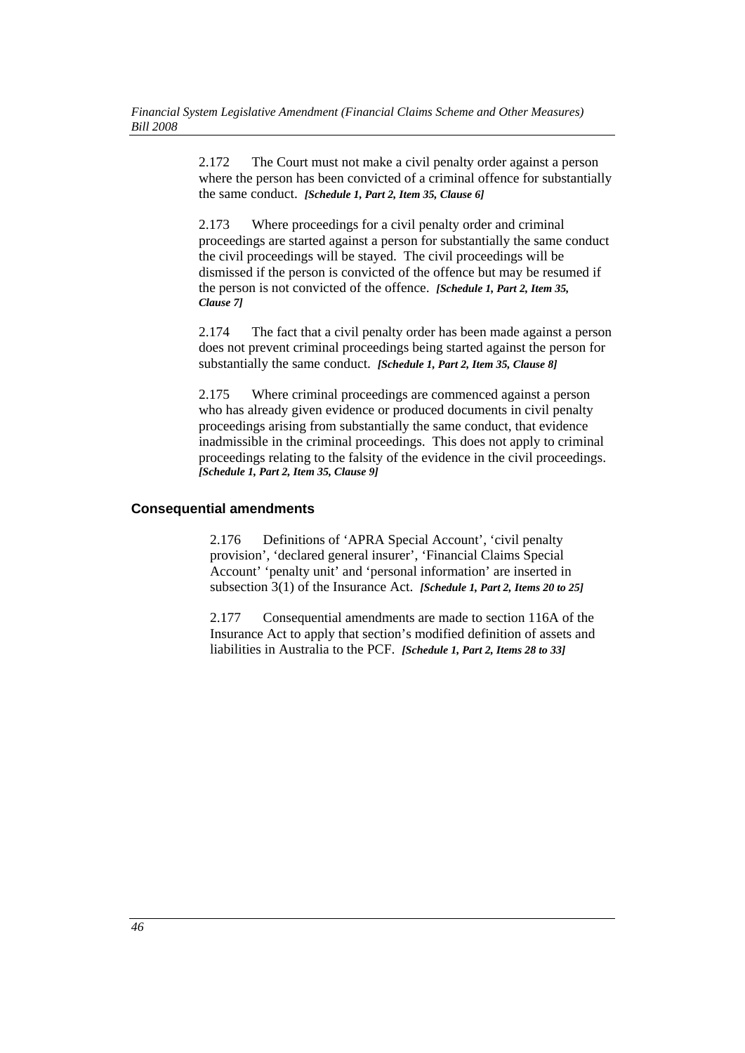2.172 The Court must not make a civil penalty order against a person where the person has been convicted of a criminal offence for substantially the same conduct. *[Schedule 1, Part 2, Item 35, Clause 6]*

2.173 Where proceedings for a civil penalty order and criminal proceedings are started against a person for substantially the same conduct the civil proceedings will be stayed. The civil proceedings will be dismissed if the person is convicted of the offence but may be resumed if the person is not convicted of the offence. *[Schedule 1, Part 2, Item 35, Clause 7]*

2.174 The fact that a civil penalty order has been made against a person does not prevent criminal proceedings being started against the person for substantially the same conduct. *[Schedule 1, Part 2, Item 35, Clause 8]*

2.175 Where criminal proceedings are commenced against a person who has already given evidence or produced documents in civil penalty proceedings arising from substantially the same conduct, that evidence inadmissible in the criminal proceedings. This does not apply to criminal proceedings relating to the falsity of the evidence in the civil proceedings. *[Schedule 1, Part 2, Item 35, Clause 9]*

## **Consequential amendments**

2.176 Definitions of 'APRA Special Account', 'civil penalty provision', 'declared general insurer', 'Financial Claims Special Account' 'penalty unit' and 'personal information' are inserted in subsection 3(1) of the Insurance Act. *[Schedule 1, Part 2, Items 20 to 25]*

2.177 Consequential amendments are made to section 116A of the Insurance Act to apply that section's modified definition of assets and liabilities in Australia to the PCF. *[Schedule 1, Part 2, Items 28 to 33]*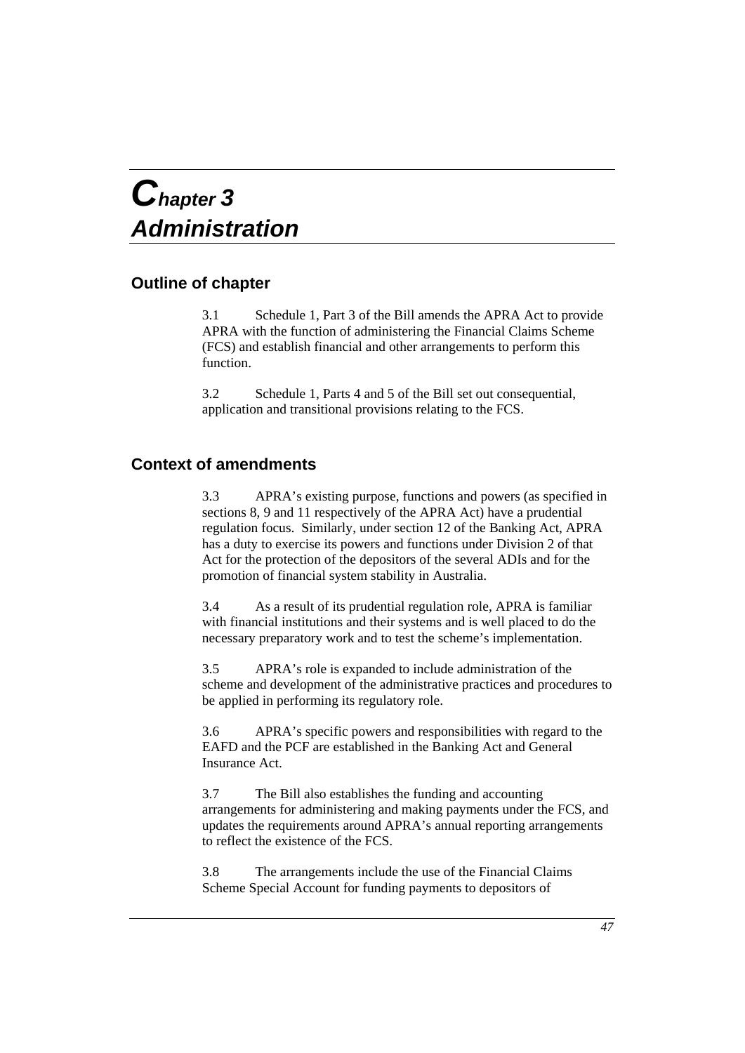# *Chapter 3 Administration*

# **Outline of chapter**

3.1 Schedule 1, Part 3 of the Bill amends the APRA Act to provide APRA with the function of administering the Financial Claims Scheme (FCS) and establish financial and other arrangements to perform this function.

3.2 Schedule 1, Parts 4 and 5 of the Bill set out consequential, application and transitional provisions relating to the FCS.

# **Context of amendments**

3.3 APRA's existing purpose, functions and powers (as specified in sections 8, 9 and 11 respectively of the APRA Act) have a prudential regulation focus. Similarly, under section 12 of the Banking Act, APRA has a duty to exercise its powers and functions under Division 2 of that Act for the protection of the depositors of the several ADIs and for the promotion of financial system stability in Australia.

3.4 As a result of its prudential regulation role, APRA is familiar with financial institutions and their systems and is well placed to do the necessary preparatory work and to test the scheme's implementation.

3.5 APRA's role is expanded to include administration of the scheme and development of the administrative practices and procedures to be applied in performing its regulatory role.

3.6 APRA's specific powers and responsibilities with regard to the EAFD and the PCF are established in the Banking Act and General Insurance Act.

3.7 The Bill also establishes the funding and accounting arrangements for administering and making payments under the FCS, and updates the requirements around APRA's annual reporting arrangements to reflect the existence of the FCS.

3.8 The arrangements include the use of the Financial Claims Scheme Special Account for funding payments to depositors of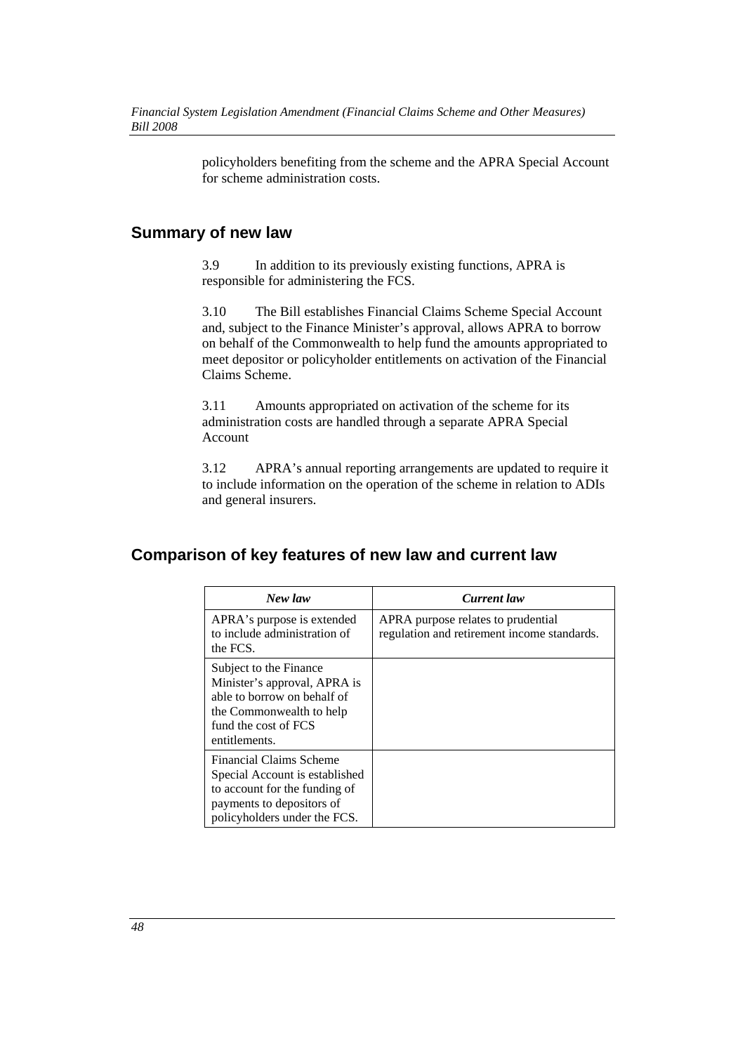policyholders benefiting from the scheme and the APRA Special Account for scheme administration costs.

# **Summary of new law**

3.9 In addition to its previously existing functions, APRA is responsible for administering the FCS.

3.10 The Bill establishes Financial Claims Scheme Special Account and, subject to the Finance Minister's approval, allows APRA to borrow on behalf of the Commonwealth to help fund the amounts appropriated to meet depositor or policyholder entitlements on activation of the Financial Claims Scheme.

3.11 Amounts appropriated on activation of the scheme for its administration costs are handled through a separate APRA Special Account

3.12 APRA's annual reporting arrangements are updated to require it to include information on the operation of the scheme in relation to ADIs and general insurers.

# **Comparison of key features of new law and current law**

| New law                                                                                                                                                    | <b>Current</b> law                                                                |
|------------------------------------------------------------------------------------------------------------------------------------------------------------|-----------------------------------------------------------------------------------|
| APRA's purpose is extended<br>to include administration of<br>the FCS.                                                                                     | APRA purpose relates to prudential<br>regulation and retirement income standards. |
| Subject to the Finance<br>Minister's approval, APRA is<br>able to borrow on behalf of<br>the Commonwealth to help<br>fund the cost of FCS<br>entitlements. |                                                                                   |
| Financial Claims Scheme<br>Special Account is established<br>to account for the funding of<br>payments to depositors of<br>policyholders under the FCS.    |                                                                                   |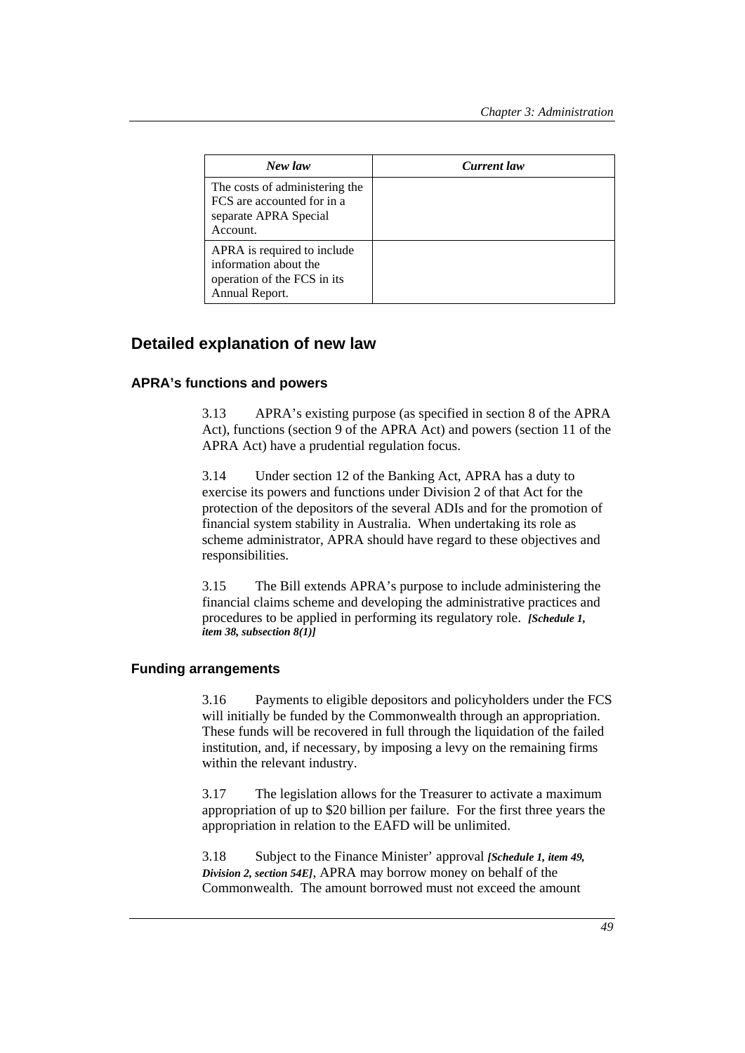| New law                                                                                               | <b>Current</b> law |  |
|-------------------------------------------------------------------------------------------------------|--------------------|--|
| The costs of administering the<br>FCS are accounted for in a<br>separate APRA Special<br>Account.     |                    |  |
| APRA is required to include<br>information about the<br>operation of the FCS in its<br>Annual Report. |                    |  |

# **Detailed explanation of new law**

## **APRA's functions and powers**

3.13 APRA's existing purpose (as specified in section 8 of the APRA Act), functions (section 9 of the APRA Act) and powers (section 11 of the APRA Act) have a prudential regulation focus.

3.14 Under section 12 of the Banking Act, APRA has a duty to exercise its powers and functions under Division 2 of that Act for the protection of the depositors of the several ADIs and for the promotion of financial system stability in Australia. When undertaking its role as scheme administrator, APRA should have regard to these objectives and responsibilities.

3.15 The Bill extends APRA's purpose to include administering the financial claims scheme and developing the administrative practices and procedures to be applied in performing its regulatory role. *[Schedule 1, item 38, subsection 8(1)]*

## **Funding arrangements**

3.16 Payments to eligible depositors and policyholders under the FCS will initially be funded by the Commonwealth through an appropriation. These funds will be recovered in full through the liquidation of the failed institution, and, if necessary, by imposing a levy on the remaining firms within the relevant industry.

3.17 The legislation allows for the Treasurer to activate a maximum appropriation of up to \$20 billion per failure. For the first three years the appropriation in relation to the EAFD will be unlimited.

3.18 Subject to the Finance Minister' approval *[Schedule 1, item 49, Division 2, section 54E]*, APRA may borrow money on behalf of the Commonwealth. The amount borrowed must not exceed the amount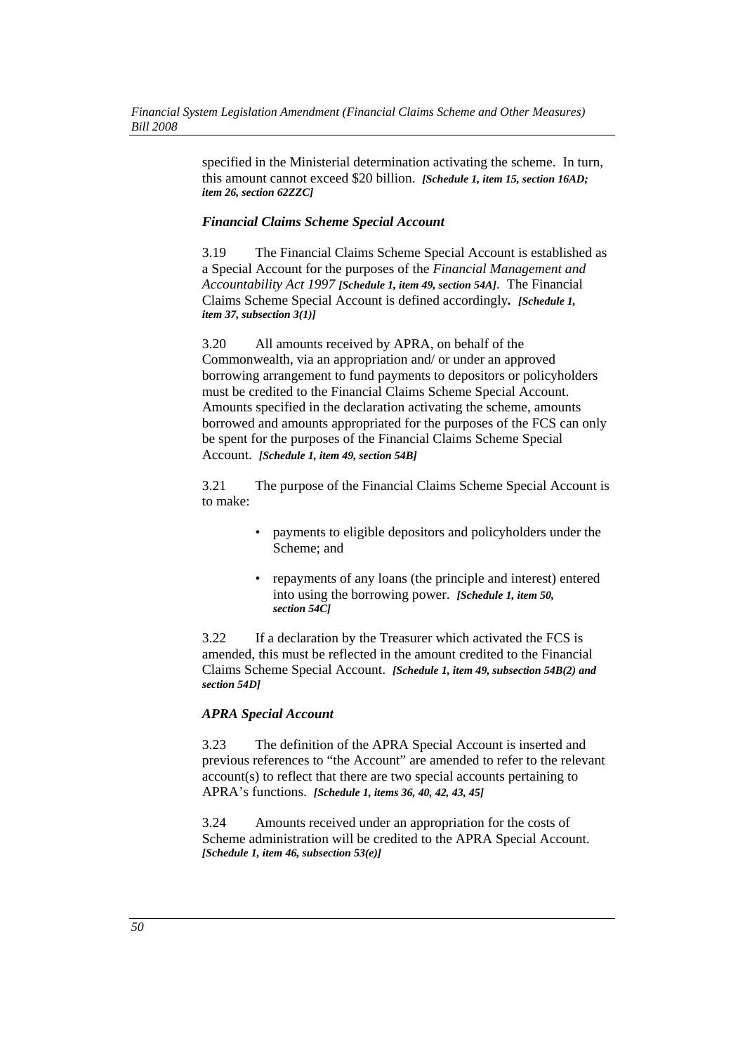specified in the Ministerial determination activating the scheme. In turn, this amount cannot exceed \$20 billion. *[Schedule 1, item 15, section 16AD; item 26, section 62ZZC]*

#### *Financial Claims Scheme Special Account*

3.19 The Financial Claims Scheme Special Account is established as a Special Account for the purposes of the *Financial Management and Accountability Act 1997 [Schedule 1, item 49, section 54A]*. The Financial Claims Scheme Special Account is defined accordingly*. [Schedule 1, item 37, subsection 3(1)]*

3.20 All amounts received by APRA, on behalf of the Commonwealth, via an appropriation and/ or under an approved borrowing arrangement to fund payments to depositors or policyholders must be credited to the Financial Claims Scheme Special Account. Amounts specified in the declaration activating the scheme, amounts borrowed and amounts appropriated for the purposes of the FCS can only be spent for the purposes of the Financial Claims Scheme Special Account. *[Schedule 1, item 49, section 54B]*

3.21 The purpose of the Financial Claims Scheme Special Account is to make:

- payments to eligible depositors and policyholders under the Scheme; and
- repayments of any loans (the principle and interest) entered into using the borrowing power. *[Schedule 1, item 50, section 54C]*

3.22 If a declaration by the Treasurer which activated the FCS is amended, this must be reflected in the amount credited to the Financial Claims Scheme Special Account. *[Schedule 1, item 49, subsection 54B(2) and section 54D]*

## *APRA Special Account*

3.23 The definition of the APRA Special Account is inserted and previous references to "the Account" are amended to refer to the relevant account(s) to reflect that there are two special accounts pertaining to APRA's functions. *[Schedule 1, items 36, 40, 42, 43, 45]*

3.24 Amounts received under an appropriation for the costs of Scheme administration will be credited to the APRA Special Account. *[Schedule 1, item 46, subsection 53(e)]*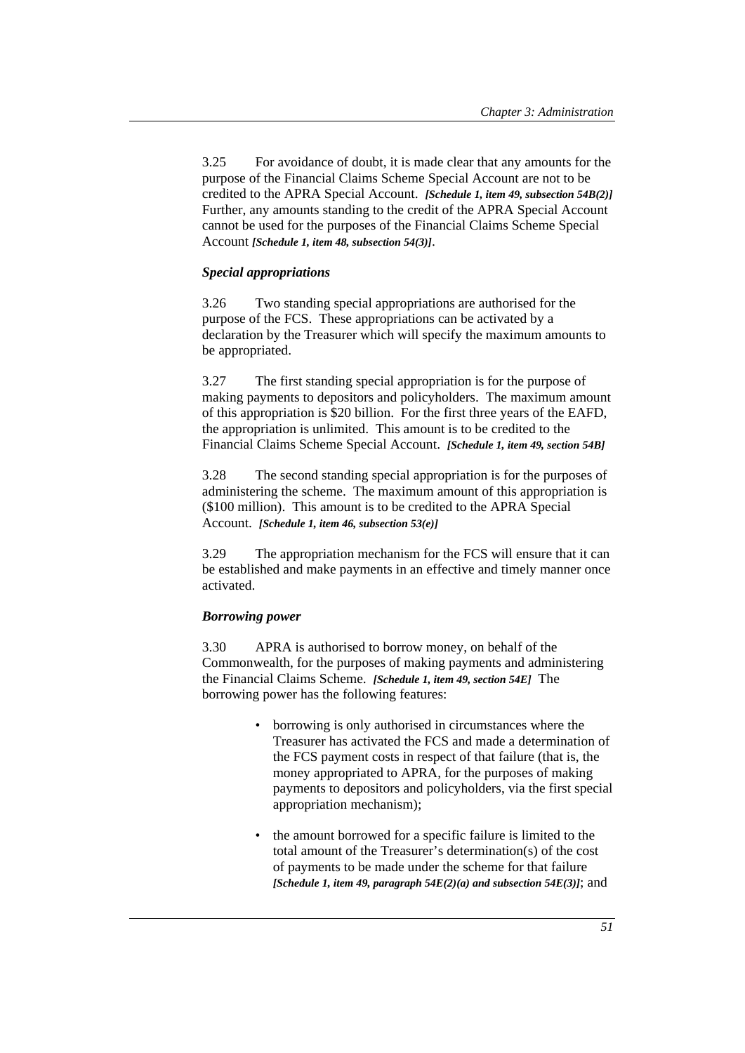3.25 For avoidance of doubt, it is made clear that any amounts for the purpose of the Financial Claims Scheme Special Account are not to be credited to the APRA Special Account. *[Schedule 1, item 49, subsection 54B(2)]* Further, any amounts standing to the credit of the APRA Special Account cannot be used for the purposes of the Financial Claims Scheme Special Account *[Schedule 1, item 48, subsection 54(3)]*.

## *Special appropriations*

3.26 Two standing special appropriations are authorised for the purpose of the FCS. These appropriations can be activated by a declaration by the Treasurer which will specify the maximum amounts to be appropriated.

3.27 The first standing special appropriation is for the purpose of making payments to depositors and policyholders. The maximum amount of this appropriation is \$20 billion. For the first three years of the EAFD, the appropriation is unlimited. This amount is to be credited to the Financial Claims Scheme Special Account. *[Schedule 1, item 49, section 54B]*

3.28 The second standing special appropriation is for the purposes of administering the scheme. The maximum amount of this appropriation is (\$100 million). This amount is to be credited to the APRA Special Account. *[Schedule 1, item 46, subsection 53(e)]*

3.29 The appropriation mechanism for the FCS will ensure that it can be established and make payments in an effective and timely manner once activated.

## *Borrowing power*

3.30 APRA is authorised to borrow money, on behalf of the Commonwealth, for the purposes of making payments and administering the Financial Claims Scheme. *[Schedule 1, item 49, section 54E]* The borrowing power has the following features:

- borrowing is only authorised in circumstances where the Treasurer has activated the FCS and made a determination of the FCS payment costs in respect of that failure (that is, the money appropriated to APRA, for the purposes of making payments to depositors and policyholders, via the first special appropriation mechanism);
- the amount borrowed for a specific failure is limited to the total amount of the Treasurer's determination(s) of the cost of payments to be made under the scheme for that failure *[Schedule 1, item 49, paragraph 54E(2)(a) and subsection 54E(3)]*; and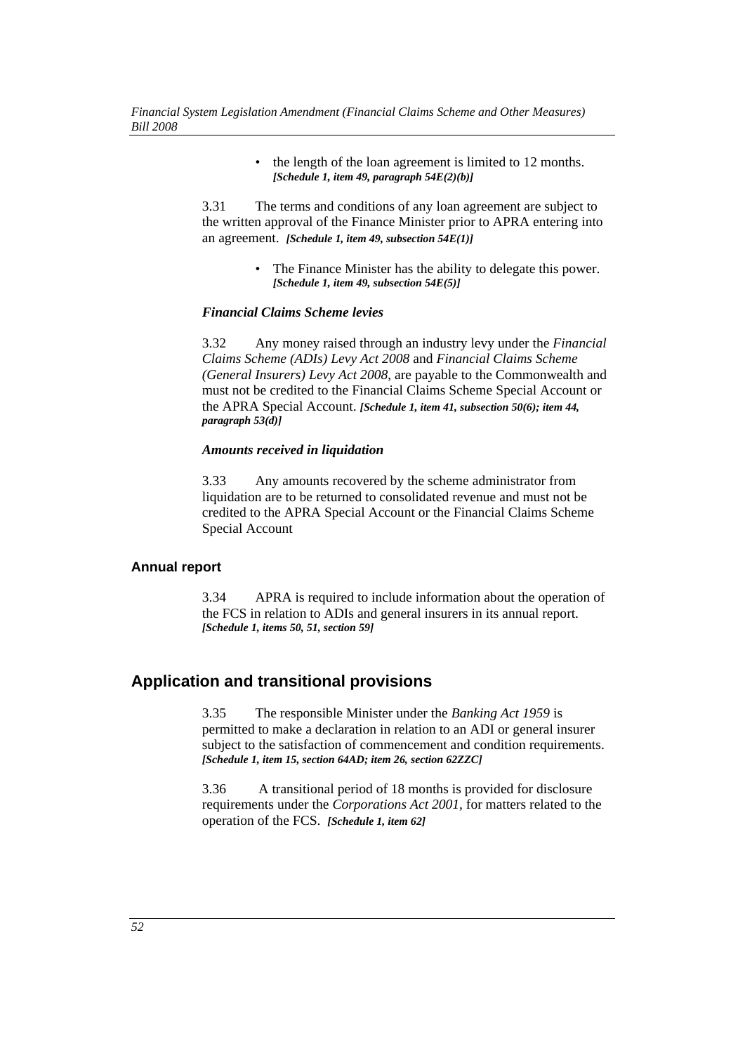• the length of the loan agreement is limited to 12 months. *[Schedule 1, item 49, paragraph 54E(2)(b)]*

3.31 The terms and conditions of any loan agreement are subject to the written approval of the Finance Minister prior to APRA entering into an agreement. *[Schedule 1, item 49, subsection 54E(1)]*

> • The Finance Minister has the ability to delegate this power. *[Schedule 1, item 49, subsection 54E(5)]*

#### *Financial Claims Scheme levies*

3.32 Any money raised through an industry levy under the *Financial Claims Scheme (ADIs) Levy Act 2008* and *Financial Claims Scheme (General Insurers) Levy Act 2008*, are payable to the Commonwealth and must not be credited to the Financial Claims Scheme Special Account or the APRA Special Account. *[Schedule 1, item 41, subsection 50(6); item 44, paragraph 53(d)]*

#### *Amounts received in liquidation*

3.33 Any amounts recovered by the scheme administrator from liquidation are to be returned to consolidated revenue and must not be credited to the APRA Special Account or the Financial Claims Scheme Special Account

#### **Annual report**

3.34 APRA is required to include information about the operation of the FCS in relation to ADIs and general insurers in its annual report. *[Schedule 1, items 50, 51, section 59]*

# **Application and transitional provisions**

3.35 The responsible Minister under the *Banking Act 1959* is permitted to make a declaration in relation to an ADI or general insurer subject to the satisfaction of commencement and condition requirements. *[Schedule 1, item 15, section 64AD; item 26, section 62ZZC]*

3.36 A transitional period of 18 months is provided for disclosure requirements under the *Corporations Act 2001*, for matters related to the operation of the FCS. *[Schedule 1, item 62]*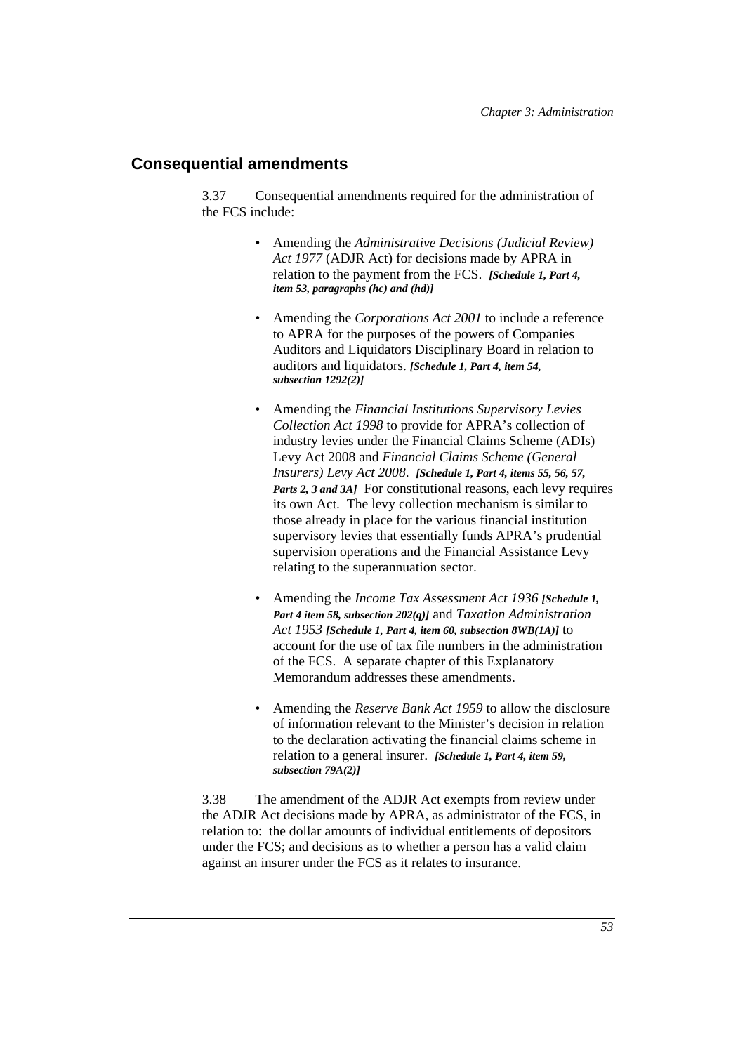# **Consequential amendments**

3.37 Consequential amendments required for the administration of the FCS include:

- Amending the *Administrative Decisions (Judicial Review) Act 1977* (ADJR Act) for decisions made by APRA in relation to the payment from the FCS. *[Schedule 1, Part 4, item 53, paragraphs (hc) and (hd)]*
- Amending the *Corporations Act 2001* to include a reference to APRA for the purposes of the powers of Companies Auditors and Liquidators Disciplinary Board in relation to auditors and liquidators. *[Schedule 1, Part 4, item 54, subsection 1292(2)]*
- Amending the *Financial Institutions Supervisory Levies Collection Act 1998* to provide for APRA's collection of industry levies under the Financial Claims Scheme (ADIs) Levy Act 2008 and *Financial Claims Scheme (General Insurers) Levy Act 2008*. *[Schedule 1, Part 4, items 55, 56, 57, Parts 2, 3 and 3A]* For constitutional reasons, each levy requires its own Act. The levy collection mechanism is similar to those already in place for the various financial institution supervisory levies that essentially funds APRA's prudential supervision operations and the Financial Assistance Levy relating to the superannuation sector.
- Amending the *Income Tax Assessment Act 1936 [Schedule 1, Part 4 item 58, subsection 202(q)]* and *Taxation Administration Act 1953 [Schedule 1, Part 4, item 60, subsection 8WB(1A)]* to account for the use of tax file numbers in the administration of the FCS. A separate chapter of this Explanatory Memorandum addresses these amendments.
- Amending the *Reserve Bank Act 1959* to allow the disclosure of information relevant to the Minister's decision in relation to the declaration activating the financial claims scheme in relation to a general insurer. *[Schedule 1, Part 4, item 59, subsection 79A(2)]*

3.38 The amendment of the ADJR Act exempts from review under the ADJR Act decisions made by APRA, as administrator of the FCS, in relation to: the dollar amounts of individual entitlements of depositors under the FCS; and decisions as to whether a person has a valid claim against an insurer under the FCS as it relates to insurance.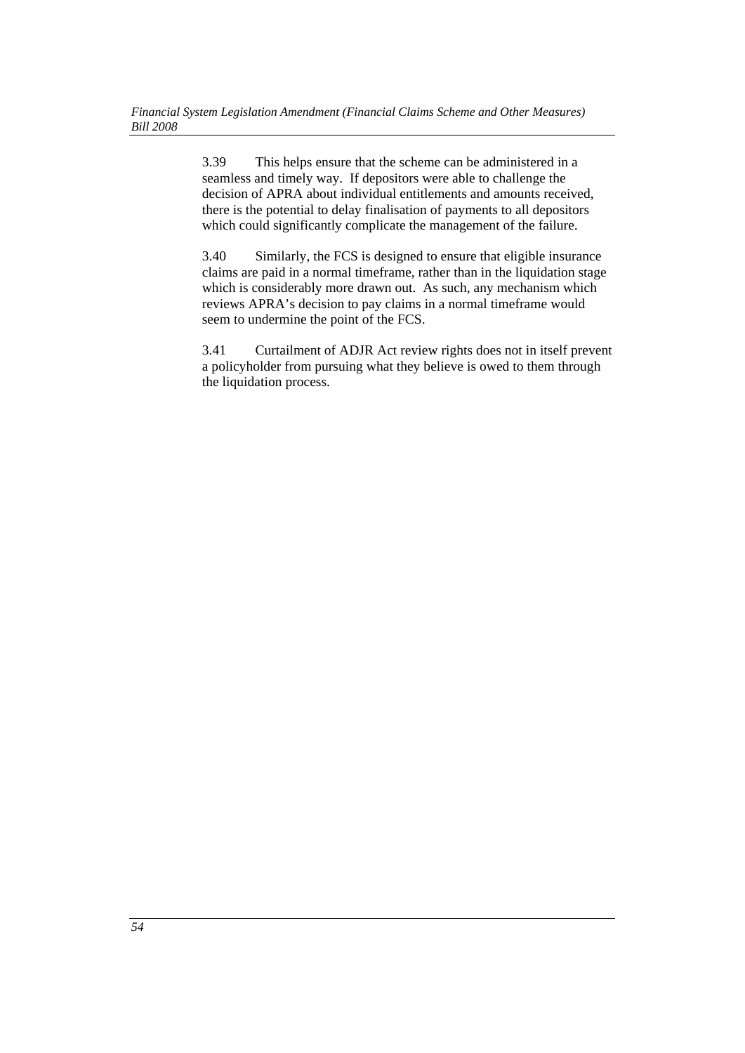3.39 This helps ensure that the scheme can be administered in a seamless and timely way. If depositors were able to challenge the decision of APRA about individual entitlements and amounts received, there is the potential to delay finalisation of payments to all depositors which could significantly complicate the management of the failure.

3.40 Similarly, the FCS is designed to ensure that eligible insurance claims are paid in a normal timeframe, rather than in the liquidation stage which is considerably more drawn out. As such, any mechanism which reviews APRA's decision to pay claims in a normal timeframe would seem to undermine the point of the FCS.

3.41 Curtailment of ADJR Act review rights does not in itself prevent a policyholder from pursuing what they believe is owed to them through the liquidation process.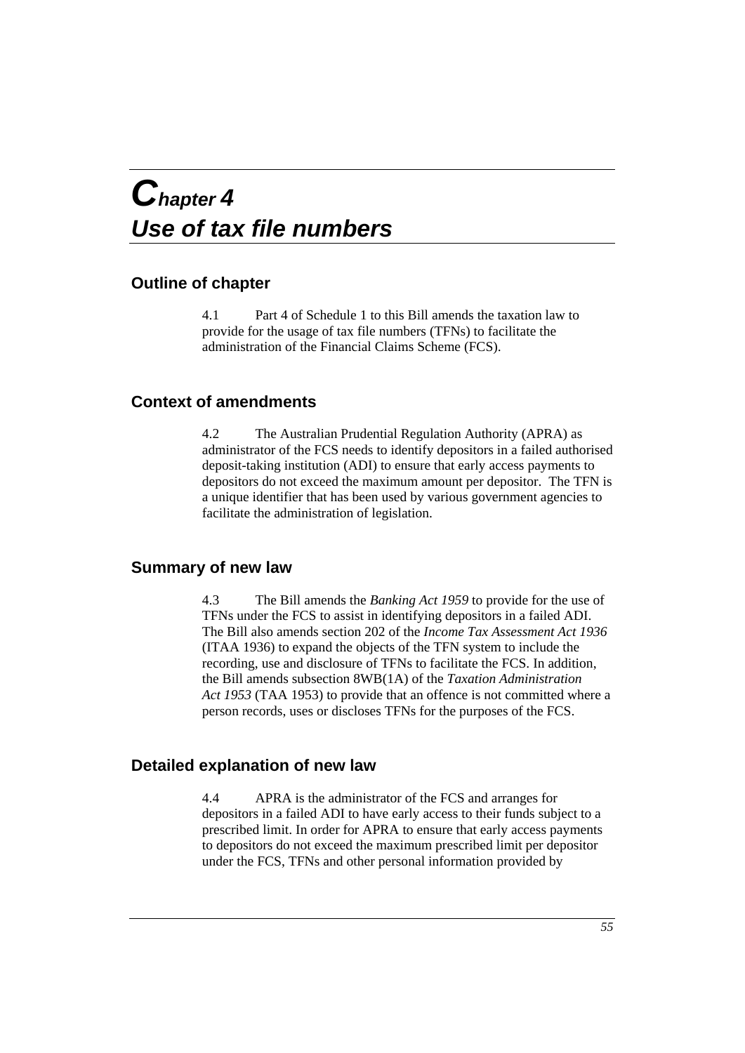# *Chapter 4 Use of tax file numbers*

# **Outline of chapter**

4.1 Part 4 of Schedule 1 to this Bill amends the taxation law to provide for the usage of tax file numbers (TFNs) to facilitate the administration of the Financial Claims Scheme (FCS).

# **Context of amendments**

4.2 The Australian Prudential Regulation Authority (APRA) as administrator of the FCS needs to identify depositors in a failed authorised deposit-taking institution (ADI) to ensure that early access payments to depositors do not exceed the maximum amount per depositor. The TFN is a unique identifier that has been used by various government agencies to facilitate the administration of legislation.

# **Summary of new law**

4.3 The Bill amends the *Banking Act 1959* to provide for the use of TFNs under the FCS to assist in identifying depositors in a failed ADI. The Bill also amends section 202 of the *Income Tax Assessment Act 1936* (ITAA 1936) to expand the objects of the TFN system to include the recording, use and disclosure of TFNs to facilitate the FCS. In addition, the Bill amends subsection 8WB(1A) of the *Taxation Administration Act 1953* (TAA 1953) to provide that an offence is not committed where a person records, uses or discloses TFNs for the purposes of the FCS.

# **Detailed explanation of new law**

4.4 APRA is the administrator of the FCS and arranges for depositors in a failed ADI to have early access to their funds subject to a prescribed limit. In order for APRA to ensure that early access payments to depositors do not exceed the maximum prescribed limit per depositor under the FCS, TFNs and other personal information provided by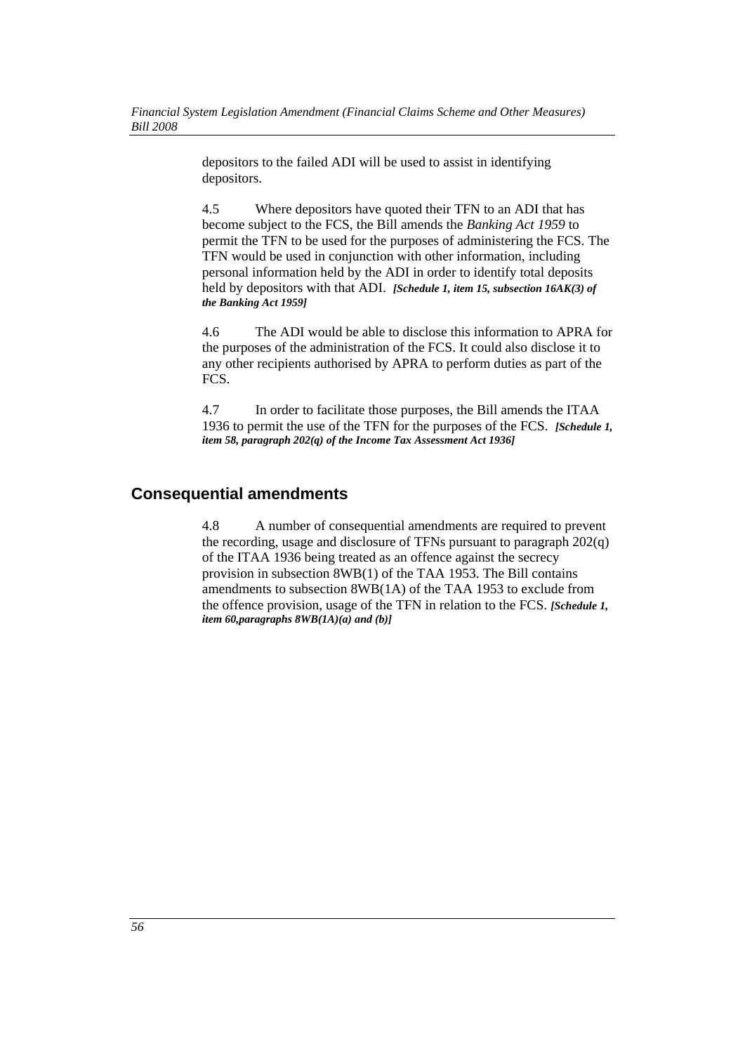depositors to the failed ADI will be used to assist in identifying depositors.

4.5 Where depositors have quoted their TFN to an ADI that has become subject to the FCS, the Bill amends the *Banking Act 1959* to permit the TFN to be used for the purposes of administering the FCS. The TFN would be used in conjunction with other information, including personal information held by the ADI in order to identify total deposits held by depositors with that ADI. *[Schedule 1, item 15, subsection 16AK(3) of the Banking Act 1959]*

4.6 The ADI would be able to disclose this information to APRA for the purposes of the administration of the FCS. It could also disclose it to any other recipients authorised by APRA to perform duties as part of the FCS.

4.7 In order to facilitate those purposes, the Bill amends the ITAA 1936 to permit the use of the TFN for the purposes of the FCS. *[Schedule 1, item 58, paragraph 202(q) of the Income Tax Assessment Act 1936]*

# **Consequential amendments**

4.8 A number of consequential amendments are required to prevent the recording, usage and disclosure of TFNs pursuant to paragraph 202(q) of the ITAA 1936 being treated as an offence against the secrecy provision in subsection 8WB(1) of the TAA 1953. The Bill contains amendments to subsection 8WB(1A) of the TAA 1953 to exclude from the offence provision, usage of the TFN in relation to the FCS. *[Schedule 1, item 60,paragraphs 8WB(1A)(a) and (b)]*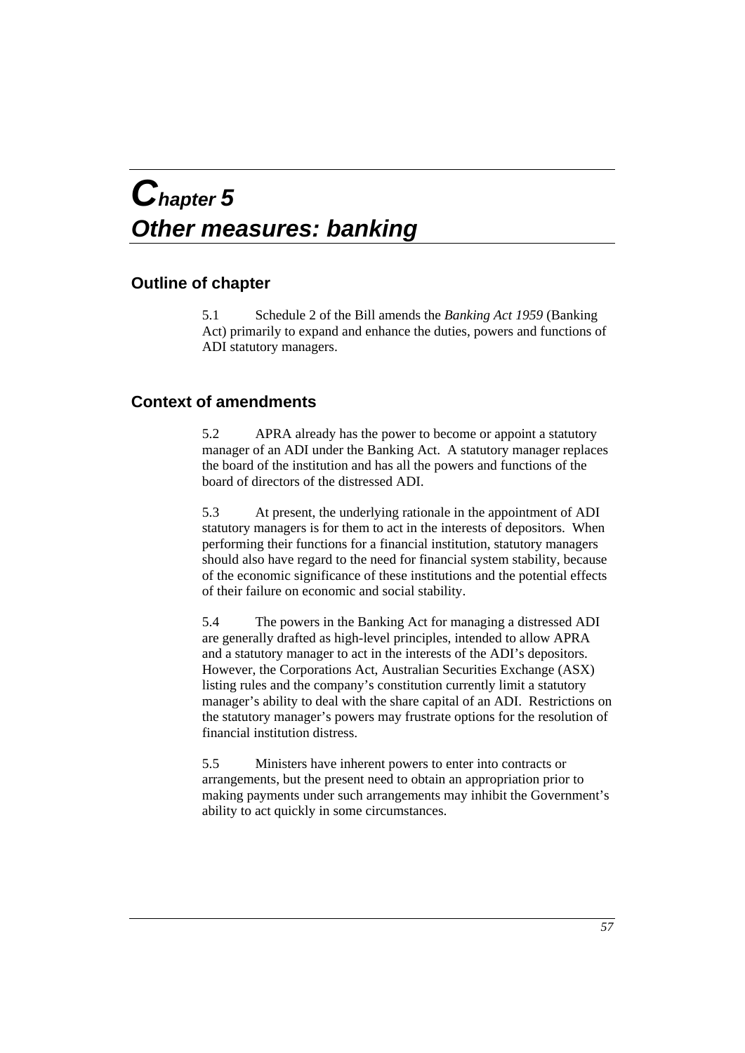# *Chapter 5 Other measures: banking*

# **Outline of chapter**

5.1 Schedule 2 of the Bill amends the *Banking Act 1959* (Banking Act) primarily to expand and enhance the duties, powers and functions of ADI statutory managers.

# **Context of amendments**

5.2 APRA already has the power to become or appoint a statutory manager of an ADI under the Banking Act. A statutory manager replaces the board of the institution and has all the powers and functions of the board of directors of the distressed ADI.

5.3 At present, the underlying rationale in the appointment of ADI statutory managers is for them to act in the interests of depositors. When performing their functions for a financial institution, statutory managers should also have regard to the need for financial system stability, because of the economic significance of these institutions and the potential effects of their failure on economic and social stability.

5.4 The powers in the Banking Act for managing a distressed ADI are generally drafted as high-level principles, intended to allow APRA and a statutory manager to act in the interests of the ADI's depositors. However, the Corporations Act, Australian Securities Exchange (ASX) listing rules and the company's constitution currently limit a statutory manager's ability to deal with the share capital of an ADI. Restrictions on the statutory manager's powers may frustrate options for the resolution of financial institution distress.

5.5 Ministers have inherent powers to enter into contracts or arrangements, but the present need to obtain an appropriation prior to making payments under such arrangements may inhibit the Government's ability to act quickly in some circumstances.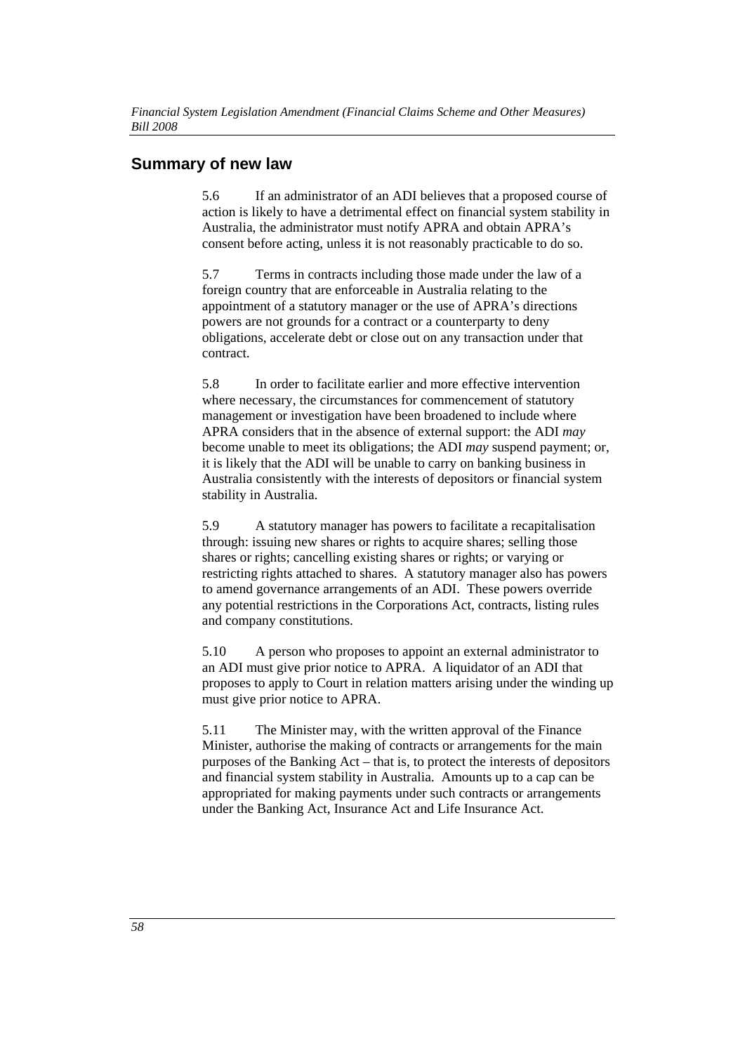# **Summary of new law**

5.6 If an administrator of an ADI believes that a proposed course of action is likely to have a detrimental effect on financial system stability in Australia, the administrator must notify APRA and obtain APRA's consent before acting, unless it is not reasonably practicable to do so.

5.7 Terms in contracts including those made under the law of a foreign country that are enforceable in Australia relating to the appointment of a statutory manager or the use of APRA's directions powers are not grounds for a contract or a counterparty to deny obligations, accelerate debt or close out on any transaction under that contract.

5.8 In order to facilitate earlier and more effective intervention where necessary, the circumstances for commencement of statutory management or investigation have been broadened to include where APRA considers that in the absence of external support: the ADI *may* become unable to meet its obligations; the ADI *may* suspend payment; or, it is likely that the ADI will be unable to carry on banking business in Australia consistently with the interests of depositors or financial system stability in Australia.

5.9 A statutory manager has powers to facilitate a recapitalisation through: issuing new shares or rights to acquire shares; selling those shares or rights; cancelling existing shares or rights; or varying or restricting rights attached to shares. A statutory manager also has powers to amend governance arrangements of an ADI. These powers override any potential restrictions in the Corporations Act, contracts, listing rules and company constitutions.

5.10 A person who proposes to appoint an external administrator to an ADI must give prior notice to APRA. A liquidator of an ADI that proposes to apply to Court in relation matters arising under the winding up must give prior notice to APRA.

5.11 The Minister may, with the written approval of the Finance Minister, authorise the making of contracts or arrangements for the main purposes of the Banking Act – that is, to protect the interests of depositors and financial system stability in Australia. Amounts up to a cap can be appropriated for making payments under such contracts or arrangements under the Banking Act, Insurance Act and Life Insurance Act.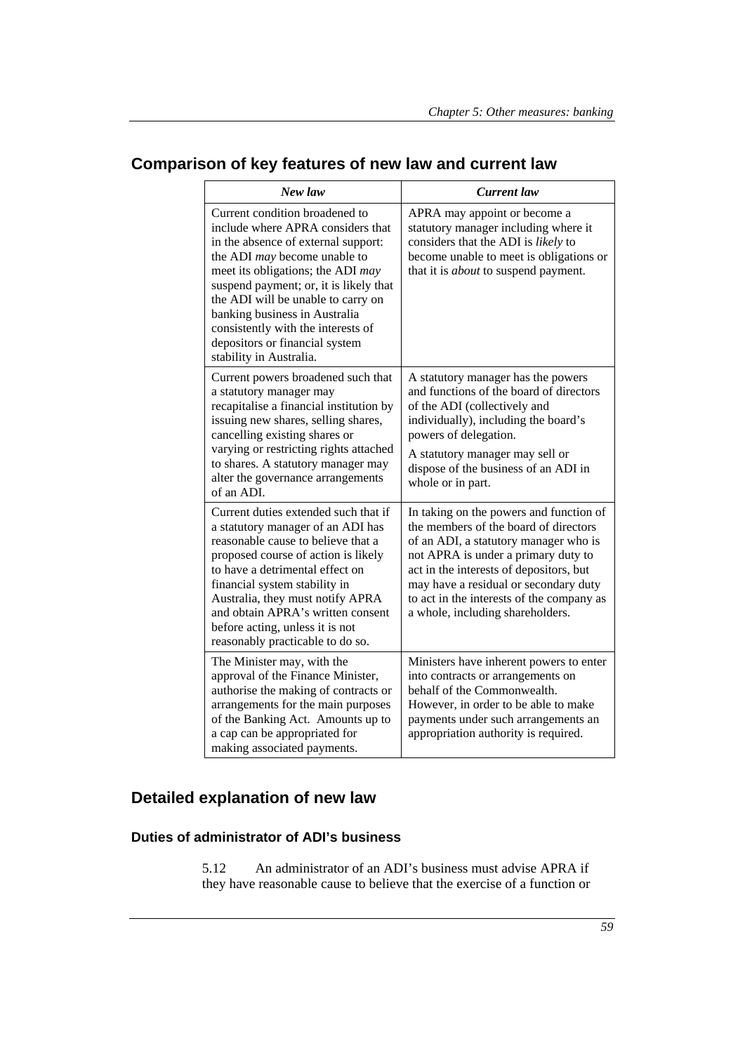| New law                                                                                                                                                                                                                                                                                                                                                                                             | <b>Current</b> law                                                                                                                                                                                                                                                                                                                    |
|-----------------------------------------------------------------------------------------------------------------------------------------------------------------------------------------------------------------------------------------------------------------------------------------------------------------------------------------------------------------------------------------------------|---------------------------------------------------------------------------------------------------------------------------------------------------------------------------------------------------------------------------------------------------------------------------------------------------------------------------------------|
| Current condition broadened to<br>include where APRA considers that<br>in the absence of external support:<br>the ADI may become unable to<br>meet its obligations; the ADI may<br>suspend payment; or, it is likely that<br>the ADI will be unable to carry on<br>banking business in Australia<br>consistently with the interests of<br>depositors or financial system<br>stability in Australia. | APRA may appoint or become a<br>statutory manager including where it<br>considers that the ADI is likely to<br>become unable to meet is obligations or<br>that it is <i>about</i> to suspend payment.                                                                                                                                 |
| Current powers broadened such that<br>a statutory manager may<br>recapitalise a financial institution by<br>issuing new shares, selling shares,<br>cancelling existing shares or<br>varying or restricting rights attached<br>to shares. A statutory manager may<br>alter the governance arrangements<br>of an ADI.                                                                                 | A statutory manager has the powers<br>and functions of the board of directors<br>of the ADI (collectively and<br>individually), including the board's<br>powers of delegation.<br>A statutory manager may sell or<br>dispose of the business of an ADI in<br>whole or in part.                                                        |
| Current duties extended such that if<br>a statutory manager of an ADI has<br>reasonable cause to believe that a<br>proposed course of action is likely<br>to have a detrimental effect on<br>financial system stability in<br>Australia, they must notify APRA<br>and obtain APRA's written consent<br>before acting, unless it is not<br>reasonably practicable to do so.                          | In taking on the powers and function of<br>the members of the board of directors<br>of an ADI, a statutory manager who is<br>not APRA is under a primary duty to<br>act in the interests of depositors, but<br>may have a residual or secondary duty<br>to act in the interests of the company as<br>a whole, including shareholders. |
| The Minister may, with the<br>approval of the Finance Minister,<br>authorise the making of contracts or<br>arrangements for the main purposes<br>of the Banking Act. Amounts up to<br>a cap can be appropriated for<br>making associated payments.                                                                                                                                                  | Ministers have inherent powers to enter<br>into contracts or arrangements on<br>behalf of the Commonwealth.<br>However, in order to be able to make<br>payments under such arrangements an<br>appropriation authority is required.                                                                                                    |

# **Comparison of key features of new law and current law**

# **Detailed explanation of new law**

# **Duties of administrator of ADI's business**

5.12 An administrator of an ADI's business must advise APRA if they have reasonable cause to believe that the exercise of a function or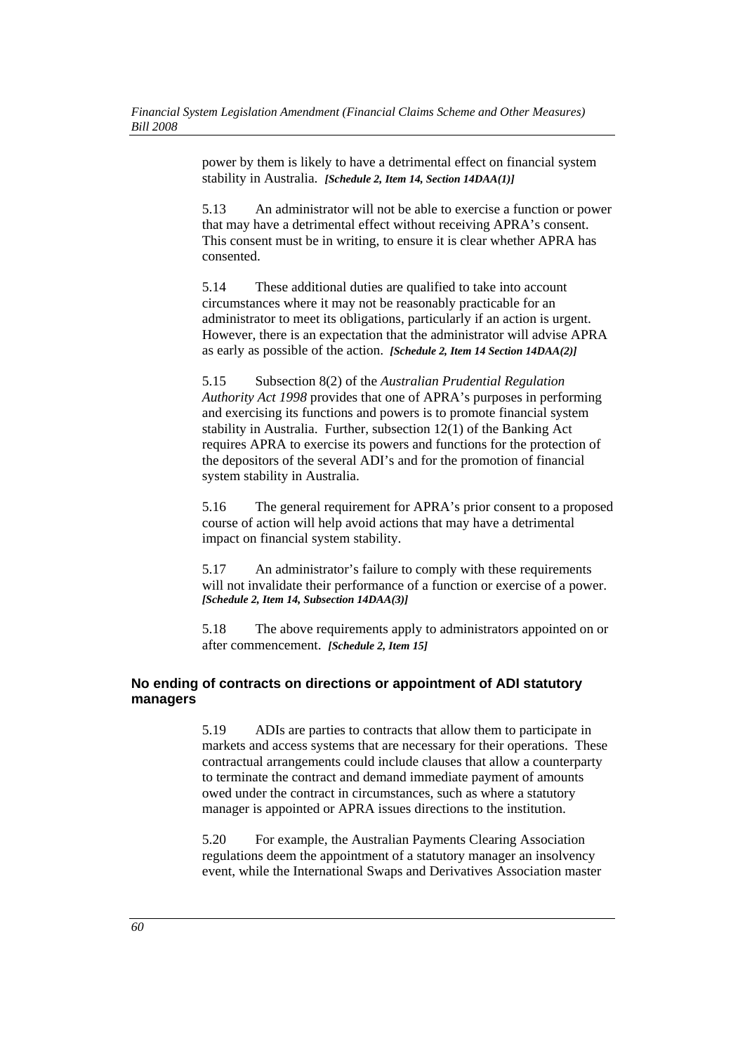power by them is likely to have a detrimental effect on financial system stability in Australia. *[Schedule 2, Item 14, Section 14DAA(1)]*

5.13 An administrator will not be able to exercise a function or power that may have a detrimental effect without receiving APRA's consent. This consent must be in writing, to ensure it is clear whether APRA has consented.

5.14 These additional duties are qualified to take into account circumstances where it may not be reasonably practicable for an administrator to meet its obligations, particularly if an action is urgent. However, there is an expectation that the administrator will advise APRA as early as possible of the action. *[Schedule 2, Item 14 Section 14DAA(2)]*

5.15 Subsection 8(2) of the *Australian Prudential Regulation Authority Act 1998* provides that one of APRA's purposes in performing and exercising its functions and powers is to promote financial system stability in Australia. Further, subsection 12(1) of the Banking Act requires APRA to exercise its powers and functions for the protection of the depositors of the several ADI's and for the promotion of financial system stability in Australia.

5.16 The general requirement for APRA's prior consent to a proposed course of action will help avoid actions that may have a detrimental impact on financial system stability.

5.17 An administrator's failure to comply with these requirements will not invalidate their performance of a function or exercise of a power. *[Schedule 2, Item 14, Subsection 14DAA(3)]*

5.18 The above requirements apply to administrators appointed on or after commencement. *[Schedule 2, Item 15]*

# **No ending of contracts on directions or appointment of ADI statutory managers**

5.19 ADIs are parties to contracts that allow them to participate in markets and access systems that are necessary for their operations. These contractual arrangements could include clauses that allow a counterparty to terminate the contract and demand immediate payment of amounts owed under the contract in circumstances, such as where a statutory manager is appointed or APRA issues directions to the institution.

5.20 For example, the Australian Payments Clearing Association regulations deem the appointment of a statutory manager an insolvency event, while the International Swaps and Derivatives Association master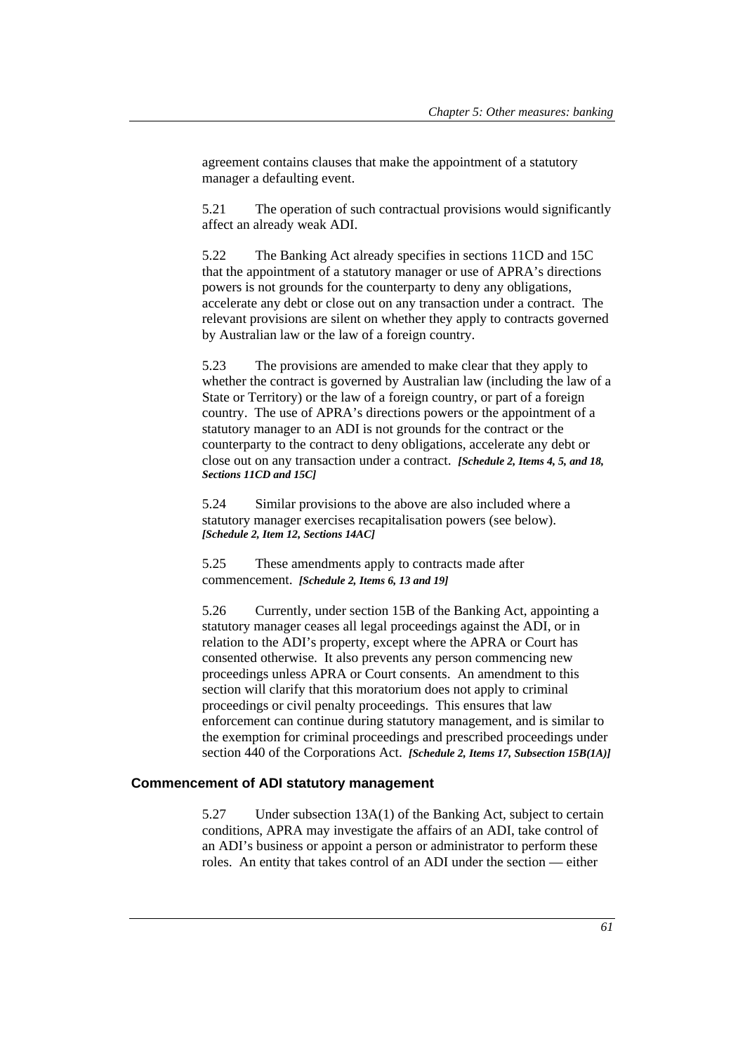agreement contains clauses that make the appointment of a statutory manager a defaulting event.

5.21 The operation of such contractual provisions would significantly affect an already weak ADI.

5.22 The Banking Act already specifies in sections 11CD and 15C that the appointment of a statutory manager or use of APRA's directions powers is not grounds for the counterparty to deny any obligations, accelerate any debt or close out on any transaction under a contract. The relevant provisions are silent on whether they apply to contracts governed by Australian law or the law of a foreign country.

5.23 The provisions are amended to make clear that they apply to whether the contract is governed by Australian law (including the law of a State or Territory) or the law of a foreign country, or part of a foreign country. The use of APRA's directions powers or the appointment of a statutory manager to an ADI is not grounds for the contract or the counterparty to the contract to deny obligations, accelerate any debt or close out on any transaction under a contract. *[Schedule 2, Items 4, 5, and 18, Sections 11CD and 15C]*

5.24 Similar provisions to the above are also included where a statutory manager exercises recapitalisation powers (see below). *[Schedule 2, Item 12, Sections 14AC]*

5.25 These amendments apply to contracts made after commencement. *[Schedule 2, Items 6, 13 and 19]*

5.26 Currently, under section 15B of the Banking Act, appointing a statutory manager ceases all legal proceedings against the ADI, or in relation to the ADI's property, except where the APRA or Court has consented otherwise. It also prevents any person commencing new proceedings unless APRA or Court consents. An amendment to this section will clarify that this moratorium does not apply to criminal proceedings or civil penalty proceedings. This ensures that law enforcement can continue during statutory management, and is similar to the exemption for criminal proceedings and prescribed proceedings under section 440 of the Corporations Act. *[Schedule 2, Items 17, Subsection 15B(1A)]*

## **Commencement of ADI statutory management**

5.27 Under subsection 13A(1) of the Banking Act, subject to certain conditions, APRA may investigate the affairs of an ADI, take control of an ADI's business or appoint a person or administrator to perform these roles. An entity that takes control of an ADI under the section — either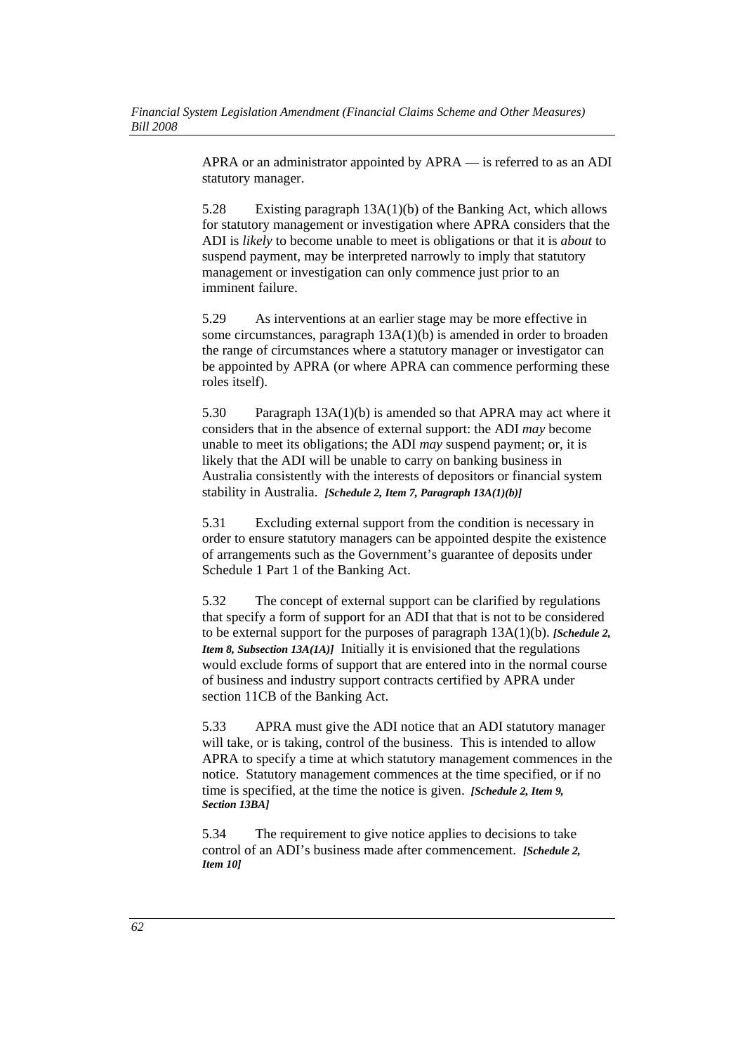APRA or an administrator appointed by APRA — is referred to as an ADI statutory manager.

5.28 Existing paragraph 13A(1)(b) of the Banking Act, which allows for statutory management or investigation where APRA considers that the ADI is *likely* to become unable to meet is obligations or that it is *about* to suspend payment, may be interpreted narrowly to imply that statutory management or investigation can only commence just prior to an imminent failure.

5.29 As interventions at an earlier stage may be more effective in some circumstances, paragraph 13A(1)(b) is amended in order to broaden the range of circumstances where a statutory manager or investigator can be appointed by APRA (or where APRA can commence performing these roles itself).

5.30 Paragraph 13A(1)(b) is amended so that APRA may act where it considers that in the absence of external support: the ADI *may* become unable to meet its obligations; the ADI *may* suspend payment; or, it is likely that the ADI will be unable to carry on banking business in Australia consistently with the interests of depositors or financial system stability in Australia. *[Schedule 2, Item 7, Paragraph 13A(1)(b)]*

5.31 Excluding external support from the condition is necessary in order to ensure statutory managers can be appointed despite the existence of arrangements such as the Government's guarantee of deposits under Schedule 1 Part 1 of the Banking Act.

5.32 The concept of external support can be clarified by regulations that specify a form of support for an ADI that that is not to be considered to be external support for the purposes of paragraph 13A(1)(b). *[Schedule 2, Item 8, Subsection 13A(1A)]* Initially it is envisioned that the regulations would exclude forms of support that are entered into in the normal course of business and industry support contracts certified by APRA under section 11CB of the Banking Act.

5.33 APRA must give the ADI notice that an ADI statutory manager will take, or is taking, control of the business. This is intended to allow APRA to specify a time at which statutory management commences in the notice. Statutory management commences at the time specified, or if no time is specified, at the time the notice is given. *[Schedule 2, Item 9, Section 13BA]*

5.34 The requirement to give notice applies to decisions to take control of an ADI's business made after commencement. *[Schedule 2, Item 10]*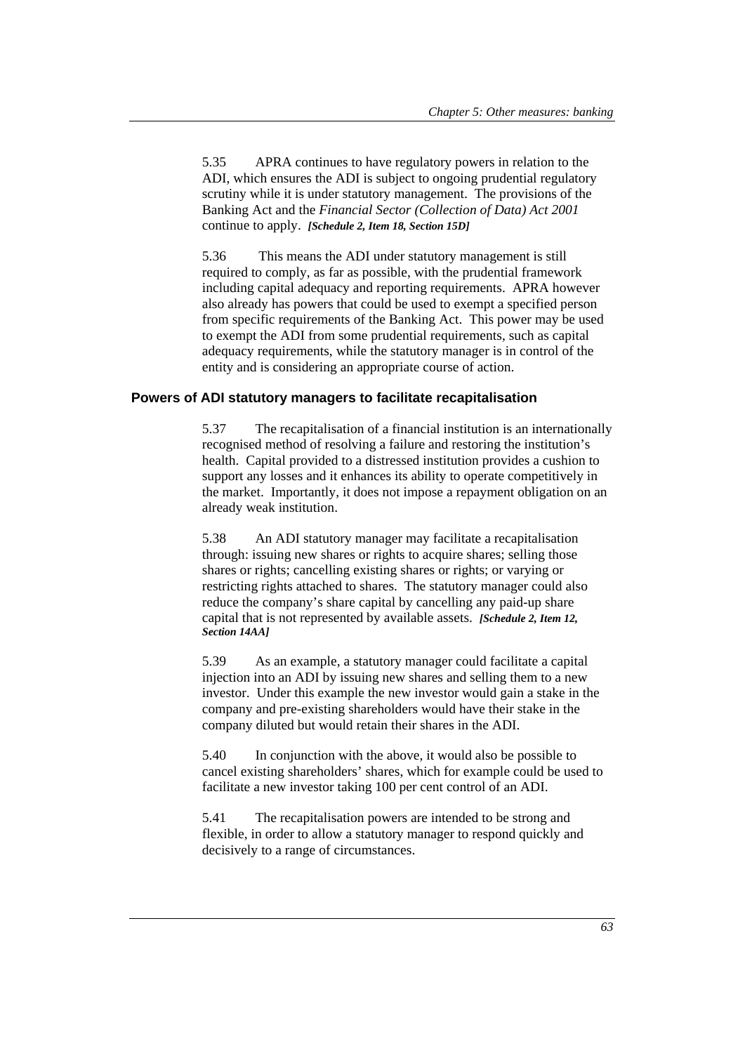5.35 APRA continues to have regulatory powers in relation to the ADI, which ensures the ADI is subject to ongoing prudential regulatory scrutiny while it is under statutory management. The provisions of the Banking Act and the *Financial Sector (Collection of Data) Act 2001* continue to apply. *[Schedule 2, Item 18, Section 15D]*

5.36 This means the ADI under statutory management is still required to comply, as far as possible, with the prudential framework including capital adequacy and reporting requirements. APRA however also already has powers that could be used to exempt a specified person from specific requirements of the Banking Act. This power may be used to exempt the ADI from some prudential requirements, such as capital adequacy requirements, while the statutory manager is in control of the entity and is considering an appropriate course of action.

## **Powers of ADI statutory managers to facilitate recapitalisation**

5.37 The recapitalisation of a financial institution is an internationally recognised method of resolving a failure and restoring the institution's health. Capital provided to a distressed institution provides a cushion to support any losses and it enhances its ability to operate competitively in the market. Importantly, it does not impose a repayment obligation on an already weak institution.

5.38 An ADI statutory manager may facilitate a recapitalisation through: issuing new shares or rights to acquire shares; selling those shares or rights; cancelling existing shares or rights; or varying or restricting rights attached to shares. The statutory manager could also reduce the company's share capital by cancelling any paid-up share capital that is not represented by available assets. *[Schedule 2, Item 12, Section 14AA]*

5.39 As an example, a statutory manager could facilitate a capital injection into an ADI by issuing new shares and selling them to a new investor. Under this example the new investor would gain a stake in the company and pre-existing shareholders would have their stake in the company diluted but would retain their shares in the ADI.

5.40 In conjunction with the above, it would also be possible to cancel existing shareholders' shares, which for example could be used to facilitate a new investor taking 100 per cent control of an ADI.

5.41 The recapitalisation powers are intended to be strong and flexible, in order to allow a statutory manager to respond quickly and decisively to a range of circumstances.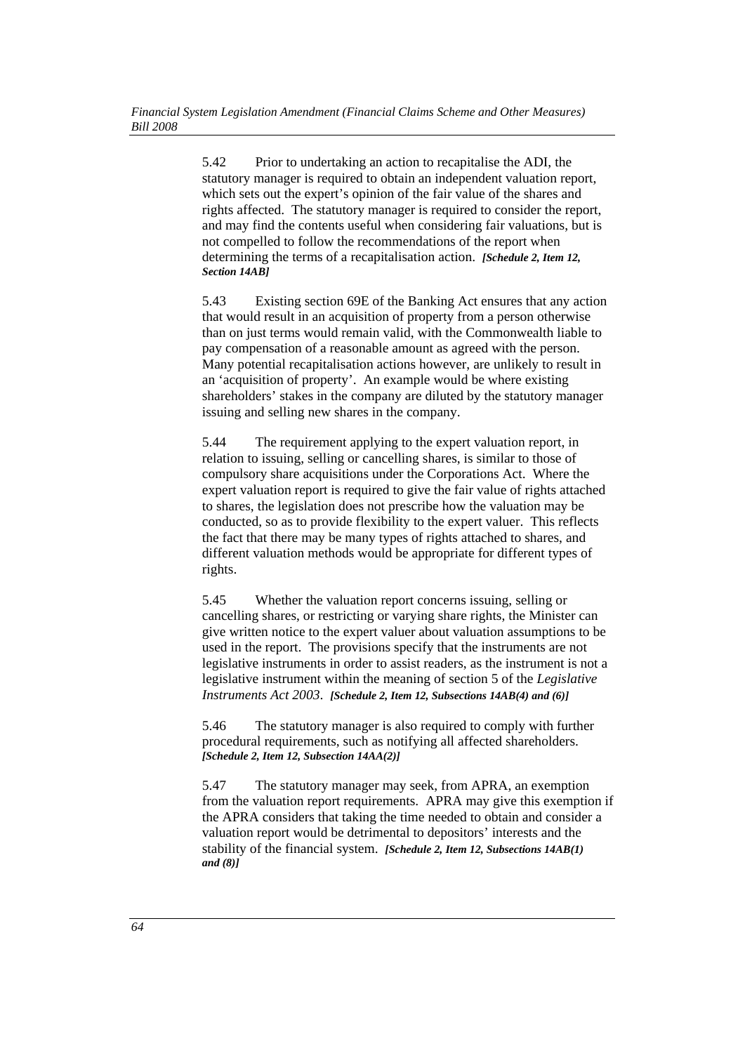5.42 Prior to undertaking an action to recapitalise the ADI, the statutory manager is required to obtain an independent valuation report, which sets out the expert's opinion of the fair value of the shares and rights affected. The statutory manager is required to consider the report, and may find the contents useful when considering fair valuations, but is not compelled to follow the recommendations of the report when determining the terms of a recapitalisation action. *[Schedule 2, Item 12, Section 14AB]*

5.43 Existing section 69E of the Banking Act ensures that any action that would result in an acquisition of property from a person otherwise than on just terms would remain valid, with the Commonwealth liable to pay compensation of a reasonable amount as agreed with the person. Many potential recapitalisation actions however, are unlikely to result in an 'acquisition of property'. An example would be where existing shareholders' stakes in the company are diluted by the statutory manager issuing and selling new shares in the company.

5.44 The requirement applying to the expert valuation report, in relation to issuing, selling or cancelling shares, is similar to those of compulsory share acquisitions under the Corporations Act. Where the expert valuation report is required to give the fair value of rights attached to shares, the legislation does not prescribe how the valuation may be conducted, so as to provide flexibility to the expert valuer. This reflects the fact that there may be many types of rights attached to shares, and different valuation methods would be appropriate for different types of rights.

5.45 Whether the valuation report concerns issuing, selling or cancelling shares, or restricting or varying share rights, the Minister can give written notice to the expert valuer about valuation assumptions to be used in the report. The provisions specify that the instruments are not legislative instruments in order to assist readers, as the instrument is not a legislative instrument within the meaning of section 5 of the *Legislative Instruments Act 2003*. *[Schedule 2, Item 12, Subsections 14AB(4) and (6)]*

5.46 The statutory manager is also required to comply with further procedural requirements, such as notifying all affected shareholders. *[Schedule 2, Item 12, Subsection 14AA(2)]*

5.47 The statutory manager may seek, from APRA, an exemption from the valuation report requirements. APRA may give this exemption if the APRA considers that taking the time needed to obtain and consider a valuation report would be detrimental to depositors' interests and the stability of the financial system. *[Schedule 2, Item 12, Subsections 14AB(1) and (8)]*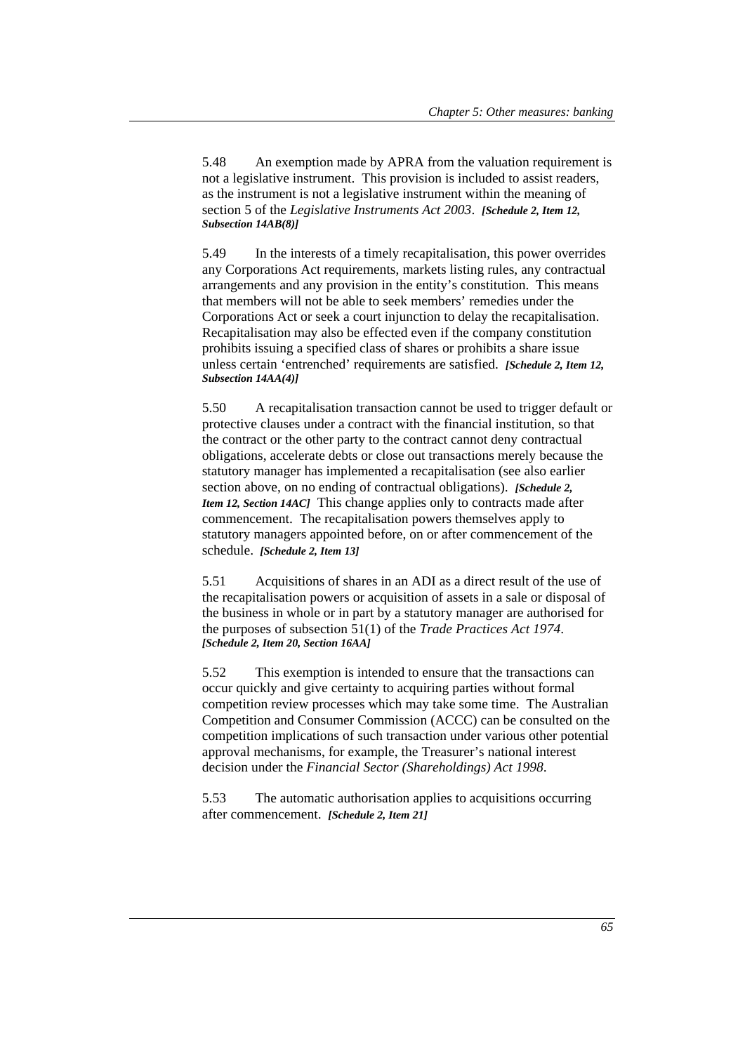5.48 An exemption made by APRA from the valuation requirement is not a legislative instrument. This provision is included to assist readers, as the instrument is not a legislative instrument within the meaning of section 5 of the *Legislative Instruments Act 2003*. *[Schedule 2, Item 12, Subsection 14AB(8)]*

5.49 In the interests of a timely recapitalisation, this power overrides any Corporations Act requirements, markets listing rules, any contractual arrangements and any provision in the entity's constitution. This means that members will not be able to seek members' remedies under the Corporations Act or seek a court injunction to delay the recapitalisation. Recapitalisation may also be effected even if the company constitution prohibits issuing a specified class of shares or prohibits a share issue unless certain 'entrenched' requirements are satisfied. *[Schedule 2, Item 12, Subsection 14AA(4)]*

5.50 A recapitalisation transaction cannot be used to trigger default or protective clauses under a contract with the financial institution, so that the contract or the other party to the contract cannot deny contractual obligations, accelerate debts or close out transactions merely because the statutory manager has implemented a recapitalisation (see also earlier section above, on no ending of contractual obligations). *[Schedule 2, Item 12, Section 14ACl* This change applies only to contracts made after commencement. The recapitalisation powers themselves apply to statutory managers appointed before, on or after commencement of the schedule. *[Schedule 2, Item 13]*

5.51 Acquisitions of shares in an ADI as a direct result of the use of the recapitalisation powers or acquisition of assets in a sale or disposal of the business in whole or in part by a statutory manager are authorised for the purposes of subsection 51(1) of the *Trade Practices Act 1974*. *[Schedule 2, Item 20, Section 16AA]* 

5.52 This exemption is intended to ensure that the transactions can occur quickly and give certainty to acquiring parties without formal competition review processes which may take some time. The Australian Competition and Consumer Commission (ACCC) can be consulted on the competition implications of such transaction under various other potential approval mechanisms, for example, the Treasurer's national interest decision under the *Financial Sector (Shareholdings) Act 1998*.

5.53 The automatic authorisation applies to acquisitions occurring after commencement. *[Schedule 2, Item 21]*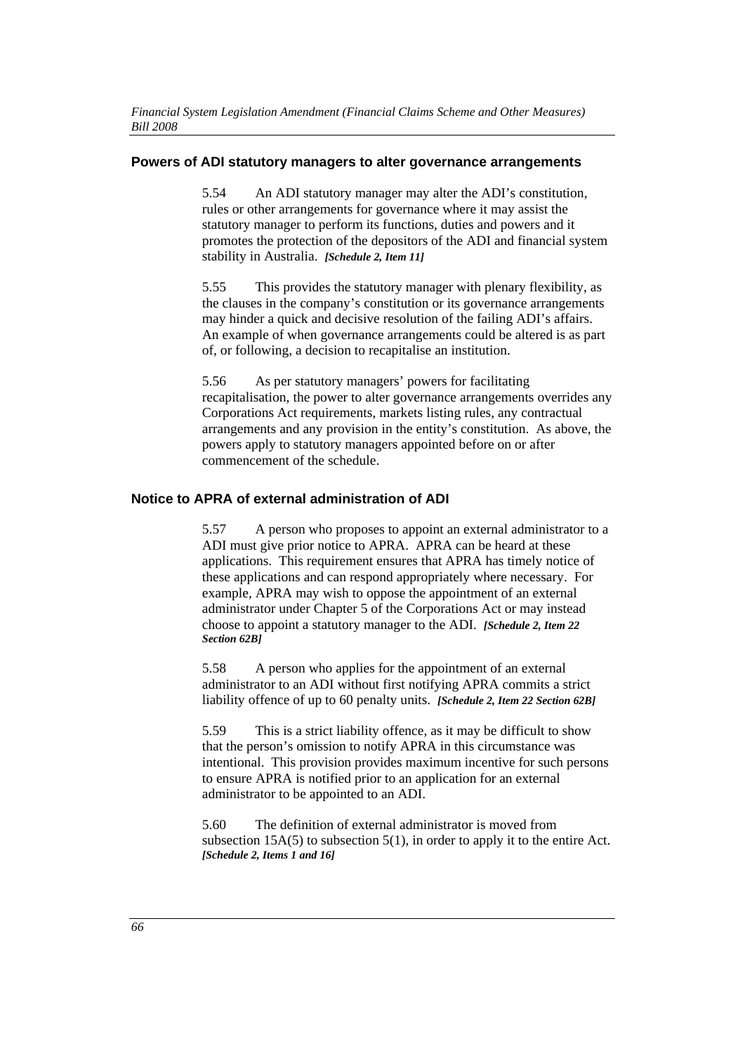## **Powers of ADI statutory managers to alter governance arrangements**

5.54 An ADI statutory manager may alter the ADI's constitution, rules or other arrangements for governance where it may assist the statutory manager to perform its functions, duties and powers and it promotes the protection of the depositors of the ADI and financial system stability in Australia. *[Schedule 2, Item 11]*

5.55 This provides the statutory manager with plenary flexibility, as the clauses in the company's constitution or its governance arrangements may hinder a quick and decisive resolution of the failing ADI's affairs. An example of when governance arrangements could be altered is as part of, or following, a decision to recapitalise an institution.

5.56 As per statutory managers' powers for facilitating recapitalisation, the power to alter governance arrangements overrides any Corporations Act requirements, markets listing rules, any contractual arrangements and any provision in the entity's constitution. As above, the powers apply to statutory managers appointed before on or after commencement of the schedule.

#### **Notice to APRA of external administration of ADI**

5.57 A person who proposes to appoint an external administrator to a ADI must give prior notice to APRA. APRA can be heard at these applications. This requirement ensures that APRA has timely notice of these applications and can respond appropriately where necessary. For example, APRA may wish to oppose the appointment of an external administrator under Chapter 5 of the Corporations Act or may instead choose to appoint a statutory manager to the ADI. *[Schedule 2, Item 22 Section 62B]*

5.58 A person who applies for the appointment of an external administrator to an ADI without first notifying APRA commits a strict liability offence of up to 60 penalty units. *[Schedule 2, Item 22 Section 62B]*

5.59 This is a strict liability offence, as it may be difficult to show that the person's omission to notify APRA in this circumstance was intentional. This provision provides maximum incentive for such persons to ensure APRA is notified prior to an application for an external administrator to be appointed to an ADI.

5.60 The definition of external administrator is moved from subsection  $15A(5)$  to subsection  $5(1)$ , in order to apply it to the entire Act. *[Schedule 2, Items 1 and 16]*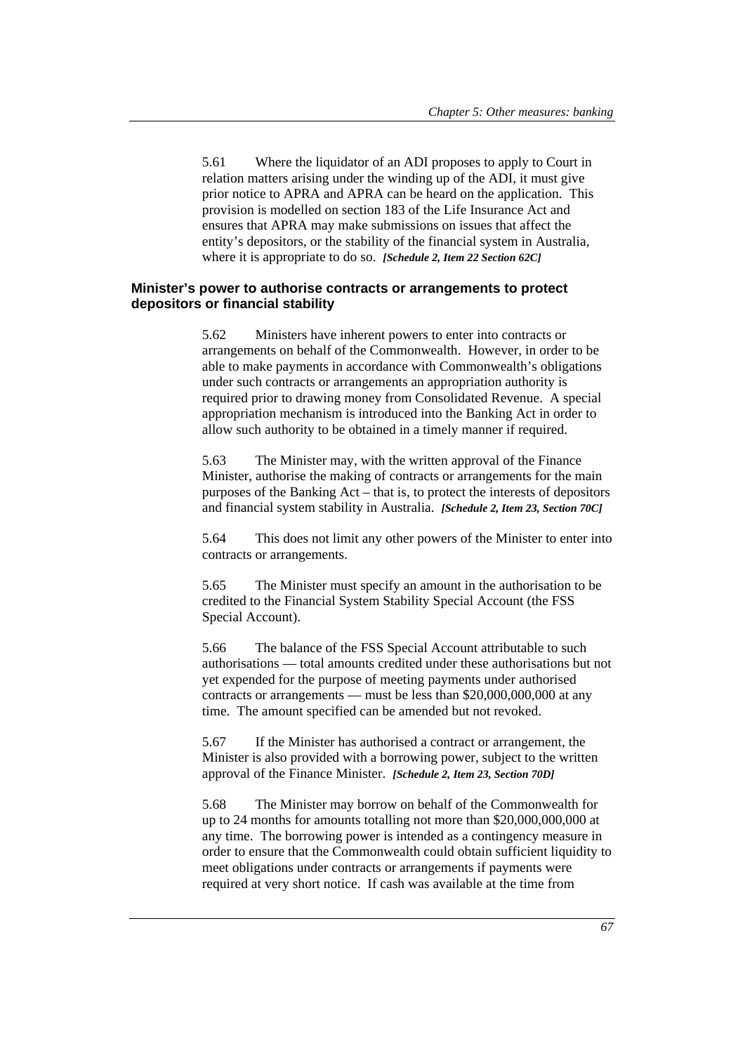5.61 Where the liquidator of an ADI proposes to apply to Court in relation matters arising under the winding up of the ADI, it must give prior notice to APRA and APRA can be heard on the application. This provision is modelled on section 183 of the Life Insurance Act and ensures that APRA may make submissions on issues that affect the entity's depositors, or the stability of the financial system in Australia, where it is appropriate to do so. *[Schedule 2, Item 22 Section 62C]*

#### **Minister's power to authorise contracts or arrangements to protect depositors or financial stability**

5.62 Ministers have inherent powers to enter into contracts or arrangements on behalf of the Commonwealth. However, in order to be able to make payments in accordance with Commonwealth's obligations under such contracts or arrangements an appropriation authority is required prior to drawing money from Consolidated Revenue. A special appropriation mechanism is introduced into the Banking Act in order to allow such authority to be obtained in a timely manner if required.

5.63 The Minister may, with the written approval of the Finance Minister, authorise the making of contracts or arrangements for the main purposes of the Banking Act – that is, to protect the interests of depositors and financial system stability in Australia. *[Schedule 2, Item 23, Section 70C]*

5.64 This does not limit any other powers of the Minister to enter into contracts or arrangements.

5.65 The Minister must specify an amount in the authorisation to be credited to the Financial System Stability Special Account (the FSS Special Account).

5.66 The balance of the FSS Special Account attributable to such authorisations — total amounts credited under these authorisations but not yet expended for the purpose of meeting payments under authorised contracts or arrangements — must be less than \$20,000,000,000 at any time. The amount specified can be amended but not revoked.

5.67 If the Minister has authorised a contract or arrangement, the Minister is also provided with a borrowing power, subject to the written approval of the Finance Minister. *[Schedule 2, Item 23, Section 70D]*

5.68 The Minister may borrow on behalf of the Commonwealth for up to 24 months for amounts totalling not more than \$20,000,000,000 at any time. The borrowing power is intended as a contingency measure in order to ensure that the Commonwealth could obtain sufficient liquidity to meet obligations under contracts or arrangements if payments were required at very short notice. If cash was available at the time from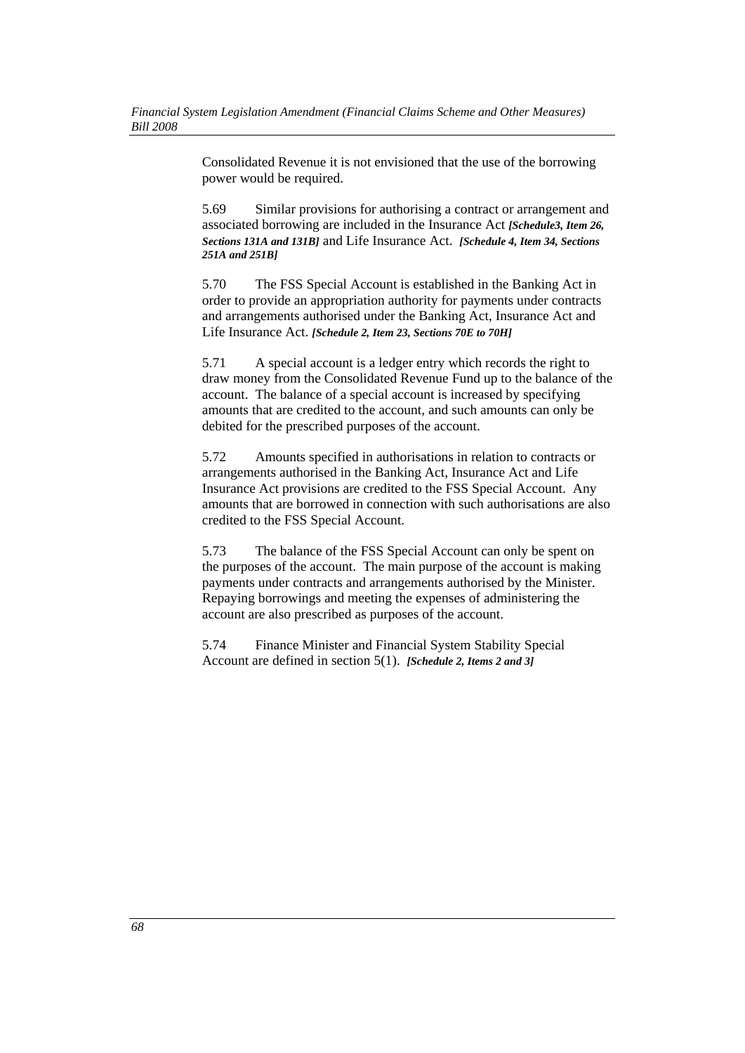Consolidated Revenue it is not envisioned that the use of the borrowing power would be required.

5.69 Similar provisions for authorising a contract or arrangement and associated borrowing are included in the Insurance Act *[Schedule3, Item 26, Sections 131A and 131B]* and Life Insurance Act. *[Schedule 4, Item 34, Sections 251A and 251B]*

5.70 The FSS Special Account is established in the Banking Act in order to provide an appropriation authority for payments under contracts and arrangements authorised under the Banking Act, Insurance Act and Life Insurance Act. *[Schedule 2, Item 23, Sections 70E to 70H]*

5.71 A special account is a ledger entry which records the right to draw money from the Consolidated Revenue Fund up to the balance of the account. The balance of a special account is increased by specifying amounts that are credited to the account, and such amounts can only be debited for the prescribed purposes of the account.

5.72 Amounts specified in authorisations in relation to contracts or arrangements authorised in the Banking Act, Insurance Act and Life Insurance Act provisions are credited to the FSS Special Account. Any amounts that are borrowed in connection with such authorisations are also credited to the FSS Special Account.

5.73 The balance of the FSS Special Account can only be spent on the purposes of the account. The main purpose of the account is making payments under contracts and arrangements authorised by the Minister. Repaying borrowings and meeting the expenses of administering the account are also prescribed as purposes of the account.

5.74 Finance Minister and Financial System Stability Special Account are defined in section 5(1). *[Schedule 2, Items 2 and 3]*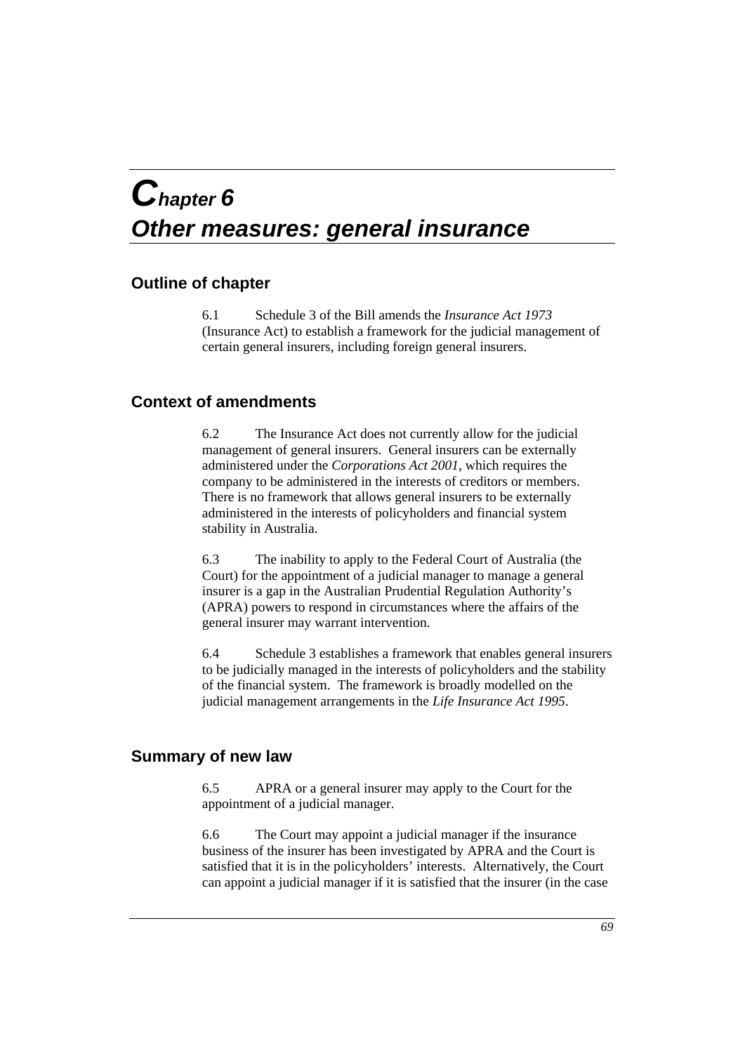## *Chapter 6 Other measures: general insurance*

## **Outline of chapter**

6.1 Schedule 3 of the Bill amends the *Insurance Act 1973* (Insurance Act) to establish a framework for the judicial management of certain general insurers, including foreign general insurers.

## **Context of amendments**

6.2 The Insurance Act does not currently allow for the judicial management of general insurers. General insurers can be externally administered under the *Corporations Act 2001*, which requires the company to be administered in the interests of creditors or members. There is no framework that allows general insurers to be externally administered in the interests of policyholders and financial system stability in Australia.

6.3 The inability to apply to the Federal Court of Australia (the Court) for the appointment of a judicial manager to manage a general insurer is a gap in the Australian Prudential Regulation Authority's (APRA) powers to respond in circumstances where the affairs of the general insurer may warrant intervention.

6.4 Schedule 3 establishes a framework that enables general insurers to be judicially managed in the interests of policyholders and the stability of the financial system. The framework is broadly modelled on the judicial management arrangements in the *Life Insurance Act 1995*.

## **Summary of new law**

6.5 APRA or a general insurer may apply to the Court for the appointment of a judicial manager.

6.6 The Court may appoint a judicial manager if the insurance business of the insurer has been investigated by APRA and the Court is satisfied that it is in the policyholders' interests. Alternatively, the Court can appoint a judicial manager if it is satisfied that the insurer (in the case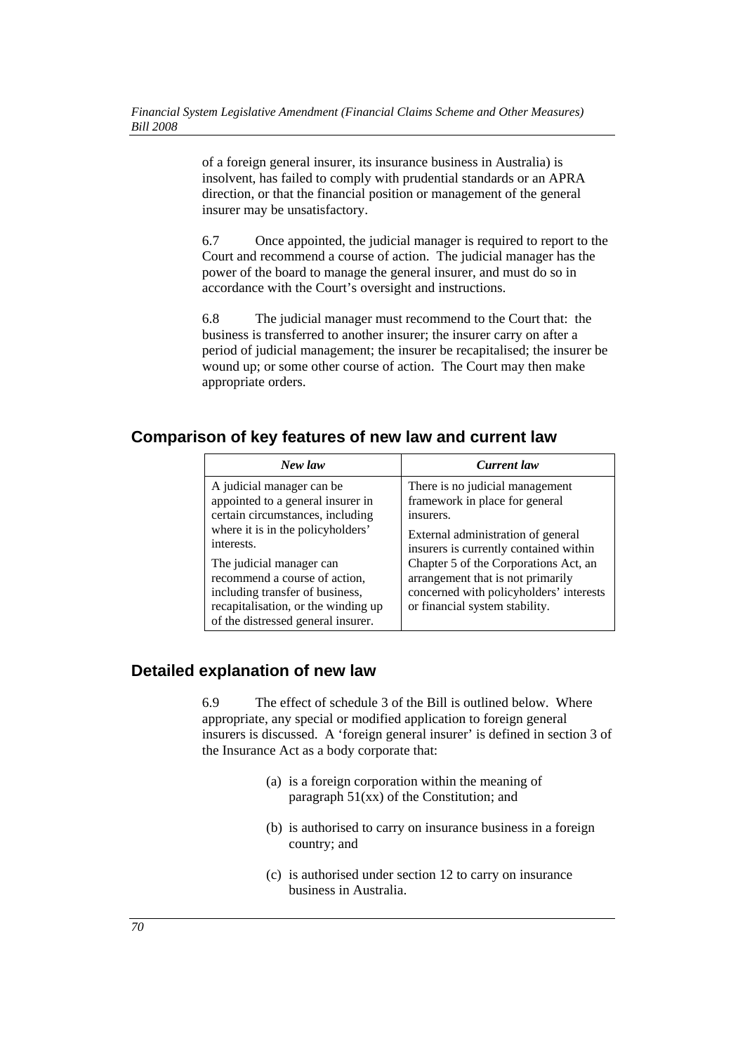of a foreign general insurer, its insurance business in Australia) is insolvent, has failed to comply with prudential standards or an APRA direction, or that the financial position or management of the general insurer may be unsatisfactory.

6.7 Once appointed, the judicial manager is required to report to the Court and recommend a course of action. The judicial manager has the power of the board to manage the general insurer, and must do so in accordance with the Court's oversight and instructions.

6.8 The judicial manager must recommend to the Court that: the business is transferred to another insurer; the insurer carry on after a period of judicial management; the insurer be recapitalised; the insurer be wound up; or some other course of action. The Court may then make appropriate orders.

## **Comparison of key features of new law and current law**

| New law                                                                                                                                                                                                                                                                                                                            | <b>Current</b> law                                                                                                                                                                                                                                                                                                        |
|------------------------------------------------------------------------------------------------------------------------------------------------------------------------------------------------------------------------------------------------------------------------------------------------------------------------------------|---------------------------------------------------------------------------------------------------------------------------------------------------------------------------------------------------------------------------------------------------------------------------------------------------------------------------|
| A judicial manager can be<br>appointed to a general insurer in<br>certain circumstances, including<br>where it is in the policyholders'<br>interests.<br>The judicial manager can<br>recommend a course of action,<br>including transfer of business,<br>recapitalisation, or the winding up<br>of the distressed general insurer. | There is no judicial management<br>framework in place for general<br>insurers.<br>External administration of general<br>insurers is currently contained within<br>Chapter 5 of the Corporations Act, an<br>arrangement that is not primarily<br>concerned with policyholders' interests<br>or financial system stability. |

## **Detailed explanation of new law**

6.9 The effect of schedule 3 of the Bill is outlined below. Where appropriate, any special or modified application to foreign general insurers is discussed. A 'foreign general insurer' is defined in section 3 of the Insurance Act as a body corporate that:

- (a) is a foreign corporation within the meaning of paragraph 51(xx) of the Constitution; and
- (b) is authorised to carry on insurance business in a foreign country; and
- (c) is authorised under section 12 to carry on insurance business in Australia.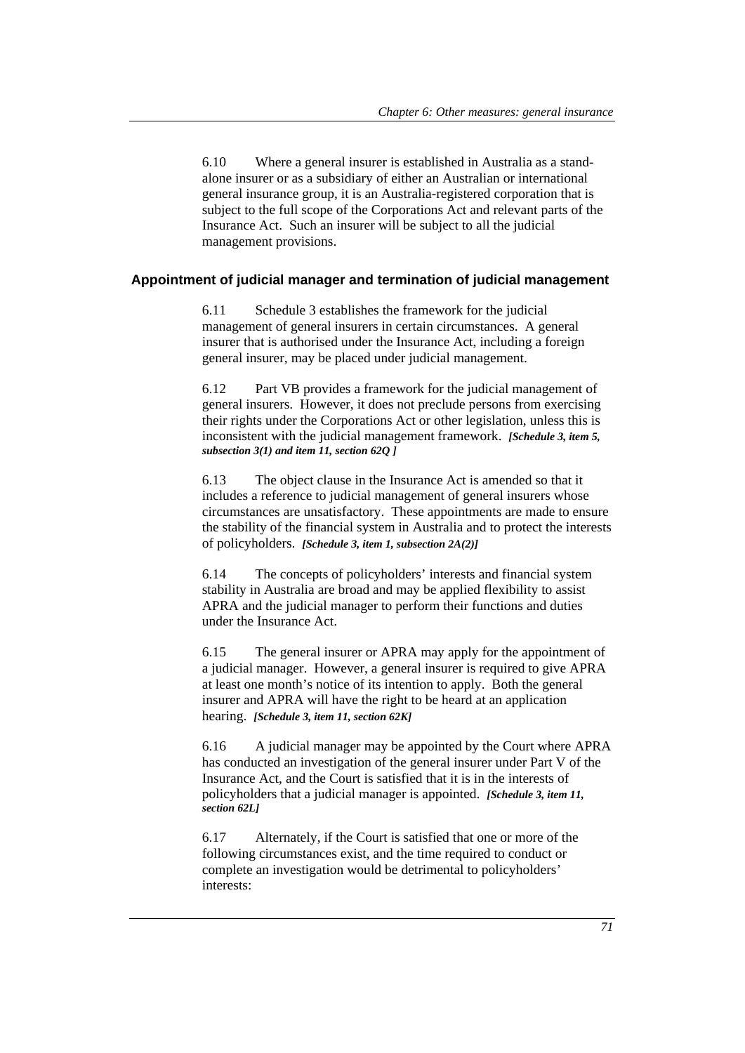6.10 Where a general insurer is established in Australia as a standalone insurer or as a subsidiary of either an Australian or international general insurance group, it is an Australia-registered corporation that is subject to the full scope of the Corporations Act and relevant parts of the Insurance Act. Such an insurer will be subject to all the judicial management provisions.

#### **Appointment of judicial manager and termination of judicial management**

6.11 Schedule 3 establishes the framework for the judicial management of general insurers in certain circumstances. A general insurer that is authorised under the Insurance Act, including a foreign general insurer, may be placed under judicial management.

6.12 Part VB provides a framework for the judicial management of general insurers. However, it does not preclude persons from exercising their rights under the Corporations Act or other legislation, unless this is inconsistent with the judicial management framework. *[Schedule 3, item 5, subsection 3(1) and item 11, section 62Q ]*

6.13 The object clause in the Insurance Act is amended so that it includes a reference to judicial management of general insurers whose circumstances are unsatisfactory. These appointments are made to ensure the stability of the financial system in Australia and to protect the interests of policyholders. *[Schedule 3, item 1, subsection 2A(2)]* 

6.14 The concepts of policyholders' interests and financial system stability in Australia are broad and may be applied flexibility to assist APRA and the judicial manager to perform their functions and duties under the Insurance Act.

6.15 The general insurer or APRA may apply for the appointment of a judicial manager. However, a general insurer is required to give APRA at least one month's notice of its intention to apply. Both the general insurer and APRA will have the right to be heard at an application hearing. *[Schedule 3, item 11, section 62K]*

6.16 A judicial manager may be appointed by the Court where APRA has conducted an investigation of the general insurer under Part V of the Insurance Act, and the Court is satisfied that it is in the interests of policyholders that a judicial manager is appointed. *[Schedule 3, item 11, section 62L]*

6.17 Alternately, if the Court is satisfied that one or more of the following circumstances exist, and the time required to conduct or complete an investigation would be detrimental to policyholders' interests: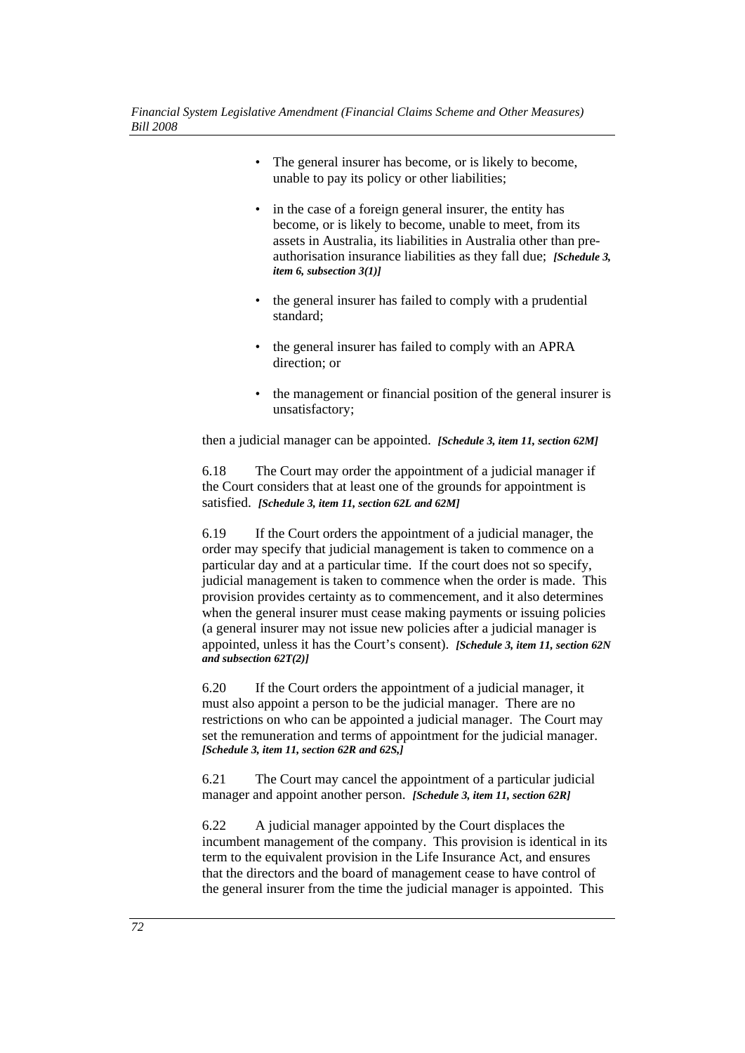- The general insurer has become, or is likely to become, unable to pay its policy or other liabilities;
- in the case of a foreign general insurer, the entity has become, or is likely to become, unable to meet, from its assets in Australia, its liabilities in Australia other than preauthorisation insurance liabilities as they fall due; *[Schedule 3, item 6, subsection 3(1)]*
- the general insurer has failed to comply with a prudential standard;
- the general insurer has failed to comply with an APRA direction; or
- the management or financial position of the general insurer is unsatisfactory;

then a judicial manager can be appointed. *[Schedule 3, item 11, section 62M]*

6.18 The Court may order the appointment of a judicial manager if the Court considers that at least one of the grounds for appointment is satisfied. *[Schedule 3, item 11, section 62L and 62M]*

6.19 If the Court orders the appointment of a judicial manager, the order may specify that judicial management is taken to commence on a particular day and at a particular time. If the court does not so specify, judicial management is taken to commence when the order is made. This provision provides certainty as to commencement, and it also determines when the general insurer must cease making payments or issuing policies (a general insurer may not issue new policies after a judicial manager is appointed, unless it has the Court's consent). *[Schedule 3, item 11, section 62N and subsection 62T(2)]*

6.20 If the Court orders the appointment of a judicial manager, it must also appoint a person to be the judicial manager. There are no restrictions on who can be appointed a judicial manager. The Court may set the remuneration and terms of appointment for the judicial manager. *[Schedule 3, item 11, section 62R and 62S,]*

6.21 The Court may cancel the appointment of a particular judicial manager and appoint another person. *[Schedule 3, item 11, section 62R]*

6.22 A judicial manager appointed by the Court displaces the incumbent management of the company. This provision is identical in its term to the equivalent provision in the Life Insurance Act, and ensures that the directors and the board of management cease to have control of the general insurer from the time the judicial manager is appointed. This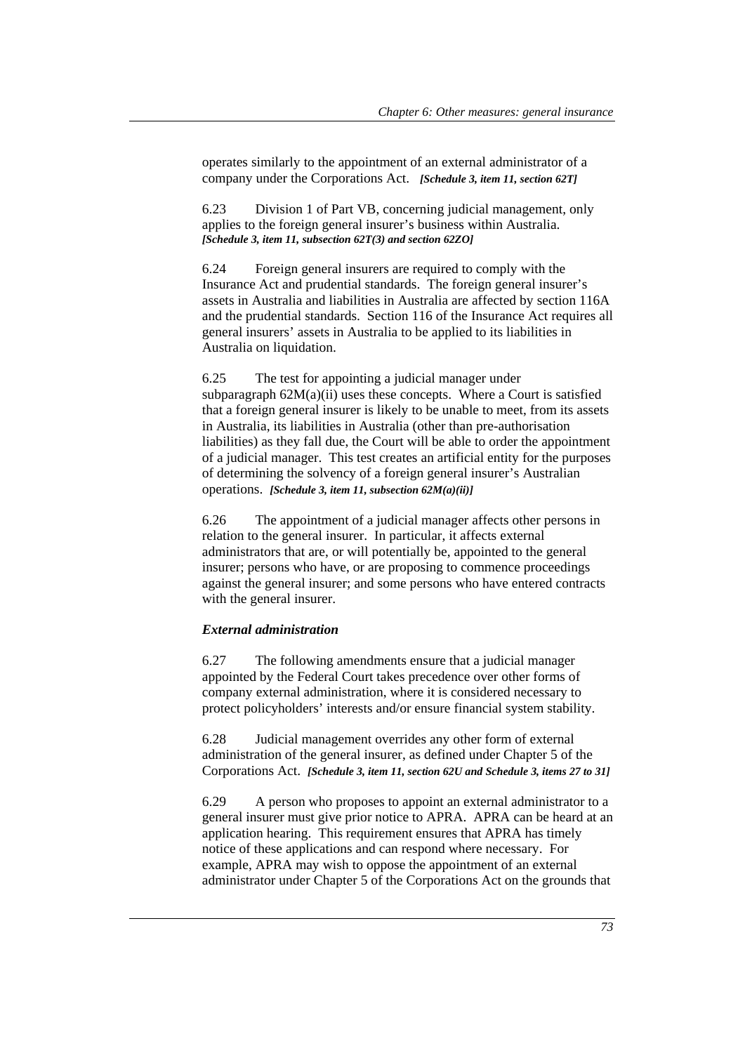operates similarly to the appointment of an external administrator of a company under the Corporations Act. *[Schedule 3, item 11, section 62T]*

6.23 Division 1 of Part VB, concerning judicial management, only applies to the foreign general insurer's business within Australia. *[Schedule 3, item 11, subsection 62T(3) and section 62ZO]*

6.24 Foreign general insurers are required to comply with the Insurance Act and prudential standards. The foreign general insurer's assets in Australia and liabilities in Australia are affected by section 116A and the prudential standards. Section 116 of the Insurance Act requires all general insurers' assets in Australia to be applied to its liabilities in Australia on liquidation.

6.25 The test for appointing a judicial manager under subparagraph  $62M(a)(ii)$  uses these concepts. Where a Court is satisfied that a foreign general insurer is likely to be unable to meet, from its assets in Australia, its liabilities in Australia (other than pre-authorisation liabilities) as they fall due, the Court will be able to order the appointment of a judicial manager. This test creates an artificial entity for the purposes of determining the solvency of a foreign general insurer's Australian operations. *[Schedule 3, item 11, subsection 62M(a)(ii)]*

6.26 The appointment of a judicial manager affects other persons in relation to the general insurer. In particular, it affects external administrators that are, or will potentially be, appointed to the general insurer; persons who have, or are proposing to commence proceedings against the general insurer; and some persons who have entered contracts with the general insurer.

#### *External administration*

6.27 The following amendments ensure that a judicial manager appointed by the Federal Court takes precedence over other forms of company external administration, where it is considered necessary to protect policyholders' interests and/or ensure financial system stability.

6.28 Judicial management overrides any other form of external administration of the general insurer, as defined under Chapter 5 of the Corporations Act. *[Schedule 3, item 11, section 62U and Schedule 3, items 27 to 31]*

6.29 A person who proposes to appoint an external administrator to a general insurer must give prior notice to APRA. APRA can be heard at an application hearing. This requirement ensures that APRA has timely notice of these applications and can respond where necessary. For example, APRA may wish to oppose the appointment of an external administrator under Chapter 5 of the Corporations Act on the grounds that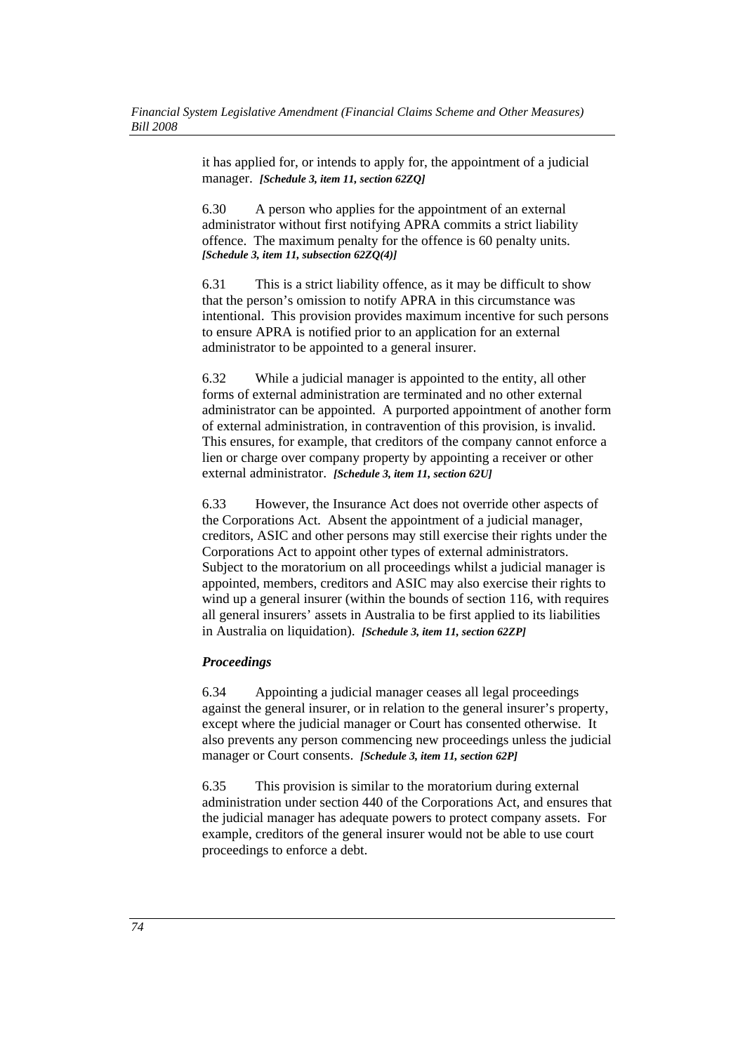it has applied for, or intends to apply for, the appointment of a judicial manager. *[Schedule 3, item 11, section 62ZQ]*

6.30 A person who applies for the appointment of an external administrator without first notifying APRA commits a strict liability offence. The maximum penalty for the offence is 60 penalty units. *[Schedule 3, item 11, subsection 62ZQ(4)]*

6.31 This is a strict liability offence, as it may be difficult to show that the person's omission to notify APRA in this circumstance was intentional. This provision provides maximum incentive for such persons to ensure APRA is notified prior to an application for an external administrator to be appointed to a general insurer.

6.32 While a judicial manager is appointed to the entity, all other forms of external administration are terminated and no other external administrator can be appointed. A purported appointment of another form of external administration, in contravention of this provision, is invalid. This ensures, for example, that creditors of the company cannot enforce a lien or charge over company property by appointing a receiver or other external administrator. *[Schedule 3, item 11, section 62U]*

6.33 However, the Insurance Act does not override other aspects of the Corporations Act. Absent the appointment of a judicial manager, creditors, ASIC and other persons may still exercise their rights under the Corporations Act to appoint other types of external administrators. Subject to the moratorium on all proceedings whilst a judicial manager is appointed, members, creditors and ASIC may also exercise their rights to wind up a general insurer (within the bounds of section 116, with requires all general insurers' assets in Australia to be first applied to its liabilities in Australia on liquidation). *[Schedule 3, item 11, section 62ZP]*

### *Proceedings*

6.34 Appointing a judicial manager ceases all legal proceedings against the general insurer, or in relation to the general insurer's property, except where the judicial manager or Court has consented otherwise. It also prevents any person commencing new proceedings unless the judicial manager or Court consents. *[Schedule 3, item 11, section 62P]*

6.35 This provision is similar to the moratorium during external administration under section 440 of the Corporations Act, and ensures that the judicial manager has adequate powers to protect company assets. For example, creditors of the general insurer would not be able to use court proceedings to enforce a debt.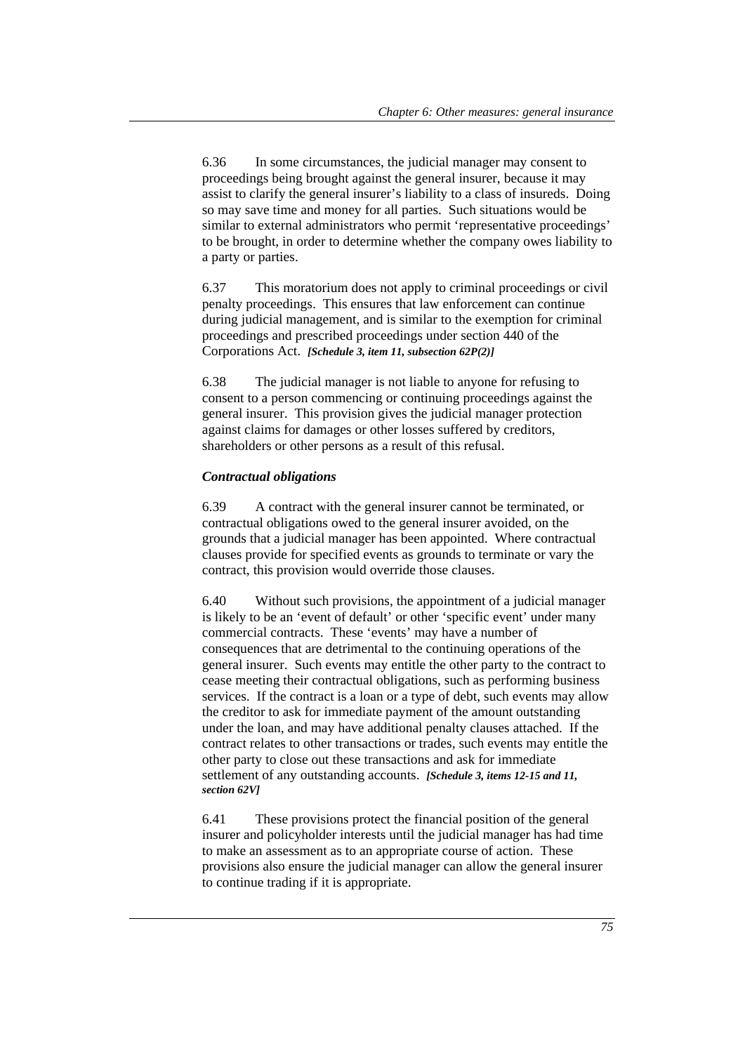6.36 In some circumstances, the judicial manager may consent to proceedings being brought against the general insurer, because it may assist to clarify the general insurer's liability to a class of insureds. Doing so may save time and money for all parties. Such situations would be similar to external administrators who permit 'representative proceedings' to be brought, in order to determine whether the company owes liability to a party or parties.

6.37 This moratorium does not apply to criminal proceedings or civil penalty proceedings. This ensures that law enforcement can continue during judicial management, and is similar to the exemption for criminal proceedings and prescribed proceedings under section 440 of the Corporations Act. *[Schedule 3, item 11, subsection 62P(2)]*

6.38 The judicial manager is not liable to anyone for refusing to consent to a person commencing or continuing proceedings against the general insurer. This provision gives the judicial manager protection against claims for damages or other losses suffered by creditors, shareholders or other persons as a result of this refusal.

### *Contractual obligations*

6.39 A contract with the general insurer cannot be terminated, or contractual obligations owed to the general insurer avoided, on the grounds that a judicial manager has been appointed. Where contractual clauses provide for specified events as grounds to terminate or vary the contract, this provision would override those clauses.

6.40 Without such provisions, the appointment of a judicial manager is likely to be an 'event of default' or other 'specific event' under many commercial contracts. These 'events' may have a number of consequences that are detrimental to the continuing operations of the general insurer. Such events may entitle the other party to the contract to cease meeting their contractual obligations, such as performing business services. If the contract is a loan or a type of debt, such events may allow the creditor to ask for immediate payment of the amount outstanding under the loan, and may have additional penalty clauses attached. If the contract relates to other transactions or trades, such events may entitle the other party to close out these transactions and ask for immediate settlement of any outstanding accounts. *[Schedule 3, items 12-15 and 11, section 62V]*

6.41 These provisions protect the financial position of the general insurer and policyholder interests until the judicial manager has had time to make an assessment as to an appropriate course of action. These provisions also ensure the judicial manager can allow the general insurer to continue trading if it is appropriate.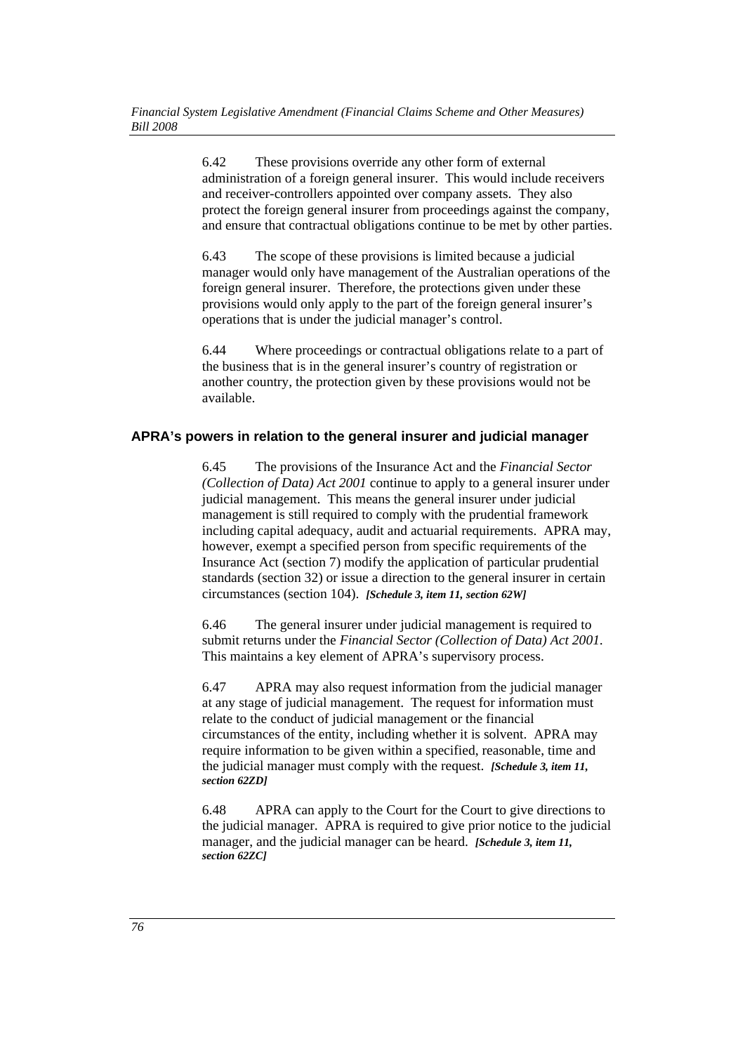6.42 These provisions override any other form of external administration of a foreign general insurer. This would include receivers and receiver-controllers appointed over company assets. They also protect the foreign general insurer from proceedings against the company, and ensure that contractual obligations continue to be met by other parties.

6.43 The scope of these provisions is limited because a judicial manager would only have management of the Australian operations of the foreign general insurer. Therefore, the protections given under these provisions would only apply to the part of the foreign general insurer's operations that is under the judicial manager's control.

6.44 Where proceedings or contractual obligations relate to a part of the business that is in the general insurer's country of registration or another country, the protection given by these provisions would not be available.

## **APRA's powers in relation to the general insurer and judicial manager**

6.45 The provisions of the Insurance Act and the *Financial Sector (Collection of Data) Act 2001* continue to apply to a general insurer under judicial management. This means the general insurer under judicial management is still required to comply with the prudential framework including capital adequacy, audit and actuarial requirements. APRA may, however, exempt a specified person from specific requirements of the Insurance Act (section 7) modify the application of particular prudential standards (section 32) or issue a direction to the general insurer in certain circumstances (section 104). *[Schedule 3, item 11, section 62W]*

6.46 The general insurer under judicial management is required to submit returns under the *Financial Sector (Collection of Data) Act 2001*. This maintains a key element of APRA's supervisory process.

6.47 APRA may also request information from the judicial manager at any stage of judicial management. The request for information must relate to the conduct of judicial management or the financial circumstances of the entity, including whether it is solvent. APRA may require information to be given within a specified, reasonable, time and the judicial manager must comply with the request. *[Schedule 3, item 11, section 62ZD]*

6.48 APRA can apply to the Court for the Court to give directions to the judicial manager. APRA is required to give prior notice to the judicial manager, and the judicial manager can be heard. *[Schedule 3, item 11, section 62ZC]*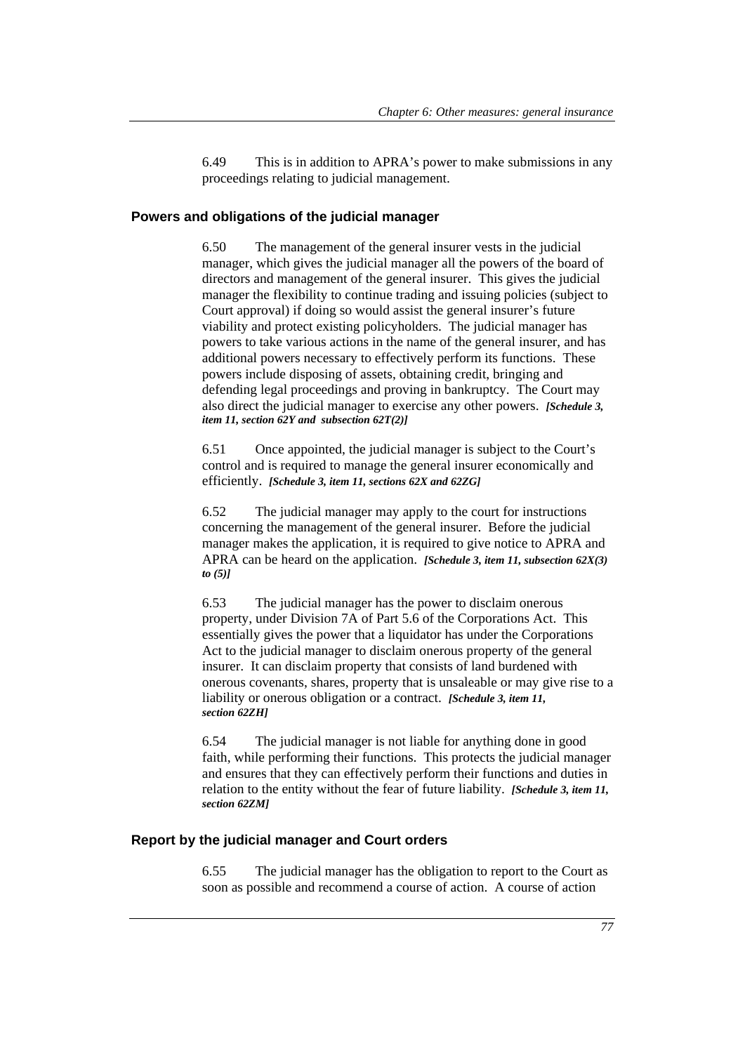6.49 This is in addition to APRA's power to make submissions in any proceedings relating to judicial management.

## **Powers and obligations of the judicial manager**

6.50 The management of the general insurer vests in the judicial manager, which gives the judicial manager all the powers of the board of directors and management of the general insurer. This gives the judicial manager the flexibility to continue trading and issuing policies (subject to Court approval) if doing so would assist the general insurer's future viability and protect existing policyholders. The judicial manager has powers to take various actions in the name of the general insurer, and has additional powers necessary to effectively perform its functions. These powers include disposing of assets, obtaining credit, bringing and defending legal proceedings and proving in bankruptcy. The Court may also direct the judicial manager to exercise any other powers. *[Schedule 3, item 11, section 62Y and subsection 62T(2)]*

6.51 Once appointed, the judicial manager is subject to the Court's control and is required to manage the general insurer economically and efficiently. *[Schedule 3, item 11, sections 62X and 62ZG]*

6.52 The judicial manager may apply to the court for instructions concerning the management of the general insurer. Before the judicial manager makes the application, it is required to give notice to APRA and APRA can be heard on the application. *[Schedule 3, item 11, subsection 62X(3) to (5)]*

6.53 The judicial manager has the power to disclaim onerous property, under Division 7A of Part 5.6 of the Corporations Act. This essentially gives the power that a liquidator has under the Corporations Act to the judicial manager to disclaim onerous property of the general insurer. It can disclaim property that consists of land burdened with onerous covenants, shares, property that is unsaleable or may give rise to a liability or onerous obligation or a contract. *[Schedule 3, item 11, section 62ZH]*

6.54 The judicial manager is not liable for anything done in good faith, while performing their functions. This protects the judicial manager and ensures that they can effectively perform their functions and duties in relation to the entity without the fear of future liability. *[Schedule 3, item 11, section 62ZM]*

#### **Report by the judicial manager and Court orders**

6.55 The judicial manager has the obligation to report to the Court as soon as possible and recommend a course of action. A course of action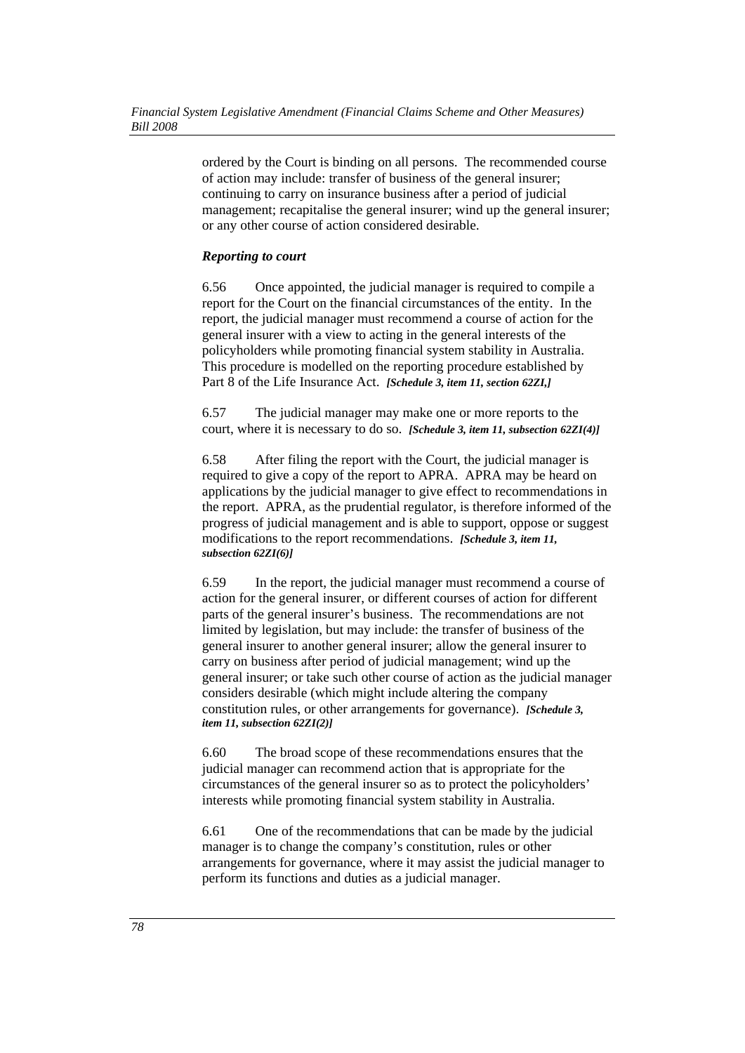ordered by the Court is binding on all persons. The recommended course of action may include: transfer of business of the general insurer; continuing to carry on insurance business after a period of judicial management; recapitalise the general insurer; wind up the general insurer; or any other course of action considered desirable.

## *Reporting to court*

6.56 Once appointed, the judicial manager is required to compile a report for the Court on the financial circumstances of the entity. In the report, the judicial manager must recommend a course of action for the general insurer with a view to acting in the general interests of the policyholders while promoting financial system stability in Australia. This procedure is modelled on the reporting procedure established by Part 8 of the Life Insurance Act. *[Schedule 3, item 11, section 62ZI,]*

6.57 The judicial manager may make one or more reports to the court, where it is necessary to do so. *[Schedule 3, item 11, subsection 62ZI(4)]*

6.58 After filing the report with the Court, the judicial manager is required to give a copy of the report to APRA. APRA may be heard on applications by the judicial manager to give effect to recommendations in the report. APRA, as the prudential regulator, is therefore informed of the progress of judicial management and is able to support, oppose or suggest modifications to the report recommendations. *[Schedule 3, item 11, subsection 62ZI(6)]*

6.59 In the report, the judicial manager must recommend a course of action for the general insurer, or different courses of action for different parts of the general insurer's business. The recommendations are not limited by legislation, but may include: the transfer of business of the general insurer to another general insurer; allow the general insurer to carry on business after period of judicial management; wind up the general insurer; or take such other course of action as the judicial manager considers desirable (which might include altering the company constitution rules, or other arrangements for governance). *[Schedule 3, item 11, subsection 62ZI(2)]*

6.60 The broad scope of these recommendations ensures that the judicial manager can recommend action that is appropriate for the circumstances of the general insurer so as to protect the policyholders' interests while promoting financial system stability in Australia.

6.61 One of the recommendations that can be made by the judicial manager is to change the company's constitution, rules or other arrangements for governance, where it may assist the judicial manager to perform its functions and duties as a judicial manager.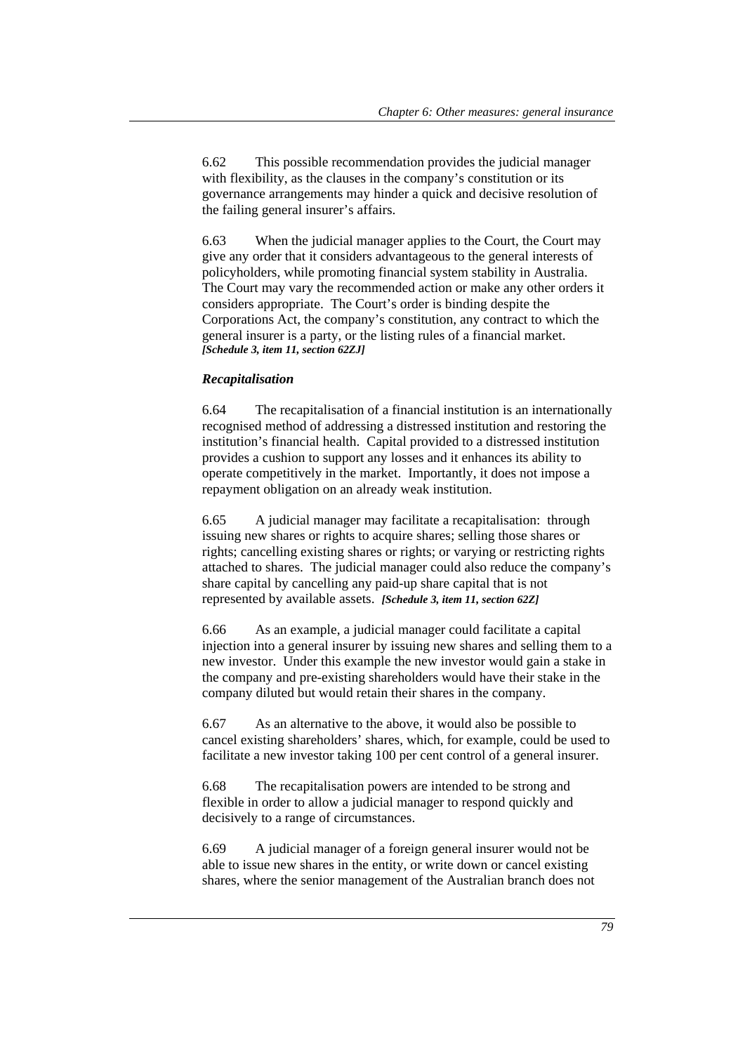6.62 This possible recommendation provides the judicial manager with flexibility, as the clauses in the company's constitution or its governance arrangements may hinder a quick and decisive resolution of the failing general insurer's affairs.

6.63 When the judicial manager applies to the Court, the Court may give any order that it considers advantageous to the general interests of policyholders, while promoting financial system stability in Australia. The Court may vary the recommended action or make any other orders it considers appropriate. The Court's order is binding despite the Corporations Act, the company's constitution, any contract to which the general insurer is a party, or the listing rules of a financial market. *[Schedule 3, item 11, section 62ZJ]*

#### *Recapitalisation*

6.64 The recapitalisation of a financial institution is an internationally recognised method of addressing a distressed institution and restoring the institution's financial health. Capital provided to a distressed institution provides a cushion to support any losses and it enhances its ability to operate competitively in the market. Importantly, it does not impose a repayment obligation on an already weak institution.

6.65 A judicial manager may facilitate a recapitalisation: through issuing new shares or rights to acquire shares; selling those shares or rights; cancelling existing shares or rights; or varying or restricting rights attached to shares. The judicial manager could also reduce the company's share capital by cancelling any paid-up share capital that is not represented by available assets. *[Schedule 3, item 11, section 62Z]*

6.66 As an example, a judicial manager could facilitate a capital injection into a general insurer by issuing new shares and selling them to a new investor. Under this example the new investor would gain a stake in the company and pre-existing shareholders would have their stake in the company diluted but would retain their shares in the company.

6.67 As an alternative to the above, it would also be possible to cancel existing shareholders' shares, which, for example, could be used to facilitate a new investor taking 100 per cent control of a general insurer.

6.68 The recapitalisation powers are intended to be strong and flexible in order to allow a judicial manager to respond quickly and decisively to a range of circumstances.

6.69 A judicial manager of a foreign general insurer would not be able to issue new shares in the entity, or write down or cancel existing shares, where the senior management of the Australian branch does not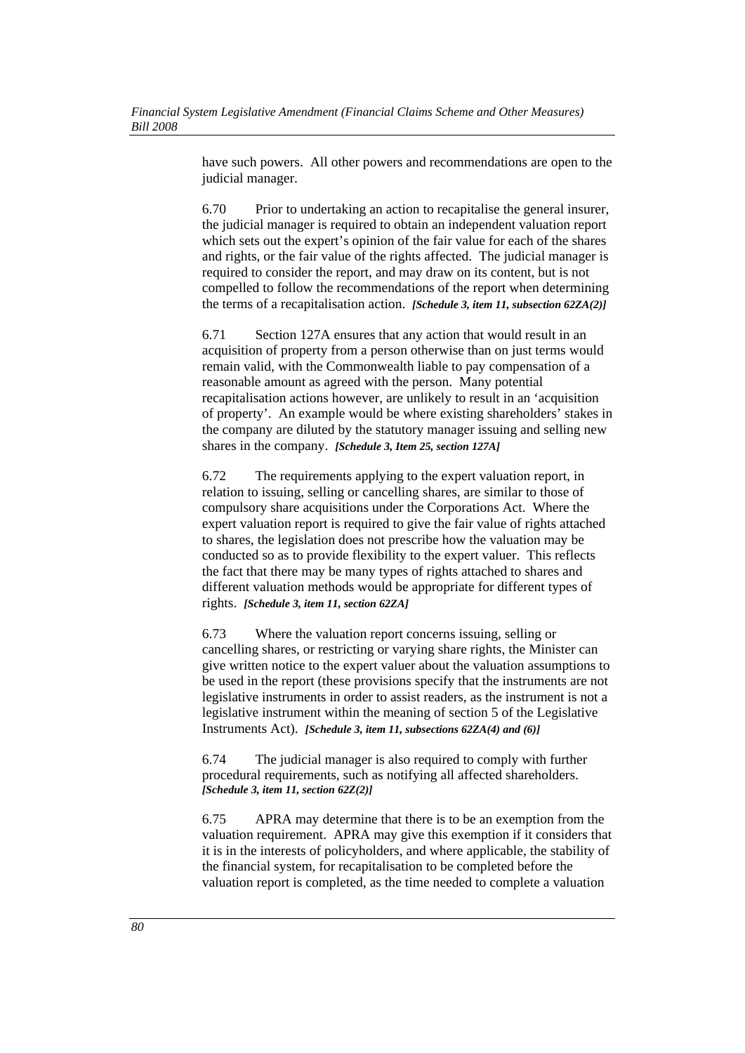have such powers. All other powers and recommendations are open to the judicial manager.

6.70 Prior to undertaking an action to recapitalise the general insurer, the judicial manager is required to obtain an independent valuation report which sets out the expert's opinion of the fair value for each of the shares and rights, or the fair value of the rights affected. The judicial manager is required to consider the report, and may draw on its content, but is not compelled to follow the recommendations of the report when determining the terms of a recapitalisation action. *[Schedule 3, item 11, subsection 62ZA(2)]*

6.71 Section 127A ensures that any action that would result in an acquisition of property from a person otherwise than on just terms would remain valid, with the Commonwealth liable to pay compensation of a reasonable amount as agreed with the person. Many potential recapitalisation actions however, are unlikely to result in an 'acquisition of property'. An example would be where existing shareholders' stakes in the company are diluted by the statutory manager issuing and selling new shares in the company. *[Schedule 3, Item 25, section 127A]*

6.72 The requirements applying to the expert valuation report, in relation to issuing, selling or cancelling shares, are similar to those of compulsory share acquisitions under the Corporations Act. Where the expert valuation report is required to give the fair value of rights attached to shares, the legislation does not prescribe how the valuation may be conducted so as to provide flexibility to the expert valuer. This reflects the fact that there may be many types of rights attached to shares and different valuation methods would be appropriate for different types of rights. *[Schedule 3, item 11, section 62ZA]*

6.73 Where the valuation report concerns issuing, selling or cancelling shares, or restricting or varying share rights, the Minister can give written notice to the expert valuer about the valuation assumptions to be used in the report (these provisions specify that the instruments are not legislative instruments in order to assist readers, as the instrument is not a legislative instrument within the meaning of section 5 of the Legislative Instruments Act). *[Schedule 3, item 11, subsections 62ZA(4) and (6)]*

6.74 The judicial manager is also required to comply with further procedural requirements, such as notifying all affected shareholders. *[Schedule 3, item 11, section 62Z(2)]*

6.75 APRA may determine that there is to be an exemption from the valuation requirement. APRA may give this exemption if it considers that it is in the interests of policyholders, and where applicable, the stability of the financial system, for recapitalisation to be completed before the valuation report is completed, as the time needed to complete a valuation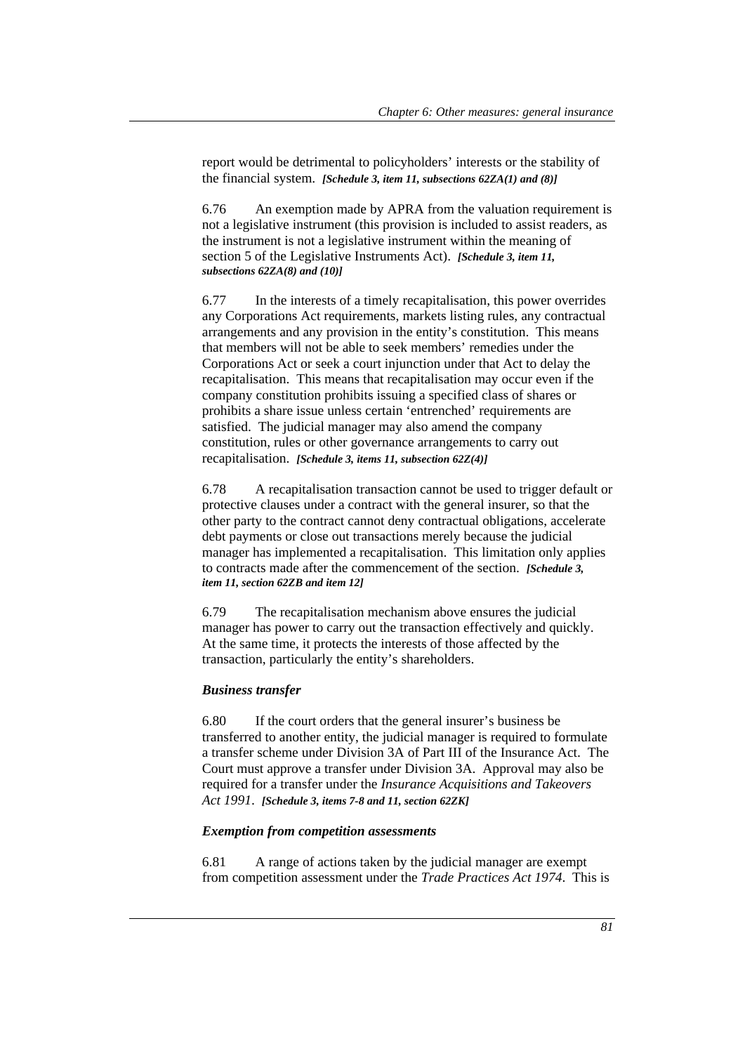report would be detrimental to policyholders' interests or the stability of the financial system. *[Schedule 3, item 11, subsections 62ZA(1) and (8)]*

6.76 An exemption made by APRA from the valuation requirement is not a legislative instrument (this provision is included to assist readers, as the instrument is not a legislative instrument within the meaning of section 5 of the Legislative Instruments Act). *[Schedule 3, item 11, subsections 62ZA(8) and (10)]*

6.77 In the interests of a timely recapitalisation, this power overrides any Corporations Act requirements, markets listing rules, any contractual arrangements and any provision in the entity's constitution. This means that members will not be able to seek members' remedies under the Corporations Act or seek a court injunction under that Act to delay the recapitalisation. This means that recapitalisation may occur even if the company constitution prohibits issuing a specified class of shares or prohibits a share issue unless certain 'entrenched' requirements are satisfied. The judicial manager may also amend the company constitution, rules or other governance arrangements to carry out recapitalisation. *[Schedule 3, items 11, subsection 62Z(4)]*

6.78 A recapitalisation transaction cannot be used to trigger default or protective clauses under a contract with the general insurer, so that the other party to the contract cannot deny contractual obligations, accelerate debt payments or close out transactions merely because the judicial manager has implemented a recapitalisation. This limitation only applies to contracts made after the commencement of the section. *[Schedule 3, item 11, section 62ZB and item 12]*

6.79 The recapitalisation mechanism above ensures the judicial manager has power to carry out the transaction effectively and quickly. At the same time, it protects the interests of those affected by the transaction, particularly the entity's shareholders.

#### *Business transfer*

6.80 If the court orders that the general insurer's business be transferred to another entity, the judicial manager is required to formulate a transfer scheme under Division 3A of Part III of the Insurance Act. The Court must approve a transfer under Division 3A. Approval may also be required for a transfer under the *Insurance Acquisitions and Takeovers Act 1991*. *[Schedule 3, items 7-8 and 11, section 62ZK]*

#### *Exemption from competition assessments*

6.81 A range of actions taken by the judicial manager are exempt from competition assessment under the *Trade Practices Act 1974*. This is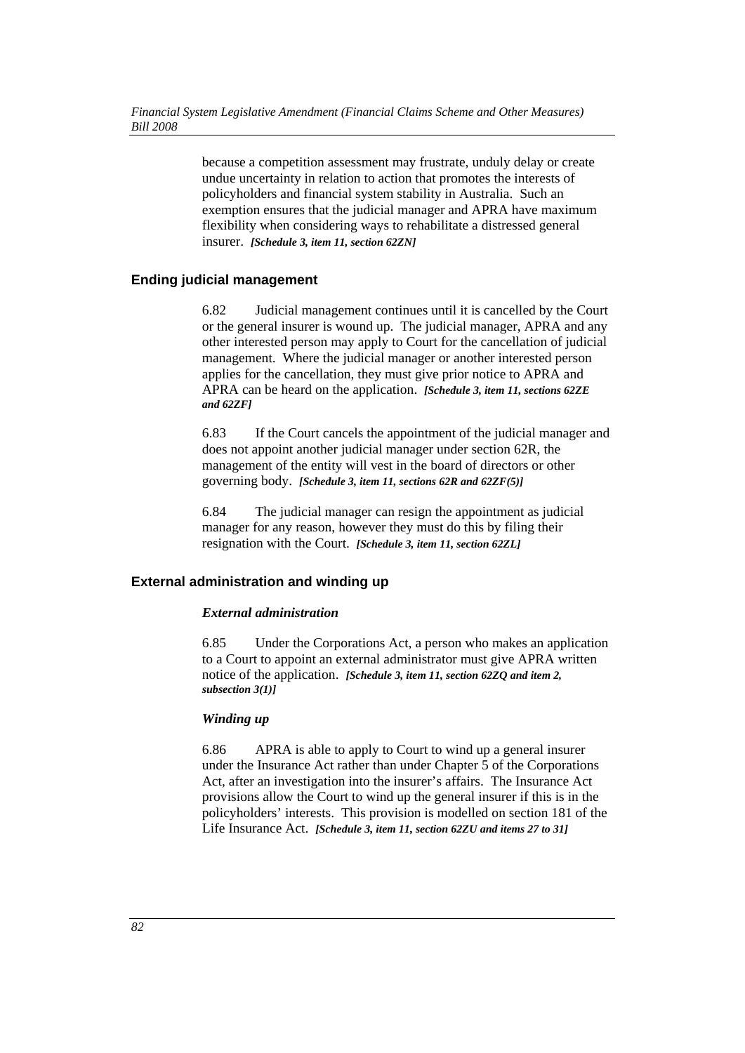because a competition assessment may frustrate, unduly delay or create undue uncertainty in relation to action that promotes the interests of policyholders and financial system stability in Australia. Such an exemption ensures that the judicial manager and APRA have maximum flexibility when considering ways to rehabilitate a distressed general insurer. *[Schedule 3, item 11, section 62ZN]*

## **Ending judicial management**

6.82 Judicial management continues until it is cancelled by the Court or the general insurer is wound up. The judicial manager, APRA and any other interested person may apply to Court for the cancellation of judicial management. Where the judicial manager or another interested person applies for the cancellation, they must give prior notice to APRA and APRA can be heard on the application. *[Schedule 3, item 11, sections 62ZE and 62ZF]*

6.83 If the Court cancels the appointment of the judicial manager and does not appoint another judicial manager under section 62R, the management of the entity will vest in the board of directors or other governing body. *[Schedule 3, item 11, sections 62R and 62ZF(5)]*

6.84 The judicial manager can resign the appointment as judicial manager for any reason, however they must do this by filing their resignation with the Court. *[Schedule 3, item 11, section 62ZL]*

## **External administration and winding up**

### *External administration*

6.85 Under the Corporations Act, a person who makes an application to a Court to appoint an external administrator must give APRA written notice of the application. *[Schedule 3, item 11, section 62ZQ and item 2, subsection 3(1)]*

### *Winding up*

6.86 APRA is able to apply to Court to wind up a general insurer under the Insurance Act rather than under Chapter 5 of the Corporations Act, after an investigation into the insurer's affairs. The Insurance Act provisions allow the Court to wind up the general insurer if this is in the policyholders' interests. This provision is modelled on section 181 of the Life Insurance Act. *[Schedule 3, item 11, section 62ZU and items 27 to 31]*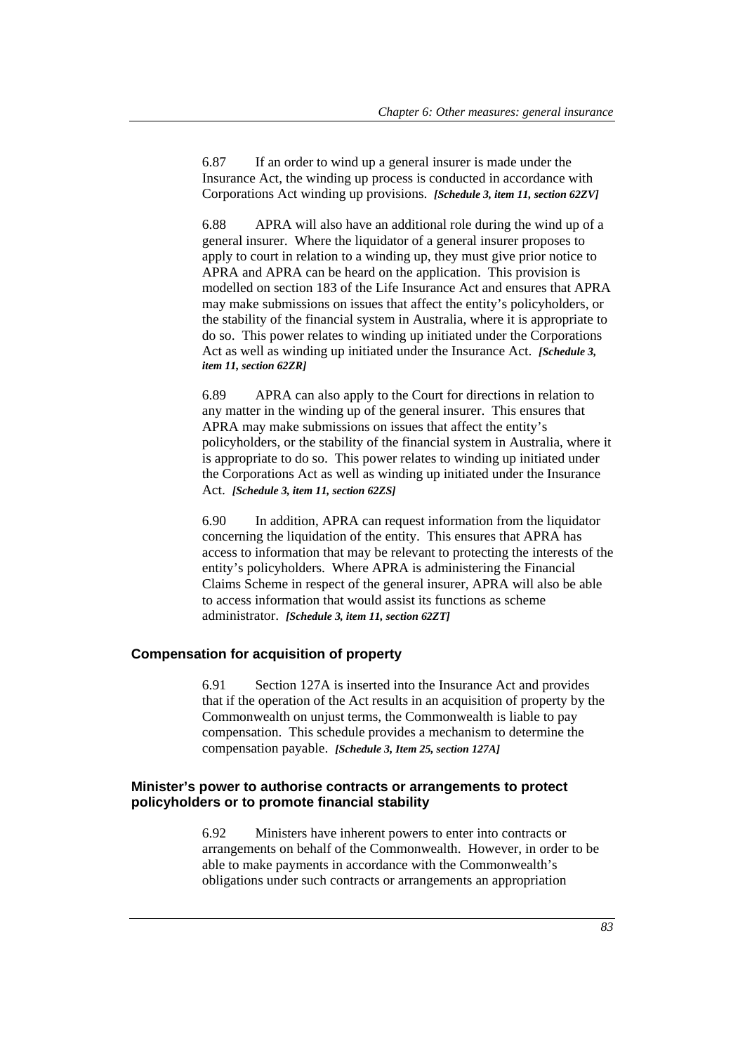6.87 If an order to wind up a general insurer is made under the Insurance Act, the winding up process is conducted in accordance with Corporations Act winding up provisions. *[Schedule 3, item 11, section 62ZV]*

6.88 APRA will also have an additional role during the wind up of a general insurer. Where the liquidator of a general insurer proposes to apply to court in relation to a winding up, they must give prior notice to APRA and APRA can be heard on the application. This provision is modelled on section 183 of the Life Insurance Act and ensures that APRA may make submissions on issues that affect the entity's policyholders, or the stability of the financial system in Australia, where it is appropriate to do so. This power relates to winding up initiated under the Corporations Act as well as winding up initiated under the Insurance Act. *[Schedule 3, item 11, section 62ZR]*

6.89 APRA can also apply to the Court for directions in relation to any matter in the winding up of the general insurer. This ensures that APRA may make submissions on issues that affect the entity's policyholders, or the stability of the financial system in Australia, where it is appropriate to do so. This power relates to winding up initiated under the Corporations Act as well as winding up initiated under the Insurance Act. *[Schedule 3, item 11, section 62ZS]*

6.90 In addition, APRA can request information from the liquidator concerning the liquidation of the entity. This ensures that APRA has access to information that may be relevant to protecting the interests of the entity's policyholders. Where APRA is administering the Financial Claims Scheme in respect of the general insurer, APRA will also be able to access information that would assist its functions as scheme administrator. *[Schedule 3, item 11, section 62ZT]*

## **Compensation for acquisition of property**

6.91 Section 127A is inserted into the Insurance Act and provides that if the operation of the Act results in an acquisition of property by the Commonwealth on unjust terms, the Commonwealth is liable to pay compensation. This schedule provides a mechanism to determine the compensation payable. *[Schedule 3, Item 25, section 127A]*

## **Minister's power to authorise contracts or arrangements to protect policyholders or to promote financial stability**

6.92 Ministers have inherent powers to enter into contracts or arrangements on behalf of the Commonwealth. However, in order to be able to make payments in accordance with the Commonwealth's obligations under such contracts or arrangements an appropriation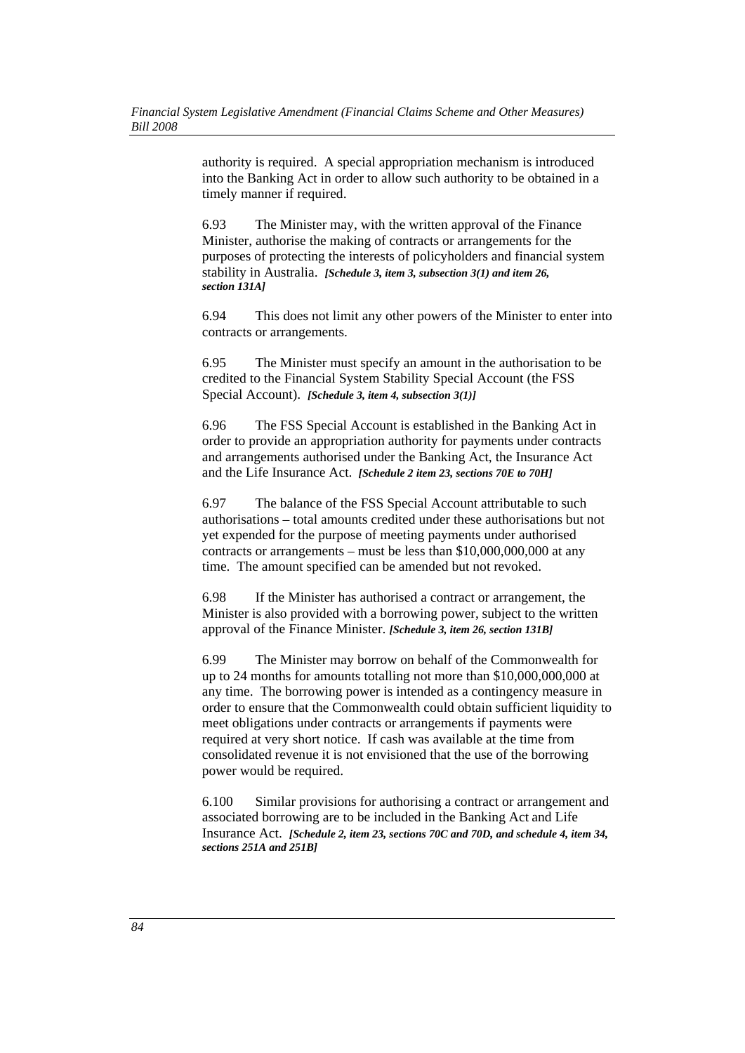authority is required. A special appropriation mechanism is introduced into the Banking Act in order to allow such authority to be obtained in a timely manner if required.

6.93 The Minister may, with the written approval of the Finance Minister, authorise the making of contracts or arrangements for the purposes of protecting the interests of policyholders and financial system stability in Australia. *[Schedule 3, item 3, subsection 3(1) and item 26, section 131A]* 

6.94 This does not limit any other powers of the Minister to enter into contracts or arrangements.

6.95 The Minister must specify an amount in the authorisation to be credited to the Financial System Stability Special Account (the FSS Special Account). *[Schedule 3, item 4, subsection 3(1)]* 

6.96 The FSS Special Account is established in the Banking Act in order to provide an appropriation authority for payments under contracts and arrangements authorised under the Banking Act, the Insurance Act and the Life Insurance Act. *[Schedule 2 item 23, sections 70E to 70H]*

6.97 The balance of the FSS Special Account attributable to such authorisations – total amounts credited under these authorisations but not yet expended for the purpose of meeting payments under authorised contracts or arrangements – must be less than \$10,000,000,000 at any time. The amount specified can be amended but not revoked.

6.98 If the Minister has authorised a contract or arrangement, the Minister is also provided with a borrowing power, subject to the written approval of the Finance Minister. *[Schedule 3, item 26, section 131B]* 

6.99 The Minister may borrow on behalf of the Commonwealth for up to 24 months for amounts totalling not more than \$10,000,000,000 at any time. The borrowing power is intended as a contingency measure in order to ensure that the Commonwealth could obtain sufficient liquidity to meet obligations under contracts or arrangements if payments were required at very short notice. If cash was available at the time from consolidated revenue it is not envisioned that the use of the borrowing power would be required.

6.100 Similar provisions for authorising a contract or arrangement and associated borrowing are to be included in the Banking Act and Life Insurance Act. *[Schedule 2, item 23, sections 70C and 70D, and schedule 4, item 34, sections 251A and 251B]*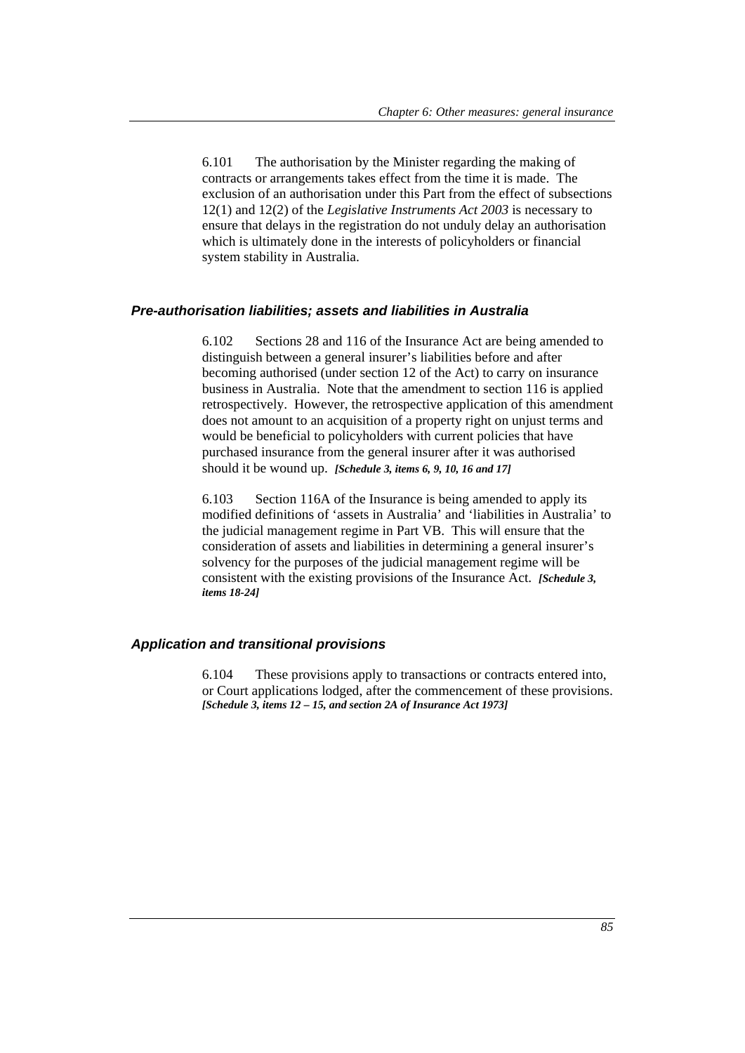6.101 The authorisation by the Minister regarding the making of contracts or arrangements takes effect from the time it is made. The exclusion of an authorisation under this Part from the effect of subsections 12(1) and 12(2) of the *Legislative Instruments Act 2003* is necessary to ensure that delays in the registration do not unduly delay an authorisation which is ultimately done in the interests of policyholders or financial system stability in Australia.

#### *Pre-authorisation liabilities; assets and liabilities in Australia*

6.102 Sections 28 and 116 of the Insurance Act are being amended to distinguish between a general insurer's liabilities before and after becoming authorised (under section 12 of the Act) to carry on insurance business in Australia. Note that the amendment to section 116 is applied retrospectively. However, the retrospective application of this amendment does not amount to an acquisition of a property right on unjust terms and would be beneficial to policyholders with current policies that have purchased insurance from the general insurer after it was authorised should it be wound up. *[Schedule 3, items 6, 9, 10, 16 and 17]*

6.103 Section 116A of the Insurance is being amended to apply its modified definitions of 'assets in Australia' and 'liabilities in Australia' to the judicial management regime in Part VB. This will ensure that the consideration of assets and liabilities in determining a general insurer's solvency for the purposes of the judicial management regime will be consistent with the existing provisions of the Insurance Act. *[Schedule 3, items 18-24]*

### *Application and transitional provisions*

6.104 These provisions apply to transactions or contracts entered into, or Court applications lodged, after the commencement of these provisions. *[Schedule 3, items 12 – 15, and section 2A of Insurance Act 1973]*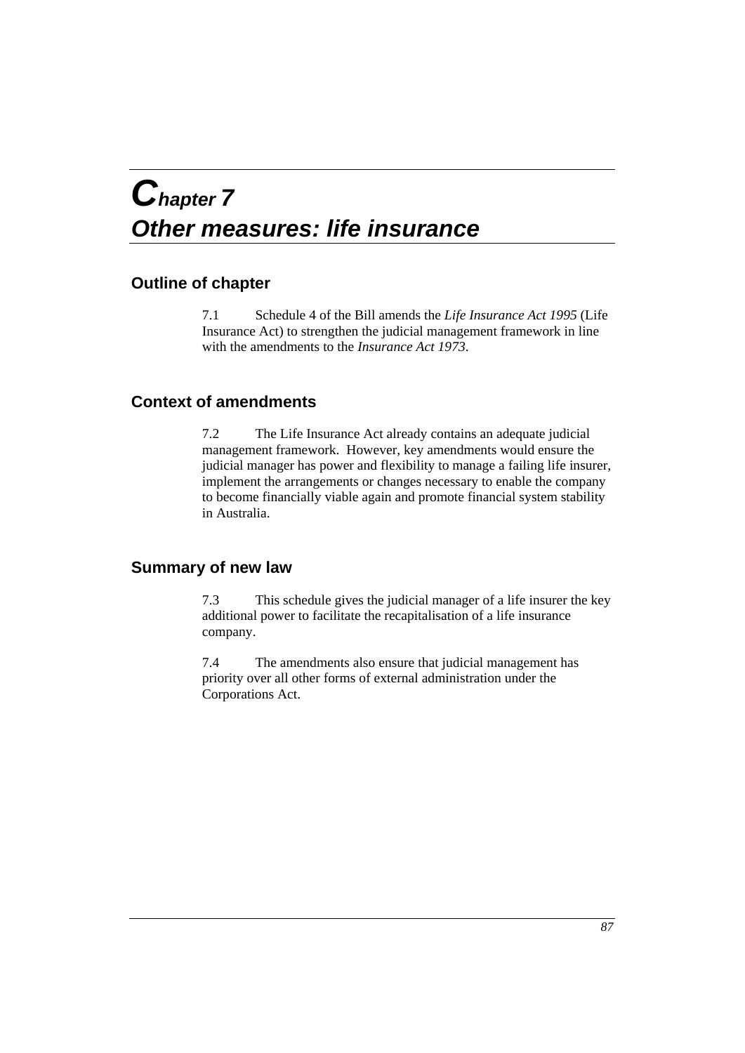## *Chapter 7 Other measures: life insurance*

## **Outline of chapter**

7.1 Schedule 4 of the Bill amends the *Life Insurance Act 1995* (Life Insurance Act) to strengthen the judicial management framework in line with the amendments to the *Insurance Act 1973*.

## **Context of amendments**

7.2 The Life Insurance Act already contains an adequate judicial management framework. However, key amendments would ensure the judicial manager has power and flexibility to manage a failing life insurer, implement the arrangements or changes necessary to enable the company to become financially viable again and promote financial system stability in Australia.

## **Summary of new law**

7.3 This schedule gives the judicial manager of a life insurer the key additional power to facilitate the recapitalisation of a life insurance company.

7.4 The amendments also ensure that judicial management has priority over all other forms of external administration under the Corporations Act.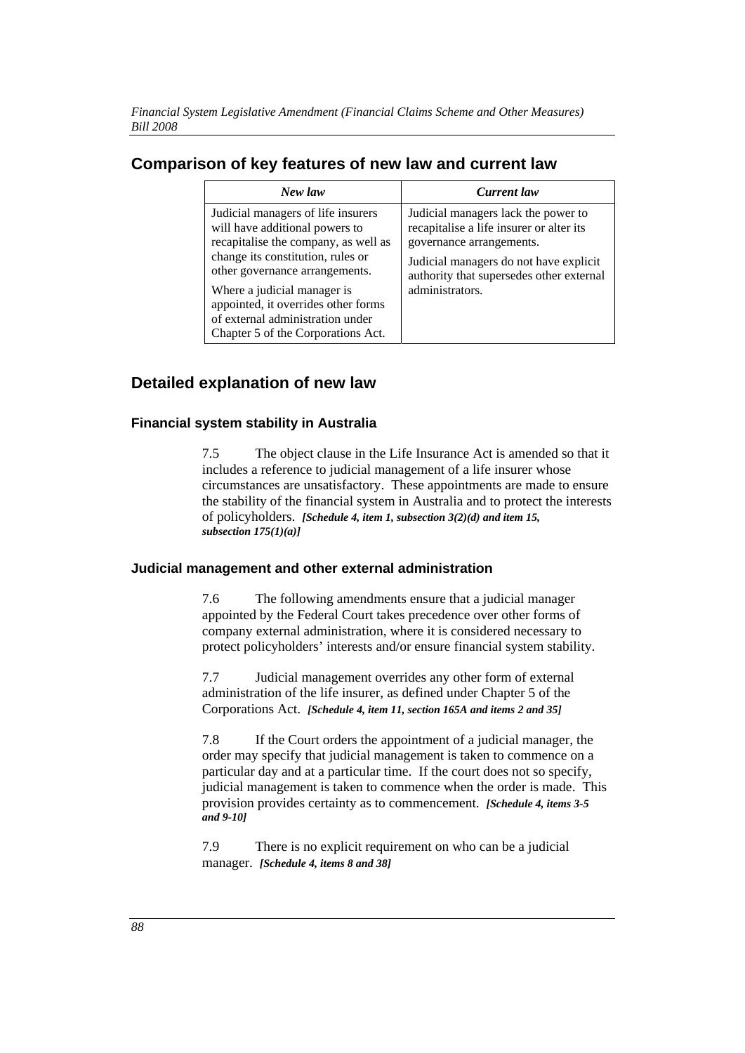*Financial System Legislative Amendment (Financial Claims Scheme and Other Measures) Bill 2008* 

## **Comparison of key features of new law and current law**

| New law                                                                                                                                                                                                                                                                                                                             | Current law                                                                                                                                                                                                          |
|-------------------------------------------------------------------------------------------------------------------------------------------------------------------------------------------------------------------------------------------------------------------------------------------------------------------------------------|----------------------------------------------------------------------------------------------------------------------------------------------------------------------------------------------------------------------|
| Judicial managers of life insurers<br>will have additional powers to<br>recapitalise the company, as well as<br>change its constitution, rules or<br>other governance arrangements.<br>Where a judicial manager is<br>appointed, it overrides other forms<br>of external administration under<br>Chapter 5 of the Corporations Act. | Judicial managers lack the power to<br>recapitalise a life insurer or alter its<br>governance arrangements.<br>Judicial managers do not have explicit<br>authority that supersedes other external<br>administrators. |

## **Detailed explanation of new law**

## **Financial system stability in Australia**

7.5 The object clause in the Life Insurance Act is amended so that it includes a reference to judicial management of a life insurer whose circumstances are unsatisfactory. These appointments are made to ensure the stability of the financial system in Australia and to protect the interests of policyholders. *[Schedule 4, item 1, subsection 3(2)(d) and item 15, subsection 175(1)(a)]* 

## **Judicial management and other external administration**

7.6 The following amendments ensure that a judicial manager appointed by the Federal Court takes precedence over other forms of company external administration, where it is considered necessary to protect policyholders' interests and/or ensure financial system stability.

7.7 Judicial management overrides any other form of external administration of the life insurer, as defined under Chapter 5 of the Corporations Act. *[Schedule 4, item 11, section 165A and items 2 and 35]*

7.8 If the Court orders the appointment of a judicial manager, the order may specify that judicial management is taken to commence on a particular day and at a particular time. If the court does not so specify, judicial management is taken to commence when the order is made. This provision provides certainty as to commencement. *[Schedule 4, items 3-5 and 9-10]*

7.9 There is no explicit requirement on who can be a judicial manager. *[Schedule 4, items 8 and 38]*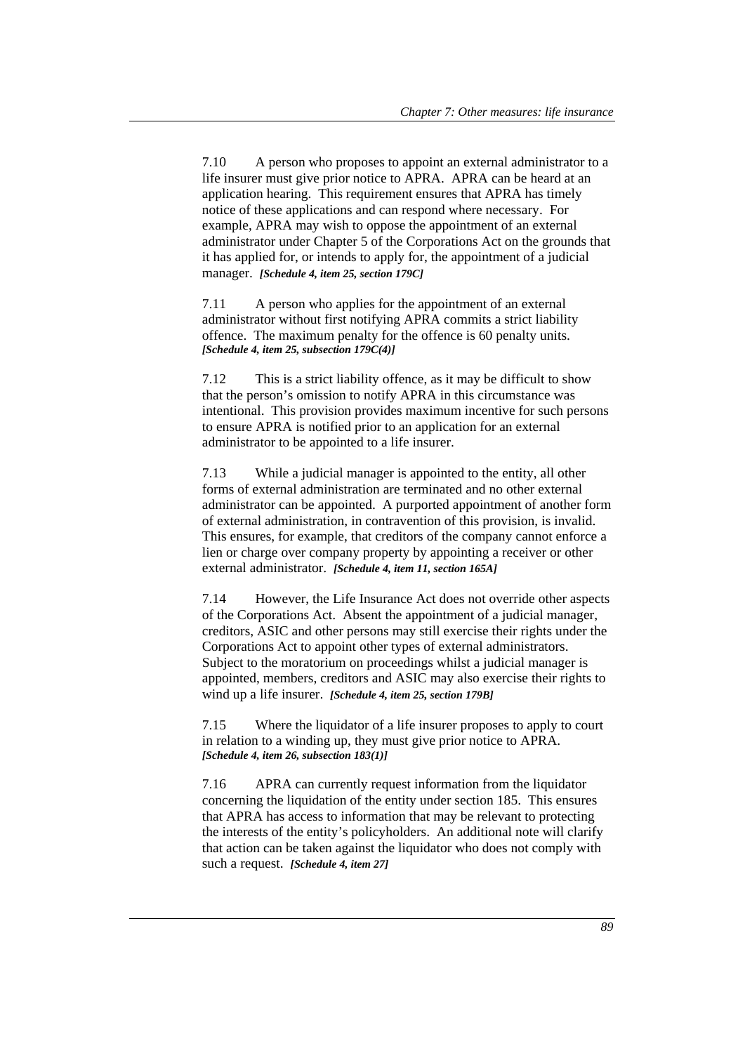7.10 A person who proposes to appoint an external administrator to a life insurer must give prior notice to APRA. APRA can be heard at an application hearing. This requirement ensures that APRA has timely notice of these applications and can respond where necessary. For example, APRA may wish to oppose the appointment of an external administrator under Chapter 5 of the Corporations Act on the grounds that it has applied for, or intends to apply for, the appointment of a judicial manager. *[Schedule 4, item 25, section 179C]*

7.11 A person who applies for the appointment of an external administrator without first notifying APRA commits a strict liability offence. The maximum penalty for the offence is 60 penalty units. *[Schedule 4, item 25, subsection 179C(4)]*

7.12 This is a strict liability offence, as it may be difficult to show that the person's omission to notify APRA in this circumstance was intentional. This provision provides maximum incentive for such persons to ensure APRA is notified prior to an application for an external administrator to be appointed to a life insurer.

7.13 While a judicial manager is appointed to the entity, all other forms of external administration are terminated and no other external administrator can be appointed. A purported appointment of another form of external administration, in contravention of this provision, is invalid. This ensures, for example, that creditors of the company cannot enforce a lien or charge over company property by appointing a receiver or other external administrator. *[Schedule 4, item 11, section 165A]*

7.14 However, the Life Insurance Act does not override other aspects of the Corporations Act. Absent the appointment of a judicial manager, creditors, ASIC and other persons may still exercise their rights under the Corporations Act to appoint other types of external administrators. Subject to the moratorium on proceedings whilst a judicial manager is appointed, members, creditors and ASIC may also exercise their rights to wind up a life insurer. *[Schedule 4, item 25, section 179B]*

7.15 Where the liquidator of a life insurer proposes to apply to court in relation to a winding up, they must give prior notice to APRA. *[Schedule 4, item 26, subsection 183(1)]*

7.16 APRA can currently request information from the liquidator concerning the liquidation of the entity under section 185. This ensures that APRA has access to information that may be relevant to protecting the interests of the entity's policyholders. An additional note will clarify that action can be taken against the liquidator who does not comply with such a request. *[Schedule 4, item 27]*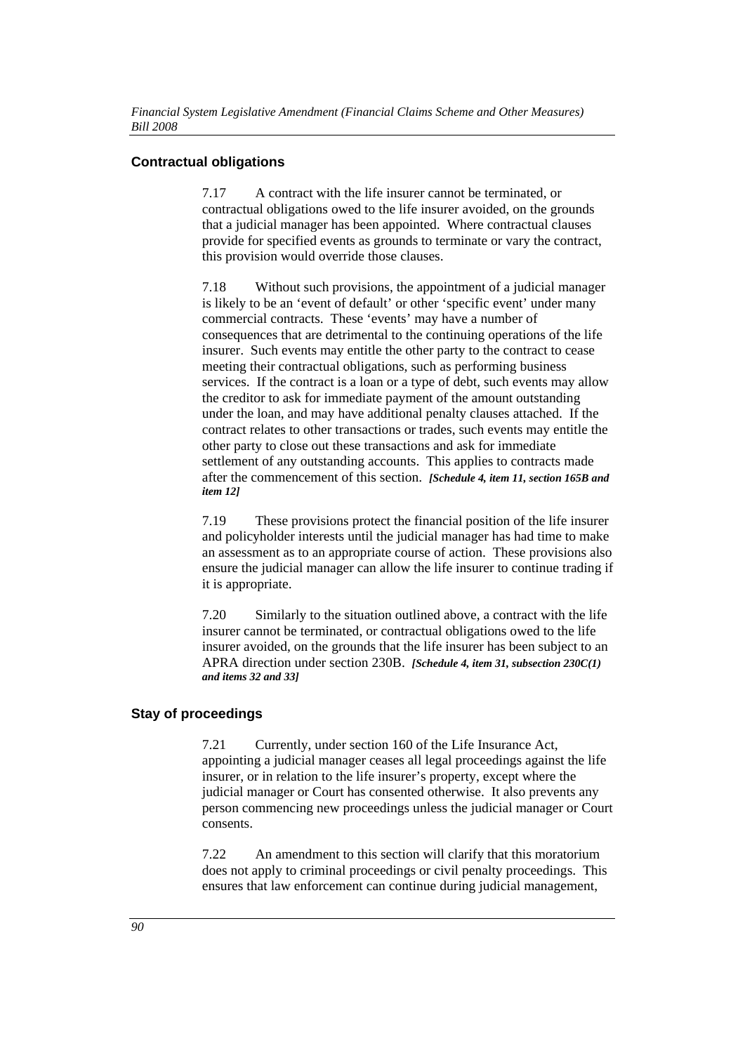## **Contractual obligations**

7.17 A contract with the life insurer cannot be terminated, or contractual obligations owed to the life insurer avoided, on the grounds that a judicial manager has been appointed. Where contractual clauses provide for specified events as grounds to terminate or vary the contract, this provision would override those clauses.

7.18 Without such provisions, the appointment of a judicial manager is likely to be an 'event of default' or other 'specific event' under many commercial contracts. These 'events' may have a number of consequences that are detrimental to the continuing operations of the life insurer. Such events may entitle the other party to the contract to cease meeting their contractual obligations, such as performing business services. If the contract is a loan or a type of debt, such events may allow the creditor to ask for immediate payment of the amount outstanding under the loan, and may have additional penalty clauses attached. If the contract relates to other transactions or trades, such events may entitle the other party to close out these transactions and ask for immediate settlement of any outstanding accounts. This applies to contracts made after the commencement of this section. *[Schedule 4, item 11, section 165B and item 12]*

7.19 These provisions protect the financial position of the life insurer and policyholder interests until the judicial manager has had time to make an assessment as to an appropriate course of action. These provisions also ensure the judicial manager can allow the life insurer to continue trading if it is appropriate.

7.20 Similarly to the situation outlined above, a contract with the life insurer cannot be terminated, or contractual obligations owed to the life insurer avoided, on the grounds that the life insurer has been subject to an APRA direction under section 230B. *[Schedule 4, item 31, subsection 230C(1) and items 32 and 33]*

## **Stay of proceedings**

7.21 Currently, under section 160 of the Life Insurance Act, appointing a judicial manager ceases all legal proceedings against the life insurer, or in relation to the life insurer's property, except where the judicial manager or Court has consented otherwise. It also prevents any person commencing new proceedings unless the judicial manager or Court consents.

7.22 An amendment to this section will clarify that this moratorium does not apply to criminal proceedings or civil penalty proceedings. This ensures that law enforcement can continue during judicial management,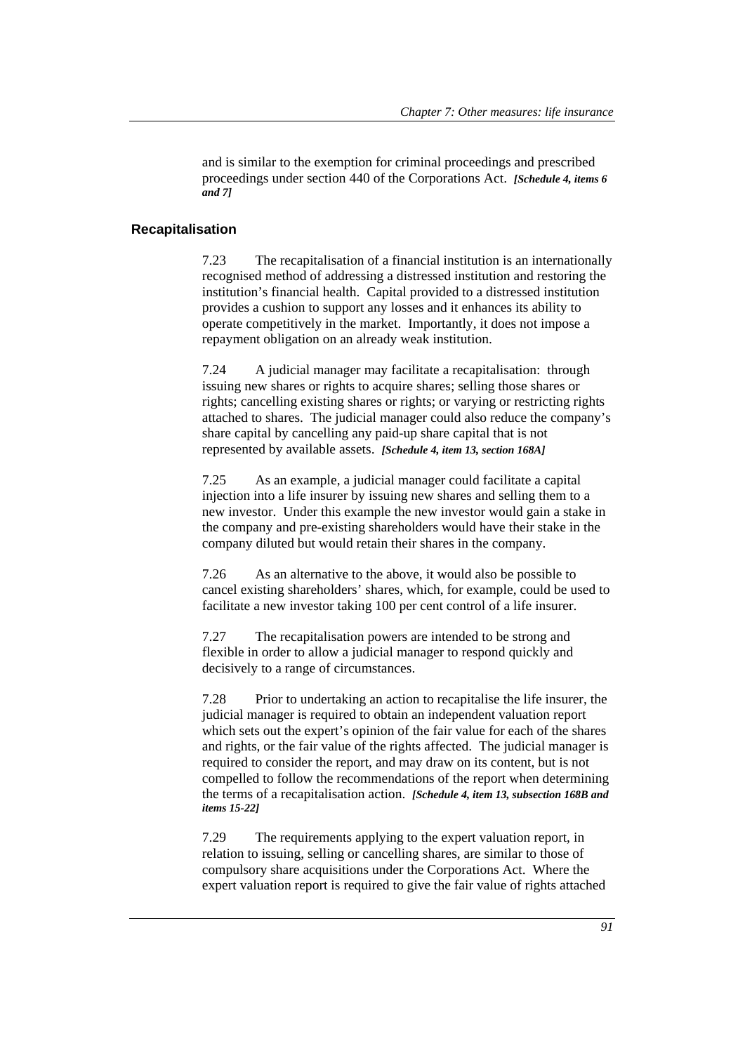and is similar to the exemption for criminal proceedings and prescribed proceedings under section 440 of the Corporations Act. *[Schedule 4, items 6 and 7]*

#### **Recapitalisation**

7.23 The recapitalisation of a financial institution is an internationally recognised method of addressing a distressed institution and restoring the institution's financial health. Capital provided to a distressed institution provides a cushion to support any losses and it enhances its ability to operate competitively in the market. Importantly, it does not impose a repayment obligation on an already weak institution.

7.24 A judicial manager may facilitate a recapitalisation: through issuing new shares or rights to acquire shares; selling those shares or rights; cancelling existing shares or rights; or varying or restricting rights attached to shares. The judicial manager could also reduce the company's share capital by cancelling any paid-up share capital that is not represented by available assets. *[Schedule 4, item 13, section 168A]*

7.25 As an example, a judicial manager could facilitate a capital injection into a life insurer by issuing new shares and selling them to a new investor. Under this example the new investor would gain a stake in the company and pre-existing shareholders would have their stake in the company diluted but would retain their shares in the company.

7.26 As an alternative to the above, it would also be possible to cancel existing shareholders' shares, which, for example, could be used to facilitate a new investor taking 100 per cent control of a life insurer.

7.27 The recapitalisation powers are intended to be strong and flexible in order to allow a judicial manager to respond quickly and decisively to a range of circumstances.

7.28 Prior to undertaking an action to recapitalise the life insurer, the judicial manager is required to obtain an independent valuation report which sets out the expert's opinion of the fair value for each of the shares and rights, or the fair value of the rights affected. The judicial manager is required to consider the report, and may draw on its content, but is not compelled to follow the recommendations of the report when determining the terms of a recapitalisation action. *[Schedule 4, item 13, subsection 168B and items 15-22]*

7.29 The requirements applying to the expert valuation report, in relation to issuing, selling or cancelling shares, are similar to those of compulsory share acquisitions under the Corporations Act. Where the expert valuation report is required to give the fair value of rights attached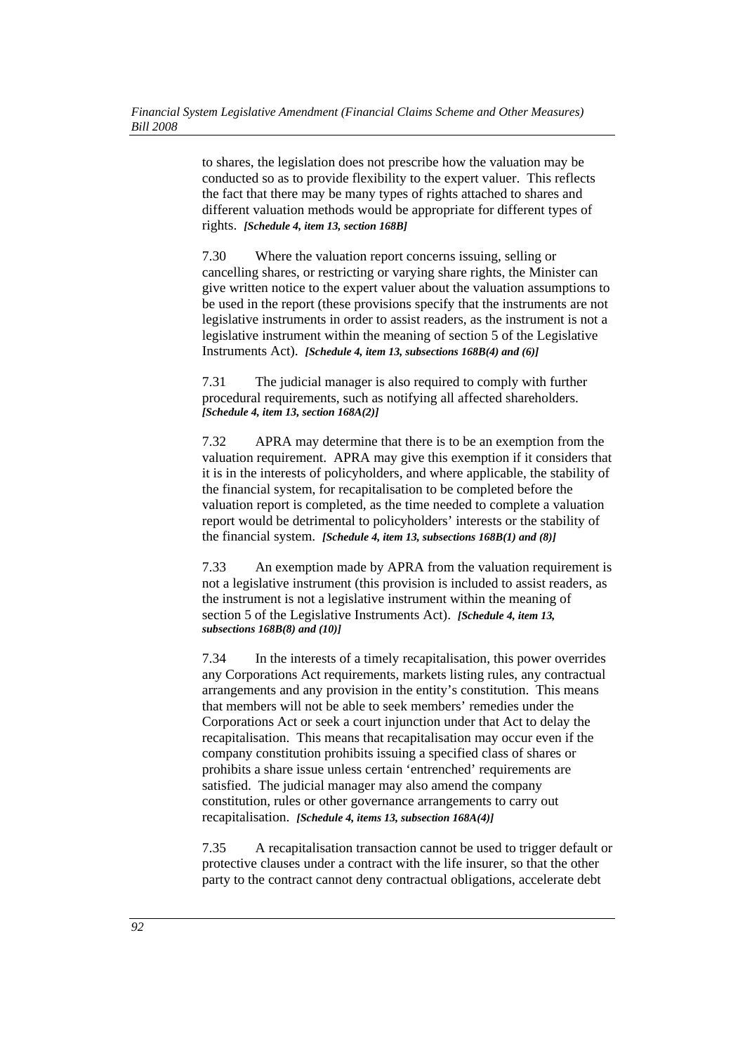to shares, the legislation does not prescribe how the valuation may be conducted so as to provide flexibility to the expert valuer. This reflects the fact that there may be many types of rights attached to shares and different valuation methods would be appropriate for different types of rights. *[Schedule 4, item 13, section 168B]*

7.30 Where the valuation report concerns issuing, selling or cancelling shares, or restricting or varying share rights, the Minister can give written notice to the expert valuer about the valuation assumptions to be used in the report (these provisions specify that the instruments are not legislative instruments in order to assist readers, as the instrument is not a legislative instrument within the meaning of section 5 of the Legislative Instruments Act). *[Schedule 4, item 13, subsections 168B(4) and (6)]*

7.31 The judicial manager is also required to comply with further procedural requirements, such as notifying all affected shareholders. *[Schedule 4, item 13, section 168A(2)]*

7.32 APRA may determine that there is to be an exemption from the valuation requirement. APRA may give this exemption if it considers that it is in the interests of policyholders, and where applicable, the stability of the financial system, for recapitalisation to be completed before the valuation report is completed, as the time needed to complete a valuation report would be detrimental to policyholders' interests or the stability of the financial system. *[Schedule 4, item 13, subsections 168B(1) and (8)]*

7.33 An exemption made by APRA from the valuation requirement is not a legislative instrument (this provision is included to assist readers, as the instrument is not a legislative instrument within the meaning of section 5 of the Legislative Instruments Act). *[Schedule 4, item 13, subsections 168B(8) and (10)]*

7.34 In the interests of a timely recapitalisation, this power overrides any Corporations Act requirements, markets listing rules, any contractual arrangements and any provision in the entity's constitution. This means that members will not be able to seek members' remedies under the Corporations Act or seek a court injunction under that Act to delay the recapitalisation. This means that recapitalisation may occur even if the company constitution prohibits issuing a specified class of shares or prohibits a share issue unless certain 'entrenched' requirements are satisfied. The judicial manager may also amend the company constitution, rules or other governance arrangements to carry out recapitalisation. *[Schedule 4, items 13, subsection 168A(4)]*

7.35 A recapitalisation transaction cannot be used to trigger default or protective clauses under a contract with the life insurer, so that the other party to the contract cannot deny contractual obligations, accelerate debt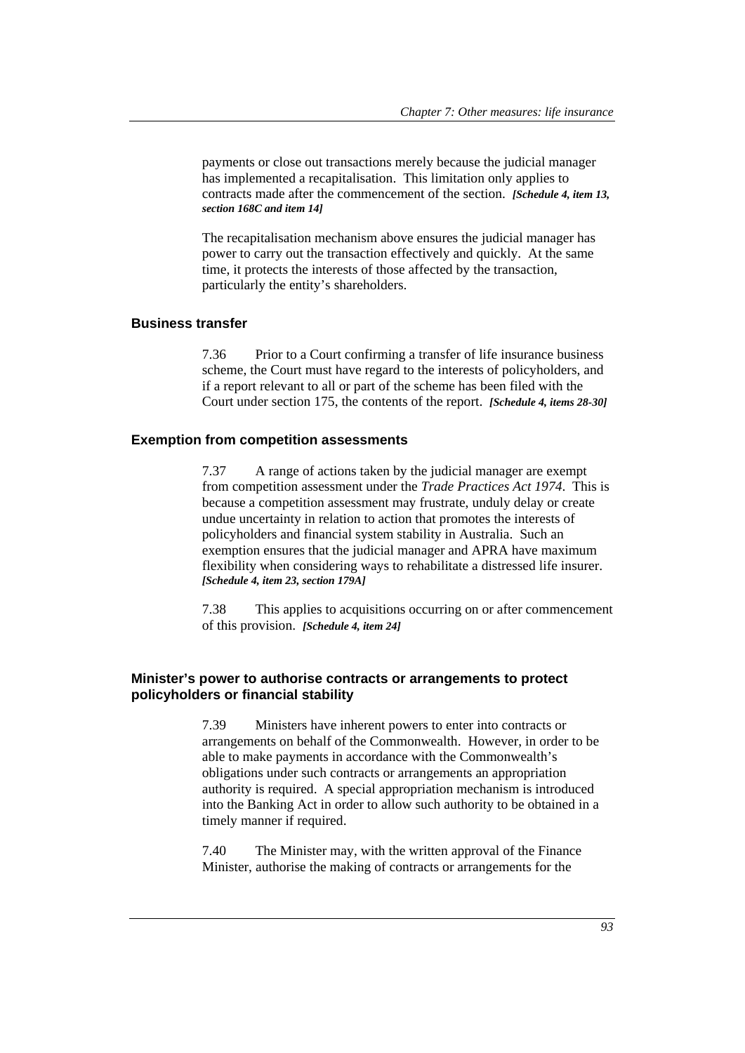payments or close out transactions merely because the judicial manager has implemented a recapitalisation. This limitation only applies to contracts made after the commencement of the section. *[Schedule 4, item 13, section 168C and item 14]*

The recapitalisation mechanism above ensures the judicial manager has power to carry out the transaction effectively and quickly. At the same time, it protects the interests of those affected by the transaction, particularly the entity's shareholders.

#### **Business transfer**

7.36 Prior to a Court confirming a transfer of life insurance business scheme, the Court must have regard to the interests of policyholders, and if a report relevant to all or part of the scheme has been filed with the Court under section 175, the contents of the report. *[Schedule 4, items 28-30]*

#### **Exemption from competition assessments**

7.37 A range of actions taken by the judicial manager are exempt from competition assessment under the *Trade Practices Act 1974*. This is because a competition assessment may frustrate, unduly delay or create undue uncertainty in relation to action that promotes the interests of policyholders and financial system stability in Australia. Such an exemption ensures that the judicial manager and APRA have maximum flexibility when considering ways to rehabilitate a distressed life insurer. *[Schedule 4, item 23, section 179A]*

7.38 This applies to acquisitions occurring on or after commencement of this provision. *[Schedule 4, item 24]*

### **Minister's power to authorise contracts or arrangements to protect policyholders or financial stability**

7.39 Ministers have inherent powers to enter into contracts or arrangements on behalf of the Commonwealth. However, in order to be able to make payments in accordance with the Commonwealth's obligations under such contracts or arrangements an appropriation authority is required. A special appropriation mechanism is introduced into the Banking Act in order to allow such authority to be obtained in a timely manner if required.

7.40 The Minister may, with the written approval of the Finance Minister, authorise the making of contracts or arrangements for the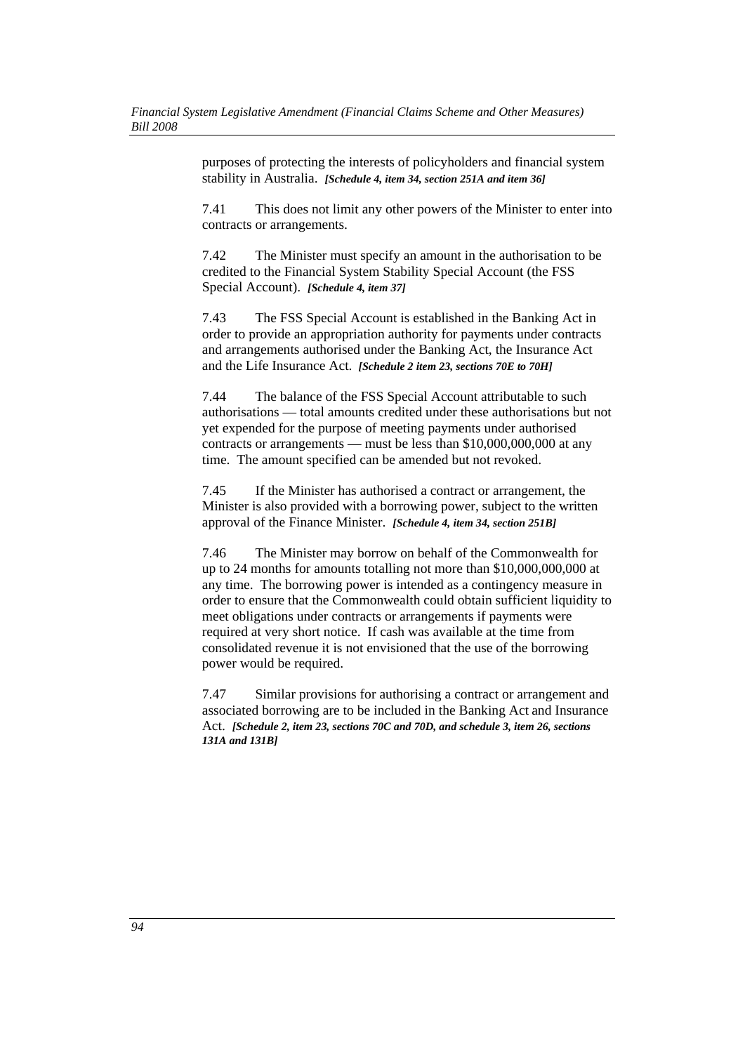purposes of protecting the interests of policyholders and financial system stability in Australia. *[Schedule 4, item 34, section 251A and item 36]* 

7.41 This does not limit any other powers of the Minister to enter into contracts or arrangements.

7.42 The Minister must specify an amount in the authorisation to be credited to the Financial System Stability Special Account (the FSS Special Account). *[Schedule 4, item 37]* 

7.43 The FSS Special Account is established in the Banking Act in order to provide an appropriation authority for payments under contracts and arrangements authorised under the Banking Act, the Insurance Act and the Life Insurance Act. *[Schedule 2 item 23, sections 70E to 70H]*

7.44 The balance of the FSS Special Account attributable to such authorisations — total amounts credited under these authorisations but not yet expended for the purpose of meeting payments under authorised contracts or arrangements — must be less than \$10,000,000,000 at any time. The amount specified can be amended but not revoked.

7.45 If the Minister has authorised a contract or arrangement, the Minister is also provided with a borrowing power, subject to the written approval of the Finance Minister. *[Schedule 4, item 34, section 251B]* 

7.46 The Minister may borrow on behalf of the Commonwealth for up to 24 months for amounts totalling not more than \$10,000,000,000 at any time. The borrowing power is intended as a contingency measure in order to ensure that the Commonwealth could obtain sufficient liquidity to meet obligations under contracts or arrangements if payments were required at very short notice. If cash was available at the time from consolidated revenue it is not envisioned that the use of the borrowing power would be required.

7.47 Similar provisions for authorising a contract or arrangement and associated borrowing are to be included in the Banking Act and Insurance Act. *[Schedule 2, item 23, sections 70C and 70D, and schedule 3, item 26, sections 131A and 131B]*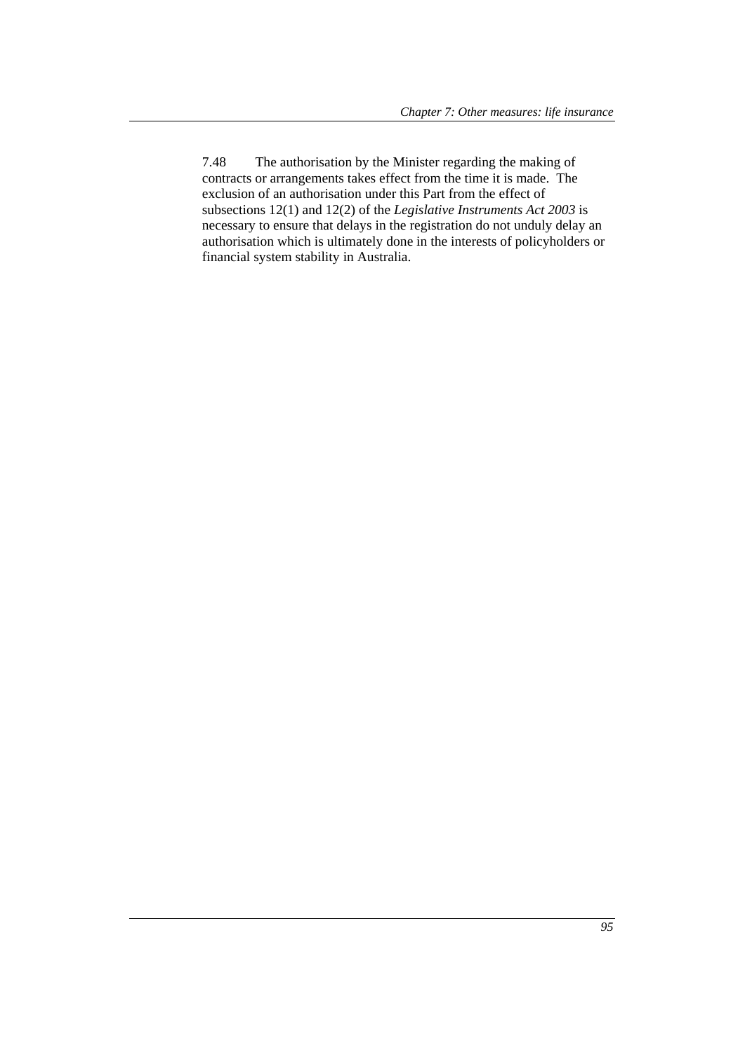7.48 The authorisation by the Minister regarding the making of contracts or arrangements takes effect from the time it is made. The exclusion of an authorisation under this Part from the effect of subsections 12(1) and 12(2) of the *Legislative Instruments Act 2003* is necessary to ensure that delays in the registration do not unduly delay an authorisation which is ultimately done in the interests of policyholders or financial system stability in Australia.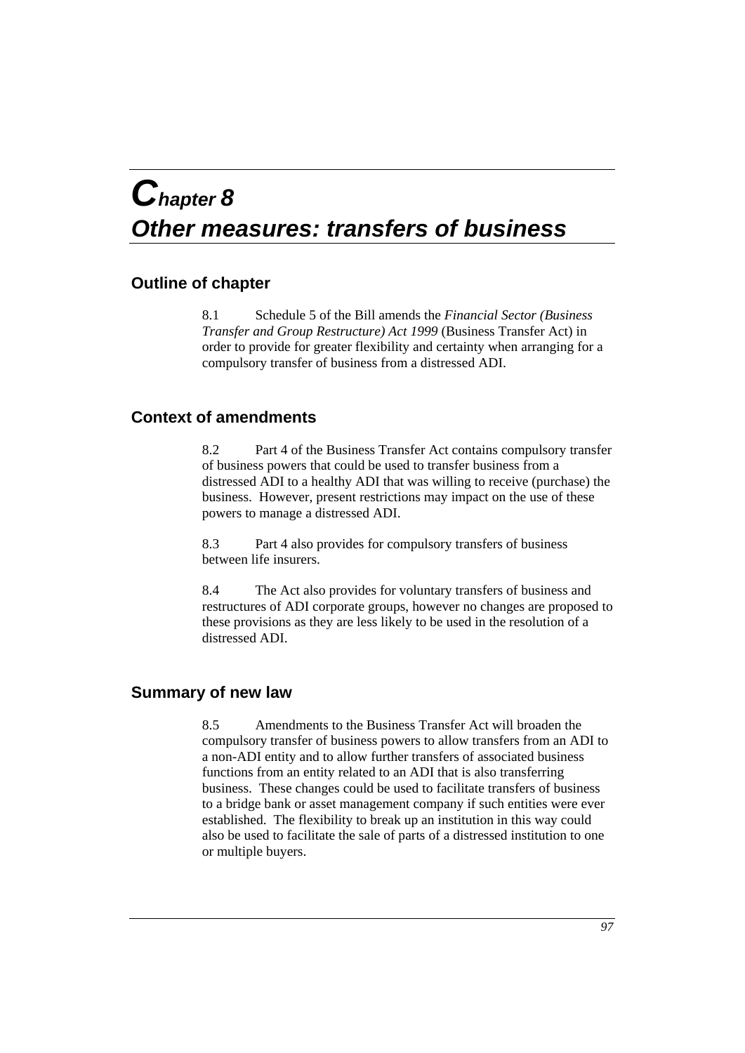## *Chapter 8 Other measures: transfers of business*

## **Outline of chapter**

8.1 Schedule 5 of the Bill amends the *Financial Sector (Business Transfer and Group Restructure) Act 1999* (Business Transfer Act) in order to provide for greater flexibility and certainty when arranging for a compulsory transfer of business from a distressed ADI.

## **Context of amendments**

8.2 Part 4 of the Business Transfer Act contains compulsory transfer of business powers that could be used to transfer business from a distressed ADI to a healthy ADI that was willing to receive (purchase) the business. However, present restrictions may impact on the use of these powers to manage a distressed ADI.

8.3 Part 4 also provides for compulsory transfers of business between life insurers.

8.4 The Act also provides for voluntary transfers of business and restructures of ADI corporate groups, however no changes are proposed to these provisions as they are less likely to be used in the resolution of a distressed ADI.

## **Summary of new law**

8.5 Amendments to the Business Transfer Act will broaden the compulsory transfer of business powers to allow transfers from an ADI to a non-ADI entity and to allow further transfers of associated business functions from an entity related to an ADI that is also transferring business. These changes could be used to facilitate transfers of business to a bridge bank or asset management company if such entities were ever established. The flexibility to break up an institution in this way could also be used to facilitate the sale of parts of a distressed institution to one or multiple buyers.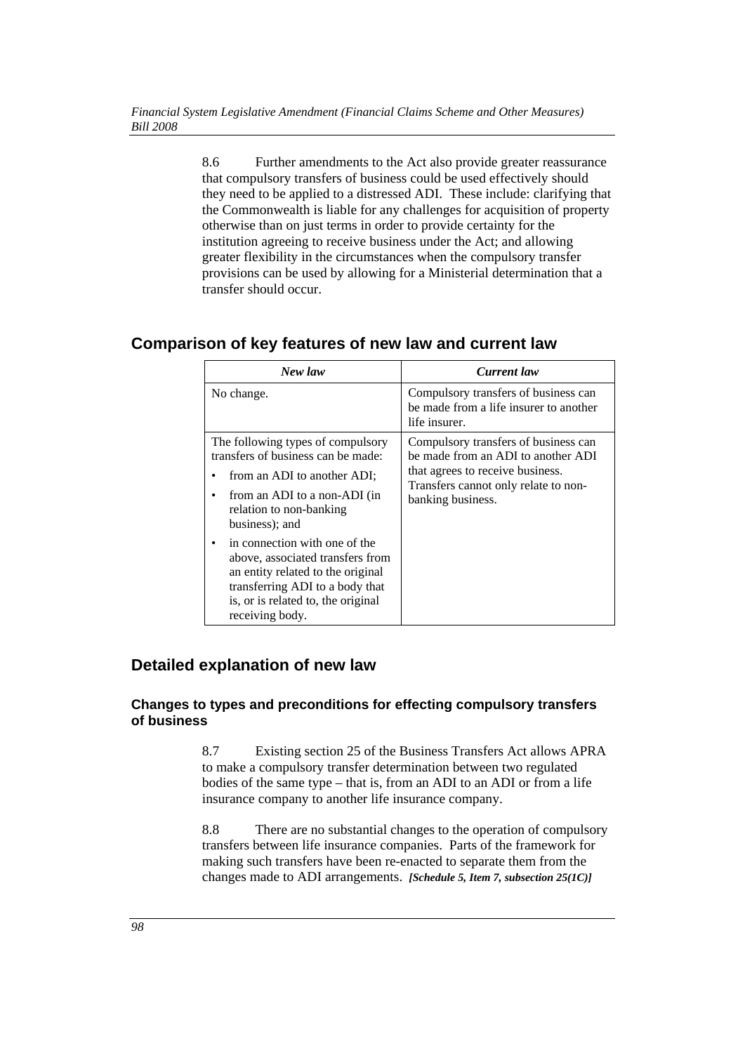8.6 Further amendments to the Act also provide greater reassurance that compulsory transfers of business could be used effectively should they need to be applied to a distressed ADI. These include: clarifying that the Commonwealth is liable for any challenges for acquisition of property otherwise than on just terms in order to provide certainty for the institution agreeing to receive business under the Act; and allowing greater flexibility in the circumstances when the compulsory transfer provisions can be used by allowing for a Ministerial determination that a transfer should occur.

## **Comparison of key features of new law and current law**

| New law                                                                                                                                                                                                              | <b>Current</b> law                                                                                                                                                          |
|----------------------------------------------------------------------------------------------------------------------------------------------------------------------------------------------------------------------|-----------------------------------------------------------------------------------------------------------------------------------------------------------------------------|
| No change.                                                                                                                                                                                                           | Compulsory transfers of business can<br>be made from a life insurer to another<br>life insurer.                                                                             |
| The following types of compulsory<br>transfers of business can be made:<br>from an ADI to another ADI;<br>from an ADI to a non-ADI (in<br>relation to non-banking<br>business); and<br>in connection with one of the | Compulsory transfers of business can<br>be made from an ADI to another ADI<br>that agrees to receive business.<br>Transfers cannot only relate to non-<br>banking business. |
| above, associated transfers from<br>an entity related to the original<br>transferring ADI to a body that<br>is, or is related to, the original<br>receiving body.                                                    |                                                                                                                                                                             |

## **Detailed explanation of new law**

## **Changes to types and preconditions for effecting compulsory transfers of business**

8.7 Existing section 25 of the Business Transfers Act allows APRA to make a compulsory transfer determination between two regulated bodies of the same type – that is, from an ADI to an ADI or from a life insurance company to another life insurance company.

8.8 There are no substantial changes to the operation of compulsory transfers between life insurance companies. Parts of the framework for making such transfers have been re-enacted to separate them from the changes made to ADI arrangements. *[Schedule 5, Item 7, subsection 25(1C)]*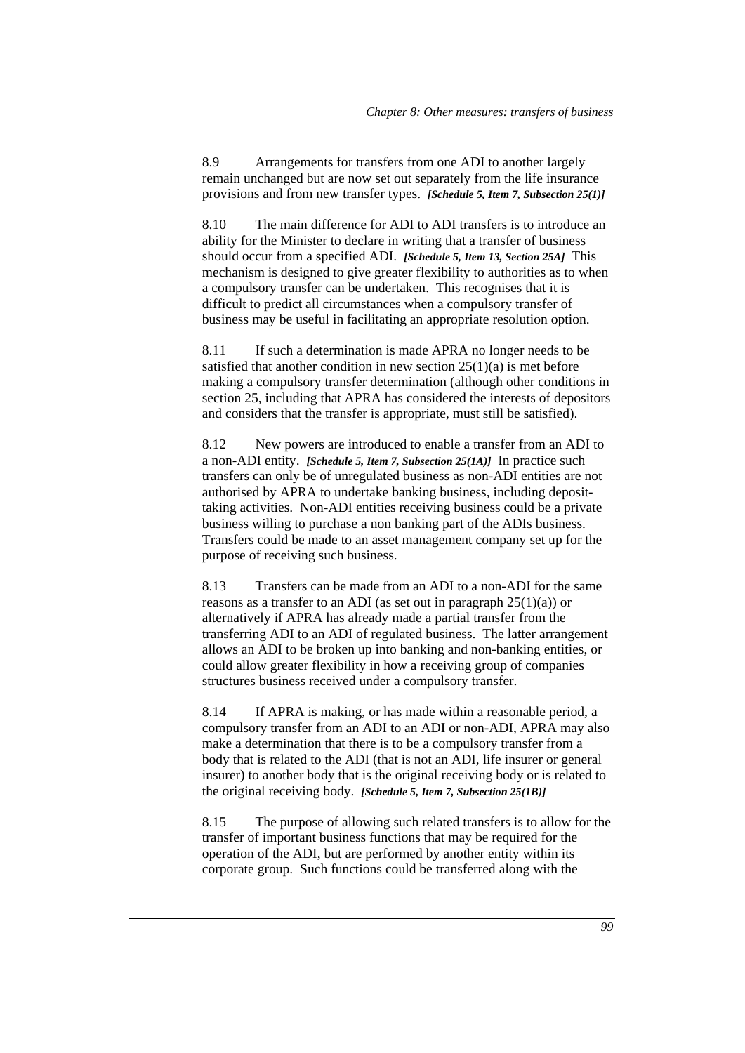8.9 Arrangements for transfers from one ADI to another largely remain unchanged but are now set out separately from the life insurance provisions and from new transfer types. *[Schedule 5, Item 7, Subsection 25(1)]*

8.10 The main difference for ADI to ADI transfers is to introduce an ability for the Minister to declare in writing that a transfer of business should occur from a specified ADI. *[Schedule 5, Item 13, Section 25A]* This mechanism is designed to give greater flexibility to authorities as to when a compulsory transfer can be undertaken. This recognises that it is difficult to predict all circumstances when a compulsory transfer of business may be useful in facilitating an appropriate resolution option.

8.11 If such a determination is made APRA no longer needs to be satisfied that another condition in new section  $25(1)(a)$  is met before making a compulsory transfer determination (although other conditions in section 25, including that APRA has considered the interests of depositors and considers that the transfer is appropriate, must still be satisfied).

8.12 New powers are introduced to enable a transfer from an ADI to a non-ADI entity. *[Schedule 5, Item 7, Subsection 25(1A)]* In practice such transfers can only be of unregulated business as non-ADI entities are not authorised by APRA to undertake banking business, including deposittaking activities. Non-ADI entities receiving business could be a private business willing to purchase a non banking part of the ADIs business. Transfers could be made to an asset management company set up for the purpose of receiving such business.

8.13 Transfers can be made from an ADI to a non-ADI for the same reasons as a transfer to an ADI (as set out in paragraph  $25(1)(a)$ ) or alternatively if APRA has already made a partial transfer from the transferring ADI to an ADI of regulated business. The latter arrangement allows an ADI to be broken up into banking and non-banking entities, or could allow greater flexibility in how a receiving group of companies structures business received under a compulsory transfer.

8.14 If APRA is making, or has made within a reasonable period, a compulsory transfer from an ADI to an ADI or non-ADI, APRA may also make a determination that there is to be a compulsory transfer from a body that is related to the ADI (that is not an ADI, life insurer or general insurer) to another body that is the original receiving body or is related to the original receiving body. *[Schedule 5, Item 7, Subsection 25(1B)]*

8.15 The purpose of allowing such related transfers is to allow for the transfer of important business functions that may be required for the operation of the ADI, but are performed by another entity within its corporate group. Such functions could be transferred along with the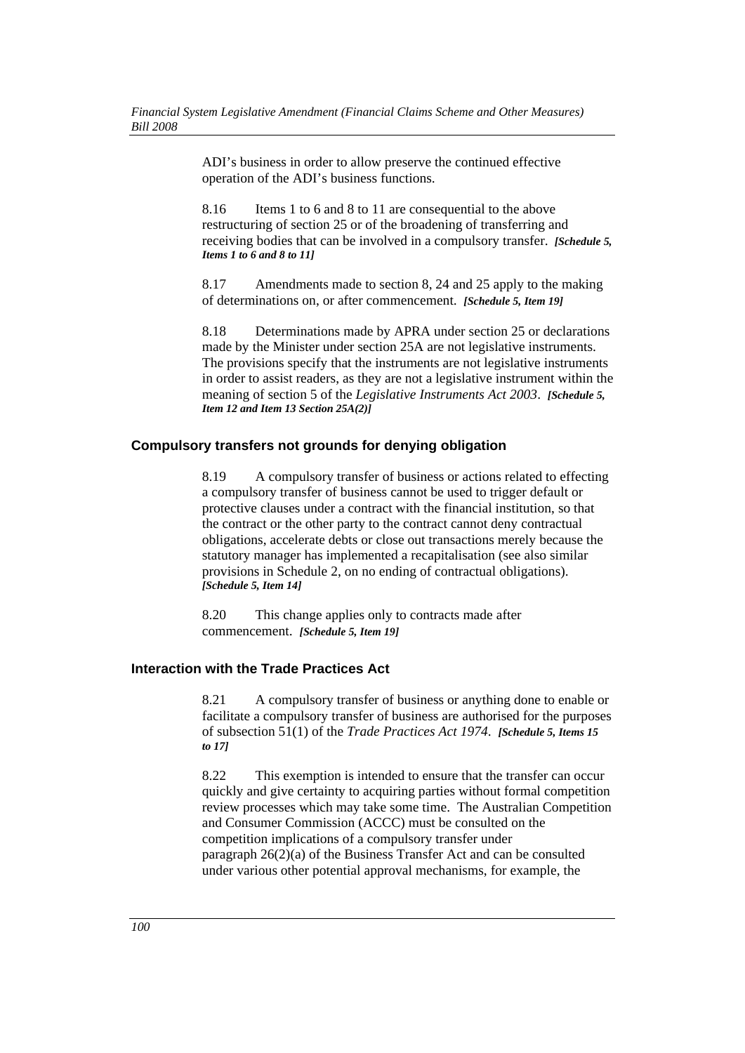ADI's business in order to allow preserve the continued effective operation of the ADI's business functions.

8.16 Items 1 to 6 and 8 to 11 are consequential to the above restructuring of section 25 or of the broadening of transferring and receiving bodies that can be involved in a compulsory transfer. *[Schedule 5, Items 1 to 6 and 8 to 11]*

8.17 Amendments made to section 8, 24 and 25 apply to the making of determinations on, or after commencement. *[Schedule 5, Item 19]*

8.18 Determinations made by APRA under section 25 or declarations made by the Minister under section 25A are not legislative instruments. The provisions specify that the instruments are not legislative instruments in order to assist readers, as they are not a legislative instrument within the meaning of section 5 of the *Legislative Instruments Act 2003*. *[Schedule 5, Item 12 and Item 13 Section 25A(2)]*

## **Compulsory transfers not grounds for denying obligation**

8.19 A compulsory transfer of business or actions related to effecting a compulsory transfer of business cannot be used to trigger default or protective clauses under a contract with the financial institution, so that the contract or the other party to the contract cannot deny contractual obligations, accelerate debts or close out transactions merely because the statutory manager has implemented a recapitalisation (see also similar provisions in Schedule 2, on no ending of contractual obligations). *[Schedule 5, Item 14]*

8.20 This change applies only to contracts made after commencement. *[Schedule 5, Item 19]*

## **Interaction with the Trade Practices Act**

8.21 A compulsory transfer of business or anything done to enable or facilitate a compulsory transfer of business are authorised for the purposes of subsection 51(1) of the *Trade Practices Act 1974*. *[Schedule 5, Items 15 to 17]*

8.22 This exemption is intended to ensure that the transfer can occur quickly and give certainty to acquiring parties without formal competition review processes which may take some time. The Australian Competition and Consumer Commission (ACCC) must be consulted on the competition implications of a compulsory transfer under paragraph  $26(2)(a)$  of the Business Transfer Act and can be consulted under various other potential approval mechanisms, for example, the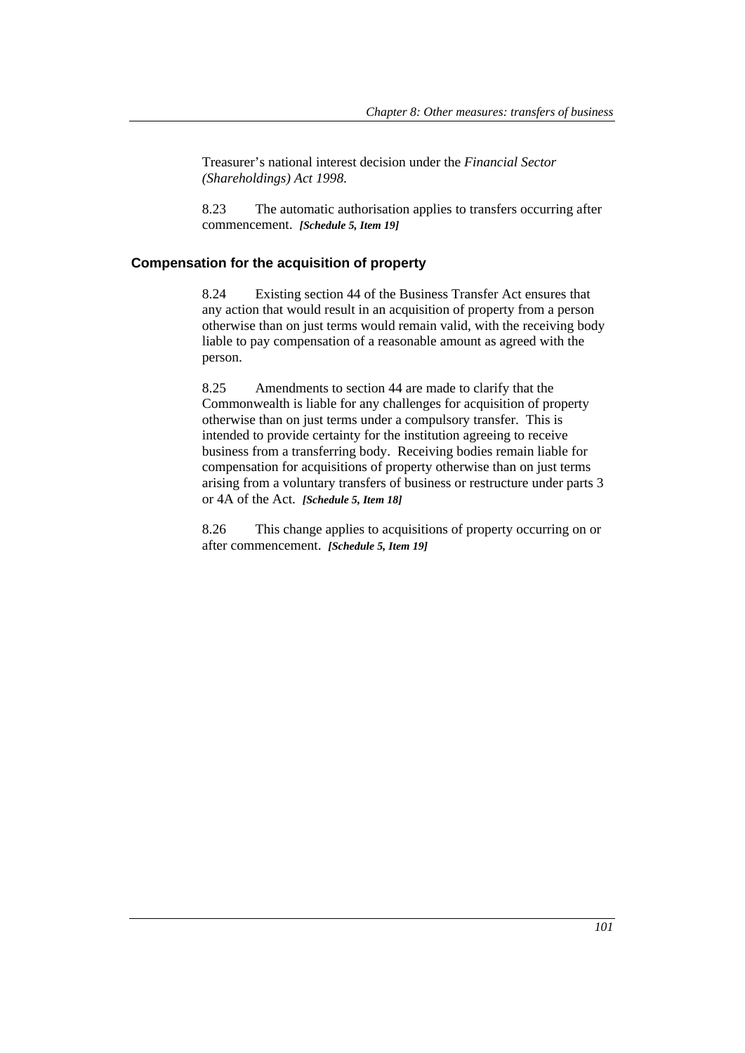Treasurer's national interest decision under the *Financial Sector (Shareholdings) Act 1998*.

8.23 The automatic authorisation applies to transfers occurring after commencement. *[Schedule 5, Item 19]*

#### **Compensation for the acquisition of property**

8.24 Existing section 44 of the Business Transfer Act ensures that any action that would result in an acquisition of property from a person otherwise than on just terms would remain valid, with the receiving body liable to pay compensation of a reasonable amount as agreed with the person.

8.25 Amendments to section 44 are made to clarify that the Commonwealth is liable for any challenges for acquisition of property otherwise than on just terms under a compulsory transfer. This is intended to provide certainty for the institution agreeing to receive business from a transferring body. Receiving bodies remain liable for compensation for acquisitions of property otherwise than on just terms arising from a voluntary transfers of business or restructure under parts 3 or 4A of the Act. *[Schedule 5, Item 18]*

8.26 This change applies to acquisitions of property occurring on or after commencement. *[Schedule 5, Item 19]*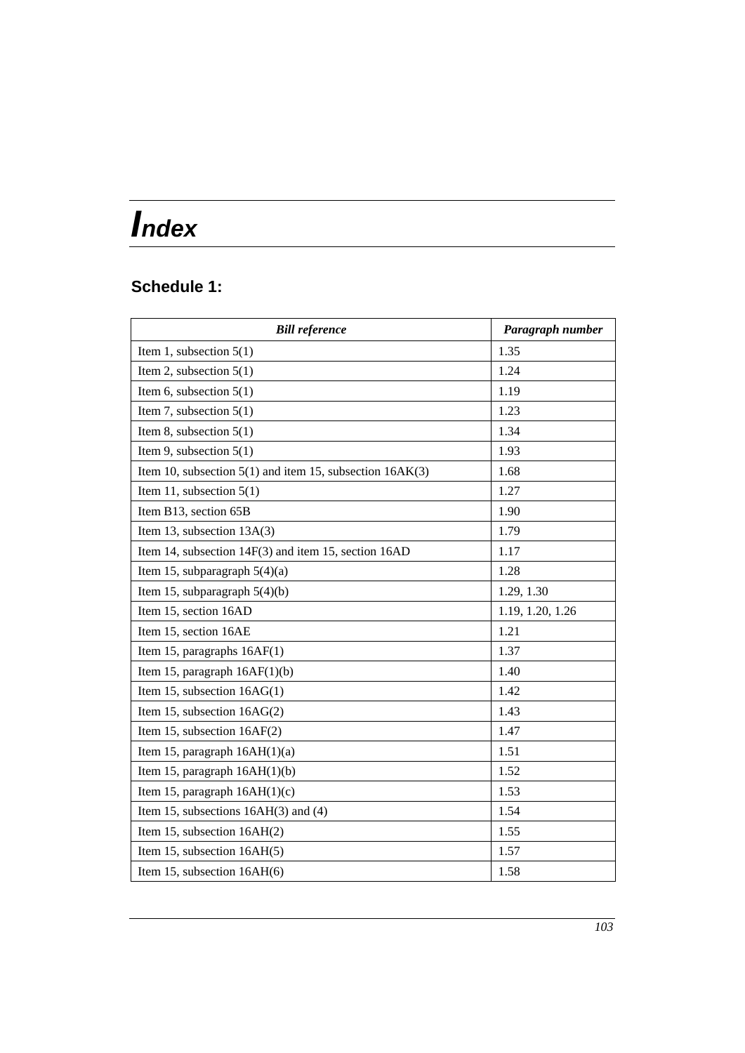# *Index*

## **Schedule 1:**

| <b>Bill reference</b>                                        | Paragraph number |
|--------------------------------------------------------------|------------------|
| Item 1, subsection $5(1)$                                    | 1.35             |
| Item 2, subsection $5(1)$                                    | 1.24             |
| Item 6, subsection $5(1)$                                    | 1.19             |
| Item 7, subsection $5(1)$                                    | 1.23             |
| Item 8, subsection $5(1)$                                    | 1.34             |
| Item 9, subsection $5(1)$                                    | 1.93             |
| Item 10, subsection $5(1)$ and item 15, subsection $16AK(3)$ | 1.68             |
| Item 11, subsection $5(1)$                                   | 1.27             |
| Item B13, section 65B                                        | 1.90             |
| Item 13, subsection 13A(3)                                   | 1.79             |
| Item 14, subsection 14F(3) and item 15, section 16AD         | 1.17             |
| Item 15, subparagraph $5(4)(a)$                              | 1.28             |
| Item 15, subparagraph $5(4)(b)$                              | 1.29, 1.30       |
| Item 15, section 16AD                                        | 1.19, 1.20, 1.26 |
| Item 15, section 16AE                                        | 1.21             |
| Item 15, paragraphs 16AF(1)                                  | 1.37             |
| Item 15, paragraph $16AF(1)(b)$                              | 1.40             |
| Item 15, subsection 16AG(1)                                  | 1.42             |
| Item 15, subsection 16AG(2)                                  | 1.43             |
| Item 15, subsection 16AF(2)                                  | 1.47             |
| Item 15, paragraph 16AH(1)(a)                                | 1.51             |
| Item 15, paragraph $16AH(1)(b)$                              | 1.52             |
| Item 15, paragraph $16AH(1)(c)$                              | 1.53             |
| Item 15, subsections $16AH(3)$ and (4)                       | 1.54             |
| Item 15, subsection 16AH(2)                                  | 1.55             |
| Item 15, subsection 16AH(5)                                  | 1.57             |
| Item 15, subsection 16AH(6)                                  | 1.58             |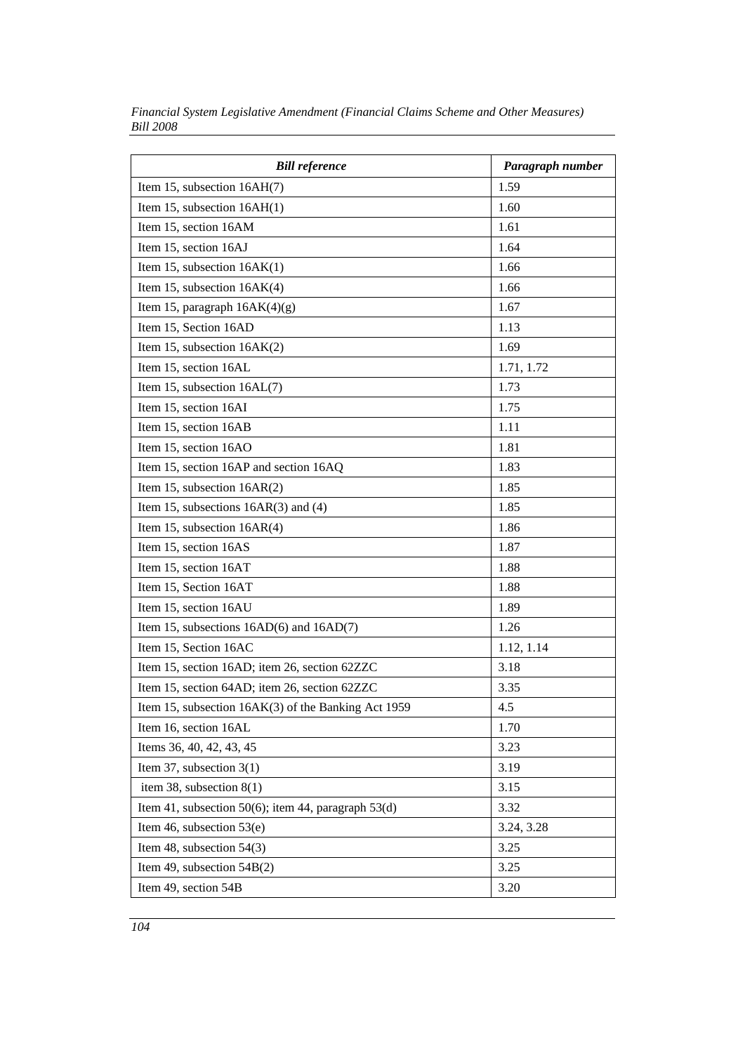| <b>Bill reference</b>                                 | Paragraph number |
|-------------------------------------------------------|------------------|
| Item 15, subsection 16AH(7)                           | 1.59             |
| Item 15, subsection $16AH(1)$                         | 1.60             |
| Item 15, section 16AM                                 | 1.61             |
| Item 15, section 16AJ                                 | 1.64             |
| Item 15, subsection $16AK(1)$                         | 1.66             |
| Item 15, subsection 16AK(4)                           | 1.66             |
| Item 15, paragraph $16AK(4)(g)$                       | 1.67             |
| Item 15, Section 16AD                                 | 1.13             |
| Item 15, subsection $16AK(2)$                         | 1.69             |
| Item 15, section 16AL                                 | 1.71, 1.72       |
| Item 15, subsection 16AL(7)                           | 1.73             |
| Item 15, section 16AI                                 | 1.75             |
| Item 15, section 16AB                                 | 1.11             |
| Item 15, section 16AO                                 | 1.81             |
| Item 15, section 16AP and section 16AQ                | 1.83             |
| Item 15, subsection $16AR(2)$                         | 1.85             |
| Item 15, subsections $16AR(3)$ and (4)                | 1.85             |
| Item 15, subsection 16AR(4)                           | 1.86             |
| Item 15, section 16AS                                 | 1.87             |
| Item 15, section 16AT                                 | 1.88             |
| Item 15, Section 16AT                                 | 1.88             |
| Item 15, section 16AU                                 | 1.89             |
| Item 15, subsections $16AD(6)$ and $16AD(7)$          | 1.26             |
| Item 15, Section 16AC                                 | 1.12, 1.14       |
| Item 15, section 16AD; item 26, section 62ZZC         | 3.18             |
| Item 15, section 64AD; item 26, section 62ZZC         | 3.35             |
| Item 15, subsection 16AK(3) of the Banking Act 1959   | 4.5              |
| Item 16, section 16AL                                 | 1.70             |
| Items 36, 40, 42, 43, 45                              | 3.23             |
| Item 37, subsection $3(1)$                            | 3.19             |
| item 38, subsection $8(1)$                            | 3.15             |
| Item 41, subsection 50(6); item 44, paragraph $53(d)$ | 3.32             |
| Item 46, subsection $53(e)$                           | 3.24, 3.28       |
| Item 48, subsection $54(3)$                           | 3.25             |
| Item 49, subsection $54B(2)$                          | 3.25             |
| Item 49, section 54B                                  | 3.20             |

*Financial System Legislative Amendment (Financial Claims Scheme and Other Measures) Bill 2008*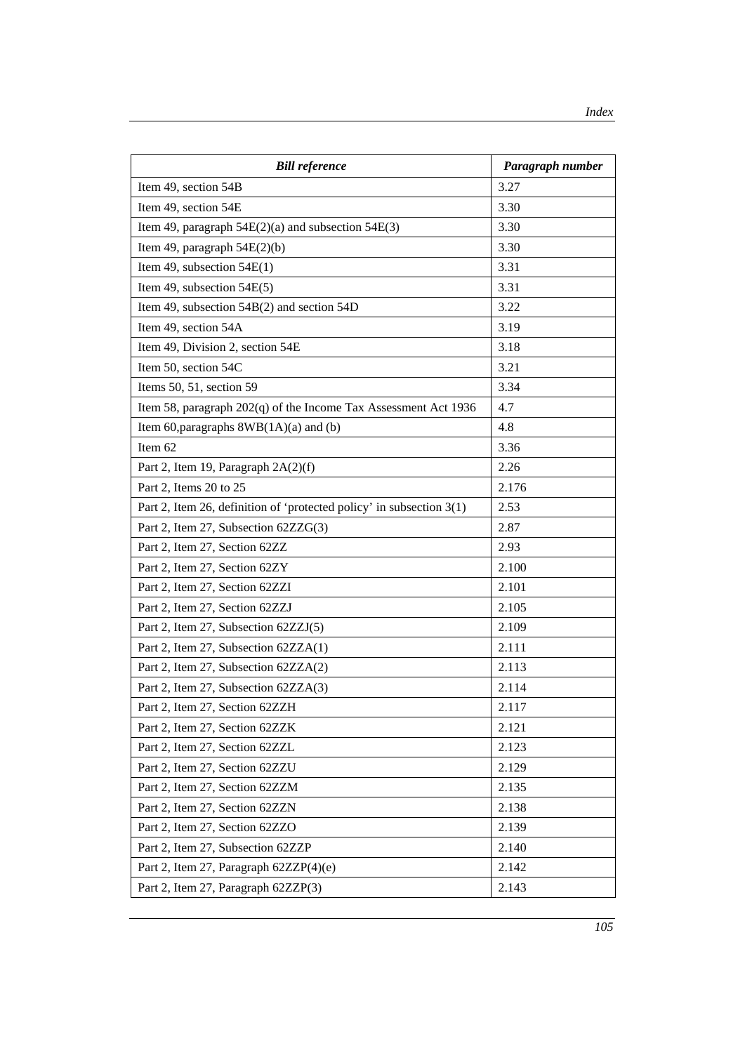| <b>Bill reference</b>                                                | Paragraph number |
|----------------------------------------------------------------------|------------------|
| Item 49, section 54B                                                 | 3.27             |
| Item 49, section 54E                                                 | 3.30             |
| Item 49, paragraph $54E(2)(a)$ and subsection $54E(3)$               | 3.30             |
| Item 49, paragraph $54E(2)(b)$                                       | 3.30             |
| Item 49, subsection $54E(1)$                                         | 3.31             |
| Item 49, subsection $54E(5)$                                         | 3.31             |
| Item 49, subsection 54B(2) and section 54D                           | 3.22             |
| Item 49, section 54A                                                 | 3.19             |
| Item 49, Division 2, section 54E                                     | 3.18             |
| Item 50, section 54C                                                 | 3.21             |
| Items 50, 51, section 59                                             | 3.34             |
| Item 58, paragraph 202(q) of the Income Tax Assessment Act 1936      | 4.7              |
| Item 60, paragraphs $8WB(1A)(a)$ and (b)                             | 4.8              |
| Item 62                                                              | 3.36             |
| Part 2, Item 19, Paragraph 2A(2)(f)                                  | 2.26             |
| Part 2, Items 20 to 25                                               | 2.176            |
| Part 2, Item 26, definition of 'protected policy' in subsection 3(1) | 2.53             |
| Part 2, Item 27, Subsection 62ZZG(3)                                 | 2.87             |
| Part 2, Item 27, Section 62ZZ                                        | 2.93             |
| Part 2, Item 27, Section 62ZY                                        | 2.100            |
| Part 2, Item 27, Section 62ZZI                                       | 2.101            |
| Part 2, Item 27, Section 62ZZJ                                       | 2.105            |
| Part 2, Item 27, Subsection 62ZZJ(5)                                 | 2.109            |
| Part 2, Item 27, Subsection 62ZZA(1)                                 | 2.111            |
| Part 2, Item 27, Subsection 62ZZA(2)                                 | 2.113            |
| Part 2, Item 27, Subsection 62ZZA(3)                                 | 2.114            |
| Part 2, Item 27, Section 62ZZH                                       | 2.117            |
| Part 2, Item 27, Section 62ZZK                                       | 2.121            |
| Part 2, Item 27, Section 62ZZL                                       | 2.123            |
| Part 2, Item 27, Section 62ZZU                                       | 2.129            |
| Part 2, Item 27, Section 62ZZM                                       | 2.135            |
| Part 2, Item 27, Section 62ZZN                                       | 2.138            |
| Part 2, Item 27, Section 62ZZO                                       | 2.139            |
| Part 2, Item 27, Subsection 62ZZP                                    | 2.140            |
| Part 2, Item 27, Paragraph 62ZZP(4)(e)                               | 2.142            |
| Part 2, Item 27, Paragraph 62ZZP(3)                                  | 2.143            |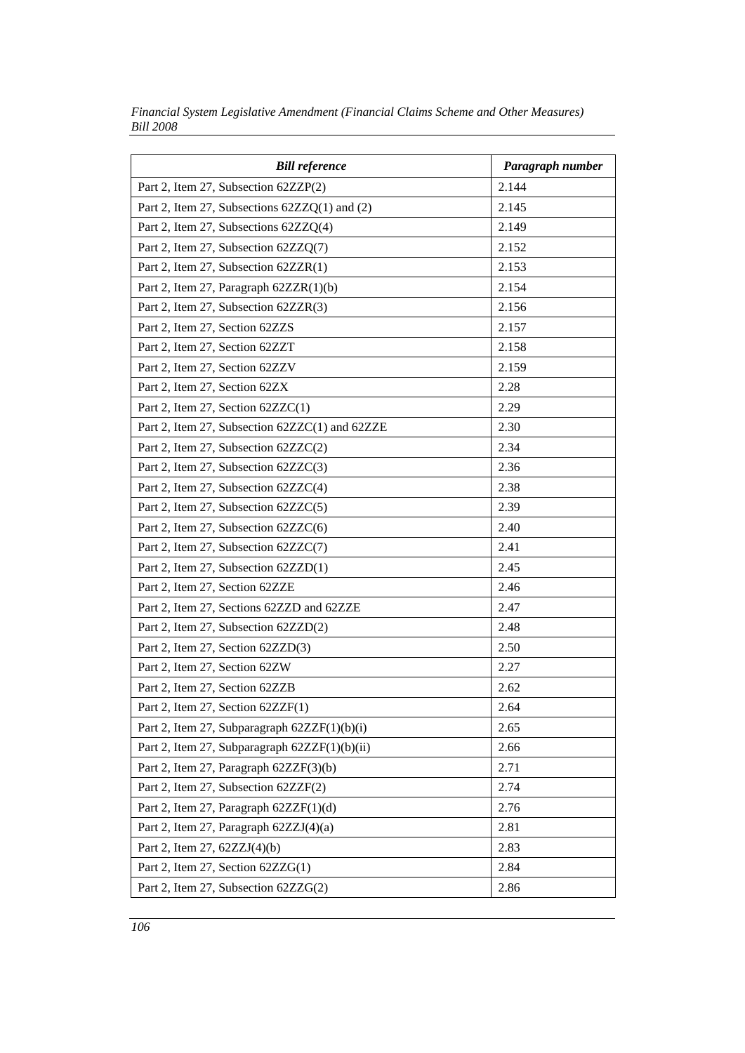| <b>Bill reference</b>                          | Paragraph number |
|------------------------------------------------|------------------|
| Part 2, Item 27, Subsection 62ZZP(2)           | 2.144            |
| Part 2, Item 27, Subsections 62ZZQ(1) and (2)  | 2.145            |
| Part 2, Item 27, Subsections 62ZZQ(4)          | 2.149            |
| Part 2, Item 27, Subsection 62ZZQ(7)           | 2.152            |
| Part 2, Item 27, Subsection 62ZZR(1)           | 2.153            |
| Part 2, Item 27, Paragraph 62ZZR(1)(b)         | 2.154            |
| Part 2, Item 27, Subsection 62ZZR(3)           | 2.156            |
| Part 2, Item 27, Section 62ZZS                 | 2.157            |
| Part 2, Item 27, Section 62ZZT                 | 2.158            |
| Part 2, Item 27, Section 62ZZV                 | 2.159            |
| Part 2, Item 27, Section 62ZX                  | 2.28             |
| Part 2, Item 27, Section 62ZZC(1)              | 2.29             |
| Part 2, Item 27, Subsection 62ZZC(1) and 62ZZE | 2.30             |
| Part 2, Item 27, Subsection 62ZZC(2)           | 2.34             |
| Part 2, Item 27, Subsection 62ZZC(3)           | 2.36             |
| Part 2, Item 27, Subsection 62ZZC(4)           | 2.38             |
| Part 2, Item 27, Subsection 62ZZC(5)           | 2.39             |
| Part 2, Item 27, Subsection 62ZZC(6)           | 2.40             |
| Part 2, Item 27, Subsection 62ZZC(7)           | 2.41             |
| Part 2, Item 27, Subsection 62ZZD(1)           | 2.45             |
| Part 2, Item 27, Section 62ZZE                 | 2.46             |
| Part 2, Item 27, Sections 62ZZD and 62ZZE      | 2.47             |
| Part 2, Item 27, Subsection 62ZZD(2)           | 2.48             |
| Part 2, Item 27, Section 62ZZD(3)              | 2.50             |
| Part 2, Item 27, Section 62ZW                  | 2.27             |
| Part 2, Item 27, Section 62ZZB                 | 2.62             |
| Part 2, Item 27, Section 62ZZF(1)              | 2.64             |
| Part 2, Item 27, Subparagraph $62ZZF(1)(b)(i)$ | 2.65             |
| Part 2, Item 27, Subparagraph 62ZZF(1)(b)(ii)  | 2.66             |
| Part 2, Item 27, Paragraph 62ZZF(3)(b)         | 2.71             |
| Part 2, Item 27, Subsection 62ZZF(2)           | 2.74             |
| Part 2, Item 27, Paragraph $62ZZF(1)(d)$       | 2.76             |
| Part 2, Item 27, Paragraph 62ZZJ(4)(a)         | 2.81             |
| Part 2, Item 27, $62ZZJ(4)(b)$                 | 2.83             |
| Part 2, Item 27, Section 62ZZG(1)              | 2.84             |
| Part 2, Item 27, Subsection 62ZZG(2)           | 2.86             |

*Financial System Legislative Amendment (Financial Claims Scheme and Other Measures) Bill 2008*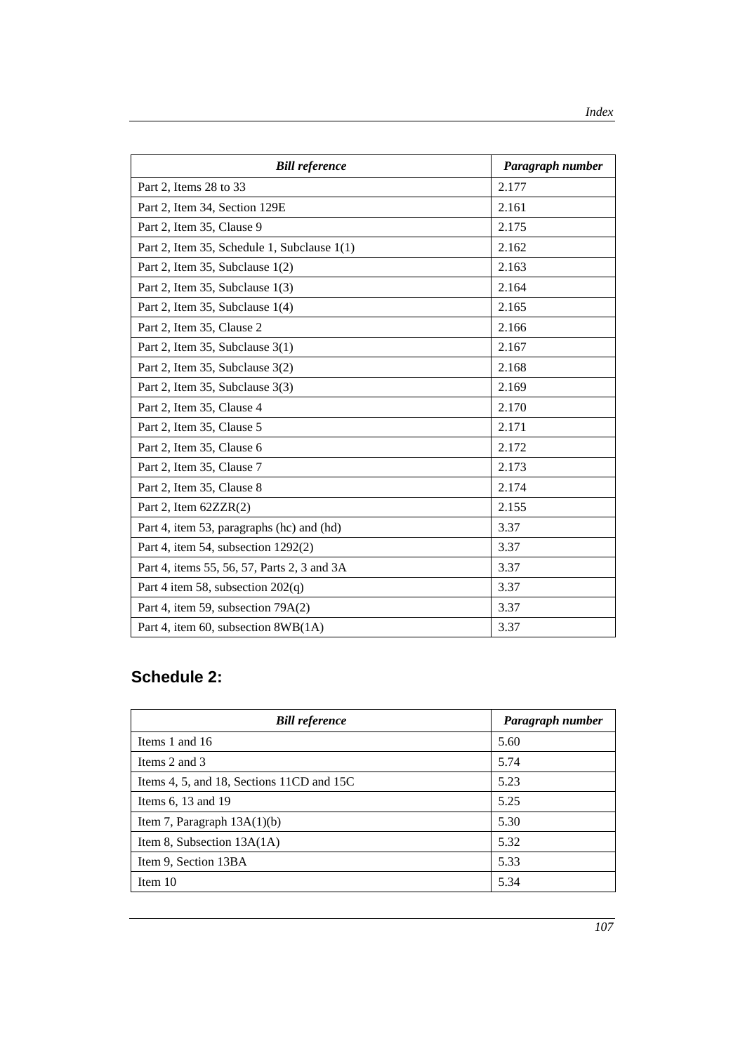| <b>Bill reference</b>                       | Paragraph number |
|---------------------------------------------|------------------|
| Part 2, Items 28 to 33                      | 2.177            |
| Part 2, Item 34, Section 129E               | 2.161            |
| Part 2, Item 35, Clause 9                   | 2.175            |
| Part 2, Item 35, Schedule 1, Subclause 1(1) | 2.162            |
| Part 2, Item 35, Subclause 1(2)             | 2.163            |
| Part 2, Item 35, Subclause 1(3)             | 2.164            |
| Part 2, Item 35, Subclause 1(4)             | 2.165            |
| Part 2, Item 35, Clause 2                   | 2.166            |
| Part 2, Item 35, Subclause 3(1)             | 2.167            |
| Part 2, Item 35, Subclause 3(2)             | 2.168            |
| Part 2, Item 35, Subclause 3(3)             | 2.169            |
| Part 2, Item 35, Clause 4                   | 2.170            |
| Part 2, Item 35, Clause 5                   | 2.171            |
| Part 2, Item 35, Clause 6                   | 2.172            |
| Part 2, Item 35, Clause 7                   | 2.173            |
| Part 2, Item 35, Clause 8                   | 2.174            |
| Part 2, Item 62ZZR(2)                       | 2.155            |
| Part 4, item 53, paragraphs (hc) and (hd)   | 3.37             |
| Part 4, item 54, subsection 1292(2)         | 3.37             |
| Part 4, items 55, 56, 57, Parts 2, 3 and 3A | 3.37             |
| Part 4 item 58, subsection $202(q)$         | 3.37             |
| Part 4, item 59, subsection 79A(2)          | 3.37             |
| Part 4, item 60, subsection 8WB(1A)         | 3.37             |

## **Schedule 2:**

| <b>Bill reference</b>                     | Paragraph number |
|-------------------------------------------|------------------|
| Items 1 and 16                            | 5.60             |
| Items 2 and 3                             | 5.74             |
| Items 4, 5, and 18, Sections 11CD and 15C | 5.23             |
| Items 6, 13 and 19                        | 5.25             |
| Item 7, Paragraph $13A(1)(b)$             | 5.30             |
| Item 8, Subsection $13A(1A)$              | 5.32             |
| Item 9, Section 13BA                      | 5.33             |
| Item $10$                                 | 5.34             |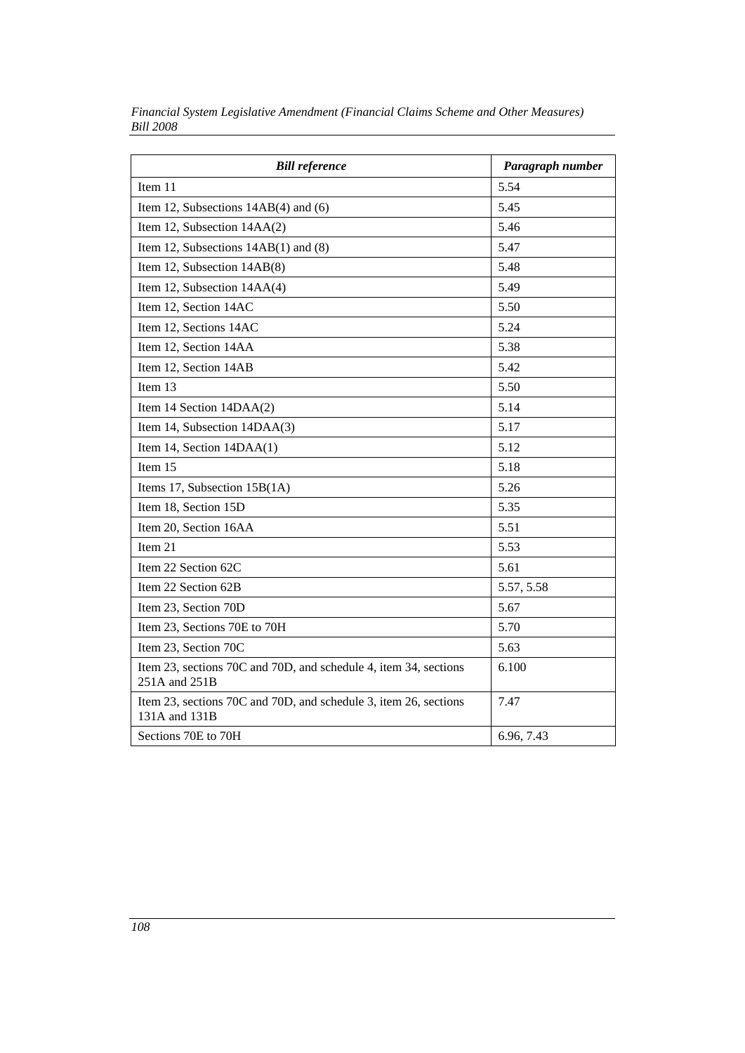| <b>Bill reference</b>                                                             | Paragraph number |
|-----------------------------------------------------------------------------------|------------------|
| Item 11                                                                           | 5.54             |
| Item 12, Subsections $14AB(4)$ and (6)                                            | 5.45             |
| Item 12, Subsection 14AA(2)                                                       | 5.46             |
| Item 12, Subsections $14AB(1)$ and $(8)$                                          | 5.47             |
| Item 12, Subsection 14AB(8)                                                       | 5.48             |
| Item 12, Subsection 14AA(4)                                                       | 5.49             |
| Item 12, Section 14AC                                                             | 5.50             |
| Item 12, Sections 14AC                                                            | 5.24             |
| Item 12, Section 14AA                                                             | 5.38             |
| Item 12, Section 14AB                                                             | 5.42             |
| Item 13                                                                           | 5.50             |
| Item 14 Section 14DAA(2)                                                          | 5.14             |
| Item 14, Subsection 14DAA(3)                                                      | 5.17             |
| Item 14, Section 14DAA(1)                                                         | 5.12             |
| Item 15                                                                           | 5.18             |
| Items 17, Subsection 15B(1A)                                                      | 5.26             |
| Item 18, Section 15D                                                              | 5.35             |
| Item 20, Section 16AA                                                             | 5.51             |
| Item 21                                                                           | 5.53             |
| Item 22 Section 62C                                                               | 5.61             |
| Item 22 Section 62B                                                               | 5.57, 5.58       |
| Item 23, Section 70D                                                              | 5.67             |
| Item 23, Sections 70E to 70H                                                      | 5.70             |
| Item 23, Section 70C                                                              | 5.63             |
| Item 23, sections 70C and 70D, and schedule 4, item 34, sections<br>251A and 251B | 6.100            |
| Item 23, sections 70C and 70D, and schedule 3, item 26, sections<br>131A and 131B | 7.47             |
| Sections 70E to 70H                                                               | 6.96, 7.43       |

*Financial System Legislative Amendment (Financial Claims Scheme and Other Measures) Bill 2008*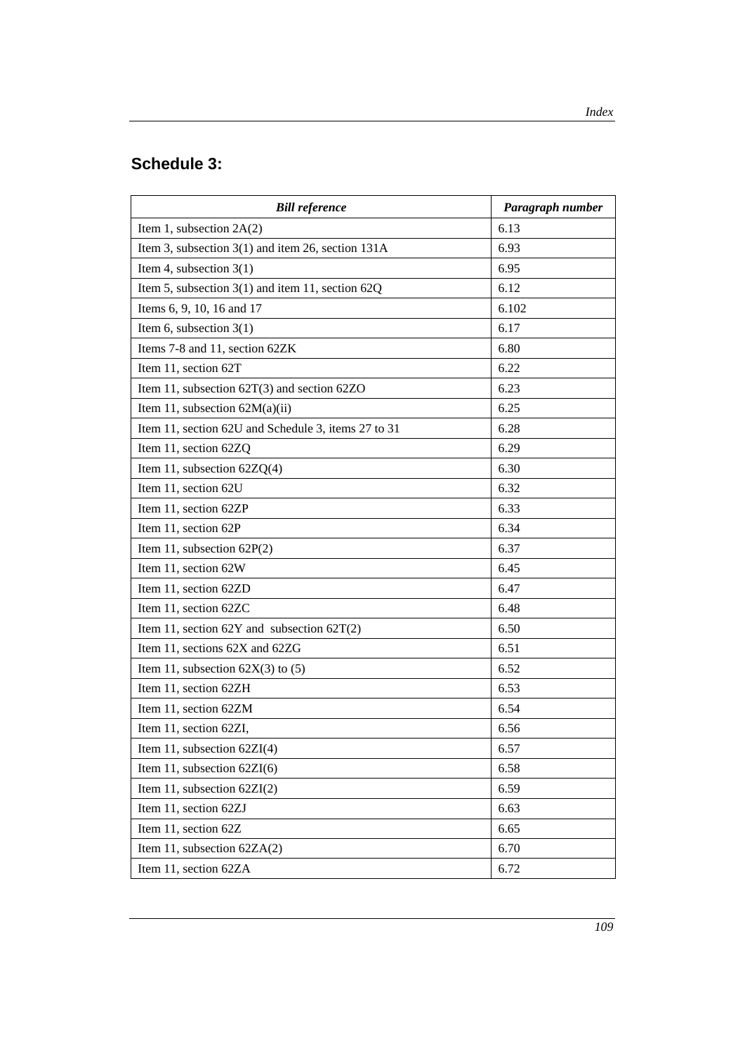## **Schedule 3:**

| <b>Bill reference</b>                                 | Paragraph number |
|-------------------------------------------------------|------------------|
| Item 1, subsection $2A(2)$                            | 6.13             |
| Item 3, subsection $3(1)$ and item 26, section $131A$ | 6.93             |
| Item 4, subsection $3(1)$                             | 6.95             |
| Item 5, subsection $3(1)$ and item 11, section $62Q$  | 6.12             |
| Items 6, 9, 10, 16 and 17                             | 6.102            |
| Item 6, subsection $3(1)$                             | 6.17             |
| Items 7-8 and 11, section 62ZK                        | 6.80             |
| Item 11, section 62T                                  | 6.22             |
| Item 11, subsection $62T(3)$ and section $62ZO$       | 6.23             |
| Item 11, subsection $62M(a)(ii)$                      | 6.25             |
| Item 11, section 62U and Schedule 3, items 27 to 31   | 6.28             |
| Item 11, section 62ZQ                                 | 6.29             |
| Item 11, subsection $62ZQ(4)$                         | 6.30             |
| Item 11, section 62U                                  | 6.32             |
| Item 11, section 62ZP                                 | 6.33             |
| Item 11, section 62P                                  | 6.34             |
| Item 11, subsection $62P(2)$                          | 6.37             |
| Item 11, section 62W                                  | 6.45             |
| Item 11, section 62ZD                                 | 6.47             |
| Item 11, section 62ZC                                 | 6.48             |
| Item 11, section $62Y$ and subsection $62T(2)$        | 6.50             |
| Item 11, sections 62X and 62ZG                        | 6.51             |
| Item 11, subsection $62X(3)$ to (5)                   | 6.52             |
| Item 11, section 62ZH                                 | 6.53             |
| Item 11, section 62ZM                                 | 6.54             |
| Item 11, section 62ZI,                                | 6.56             |
| Item 11, subsection $62ZI(4)$                         | 6.57             |
| Item 11, subsection $62ZI(6)$                         | 6.58             |
| Item 11, subsection $62ZI(2)$                         | 6.59             |
| Item 11, section 62ZJ                                 | 6.63             |
| Item 11, section 62Z                                  | 6.65             |
| Item 11, subsection $62ZA(2)$                         | 6.70             |
| Item 11, section 62ZA                                 | 6.72             |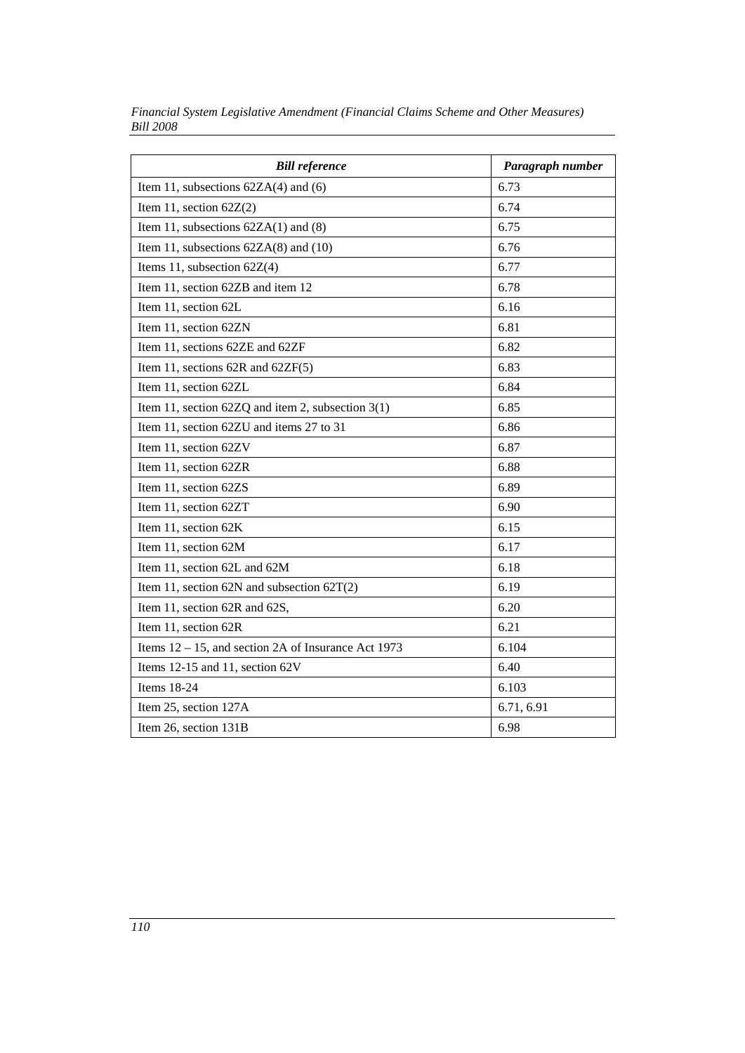| <b>Bill reference</b>                                  | Paragraph number |
|--------------------------------------------------------|------------------|
| Item 11, subsections $62ZA(4)$ and $(6)$               | 6.73             |
| Item 11, section $62Z(2)$                              | 6.74             |
| Item 11, subsections $62ZA(1)$ and $(8)$               | 6.75             |
| Item 11, subsections $62ZA(8)$ and $(10)$              | 6.76             |
| Items 11, subsection $62Z(4)$                          | 6.77             |
| Item 11, section 62ZB and item 12                      | 6.78             |
| Item 11, section 62L                                   | 6.16             |
| Item 11, section 62ZN                                  | 6.81             |
| Item 11, sections 62ZE and 62ZF                        | 6.82             |
| Item 11, sections $62R$ and $62ZF(5)$                  | 6.83             |
| Item 11, section 62ZL                                  | 6.84             |
| Item 11, section 62ZQ and item 2, subsection $3(1)$    | 6.85             |
| Item 11, section 62ZU and items 27 to 31               | 6.86             |
| Item 11, section 62ZV                                  | 6.87             |
| Item 11, section 62ZR                                  | 6.88             |
| Item 11, section 62ZS                                  | 6.89             |
| Item 11, section 62ZT                                  | 6.90             |
| Item 11, section 62K                                   | 6.15             |
| Item 11, section 62M                                   | 6.17             |
| Item 11, section 62L and 62M                           | 6.18             |
| Item 11, section 62N and subsection $62T(2)$           | 6.19             |
| Item 11, section 62R and 62S,                          | 6.20             |
| Item 11, section 62R                                   | 6.21             |
| Items $12 - 15$ , and section 2A of Insurance Act 1973 | 6.104            |
| Items 12-15 and 11, section $62V$                      | 6.40             |
| Items 18-24                                            | 6.103            |
| Item 25, section 127A                                  | 6.71, 6.91       |
| Item 26, section 131B                                  | 6.98             |

*Financial System Legislative Amendment (Financial Claims Scheme and Other Measures) Bill 2008*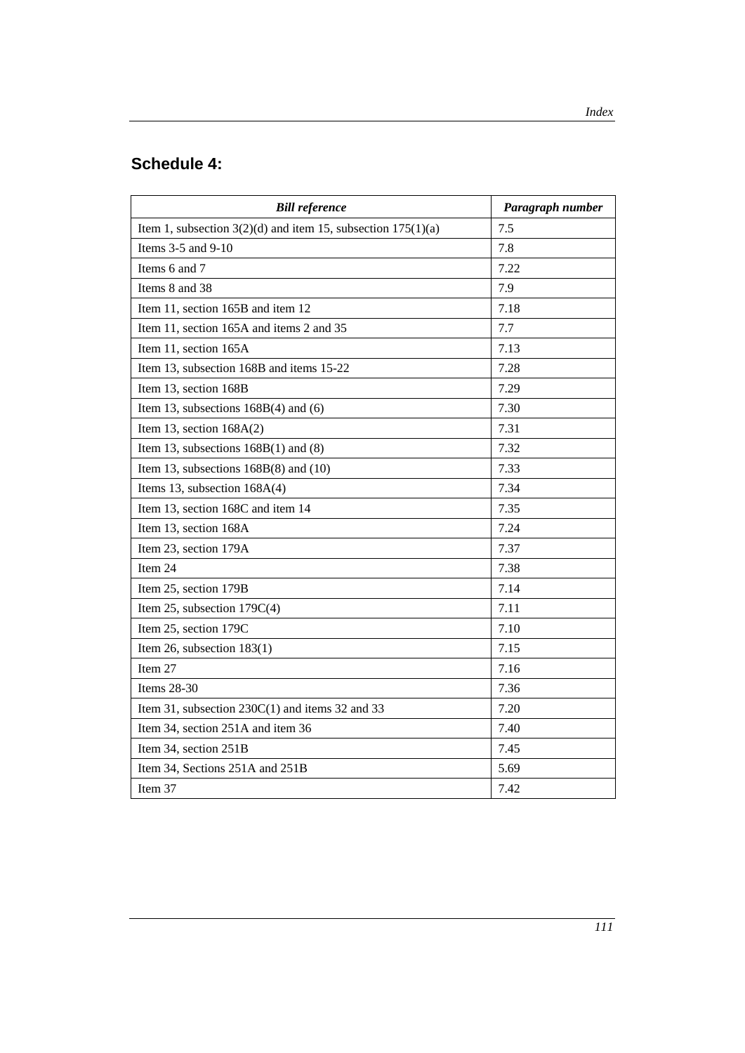## **Schedule 4:**

| <b>Bill reference</b>                                            | Paragraph number |
|------------------------------------------------------------------|------------------|
| Item 1, subsection $3(2)(d)$ and item 15, subsection $175(1)(a)$ | 7.5              |
| Items 3-5 and 9-10                                               | 7.8              |
| Items 6 and 7                                                    | 7.22             |
| Items 8 and 38                                                   | 7.9              |
| Item 11, section 165B and item 12                                | 7.18             |
| Item 11, section 165A and items 2 and 35                         | 7.7              |
| Item 11, section 165A                                            | 7.13             |
| Item 13, subsection 168B and items 15-22                         | 7.28             |
| Item 13, section 168B                                            | 7.29             |
| Item 13, subsections $168B(4)$ and $(6)$                         | 7.30             |
| Item 13, section $168A(2)$                                       | 7.31             |
| Item 13, subsections $168B(1)$ and $(8)$                         | 7.32             |
| Item 13, subsections $168B(8)$ and $(10)$                        | 7.33             |
| Items 13, subsection $168A(4)$                                   | 7.34             |
| Item 13, section 168C and item 14                                | 7.35             |
| Item 13, section 168A                                            | 7.24             |
| Item 23, section 179A                                            | 7.37             |
| Item 24                                                          | 7.38             |
| Item 25, section 179B                                            | 7.14             |
| Item 25, subsection $179C(4)$                                    | 7.11             |
| Item 25, section 179C                                            | 7.10             |
| Item 26, subsection $183(1)$                                     | 7.15             |
| Item 27                                                          | 7.16             |
| Items 28-30                                                      | 7.36             |
| Item 31, subsection $230C(1)$ and items 32 and 33                | 7.20             |
| Item 34, section 251A and item 36                                | 7.40             |
| Item 34, section 251B                                            | 7.45             |
| Item 34, Sections 251A and 251B                                  | 5.69             |
| Item 37                                                          | 7.42             |